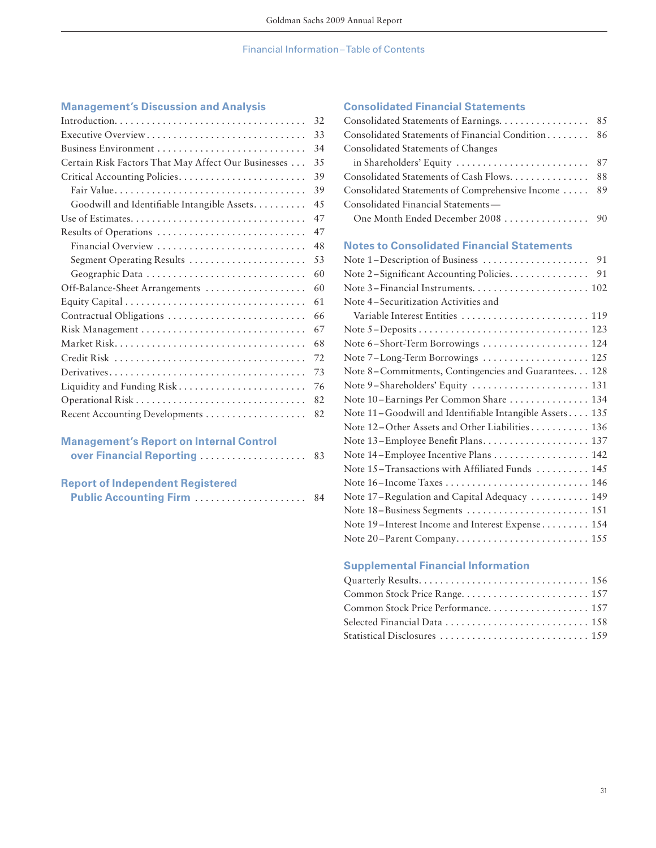## Financial Information – Table of Contents

## **Management's Discussion and Analysis**

|                                                     | 32 |
|-----------------------------------------------------|----|
| Executive Overview                                  | 33 |
|                                                     | 34 |
| Certain Risk Factors That May Affect Our Businesses | 35 |
|                                                     | 39 |
|                                                     | 39 |
| Goodwill and Identifiable Intangible Assets         | 45 |
|                                                     | 47 |
| Results of Operations                               | 47 |
| Financial Overview                                  | 48 |
| Segment Operating Results                           | 53 |
| Geographic Data                                     | 60 |
| Off-Balance-Sheet Arrangements                      | 60 |
|                                                     | 61 |
| Contractual Obligations                             | 66 |
|                                                     | 67 |
|                                                     | 68 |
|                                                     | 72 |
|                                                     | 73 |
| Liquidity and Funding Risk                          | 76 |
|                                                     | 82 |
|                                                     | 82 |
|                                                     |    |
| <b>Management's Report on Internal Control</b>      |    |
| over Financial Reporting                            | 83 |
|                                                     |    |
| <b>Report of Independent Registered</b>             |    |
| <b>Public Accounting Firm </b>                      | 84 |

## **Consolidated Financial Statements**

| Consolidated Statements of Earnings.                    | 85 |
|---------------------------------------------------------|----|
| Consolidated Statements of Financial Condition          | 86 |
| Consolidated Statements of Changes                      |    |
| in Shareholders' Equity                                 | 87 |
| Consolidated Statements of Cash Flows.                  | 88 |
| Consolidated Statements of Comprehensive Income         | 89 |
| Consolidated Financial Statements-                      |    |
| One Month Ended December 2008                           | 90 |
| <b>Notes to Consolidated Financial Statements</b>       |    |
| Note 1-Description of Business                          | 91 |
| Note 2-Significant Accounting Policies.                 | 91 |
|                                                         |    |
| Note 4–Securitization Activities and                    |    |
| Variable Interest Entities  119                         |    |
|                                                         |    |
| Note 6-Short-Term Borrowings  124                       |    |
| Note 7-Long-Term Borrowings  125                        |    |
| Note 8-Commitments, Contingencies and Guarantees. 128   |    |
| Note 9-Shareholders' Equity  131                        |    |
| Note 10–Earnings Per Common Share  134                  |    |
| Note 11-Goodwill and Identifiable Intangible Assets 135 |    |
| Note 12-Other Assets and Other Liabilities 136          |    |
|                                                         |    |
| Note 14-Employee Incentive Plans  142                   |    |
| Note 15-Transactions with Affiliated Funds  145         |    |
|                                                         |    |
| Note 17-Regulation and Capital Adequacy  149            |    |
|                                                         |    |
| Note 19-Interest Income and Interest Expense 154        |    |
| Note 20-Parent Company 155                              |    |

## **Supplemental Financial Information**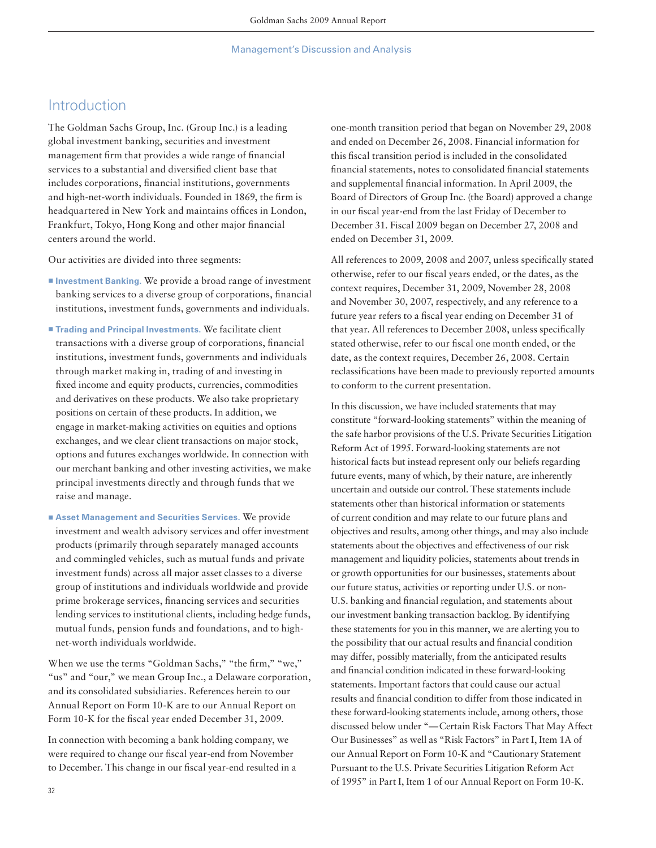## Introduction

The Goldman Sachs Group, Inc. (Group Inc.) is a leading global investment banking, securities and investment management firm that provides a wide range of financial services to a substantial and diversified client base that includes corporations, financial institutions, governments and high-net-worth individuals. Founded in 1869, the firm is headquartered in New York and maintains offices in London, Frankfurt, Tokyo, Hong Kong and other major financial centers around the world.

Our activities are divided into three segments:

- **Investment Banking**. We provide a broad range of investment banking services to a diverse group of corporations, financial institutions, investment funds, governments and individuals.
- **Trading and Principal Investments**. We facilitate client transactions with a diverse group of corporations, financial institutions, investment funds, governments and individuals through market making in, trading of and investing in fixed income and equity products, currencies, commodities and derivatives on these products. We also take proprietary positions on certain of these products. In addition, we engage in market-making activities on equities and options exchanges, and we clear client transactions on major stock, options and futures exchanges worldwide. In connection with our merchant banking and other investing activities, we make principal investments directly and through funds that we raise and manage.
- Asset Management and Securities Services. We provide investment and wealth advisory services and offer investment products (primarily through separately managed accounts and commingled vehicles, such as mutual funds and private investment funds) across all major asset classes to a diverse group of institutions and individuals worldwide and provide prime brokerage services, financing services and securities lending services to institutional clients, including hedge funds, mutual funds, pension funds and foundations, and to highnet-worth individuals worldwide.

When we use the terms "Goldman Sachs," "the firm," "we," "us" and "our," we mean Group Inc., a Delaware corporation, and its consolidated subsidiaries. References herein to our Annual Report on Form 10-K are to our Annual Report on Form 10-K for the fiscal year ended December 31, 2009.

In connection with becoming a bank holding company, we were required to change our fiscal year-end from November to December. This change in our fiscal year-end resulted in a one-month transition period that began on November 29, 2008 and ended on December 26, 2008. Financial information for this fiscal transition period is included in the consolidated financial statements, notes to consolidated financial statements and supplemental financial information. In April 2009, the Board of Directors of Group Inc. (the Board) approved a change in our fiscal year-end from the last Friday of December to December 31. Fiscal 2009 began on December 27, 2008 and ended on December 31, 2009.

All references to 2009, 2008 and 2007, unless specifically stated otherwise, refer to our fiscal years ended, or the dates, as the context requires, December 31, 2009, November 28, 2008 and November 30, 2007, respectively, and any reference to a future year refers to a fiscal year ending on December 31 of that year. All references to December 2008, unless specifically stated otherwise, refer to our fiscal one month ended, or the date, as the context requires, December 26, 2008. Certain reclassifications have been made to previously reported amounts to conform to the current presentation.

In this discussion, we have included statements that may constitute "forward-looking statements" within the meaning of the safe harbor provisions of the U.S. Private Securities Litigation Reform Act of 1995. Forward-looking statements are not historical facts but instead represent only our beliefs regarding future events, many of which, by their nature, are inherently uncertain and outside our control. These statements include statements other than historical information or statements of current condition and may relate to our future plans and objectives and results, among other things, and may also include statements about the objectives and effectiveness of our risk management and liquidity policies, statements about trends in or growth opportunities for our businesses, statements about our future status, activities or reporting under U.S. or non-U.S. banking and financial regulation, and statements about our investment banking transaction backlog. By identifying these statements for you in this manner, we are alerting you to the possibility that our actual results and financial condition may differ, possibly materially, from the anticipated results and financial condition indicated in these forward-looking statements. Important factors that could cause our actual results and financial condition to differ from those indicated in these forward-looking statements include, among others, those discussed below under "— Certain Risk Factors That May Affect Our Businesses" as well as "Risk Factors" in Part I, Item 1A of our Annual Report on Form 10-K and "Cautionary Statement Pursuant to the U.S. Private Securities Litigation Reform Act of 1995" in Part I, Item 1 of our Annual Report on Form 10-K.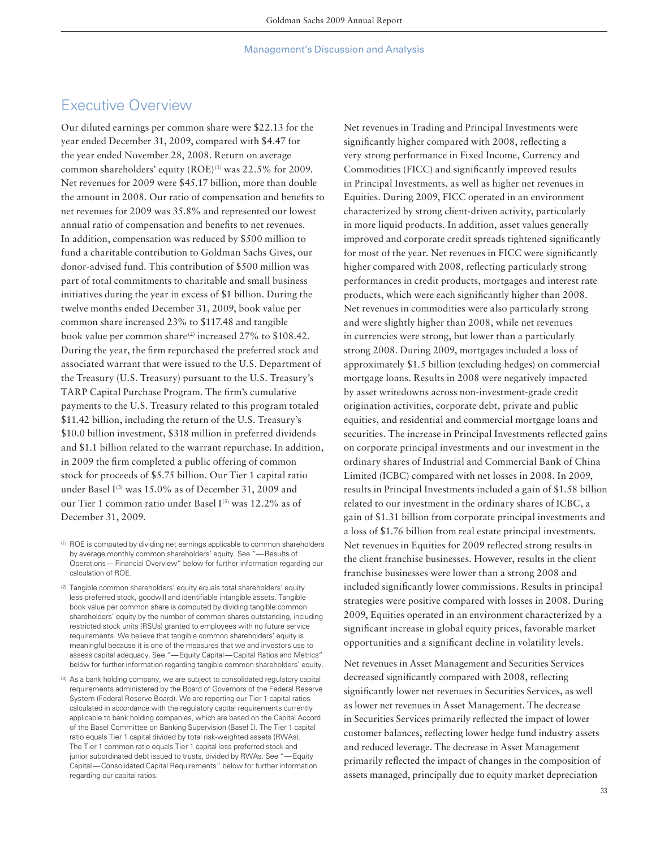## Executive Overview

Our diluted earnings per common share were \$22.13 for the year ended December 31, 2009, compared with \$4.47 for the year ended November 28, 2008. Return on average common shareholders' equity  $(ROE)^{(1)}$  was 22.5% for 2009. Net revenues for 2009 were \$45.17 billion, more than double the amount in 2008. Our ratio of compensation and benefits to net revenues for 2009 was 35.8% and represented our lowest annual ratio of compensation and benefits to net revenues. In addition, compensation was reduced by \$500 million to fund a charitable contribution to Goldman Sachs Gives, our donor-advised fund. This contribution of \$500 million was part of total commitments to charitable and small business initiatives during the year in excess of \$1 billion. During the twelve months ended December 31, 2009, book value per common share increased 23% to \$117.48 and tangible book value per common share<sup>(2)</sup> increased 27% to \$108.42. During the year, the firm repurchased the preferred stock and associated warrant that were issued to the U.S. Department of the Treasury (U.S. Treasury) pursuant to the U.S. Treasury's TARP Capital Purchase Program. The firm's cumulative payments to the U.S. Treasury related to this program totaled \$11.42 billion, including the return of the U.S. Treasury's \$10.0 billion investment, \$318 million in preferred dividends and \$1.1 billion related to the warrant repurchase. In addition, in 2009 the firm completed a public offering of common stock for proceeds of \$5.75 billion. Our Tier 1 capital ratio under Basel  $I^{(3)}$  was 15.0% as of December 31, 2009 and our Tier 1 common ratio under Basel  $I^{(3)}$  was 12.2% as of December 31, 2009.

- <sup>(2)</sup> Tangible common shareholders' equity equals total shareholders' equity less preferred stock, goodwill and identifiable intangible assets. Tangible book value per common share is computed by dividing tangible common shareholders' equity by the number of common shares outstanding, including restricted stock units (RSUs) granted to employees with no future service requirements. We believe that tangible common shareholders' equity is meaningful because it is one of the measures that we and investors use to assess capital adequacy. See "— Equity Capital — Capital Ratios and Metrics" below for further information regarding tangible common shareholders' equity.
- (3) As a bank holding company, we are subject to consolidated regulatory capital requirements administered by the Board of Governors of the Federal Reserve System (Federal Reserve Board). We are reporting our Tier 1 capital ratios calculated in accordance with the regulatory capital requirements currently applicable to bank holding companies, which are based on the Capital Accord of the Basel Committee on Banking Supervision (Basel **I**). The Tier 1 capital ratio equals Tier 1 capital divided by total risk-weighted assets (RWAs). The Tier 1 common ratio equals Tier 1 capital less preferred stock and junior subordinated debt issued to trusts, divided by RWAs. See "— Equity Capital — Consolidated Capital Requirements" below for further information regarding our capital ratios.

Net revenues in Trading and Principal Investments were significantly higher compared with 2008, reflecting a very strong performance in Fixed Income, Currency and Commodities (FICC) and significantly improved results in Principal Investments, as well as higher net revenues in Equities. During 2009, FICC operated in an environment characterized by strong client-driven activity, particularly in more liquid products. In addition, asset values generally improved and corporate credit spreads tightened significantly for most of the year. Net revenues in FICC were significantly higher compared with 2008, reflecting particularly strong performances in credit products, mortgages and interest rate products, which were each significantly higher than 2008. Net revenues in commodities were also particularly strong and were slightly higher than 2008, while net revenues in currencies were strong, but lower than a particularly strong 2008. During 2009, mortgages included a loss of approximately \$1.5 billion (excluding hedges) on commercial mortgage loans. Results in 2008 were negatively impacted by asset writedowns across non-investment-grade credit origination activities, corporate debt, private and public equities, and residential and commercial mortgage loans and securities. The increase in Principal Investments reflected gains on corporate principal investments and our investment in the ordinary shares of Industrial and Commercial Bank of China Limited (ICBC) compared with net losses in 2008. In 2009, results in Principal Investments included a gain of \$1.58 billion related to our investment in the ordinary shares of ICBC, a gain of \$1.31 billion from corporate principal investments and a loss of \$1.76 billion from real estate principal investments. Net revenues in Equities for 2009 reflected strong results in the client franchise businesses. However, results in the client franchise businesses were lower than a strong 2008 and included significantly lower commissions. Results in principal strategies were positive compared with losses in 2008. During 2009, Equities operated in an environment characterized by a significant increase in global equity prices, favorable market opportunities and a significant decline in volatility levels.

Net revenues in Asset Management and Securities Services decreased significantly compared with 2008, reflecting significantly lower net revenues in Securities Services, as well as lower net revenues in Asset Management. The decrease in Securities Services primarily reflected the impact of lower customer balances, reflecting lower hedge fund industry assets and reduced leverage. The decrease in Asset Management primarily reflected the impact of changes in the composition of assets managed, principally due to equity market depreciation

<sup>(1)</sup> ROE is computed by dividing net earnings applicable to common shareholders by average monthly common shareholders' equity. See "— Results of Operations — Financial Overview" below for further information regarding our calculation of ROE.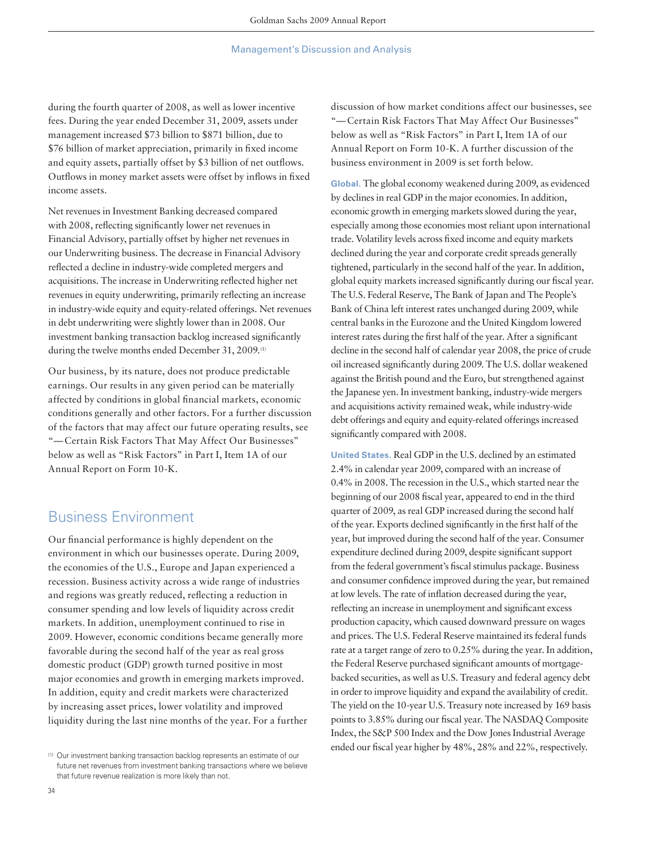during the fourth quarter of 2008, as well as lower incentive fees. During the year ended December 31, 2009, assets under management increased \$73 billion to \$871 billion, due to \$76 billion of market appreciation, primarily in fixed income and equity assets, partially offset by \$3 billion of net outflows. Outflows in money market assets were offset by inflows in fixed income assets.

Net revenues in Investment Banking decreased compared with 2008, reflecting significantly lower net revenues in Financial Advisory, partially offset by higher net revenues in our Underwriting business. The decrease in Financial Advisory reflected a decline in industry-wide completed mergers and acquisitions. The increase in Underwriting reflected higher net revenues in equity underwriting, primarily reflecting an increase in industry-wide equity and equity-related offerings. Net revenues in debt underwriting were slightly lower than in 2008. Our investment banking transaction backlog increased significantly during the twelve months ended December 31, 2009.<sup>(1)</sup>

Our business, by its nature, does not produce predictable earnings. Our results in any given period can be materially affected by conditions in global financial markets, economic conditions generally and other factors. For a further discussion of the factors that may affect our future operating results, see "— Certain Risk Factors That May Affect Our Businesses" below as well as "Risk Factors" in Part I, Item 1A of our Annual Report on Form 10-K.

# Business Environment

Our financial performance is highly dependent on the environment in which our businesses operate. During 2009, the economies of the U.S., Europe and Japan experienced a recession. Business activity across a wide range of industries and regions was greatly reduced, reflecting a reduction in consumer spending and low levels of liquidity across credit markets. In addition, unemployment continued to rise in 2009. However, economic conditions became generally more favorable during the second half of the year as real gross domestic product (GDP) growth turned positive in most major economies and growth in emerging markets improved. In addition, equity and credit markets were characterized by increasing asset prices, lower volatility and improved liquidity during the last nine months of the year. For a further discussion of how market conditions affect our businesses, see "— Certain Risk Factors That May Affect Our Businesses" below as well as "Risk Factors" in Part I, Item 1A of our Annual Report on Form 10-K. A further discussion of the business environment in 2009 is set forth below.

**Global.** The global economy weakened during 2009, as evidenced by declines in real GDP in the major economies. In addition, economic growth in emerging markets slowed during the year, especially among those economies most reliant upon international trade. Volatility levels across fixed income and equity markets declined during the year and corporate credit spreads generally tightened, particularly in the second half of the year. In addition, global equity markets increased significantly during our fiscal year. The U.S. Federal Reserve, The Bank of Japan and The People's Bank of China left interest rates unchanged during 2009, while central banks in the Eurozone and the United Kingdom lowered interest rates during the first half of the year. After a significant decline in the second half of calendar year 2008, the price of crude oil increased significantly during 2009. The U.S. dollar weakened against the British pound and the Euro, but strengthened against the Japanese yen. In investment banking, industry-wide mergers and acquisitions activity remained weak, while industry-wide debt offerings and equity and equity-related offerings increased significantly compared with 2008.

**United States.** Real GDP in the U.S. declined by an estimated 2.4% in calendar year 2009, compared with an increase of 0.4% in 2008. The recession in the U.S., which started near the beginning of our 2008 fiscal year, appeared to end in the third quarter of 2009, as real GDP increased during the second half of the year. Exports declined significantly in the first half of the year, but improved during the second half of the year. Consumer expenditure declined during 2009, despite significant support from the federal government's fiscal stimulus package. Business and consumer confidence improved during the year, but remained at low levels. The rate of inflation decreased during the year, reflecting an increase in unemployment and significant excess production capacity, which caused downward pressure on wages and prices. The U.S. Federal Reserve maintained its federal funds rate at a target range of zero to 0.25% during the year. In addition, the Federal Reserve purchased significant amounts of mortgagebacked securities, as well as U.S. Treasury and federal agency debt in order to improve liquidity and expand the availability of credit. The yield on the 10-year U.S. Treasury note increased by 169 basis points to 3.85% during our fiscal year. The NASDAQ Composite Index, the S&P 500 Index and the Dow Jones Industrial Average ended our fiscal year higher by 48%, 28% and 22%, respectively.

<sup>(1)</sup> Our investment banking transaction backlog represents an estimate of our future net revenues from investment banking transactions where we believe that future revenue realization is more likely than not.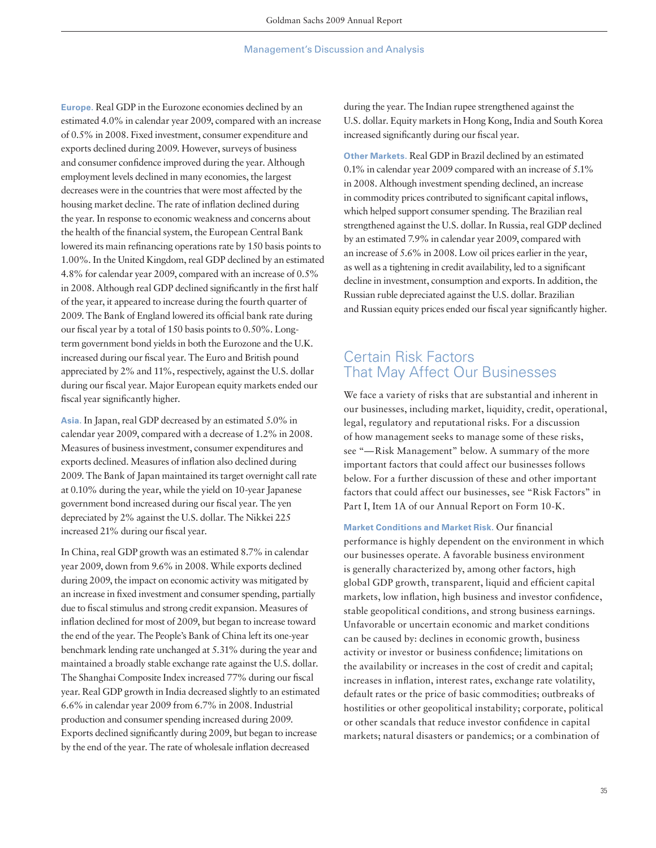**Europe.** Real GDP in the Eurozone economies declined by an estimated 4.0% in calendar year 2009, compared with an increase of 0.5% in 2008. Fixed investment, consumer expenditure and exports declined during 2009. However, surveys of business and consumer confidence improved during the year. Although employment levels declined in many economies, the largest decreases were in the countries that were most affected by the housing market decline. The rate of inflation declined during the year. In response to economic weakness and concerns about the health of the financial system, the European Central Bank lowered its main refinancing operations rate by 150 basis points to 1.00%. In the United Kingdom, real GDP declined by an estimated 4.8% for calendar year 2009, compared with an increase of 0.5% in 2008. Although real GDP declined significantly in the first half of the year, it appeared to increase during the fourth quarter of 2009. The Bank of England lowered its official bank rate during our fiscal year by a total of 150 basis points to 0.50%. Longterm government bond yields in both the Eurozone and the U.K. increased during our fiscal year. The Euro and British pound appreciated by 2% and 11%, respectively, against the U.S. dollar during our fiscal year. Major European equity markets ended our fiscal year significantly higher.

**Asia.** In Japan, real GDP decreased by an estimated 5.0% in calendar year 2009, compared with a decrease of 1.2% in 2008. Measures of business investment, consumer expenditures and exports declined. Measures of inflation also declined during 2009. The Bank of Japan maintained its target overnight call rate at 0.10% during the year, while the yield on 10-year Japanese government bond increased during our fiscal year. The yen depreciated by 2% against the U.S. dollar. The Nikkei 225 increased 21% during our fiscal year.

In China, real GDP growth was an estimated 8.7% in calendar year 2009, down from 9.6% in 2008. While exports declined during 2009, the impact on economic activity was mitigated by an increase in fixed investment and consumer spending, partially due to fiscal stimulus and strong credit expansion. Measures of inflation declined for most of 2009, but began to increase toward the end of the year. The People's Bank of China left its one-year benchmark lending rate unchanged at 5.31% during the year and maintained a broadly stable exchange rate against the U.S. dollar. The Shanghai Composite Index increased 77% during our fiscal year. Real GDP growth in India decreased slightly to an estimated 6.6% in calendar year 2009 from 6.7% in 2008. Industrial production and consumer spending increased during 2009. Exports declined significantly during 2009, but began to increase by the end of the year. The rate of wholesale inflation decreased

during the year. The Indian rupee strengthened against the U.S. dollar. Equity markets in Hong Kong, India and South Korea increased significantly during our fiscal year.

**Other Markets.** Real GDP in Brazil declined by an estimated 0.1% in calendar year 2009 compared with an increase of 5.1% in 2008. Although investment spending declined, an increase in commodity prices contributed to significant capital inflows, which helped support consumer spending. The Brazilian real strengthened against the U.S. dollar. In Russia, real GDP declined by an estimated 7.9% in calendar year 2009, compared with an increase of 5.6% in 2008. Low oil prices earlier in the year, as well as a tightening in credit availability, led to a significant decline in investment, consumption and exports. In addition, the Russian ruble depreciated against the U.S. dollar. Brazilian and Russian equity prices ended our fiscal year significantly higher.

## Certain Risk Factors That May Affect Our Businesses

We face a variety of risks that are substantial and inherent in our businesses, including market, liquidity, credit, operational, legal, regulatory and reputational risks. For a discussion of how management seeks to manage some of these risks, see "— Risk Management" below. A summary of the more important factors that could affect our businesses follows below. For a further discussion of these and other important factors that could affect our businesses, see "Risk Factors" in Part I, Item 1A of our Annual Report on Form 10-K.

**Market Conditions and Market Risk. Our financial** performance is highly dependent on the environment in which our businesses operate. A favorable business environment is generally characterized by, among other factors, high global GDP growth, transparent, liquid and efficient capital markets, low inflation, high business and investor confidence, stable geopolitical conditions, and strong business earnings. Unfavorable or uncertain economic and market conditions can be caused by: declines in economic growth, business activity or investor or business confidence; limitations on the availability or increases in the cost of credit and capital; increases in inflation, interest rates, exchange rate volatility, default rates or the price of basic commodities; outbreaks of hostilities or other geopolitical instability; corporate, political or other scandals that reduce investor confidence in capital markets; natural disasters or pandemics; or a combination of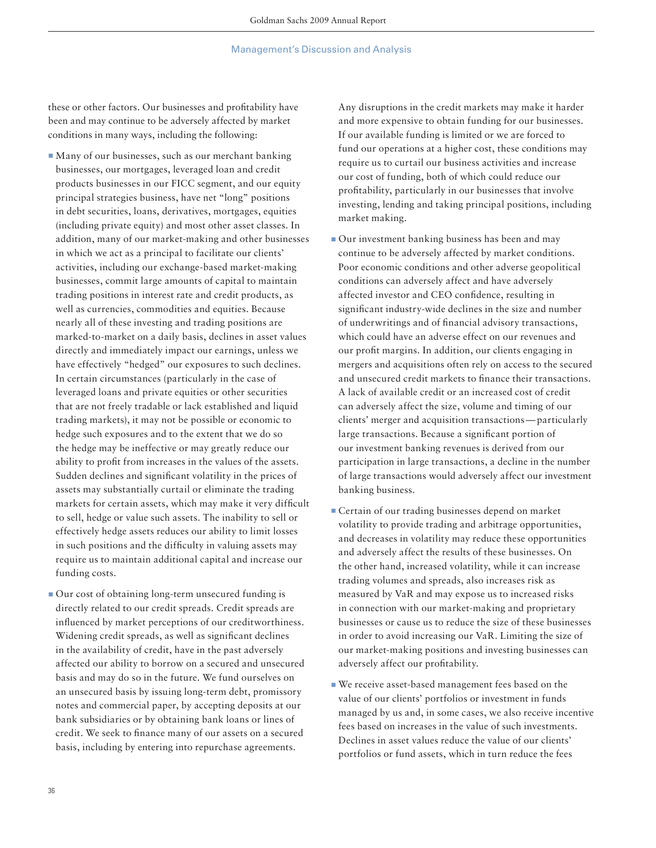these or other factors. Our businesses and profitability have been and may continue to be adversely affected by market conditions in many ways, including the following:

- Many of our businesses, such as our merchant banking businesses, our mortgages, leveraged loan and credit products businesses in our FICC segment, and our equity principal strategies business, have net "long" positions in debt securities, loans, derivatives, mortgages, equities (including private equity) and most other asset classes. In addition, many of our market-making and other businesses in which we act as a principal to facilitate our clients' activities, including our exchange-based market-making businesses, commit large amounts of capital to maintain trading positions in interest rate and credit products, as well as currencies, commodities and equities. Because nearly all of these investing and trading positions are marked-to-market on a daily basis, declines in asset values directly and immediately impact our earnings, unless we have effectively "hedged" our exposures to such declines. In certain circumstances (particularly in the case of leveraged loans and private equities or other securities that are not freely tradable or lack established and liquid trading markets), it may not be possible or economic to hedge such exposures and to the extent that we do so the hedge may be ineffective or may greatly reduce our ability to profit from increases in the values of the assets. Sudden declines and significant volatility in the prices of assets may substantially curtail or eliminate the trading markets for certain assets, which may make it very difficult to sell, hedge or value such assets. The inability to sell or effectively hedge assets reduces our ability to limit losses in such positions and the difficulty in valuing assets may require us to maintain additional capital and increase our funding costs.
- Our cost of obtaining long-term unsecured funding is directly related to our credit spreads. Credit spreads are influenced by market perceptions of our creditworthiness. Widening credit spreads, as well as significant declines in the availability of credit, have in the past adversely affected our ability to borrow on a secured and unsecured basis and may do so in the future. We fund ourselves on an unsecured basis by issuing long-term debt, promissory notes and commercial paper, by accepting deposits at our bank subsidiaries or by obtaining bank loans or lines of credit. We seek to finance many of our assets on a secured basis, including by entering into repurchase agreements.

Any disruptions in the credit markets may make it harder and more expensive to obtain funding for our businesses. If our available funding is limited or we are forced to fund our operations at a higher cost, these conditions may require us to curtail our business activities and increase our cost of funding, both of which could reduce our profitability, particularly in our businesses that involve investing, lending and taking principal positions, including market making.

- **Our investment banking business has been and may** continue to be adversely affected by market conditions. Poor economic conditions and other adverse geopolitical conditions can adversely affect and have adversely affected investor and CEO confidence, resulting in significant industry-wide declines in the size and number of underwritings and of financial advisory transactions, which could have an adverse effect on our revenues and our profit margins. In addition, our clients engaging in mergers and acquisitions often rely on access to the secured and unsecured credit markets to finance their transactions. A lack of available credit or an increased cost of credit can adversely affect the size, volume and timing of our clients' merger and acquisition transactions — particularly large transactions. Because a significant portion of our investment banking revenues is derived from our participation in large transactions, a decline in the number of large transactions would adversely affect our investment banking business.
- **Execution** Certain of our trading businesses depend on market volatility to provide trading and arbitrage opportunities, and decreases in volatility may reduce these opportunities and adversely affect the results of these businesses. On the other hand, increased volatility, while it can increase trading volumes and spreads, also increases risk as measured by VaR and may expose us to increased risks in connection with our market-making and proprietary businesses or cause us to reduce the size of these businesses in order to avoid increasing our VaR. Limiting the size of our market-making positions and investing businesses can adversely affect our profitability.
- We receive asset-based management fees based on the value of our clients' portfolios or investment in funds managed by us and, in some cases, we also receive incentive fees based on increases in the value of such investments. Declines in asset values reduce the value of our clients' portfolios or fund assets, which in turn reduce the fees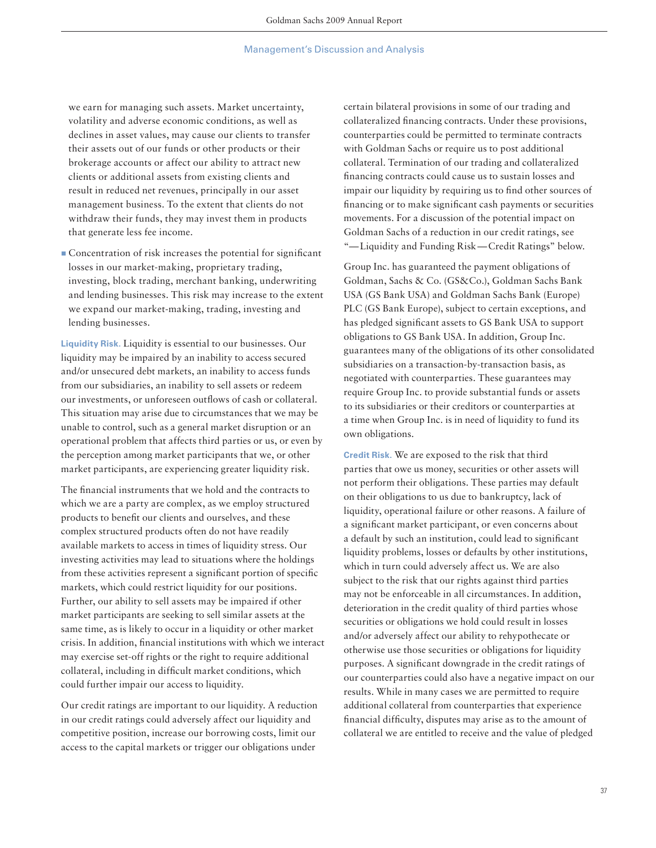we earn for managing such assets. Market uncertainty, volatility and adverse economic conditions, as well as declines in asset values, may cause our clients to transfer their assets out of our funds or other products or their brokerage accounts or affect our ability to attract new clients or additional assets from existing clients and result in reduced net revenues, principally in our asset management business. To the extent that clients do not withdraw their funds, they may invest them in products that generate less fee income.

■ Concentration of risk increases the potential for significant losses in our market-making, proprietary trading, investing, block trading, merchant banking, underwriting and lending businesses. This risk may increase to the extent we expand our market-making, trading, investing and lending businesses.

**Liquidity Risk.** Liquidity is essential to our businesses. Our liquidity may be impaired by an inability to access secured and/or unsecured debt markets, an inability to access funds from our subsidiaries, an inability to sell assets or redeem our investments, or unforeseen outflows of cash or collateral. This situation may arise due to circumstances that we may be unable to control, such as a general market disruption or an operational problem that affects third parties or us, or even by the perception among market participants that we, or other market participants, are experiencing greater liquidity risk.

The financial instruments that we hold and the contracts to which we are a party are complex, as we employ structured products to benefit our clients and ourselves, and these complex structured products often do not have readily available markets to access in times of liquidity stress. Our investing activities may lead to situations where the holdings from these activities represent a significant portion of specific markets, which could restrict liquidity for our positions. Further, our ability to sell assets may be impaired if other market participants are seeking to sell similar assets at the same time, as is likely to occur in a liquidity or other market crisis. In addition, financial institutions with which we interact may exercise set-off rights or the right to require additional collateral, including in difficult market conditions, which could further impair our access to liquidity.

Our credit ratings are important to our liquidity. A reduction in our credit ratings could adversely affect our liquidity and competitive position, increase our borrowing costs, limit our access to the capital markets or trigger our obligations under

certain bilateral provisions in some of our trading and collateralized financing contracts. Under these provisions, counterparties could be permitted to terminate contracts with Goldman Sachs or require us to post additional collateral. Termination of our trading and collateralized financing contracts could cause us to sustain losses and impair our liquidity by requiring us to find other sources of financing or to make significant cash payments or securities movements. For a discussion of the potential impact on Goldman Sachs of a reduction in our credit ratings, see "— Liquidity and Funding Risk — Credit Ratings" below.

Group Inc. has guaranteed the payment obligations of Goldman, Sachs & Co. (GS&Co.), Goldman Sachs Bank USA (GS Bank USA) and Goldman Sachs Bank (Europe) PLC (GS Bank Europe), subject to certain exceptions, and has pledged significant assets to GS Bank USA to support obligations to GS Bank USA. In addition, Group Inc. guarantees many of the obligations of its other consolidated subsidiaries on a transaction-by-transaction basis, as negotiated with counterparties. These guarantees may require Group Inc. to provide substantial funds or assets to its subsidiaries or their creditors or counterparties at a time when Group Inc. is in need of liquidity to fund its own obligations.

**Credit Risk.** We are exposed to the risk that third parties that owe us money, securities or other assets will not perform their obligations. These parties may default on their obligations to us due to bankruptcy, lack of liquidity, operational failure or other reasons. A failure of a significant market participant, or even concerns about a default by such an institution, could lead to significant liquidity problems, losses or defaults by other institutions, which in turn could adversely affect us. We are also subject to the risk that our rights against third parties may not be enforceable in all circumstances. In addition, deterioration in the credit quality of third parties whose securities or obligations we hold could result in losses and/or adversely affect our ability to rehypothecate or otherwise use those securities or obligations for liquidity purposes. A significant downgrade in the credit ratings of our counterparties could also have a negative impact on our results. While in many cases we are permitted to require additional collateral from counterparties that experience financial difficulty, disputes may arise as to the amount of collateral we are entitled to receive and the value of pledged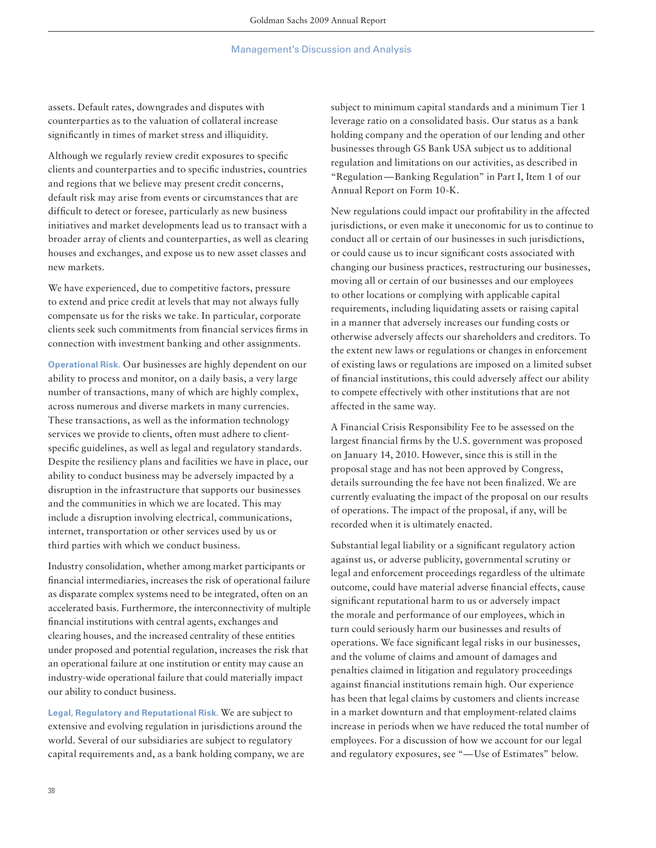assets. Default rates, downgrades and disputes with counterparties as to the valuation of collateral increase significantly in times of market stress and illiquidity.

Although we regularly review credit exposures to specific clients and counterparties and to specific industries, countries and regions that we believe may present credit concerns, default risk may arise from events or circumstances that are difficult to detect or foresee, particularly as new business initiatives and market developments lead us to transact with a broader array of clients and counterparties, as well as clearing houses and exchanges, and expose us to new asset classes and new markets.

We have experienced, due to competitive factors, pressure to extend and price credit at levels that may not always fully compensate us for the risks we take. In particular, corporate clients seek such commitments from financial services firms in connection with investment banking and other assignments.

**Operational Risk.** Our businesses are highly dependent on our ability to process and monitor, on a daily basis, a very large number of transactions, many of which are highly complex, across numerous and diverse markets in many currencies. These transactions, as well as the information technology services we provide to clients, often must adhere to clientspecific guidelines, as well as legal and regulatory standards. Despite the resiliency plans and facilities we have in place, our ability to conduct business may be adversely impacted by a disruption in the infrastructure that supports our businesses and the communities in which we are located. This may include a disruption involving electrical, communications, internet, transportation or other services used by us or third parties with which we conduct business.

Industry consolidation, whether among market participants or financial intermediaries, increases the risk of operational failure as disparate complex systems need to be integrated, often on an accelerated basis. Furthermore, the interconnectivity of multiple financial institutions with central agents, exchanges and clearing houses, and the increased centrality of these entities under proposed and potential regulation, increases the risk that an operational failure at one institution or entity may cause an industry-wide operational failure that could materially impact our ability to conduct business.

**Legal, Regulatory and Reputational Risk.** We are subject to extensive and evolving regulation in jurisdictions around the world. Several of our subsidiaries are subject to regulatory capital requirements and, as a bank holding company, we are

subject to minimum capital standards and a minimum Tier 1 leverage ratio on a consolidated basis. Our status as a bank holding company and the operation of our lending and other businesses through GS Bank USA subject us to additional regulation and limitations on our activities, as described in "Regulation — Banking Regulation" in Part I, Item 1 of our Annual Report on Form 10-K.

New regulations could impact our profitability in the affected jurisdictions, or even make it uneconomic for us to continue to conduct all or certain of our businesses in such jurisdictions, or could cause us to incur significant costs associated with changing our business practices, restructuring our businesses, moving all or certain of our businesses and our employees to other locations or complying with applicable capital requirements, including liquidating assets or raising capital in a manner that adversely increases our funding costs or otherwise adversely affects our shareholders and creditors. To the extent new laws or regulations or changes in enforcement of existing laws or regulations are imposed on a limited subset of financial institutions, this could adversely affect our ability to compete effectively with other institutions that are not affected in the same way.

A Financial Crisis Responsibility Fee to be assessed on the largest financial firms by the U.S. government was proposed on January 14, 2010. However, since this is still in the proposal stage and has not been approved by Congress, details surrounding the fee have not been finalized. We are currently evaluating the impact of the proposal on our results of operations. The impact of the proposal, if any, will be recorded when it is ultimately enacted.

Substantial legal liability or a significant regulatory action against us, or adverse publicity, governmental scrutiny or legal and enforcement proceedings regardless of the ultimate outcome, could have material adverse financial effects, cause significant reputational harm to us or adversely impact the morale and performance of our employees, which in turn could seriously harm our businesses and results of operations. We face significant legal risks in our businesses, and the volume of claims and amount of damages and penalties claimed in litigation and regulatory proceedings against financial institutions remain high. Our experience has been that legal claims by customers and clients increase in a market downturn and that employment-related claims increase in periods when we have reduced the total number of employees. For a discussion of how we account for our legal and regulatory exposures, see "— Use of Estimates" below.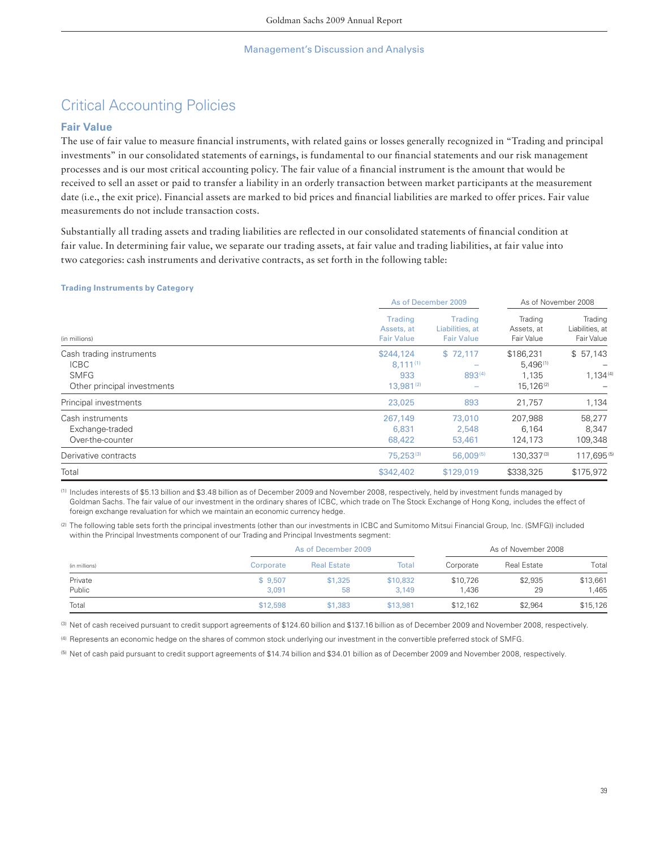# Critical Accounting Policies

## **Fair Value**

The use of fair value to measure financial instruments, with related gains or losses generally recognized in "Trading and principal investments" in our consolidated statements of earnings, is fundamental to our financial statements and our risk management processes and is our most critical accounting policy. The fair value of a financial instrument is the amount that would be received to sell an asset or paid to transfer a liability in an orderly transaction between market participants at the measurement date (i.e., the exit price). Financial assets are marked to bid prices and financial liabilities are marked to offer prices. Fair value measurements do not include transaction costs.

Substantially all trading assets and trading liabilities are reflected in our consolidated statements of financial condition at fair value. In determining fair value, we separate our trading assets, at fair value and trading liabilities, at fair value into two categories: cash instruments and derivative contracts, as set forth in the following table:

### **Trading Instruments by Category**

|                                                                                       | As of December 2009                                 |                                                        | As of November 2008                                   |                                                 |
|---------------------------------------------------------------------------------------|-----------------------------------------------------|--------------------------------------------------------|-------------------------------------------------------|-------------------------------------------------|
| (in millions)                                                                         | Trading<br>Assets, at<br><b>Fair Value</b>          | <b>Trading</b><br>Liabilities, at<br><b>Fair Value</b> | Trading<br>Assets, at<br><b>Fair Value</b>            | Trading<br>Liabilities, at<br><b>Fair Value</b> |
| Cash trading instruments<br><b>ICBC</b><br><b>SMFG</b><br>Other principal investments | \$244,124<br>$8.111^{(1)}$<br>933<br>$13.981^{(2)}$ | \$72,117<br>893(4)                                     | \$186.231<br>$5,496^{(1)}$<br>1.135<br>$15.126^{(2)}$ | \$57,143<br>$1,134^{(4)}$                       |
| Principal investments                                                                 | 23,025                                              | 893                                                    | 21,757                                                | 1,134                                           |
| Cash instruments<br>Exchange-traded<br>Over-the-counter                               | 267,149<br>6,831<br>68,422                          | 73,010<br>2,548<br>53,461                              | 207.988<br>6.164<br>124,173                           | 58,277<br>8,347<br>109,348                      |
| Derivative contracts                                                                  | 75,253(3)                                           | $56,009^{(5)}$                                         | 130.337(3)                                            | 117.695(5)                                      |
| Total                                                                                 | \$342,402                                           | \$129,019                                              | \$338,325                                             | \$175,972                                       |

(1) Includes interests of \$5.13 billion and \$3.48 billion as of December 2009 and November 2008, respectively, held by investment funds managed by Goldman Sachs. The fair value of our investment in the ordinary shares of ICBC, which trade on The Stock Exchange of Hong Kong, includes the effect of foreign exchange revaluation for which we maintain an economic currency hedge.

(2) The following table sets forth the principal investments (other than our investments in ICBC and Sumitomo Mitsui Financial Group, Inc. (SMFG)) included within the Principal Investments component of our Trading and Principal Investments segment:

| (in millions) |           | As of December 2009 |          |           | As of November 2008 |          |  |
|---------------|-----------|---------------------|----------|-----------|---------------------|----------|--|
|               | Corporate | <b>Real Estate</b>  | Total    | Corporate | <b>Real Estate</b>  | Total    |  |
| Private       | \$9.507   | \$1.325             | \$10,832 | \$10,726  | \$2,935             | \$13,661 |  |
| Public        | 3.091     | 58                  | 3.149    | 1.436     | 29                  | .465     |  |
| Total         | \$12,598  | \$1,383             | \$13,981 | \$12,162  | \$2,964             | \$15,126 |  |

(3) Net of cash received pursuant to credit support agreements of \$124.60 billion and \$137.16 billion as of December 2009 and November 2008, respectively.

(4) Represents an economic hedge on the shares of common stock underlying our investment in the convertible preferred stock of SMFG.

(5) Net of cash paid pursuant to credit support agreements of \$14.74 billion and \$34.01 billion as of December 2009 and November 2008, respectively.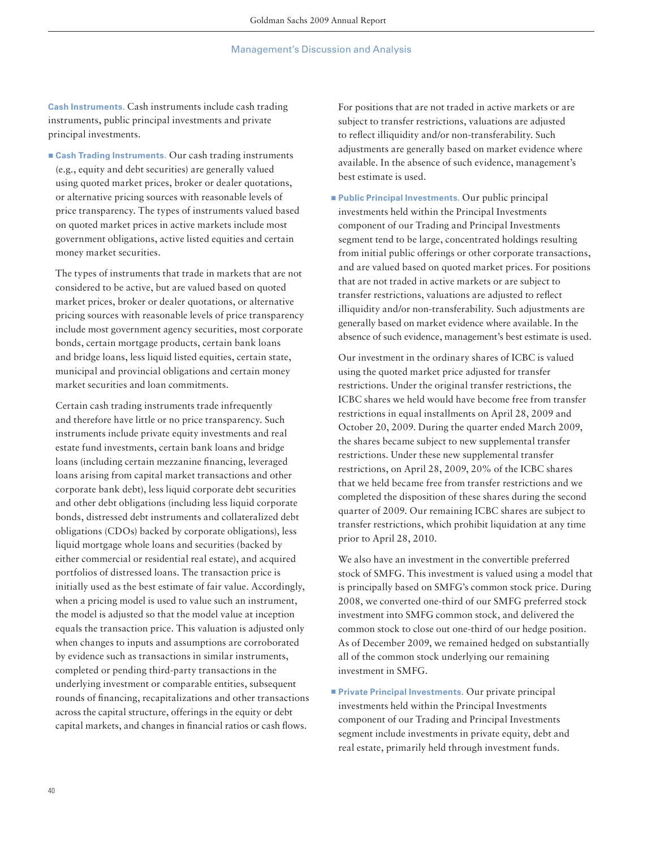**Cash Instruments.** Cash instruments include cash trading instruments, public principal investments and private principal investments.

■ Cash Trading Instruments. Our cash trading instruments (e.g., equity and debt securities) are generally valued using quoted market prices, broker or dealer quotations, or alternative pricing sources with reasonable levels of price transparency. The types of instruments valued based on quoted market prices in active markets include most government obligations, active listed equities and certain money market securities.

 The types of instruments that trade in markets that are not considered to be active, but are valued based on quoted market prices, broker or dealer quotations, or alternative pricing sources with reasonable levels of price transparency include most government agency securities, most corporate bonds, certain mortgage products, certain bank loans and bridge loans, less liquid listed equities, certain state, municipal and provincial obligations and certain money market securities and loan commitments.

 Certain cash trading instruments trade infrequently and therefore have little or no price transparency. Such instruments include private equity investments and real estate fund investments, certain bank loans and bridge loans (including certain mezzanine financing, leveraged loans arising from capital market transactions and other corporate bank debt), less liquid corporate debt securities and other debt obligations (including less liquid corporate bonds, distressed debt instruments and collateralized debt obligations (CDOs) backed by corporate obligations), less liquid mortgage whole loans and securities (backed by either commercial or residential real estate), and acquired portfolios of distressed loans. The transaction price is initially used as the best estimate of fair value. Accordingly, when a pricing model is used to value such an instrument, the model is adjusted so that the model value at inception equals the transaction price. This valuation is adjusted only when changes to inputs and assumptions are corroborated by evidence such as transactions in similar instruments, completed or pending third-party transactions in the underlying investment or comparable entities, subsequent rounds of financing, recapitalizations and other transactions across the capital structure, offerings in the equity or debt capital markets, and changes in financial ratios or cash flows.

 For positions that are not traded in active markets or are subject to transfer restrictions, valuations are adjusted to reflect illiquidity and/or non-transferability. Such adjustments are generally based on market evidence where available. In the absence of such evidence, management's best estimate is used.

■ Public Principal Investments. Our public principal investments held within the Principal Investments component of our Trading and Principal Investments segment tend to be large, concentrated holdings resulting from initial public offerings or other corporate transactions, and are valued based on quoted market prices. For positions that are not traded in active markets or are subject to transfer restrictions, valuations are adjusted to reflect illiquidity and/or non-transferability. Such adjustments are generally based on market evidence where available. In the absence of such evidence, management's best estimate is used.

 Our investment in the ordinary shares of ICBC is valued using the quoted market price adjusted for transfer restrictions. Under the original transfer restrictions, the ICBC shares we held would have become free from transfer restrictions in equal installments on April 28, 2009 and October 20, 2009. During the quarter ended March 2009, the shares became subject to new supplemental transfer restrictions. Under these new supplemental transfer restrictions, on April 28, 2009, 20% of the ICBC shares that we held became free from transfer restrictions and we completed the disposition of these shares during the second quarter of 2009. Our remaining ICBC shares are subject to transfer restrictions, which prohibit liquidation at any time prior to April 28, 2010.

 We also have an investment in the convertible preferred stock of SMFG. This investment is valued using a model that is principally based on SMFG's common stock price. During 2008, we converted one-third of our SMFG preferred stock investment into SMFG common stock, and delivered the common stock to close out one-third of our hedge position. As of December 2009, we remained hedged on substantially all of the common stock underlying our remaining investment in SMFG.

■ Private Principal Investments. Our private principal investments held within the Principal Investments component of our Trading and Principal Investments segment include investments in private equity, debt and real estate, primarily held through investment funds.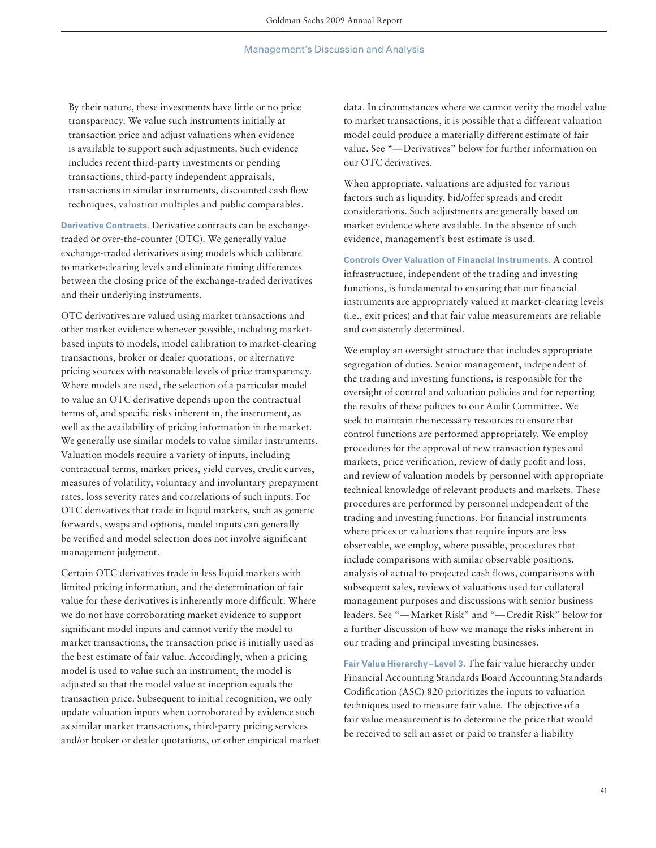By their nature, these investments have little or no price transparency. We value such instruments initially at transaction price and adjust valuations when evidence is available to support such adjustments. Such evidence includes recent third-party investments or pending transactions, third-party independent appraisals, transactions in similar instruments, discounted cash flow techniques, valuation multiples and public comparables.

**Derivative Contracts.** Derivative contracts can be exchangetraded or over-the-counter (OTC). We generally value exchange-traded derivatives using models which calibrate to market-clearing levels and eliminate timing differences between the closing price of the exchange-traded derivatives and their underlying instruments.

OTC derivatives are valued using market transactions and other market evidence whenever possible, including marketbased inputs to models, model calibration to market-clearing transactions, broker or dealer quotations, or alternative pricing sources with reasonable levels of price transparency. Where models are used, the selection of a particular model to value an OTC derivative depends upon the contractual terms of, and specific risks inherent in, the instrument, as well as the availability of pricing information in the market. We generally use similar models to value similar instruments. Valuation models require a variety of inputs, including contractual terms, market prices, yield curves, credit curves, measures of volatility, voluntary and involuntary prepayment rates, loss severity rates and correlations of such inputs. For OTC derivatives that trade in liquid markets, such as generic forwards, swaps and options, model inputs can generally be verified and model selection does not involve significant management judgment.

Certain OTC derivatives trade in less liquid markets with limited pricing information, and the determination of fair value for these derivatives is inherently more difficult. Where we do not have corroborating market evidence to support significant model inputs and cannot verify the model to market transactions, the transaction price is initially used as the best estimate of fair value. Accordingly, when a pricing model is used to value such an instrument, the model is adjusted so that the model value at inception equals the transaction price. Subsequent to initial recognition, we only update valuation inputs when corroborated by evidence such as similar market transactions, third-party pricing services and/or broker or dealer quotations, or other empirical market data. In circumstances where we cannot verify the model value to market transactions, it is possible that a different valuation model could produce a materially different estimate of fair value. See "— Derivatives" below for further information on our OTC derivatives.

When appropriate, valuations are adjusted for various factors such as liquidity, bid/offer spreads and credit considerations. Such adjustments are generally based on market evidence where available. In the absence of such evidence, management's best estimate is used.

**Controls Over Valuation of Financial Instruments.** A control infrastructure, independent of the trading and investing functions, is fundamental to ensuring that our financial instruments are appropriately valued at market-clearing levels (i.e., exit prices) and that fair value measurements are reliable and consistently determined.

We employ an oversight structure that includes appropriate segregation of duties. Senior management, independent of the trading and investing functions, is responsible for the oversight of control and valuation policies and for reporting the results of these policies to our Audit Committee. We seek to maintain the necessary resources to ensure that control functions are performed appropriately. We employ procedures for the approval of new transaction types and markets, price verification, review of daily profit and loss, and review of valuation models by personnel with appropriate technical knowledge of relevant products and markets. These procedures are performed by personnel independent of the trading and investing functions. For financial instruments where prices or valuations that require inputs are less observable, we employ, where possible, procedures that include comparisons with similar observable positions, analysis of actual to projected cash flows, comparisons with subsequent sales, reviews of valuations used for collateral management purposes and discussions with senior business leaders. See "— Market Risk" and "— Credit Risk" below for a further discussion of how we manage the risks inherent in our trading and principal investing businesses.

**Fair Value Hierarchy – Level 3.** The fair value hierarchy under Financial Accounting Standards Board Accounting Standards Codification (ASC) 820 prioritizes the inputs to valuation techniques used to measure fair value. The objective of a fair value measurement is to determine the price that would be received to sell an asset or paid to transfer a liability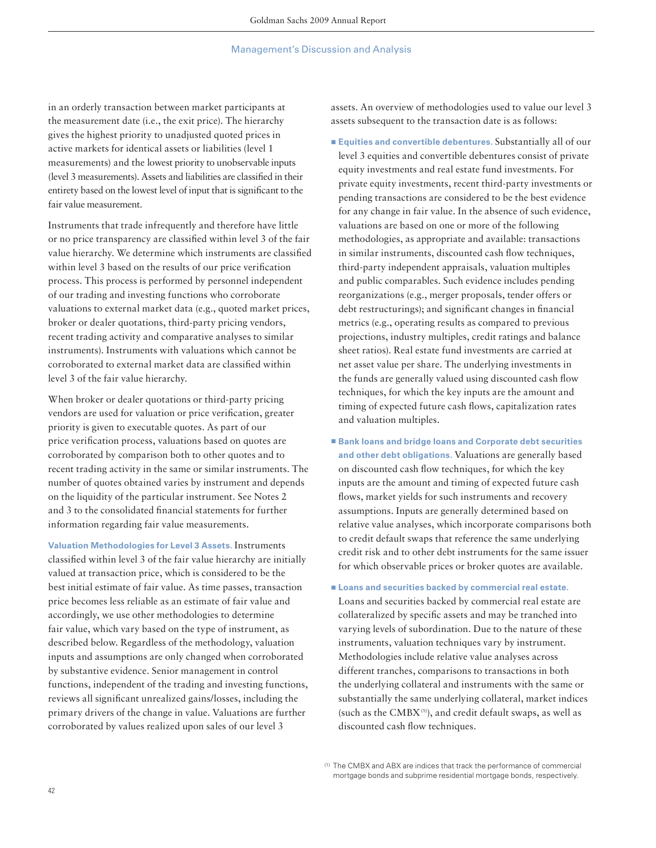in an orderly transaction between market participants at the measurement date (i.e., the exit price). The hierarchy gives the highest priority to unadjusted quoted prices in active markets for identical assets or liabilities (level 1 measurements) and the lowest priority to unobservable inputs (level 3 measurements). Assets and liabilities are classified in their entirety based on the lowest level of input that is significant to the fair value measurement.

Instruments that trade infrequently and therefore have little or no price transparency are classified within level 3 of the fair value hierarchy. We determine which instruments are classified within level 3 based on the results of our price verification process. This process is performed by personnel independent of our trading and investing functions who corroborate valuations to external market data (e.g., quoted market prices, broker or dealer quotations, third-party pricing vendors, recent trading activity and comparative analyses to similar instruments). Instruments with valuations which cannot be corroborated to external market data are classified within level 3 of the fair value hierarchy.

When broker or dealer quotations or third-party pricing vendors are used for valuation or price verification, greater priority is given to executable quotes. As part of our price verification process, valuations based on quotes are corroborated by comparison both to other quotes and to recent trading activity in the same or similar instruments. The number of quotes obtained varies by instrument and depends on the liquidity of the particular instrument. See Notes 2 and 3 to the consolidated financial statements for further information regarding fair value measurements.

**Valuation Methodologies for Level 3 Assets.** Instruments classified within level 3 of the fair value hierarchy are initially valued at transaction price, which is considered to be the best initial estimate of fair value. As time passes, transaction price becomes less reliable as an estimate of fair value and accordingly, we use other methodologies to determine fair value, which vary based on the type of instrument, as described below. Regardless of the methodology, valuation inputs and assumptions are only changed when corroborated by substantive evidence. Senior management in control functions, independent of the trading and investing functions, reviews all significant unrealized gains/losses, including the primary drivers of the change in value. Valuations are further corroborated by values realized upon sales of our level 3

assets. An overview of methodologies used to value our level 3 assets subsequent to the transaction date is as follows:

- ▪ **Equities and convertible debentures.** Substantially all of our level 3 equities and convertible debentures consist of private equity investments and real estate fund investments. For private equity investments, recent third-party investments or pending transactions are considered to be the best evidence for any change in fair value. In the absence of such evidence, valuations are based on one or more of the following methodologies, as appropriate and available: transactions in similar instruments, discounted cash flow techniques, third-party independent appraisals, valuation multiples and public comparables. Such evidence includes pending reorganizations (e.g., merger proposals, tender offers or debt restructurings); and significant changes in financial metrics (e.g., operating results as compared to previous projections, industry multiples, credit ratings and balance sheet ratios). Real estate fund investments are carried at net asset value per share. The underlying investments in the funds are generally valued using discounted cash flow techniques, for which the key inputs are the amount and timing of expected future cash flows, capitalization rates and valuation multiples.
- Bank loans and bridge loans and Corporate debt securities **and other debt obligations.** Valuations are generally based on discounted cash flow techniques, for which the key inputs are the amount and timing of expected future cash flows, market yields for such instruments and recovery assumptions. Inputs are generally determined based on relative value analyses, which incorporate comparisons both to credit default swaps that reference the same underlying credit risk and to other debt instruments for the same issuer for which observable prices or broker quotes are available.
- Loans and securities backed by commercial real estate. Loans and securities backed by commercial real estate are collateralized by specific assets and may be tranched into varying levels of subordination. Due to the nature of these instruments, valuation techniques vary by instrument. Methodologies include relative value analyses across different tranches, comparisons to transactions in both the underlying collateral and instruments with the same or substantially the same underlying collateral, market indices (such as the CMBX (1)), and credit default swaps, as well as discounted cash flow techniques.

<sup>(1)</sup> The CMBX and ABX are indices that track the performance of commercial mortgage bonds and subprime residential mortgage bonds, respectively.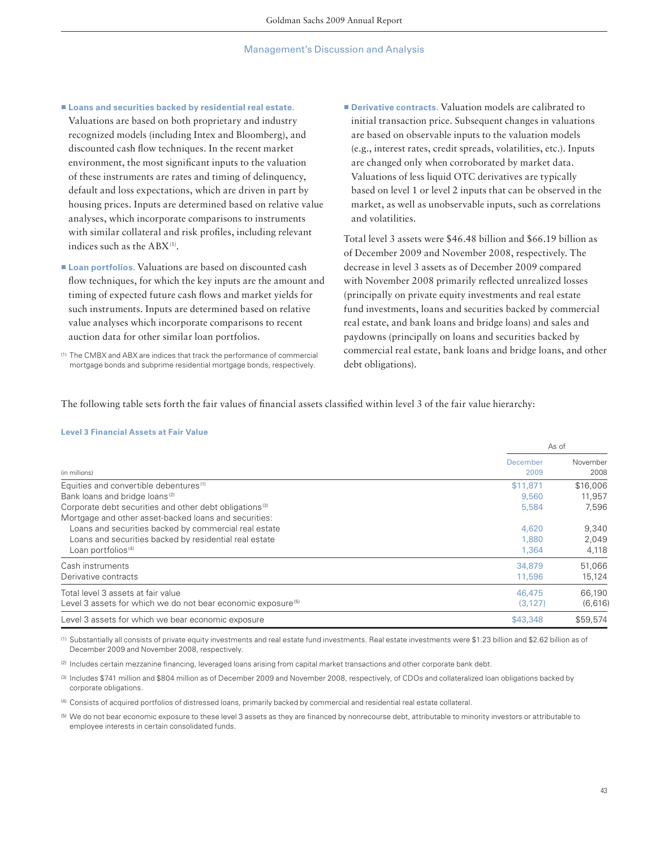■ Loans and securities backed by residential real estate.

Valuations are based on both proprietary and industry recognized models (including Intex and Bloomberg), and discounted cash flow techniques. In the recent market environment, the most significant inputs to the valuation of these instruments are rates and timing of delinquency, default and loss expectations, which are driven in part by housing prices. Inputs are determined based on relative value analyses, which incorporate comparisons to instruments with similar collateral and risk profiles, including relevant indices such as the ABX<sup>(1)</sup>.

■ **Loan portfolios.** Valuations are based on discounted cash flow techniques, for which the key inputs are the amount and timing of expected future cash flows and market yields for such instruments. Inputs are determined based on relative value analyses which incorporate comparisons to recent auction data for other similar loan portfolios.

(1) The CMBX and ABX are indices that track the performance of commercial mortgage bonds and subprime residential mortgage bonds, respectively.

■ Derivative contracts. Valuation models are calibrated to initial transaction price. Subsequent changes in valuations are based on observable inputs to the valuation models (e.g., interest rates, credit spreads, volatilities, etc.). Inputs are changed only when corroborated by market data. Valuations of less liquid OTC derivatives are typically based on level 1 or level 2 inputs that can be observed in the market, as well as unobservable inputs, such as correlations and volatilities.

Total level 3 assets were \$46.48 billion and \$66.19 billion as of December 2009 and November 2008, respectively. The decrease in level 3 assets as of December 2009 compared with November 2008 primarily reflected unrealized losses (principally on private equity investments and real estate fund investments, loans and securities backed by commercial real estate, and bank loans and bridge loans) and sales and paydowns (principally on loans and securities backed by commercial real estate, bank loans and bridge loans, and other debt obligations).

The following table sets forth the fair values of financial assets classified within level 3 of the fair value hierarchy:

#### **Level 3 Financial Assets at Fair Value**

|                                                                          | As of            |                  |  |
|--------------------------------------------------------------------------|------------------|------------------|--|
| (in millions)                                                            | December<br>2009 | November<br>2008 |  |
| Equities and convertible debentures <sup>(1)</sup>                       | \$11,871         | \$16,006         |  |
| Bank loans and bridge loans <sup>(2)</sup>                               | 9.560            | 11,957           |  |
| Corporate debt securities and other debt obligations <sup>(3)</sup>      | 5.584            | 7.596            |  |
| Mortgage and other asset-backed loans and securities:                    |                  |                  |  |
| Loans and securities backed by commercial real estate                    | 4.620            | 9,340            |  |
| Loans and securities backed by residential real estate                   | 1,880            | 2.049            |  |
| Loan portfolios <sup>(4)</sup>                                           | 1,364            | 4,118            |  |
| Cash instruments                                                         | 34,879           | 51,066           |  |
| Derivative contracts                                                     | 11,596           | 15,124           |  |
| Total level 3 assets at fair value                                       | 46,475           | 66.190           |  |
| Level 3 assets for which we do not bear economic exposure <sup>(5)</sup> | (3, 127)         | (6,616)          |  |
| Level 3 assets for which we bear economic exposure                       | \$43,348         | \$59,574         |  |

(1) Substantially all consists of private equity investments and real estate fund investments. Real estate investments were \$1.23 billion and \$2.62 billion as of December 2009 and November 2008, respectively.

(2) Includes certain mezzanine financing, leveraged loans arising from capital market transactions and other corporate bank debt.

(3) Includes \$741 million and \$804 million as of December 2009 and November 2008, respectively, of CDOs and collateralized loan obligations backed by corporate obligations.

(4) Consists of acquired portfolios of distressed loans, primarily backed by commercial and residential real estate collateral.

(5) We do not bear economic exposure to these level 3 assets as they are financed by nonrecourse debt, attributable to minority investors or attributable to employee interests in certain consolidated funds.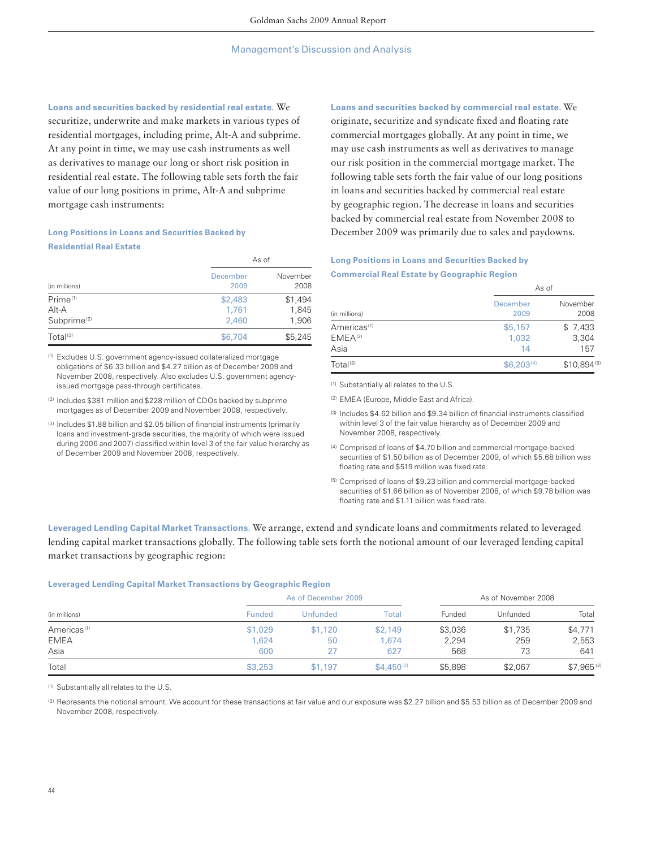**Loans and securities backed by residential real estate.** We securitize, underwrite and make markets in various types of residential mortgages, including prime, Alt-A and subprime. At any point in time, we may use cash instruments as well as derivatives to manage our long or short risk position in residential real estate. The following table sets forth the fair value of our long positions in prime, Alt-A and subprime mortgage cash instruments:

## **Long Positions in Loans and Securities Backed by Residential Real Estate**

|                         |                  | As of            |
|-------------------------|------------------|------------------|
| (in millions)           | December<br>2009 | November<br>2008 |
| Prime <sup>(1)</sup>    | \$2,483          | \$1,494          |
| Alt-A                   | 1.761            | 1,845            |
| Subprime <sup>(2)</sup> | 2,460            | 1,906            |
| Total <sup>(3)</sup>    | \$6,704          | \$5,245          |

(1) Excludes U.S. government agency-issued collateralized mortgage obligations of \$6.33 billion and \$4.27 billion as of December 2009 and November 2008, respectively. Also excludes U.S. government agencyissued mortgage pass-through certificates.

- (2) Includes \$381 million and \$228 million of CDOs backed by subprime mortgages as of December 2009 and November 2008, respectively.
- (3) Includes \$1.88 billion and \$2.05 billion of financial instruments (primarily loans and investment-grade securities, the majority of which were issued during 2006 and 2007) classified within level 3 of the fair value hierarchy as of December 2009 and November 2008, respectively.

### **Loans and securities backed by commercial real estate.** We

originate, securitize and syndicate fixed and floating rate commercial mortgages globally. At any point in time, we may use cash instruments as well as derivatives to manage our risk position in the commercial mortgage market. The following table sets forth the fair value of our long positions in loans and securities backed by commercial real estate by geographic region. The decrease in loans and securities backed by commercial real estate from November 2008 to December 2009 was primarily due to sales and paydowns.

## **Long Positions in Loans and Securities Backed by Commercial Real Estate by Geographic Region**

| (in millions)                                          | As of                  |                         |
|--------------------------------------------------------|------------------------|-------------------------|
|                                                        | December<br>2009       | November<br>2008        |
| Americas <sup>(1)</sup><br>EMEA <sup>(2)</sup><br>Asia | \$5,157<br>1,032<br>14 | \$7,433<br>3,304<br>157 |
| Total <sup>(3)</sup>                                   | \$6,203 <sup>(4)</sup> | $$10,894^{(5)}$         |

(1) Substantially all relates to the U.S.

(2) EMEA (Europe, Middle East and Africa).

(3) Includes \$4.62 billion and \$9.34 billion of financial instruments classified within level 3 of the fair value hierarchy as of December 2009 and November 2008, respectively.

- (4) Comprised of loans of \$4.70 billion and commercial mortgage-backed securities of \$1.50 billion as of December 2009, of which \$5.68 billion was floating rate and \$519 million was fixed rate.
- (5) Comprised of loans of \$9.23 billion and commercial mortgage-backed securities of \$1.66 billion as of November 2008, of which \$9.78 billion was floating rate and \$1.11 billion was fixed rate.

**Leveraged Lending Capital Market Transactions.** We arrange, extend and syndicate loans and commitments related to leveraged lending capital market transactions globally. The following table sets forth the notional amount of our leveraged lending capital market transactions by geographic region:

#### **Leveraged Lending Capital Market Transactions by Geographic Region**

|                         |               | As of December 2009 |                 | As of November 2008 |          |            |
|-------------------------|---------------|---------------------|-----------------|---------------------|----------|------------|
| (in millions)           | <b>Funded</b> | Unfunded            | Total           | Funded              | Unfunded | Total      |
| Americas <sup>(1)</sup> | \$1,029       | \$1,120             | \$2.149         | \$3,036             | \$1,735  | \$4,771    |
| <b>EMEA</b>             | 1,624         | 50                  | 1.674           | 2,294               | 259      | 2,553      |
| Asia                    | 600           | 27                  | 627             | 568                 | 73       | 641        |
| Total                   | \$3,253       | \$1,197             | $$4,450^{(2)}$$ | \$5,898             | \$2,067  | \$7,965(2) |

(1) Substantially all relates to the U.S.

(2) Represents the notional amount. We account for these transactions at fair value and our exposure was \$2.27 billion and \$5.53 billion as of December 2009 and November 2008, respectively.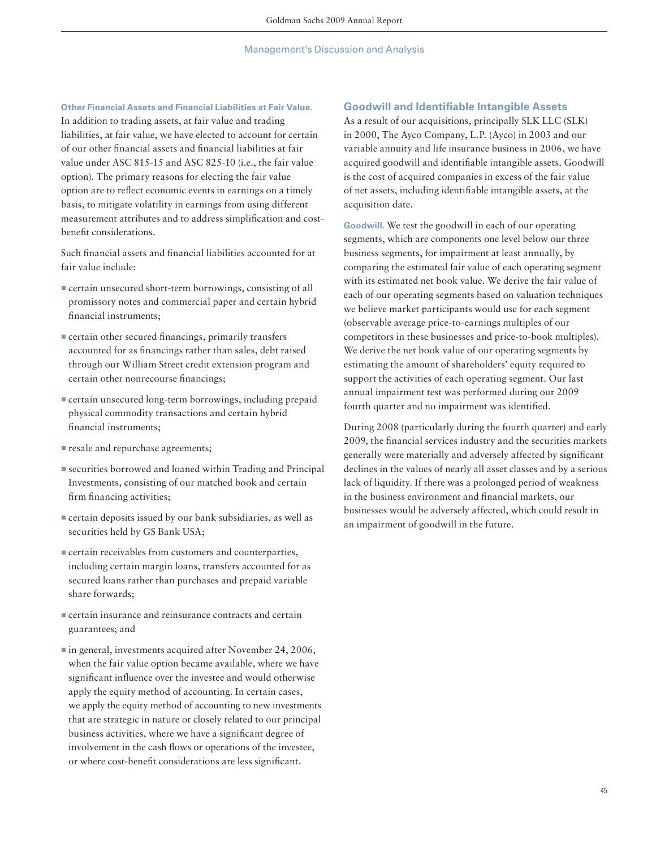## **Other Financial Assets and Financial Liabilities at Fair Value.**

In addition to trading assets, at fair value and trading liabilities, at fair value, we have elected to account for certain of our other financial assets and financial liabilities at fair value under ASC 815-15 and ASC 825-10 (i.e., the fair value option). The primary reasons for electing the fair value option are to reflect economic events in earnings on a timely basis, to mitigate volatility in earnings from using different measurement attributes and to address simplification and costbenefit considerations.

Such financial assets and financial liabilities accounted for at fair value include:

- **Exercise 1** certain unsecured short-term borrowings, consisting of all promissory notes and commercial paper and certain hybrid financial instruments;
- **Exertain other secured financings, primarily transfers** accounted for as financings rather than sales, debt raised through our William Street credit extension program and certain other nonrecourse financings;
- **Exercise 1** certain unsecured long-term borrowings, including prepaid physical commodity transactions and certain hybrid financial instruments:
- $\blacksquare$  resale and repurchase agreements;
- securities borrowed and loaned within Trading and Principal Investments, consisting of our matched book and certain firm financing activities;
- ▪certain deposits issued by our bank subsidiaries, as well as securities held by GS Bank USA;
- $\blacksquare$  certain receivables from customers and counterparties, including certain margin loans, transfers accounted for as secured loans rather than purchases and prepaid variable share forwards;
- **Exerche** certain insurance and reinsurance contracts and certain guarantees; and
- in general, investments acquired after November 24, 2006, when the fair value option became available, where we have significant influence over the investee and would otherwise apply the equity method of accounting. In certain cases, we apply the equity method of accounting to new investments that are strategic in nature or closely related to our principal business activities, where we have a significant degree of involvement in the cash flows or operations of the investee, or where cost-benefit considerations are less significant.

## **Goodwill and Identifiable Intangible Assets**

As a result of our acquisitions, principally SLK LLC (SLK) in 2000, The Ayco Company, L.P. (Ayco) in 2003 and our variable annuity and life insurance business in 2006, we have acquired goodwill and identifiable intangible assets. Goodwill is the cost of acquired companies in excess of the fair value of net assets, including identifiable intangible assets, at the acquisition date.

**Goodwill.** We test the goodwill in each of our operating segments, which are components one level below our three business segments, for impairment at least annually, by comparing the estimated fair value of each operating segment with its estimated net book value. We derive the fair value of each of our operating segments based on valuation techniques we believe market participants would use for each segment (observable average price-to-earnings multiples of our competitors in these businesses and price-to-book multiples). We derive the net book value of our operating segments by estimating the amount of shareholders' equity required to support the activities of each operating segment. Our last annual impairment test was performed during our 2009 fourth quarter and no impairment was identified.

During 2008 (particularly during the fourth quarter) and early 2009, the financial services industry and the securities markets generally were materially and adversely affected by significant declines in the values of nearly all asset classes and by a serious lack of liquidity. If there was a prolonged period of weakness in the business environment and financial markets, our businesses would be adversely affected, which could result in an impairment of goodwill in the future.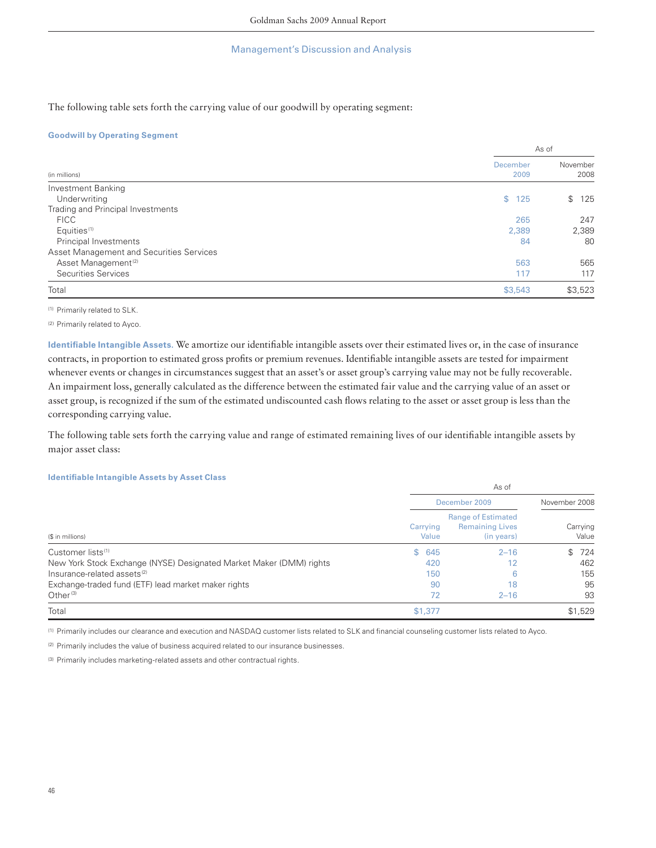The following table sets forth the carrying value of our goodwill by operating segment:

## **Goodwill by Operating Segment**

|                                          | As of                   |                  |  |
|------------------------------------------|-------------------------|------------------|--|
| (in millions)                            | <b>December</b><br>2009 | November<br>2008 |  |
| Investment Banking                       |                         |                  |  |
| Underwriting                             | \$125                   | \$<br>125        |  |
| Trading and Principal Investments        |                         |                  |  |
| <b>FICC</b>                              | 265                     | 247              |  |
| Equities <sup>(1)</sup>                  | 2,389                   | 2,389            |  |
| Principal Investments                    | 84                      | 80               |  |
| Asset Management and Securities Services |                         |                  |  |
| Asset Management <sup>(2)</sup>          | 563                     | 565              |  |
| Securities Services                      | 117                     | 117              |  |
| Total                                    | \$3,543                 | \$3,523          |  |

(1) Primarily related to SLK.

(2) Primarily related to Ayco.

Identifiable Intangible Assets. We amortize our identifiable intangible assets over their estimated lives or, in the case of insurance contracts, in proportion to estimated gross profits or premium revenues. Identifiable intangible assets are tested for impairment whenever events or changes in circumstances suggest that an asset's or asset group's carrying value may not be fully recoverable. An impairment loss, generally calculated as the difference between the estimated fair value and the carrying value of an asset or asset group, is recognized if the sum of the estimated undiscounted cash flows relating to the asset or asset group is less than the corresponding carrying value.

The following table sets forth the carrying value and range of estimated remaining lives of our identifiable intangible assets by major asset class:

## **Identifi able Intangible Assets by Asset Class**

|                                                                     | As of             |                                                                   |                   |  |
|---------------------------------------------------------------------|-------------------|-------------------------------------------------------------------|-------------------|--|
|                                                                     | December 2009     | November 2008                                                     |                   |  |
| (\$ in millions)                                                    | Carrying<br>Value | <b>Range of Estimated</b><br><b>Remaining Lives</b><br>(in years) | Carrying<br>Value |  |
| Customer lists <sup>(1)</sup>                                       | \$645             | $2 - 16$                                                          | 724<br>\$.        |  |
| New York Stock Exchange (NYSE) Designated Market Maker (DMM) rights | 420               | 12                                                                | 462               |  |
| Insurance-related assets <sup>(2)</sup>                             | 150               | 6                                                                 | 155               |  |
| Exchange-traded fund (ETF) lead market maker rights                 | 90                | 18                                                                | 95                |  |
| Other $(3)$                                                         | 72                | $2 - 16$                                                          | 93                |  |
| Total                                                               | \$1,377           |                                                                   | \$1,529           |  |

(1) Primarily includes our clearance and execution and NASDAQ customer lists related to SLK and financial counseling customer lists related to Ayco.

(2) Primarily includes the value of business acquired related to our insurance businesses.

(3) Primarily includes marketing-related assets and other contractual rights.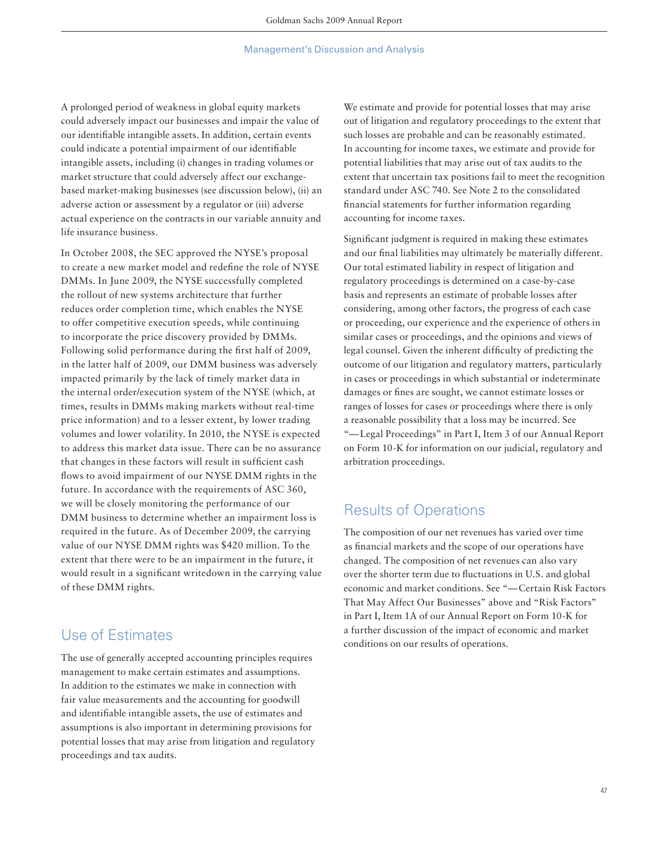A prolonged period of weakness in global equity markets could adversely impact our businesses and impair the value of our identifiable intangible assets. In addition, certain events could indicate a potential impairment of our identifiable intangible assets, including (i) changes in trading volumes or market structure that could adversely affect our exchangebased market-making businesses (see discussion below), (ii) an adverse action or assessment by a regulator or (iii) adverse actual experience on the contracts in our variable annuity and life insurance business.

In October 2008, the SEC approved the NYSE's proposal to create a new market model and redefine the role of NYSE DMMs. In June 2009, the NYSE successfully completed the rollout of new systems architecture that further reduces order completion time, which enables the NYSE to offer competitive execution speeds, while continuing to incorporate the price discovery provided by DMMs. Following solid performance during the first half of 2009, in the latter half of 2009, our DMM business was adversely impacted primarily by the lack of timely market data in the internal order/execution system of the NYSE (which, at times, results in DMMs making markets without real-time price information) and to a lesser extent, by lower trading volumes and lower volatility. In 2010, the NYSE is expected to address this market data issue. There can be no assurance that changes in these factors will result in sufficient cash flows to avoid impairment of our NYSE DMM rights in the future. In accordance with the requirements of ASC 360, we will be closely monitoring the performance of our DMM business to determine whether an impairment loss is required in the future. As of December 2009, the carrying value of our NYSE DMM rights was \$420 million. To the extent that there were to be an impairment in the future, it would result in a significant writedown in the carrying value of these DMM rights.

## Use of Estimates

The use of generally accepted accounting principles requires management to make certain estimates and assumptions. In addition to the estimates we make in connection with fair value measurements and the accounting for goodwill and identifiable intangible assets, the use of estimates and assumptions is also important in determining provisions for potential losses that may arise from litigation and regulatory proceedings and tax audits.

We estimate and provide for potential losses that may arise out of litigation and regulatory proceedings to the extent that such losses are probable and can be reasonably estimated. In accounting for income taxes, we estimate and provide for potential liabilities that may arise out of tax audits to the extent that uncertain tax positions fail to meet the recognition standard under ASC 740. See Note 2 to the consolidated financial statements for further information regarding accounting for income taxes.

Significant judgment is required in making these estimates and our final liabilities may ultimately be materially different. Our total estimated liability in respect of litigation and regulatory proceedings is determined on a case-by-case basis and represents an estimate of probable losses after considering, among other factors, the progress of each case or proceeding, our experience and the experience of others in similar cases or proceedings, and the opinions and views of legal counsel. Given the inherent difficulty of predicting the outcome of our litigation and regulatory matters, particularly in cases or proceedings in which substantial or indeterminate damages or fines are sought, we cannot estimate losses or ranges of losses for cases or proceedings where there is only a reasonable possibility that a loss may be incurred. See "— Legal Proceedings" in Part I, Item 3 of our Annual Report on Form 10-K for information on our judicial, regulatory and arbitration proceedings.

# Results of Operations

The composition of our net revenues has varied over time as financial markets and the scope of our operations have changed. The composition of net revenues can also vary over the shorter term due to fluctuations in U.S. and global economic and market conditions. See "— Certain Risk Factors That May Affect Our Businesses" above and "Risk Factors" in Part I, Item 1A of our Annual Report on Form 10-K for a further discussion of the impact of economic and market conditions on our results of operations.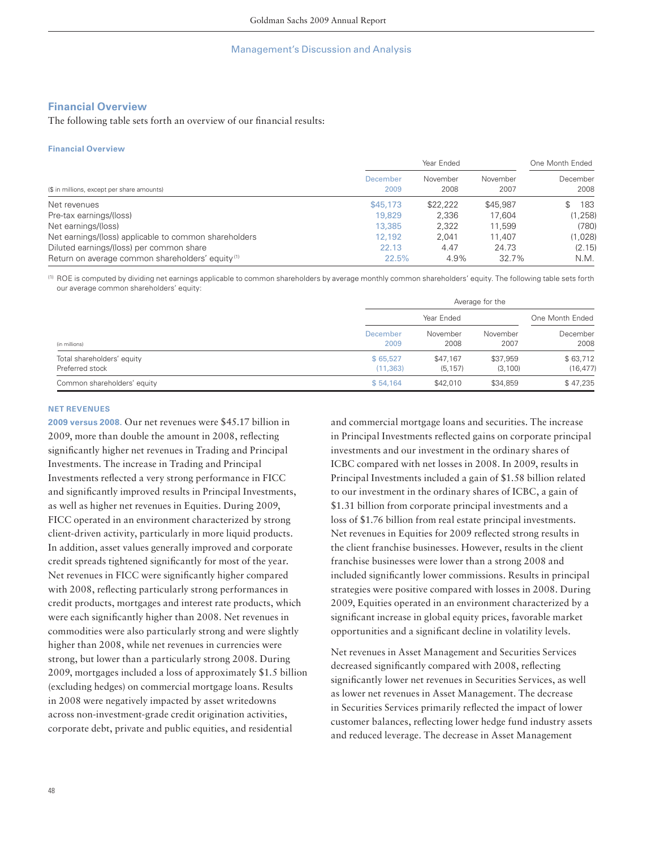## **Financial Overview**

The following table sets forth an overview of our financial results:

#### **Financial Overview**

| (\$ in millions, except per share amounts)                   | Year Ended       |                  |                  | One Month Ended  |  |
|--------------------------------------------------------------|------------------|------------------|------------------|------------------|--|
|                                                              | December<br>2009 | November<br>2008 | November<br>2007 | December<br>2008 |  |
| Net revenues                                                 | \$45,173         | \$22,222         | \$45,987         | 183              |  |
| Pre-tax earnings/(loss)                                      | 19,829           | 2.336            | 17.604           | (1, 258)         |  |
| Net earnings/(loss)                                          | 13,385           | 2.322            | 11.599           | (780)            |  |
| Net earnings/(loss) applicable to common shareholders        | 12,192           | 2.041            | 11.407           | (1,028)          |  |
| Diluted earnings/(loss) per common share                     | 22.13            | 4.47             | 24.73            | (2.15)           |  |
| Return on average common shareholders' equity <sup>(1)</sup> | 22.5%            | 4.9%             | 32.7%            | N.M.             |  |

(1) ROE is computed by dividing net earnings applicable to common shareholders by average monthly common shareholders' equity. The following table sets forth our average common shareholders' equity:

|                                               |                       | Average for the      |                     |                       |  |  |
|-----------------------------------------------|-----------------------|----------------------|---------------------|-----------------------|--|--|
|                                               |                       | Year Ended           |                     |                       |  |  |
| (in millions)                                 | December<br>2009      | November<br>2008     | November<br>2007    | December<br>2008      |  |  |
| Total shareholders' equity<br>Preferred stock | \$65,527<br>(11, 363) | \$47,167<br>(5, 157) | \$37,959<br>(3,100) | \$63,712<br>(16, 477) |  |  |
| Common shareholders' equity                   | \$54.164              | \$42,010             | \$34,859            | \$47,235              |  |  |

#### **NET REVENUES**

**2009 versus 2008.** Our net revenues were \$45.17 billion in 2009, more than double the amount in 2008, reflecting significantly higher net revenues in Trading and Principal Investments. The increase in Trading and Principal Investments reflected a very strong performance in FICC and significantly improved results in Principal Investments, as well as higher net revenues in Equities. During 2009, FICC operated in an environment characterized by strong client-driven activity, particularly in more liquid products. In addition, asset values generally improved and corporate credit spreads tightened significantly for most of the year. Net revenues in FICC were significantly higher compared with 2008, reflecting particularly strong performances in credit products, mortgages and interest rate products, which were each significantly higher than 2008. Net revenues in commodities were also particularly strong and were slightly higher than 2008, while net revenues in currencies were strong, but lower than a particularly strong 2008. During 2009, mortgages included a loss of approximately \$1.5 billion (excluding hedges) on commercial mortgage loans. Results in 2008 were negatively impacted by asset writedowns across non-investment-grade credit origination activities, corporate debt, private and public equities, and residential

and commercial mortgage loans and securities. The increase in Principal Investments reflected gains on corporate principal investments and our investment in the ordinary shares of ICBC compared with net losses in 2008. In 2009, results in Principal Investments included a gain of \$1.58 billion related to our investment in the ordinary shares of ICBC, a gain of \$1.31 billion from corporate principal investments and a loss of \$1.76 billion from real estate principal investments. Net revenues in Equities for 2009 reflected strong results in the client franchise businesses. However, results in the client franchise businesses were lower than a strong 2008 and included significantly lower commissions. Results in principal strategies were positive compared with losses in 2008. During 2009, Equities operated in an environment characterized by a significant increase in global equity prices, favorable market opportunities and a significant decline in volatility levels.

Net revenues in Asset Management and Securities Services decreased significantly compared with 2008, reflecting significantly lower net revenues in Securities Services, as well as lower net revenues in Asset Management. The decrease in Securities Services primarily reflected the impact of lower customer balances, reflecting lower hedge fund industry assets and reduced leverage. The decrease in Asset Management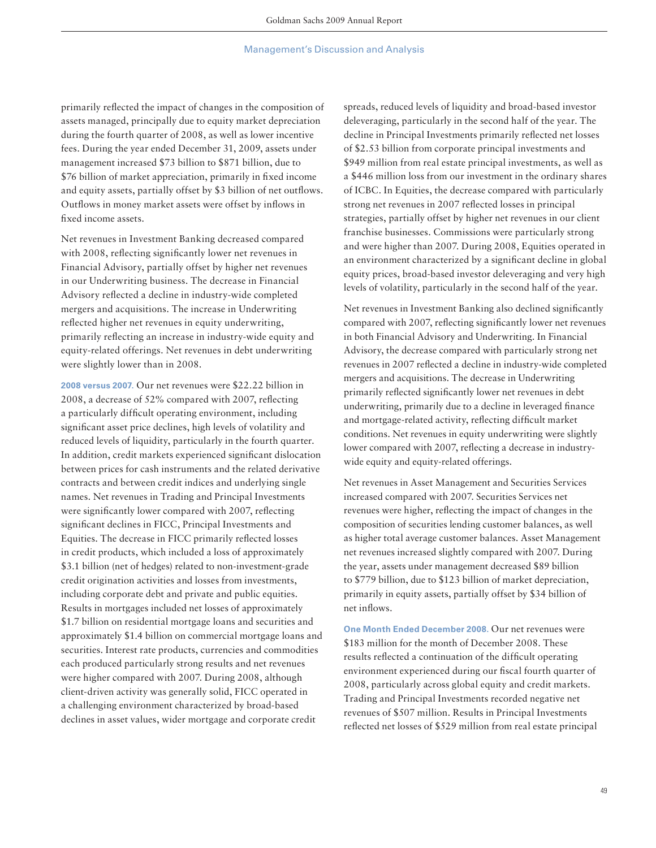primarily reflected the impact of changes in the composition of assets managed, principally due to equity market depreciation during the fourth quarter of 2008, as well as lower incentive fees. During the year ended December 31, 2009, assets under management increased \$73 billion to \$871 billion, due to \$76 billion of market appreciation, primarily in fixed income and equity assets, partially offset by \$3 billion of net outflows. Outflows in money market assets were offset by inflows in fixed income assets.

Net revenues in Investment Banking decreased compared with 2008, reflecting significantly lower net revenues in Financial Advisory, partially offset by higher net revenues in our Underwriting business. The decrease in Financial Advisory reflected a decline in industry-wide completed mergers and acquisitions. The increase in Underwriting reflected higher net revenues in equity underwriting, primarily reflecting an increase in industry-wide equity and equity-related offerings. Net revenues in debt underwriting were slightly lower than in 2008.

**2008 versus 2007.** Our net revenues were \$22.22 billion in 2008, a decrease of  $52\%$  compared with 2007, reflecting a particularly difficult operating environment, including significant asset price declines, high levels of volatility and reduced levels of liquidity, particularly in the fourth quarter. In addition, credit markets experienced significant dislocation between prices for cash instruments and the related derivative contracts and between credit indices and underlying single names. Net revenues in Trading and Principal Investments were significantly lower compared with 2007, reflecting significant declines in FICC, Principal Investments and Equities. The decrease in FICC primarily reflected losses in credit products, which included a loss of approximately \$3.1 billion (net of hedges) related to non-investment-grade credit origination activities and losses from investments, including corporate debt and private and public equities. Results in mortgages included net losses of approximately \$1.7 billion on residential mortgage loans and securities and approximately \$1.4 billion on commercial mortgage loans and securities. Interest rate products, currencies and commodities each produced particularly strong results and net revenues were higher compared with 2007. During 2008, although client-driven activity was generally solid, FICC operated in a challenging environment characterized by broad-based declines in asset values, wider mortgage and corporate credit

spreads, reduced levels of liquidity and broad-based investor deleveraging, particularly in the second half of the year. The decline in Principal Investments primarily reflected net losses of \$2.53 billion from corporate principal investments and \$949 million from real estate principal investments, as well as a \$446 million loss from our investment in the ordinary shares of ICBC. In Equities, the decrease compared with particularly strong net revenues in 2007 reflected losses in principal strategies, partially offset by higher net revenues in our client franchise businesses. Commissions were particularly strong and were higher than 2007. During 2008, Equities operated in an environment characterized by a significant decline in global equity prices, broad-based investor deleveraging and very high levels of volatility, particularly in the second half of the year.

Net revenues in Investment Banking also declined significantly compared with 2007, reflecting significantly lower net revenues in both Financial Advisory and Underwriting. In Financial Advisory, the decrease compared with particularly strong net revenues in 2007 reflected a decline in industry-wide completed mergers and acquisitions. The decrease in Underwriting primarily reflected significantly lower net revenues in debt underwriting, primarily due to a decline in leveraged finance and mortgage-related activity, reflecting difficult market conditions. Net revenues in equity underwriting were slightly lower compared with 2007, reflecting a decrease in industrywide equity and equity-related offerings.

Net revenues in Asset Management and Securities Services increased compared with 2007. Securities Services net revenues were higher, reflecting the impact of changes in the composition of securities lending customer balances, as well as higher total average customer balances. Asset Management net revenues increased slightly compared with 2007. During the year, assets under management decreased \$89 billion to \$779 billion, due to \$123 billion of market depreciation, primarily in equity assets, partially offset by \$34 billion of net inflows.

**One Month Ended December 2008.** Our net revenues were \$183 million for the month of December 2008. These results reflected a continuation of the difficult operating environment experienced during our fiscal fourth quarter of 2008, particularly across global equity and credit markets. Trading and Principal Investments recorded negative net revenues of \$507 million. Results in Principal Investments reflected net losses of \$529 million from real estate principal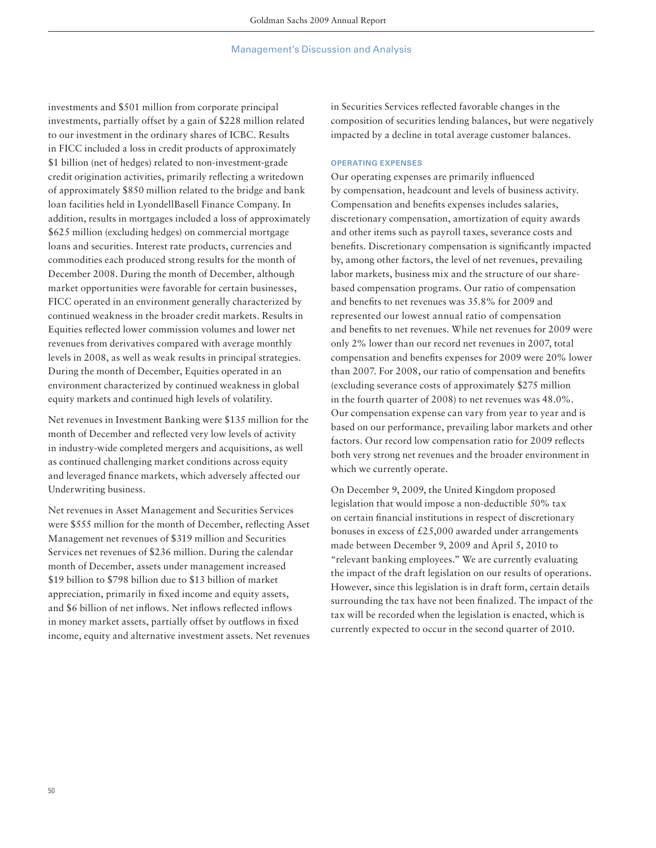investments and \$501 million from corporate principal investments, partially offset by a gain of \$228 million related to our investment in the ordinary shares of ICBC. Results in FICC included a loss in credit products of approximately \$1 billion (net of hedges) related to non-investment-grade credit origination activities, primarily reflecting a writedown of approximately \$850 million related to the bridge and bank loan facilities held in LyondellBasell Finance Company. In addition, results in mortgages included a loss of approximately \$625 million (excluding hedges) on commercial mortgage loans and securities. Interest rate products, currencies and commodities each produced strong results for the month of December 2008. During the month of December, although market opportunities were favorable for certain businesses, FICC operated in an environment generally characterized by continued weakness in the broader credit markets. Results in Equities reflected lower commission volumes and lower net revenues from derivatives compared with average monthly levels in 2008, as well as weak results in principal strategies. During the month of December, Equities operated in an environment characterized by continued weakness in global equity markets and continued high levels of volatility.

Net revenues in Investment Banking were \$135 million for the month of December and reflected very low levels of activity in industry-wide completed mergers and acquisitions, as well as continued challenging market conditions across equity and leveraged finance markets, which adversely affected our Underwriting business.

Net revenues in Asset Management and Securities Services were \$555 million for the month of December, reflecting Asset Management net revenues of \$319 million and Securities Services net revenues of \$236 million. During the calendar month of December, assets under management increased \$19 billion to \$798 billion due to \$13 billion of market appreciation, primarily in fixed income and equity assets, and \$6 billion of net inflows. Net inflows reflected inflows in money market assets, partially offset by outflows in fixed income, equity and alternative investment assets. Net revenues

in Securities Services reflected favorable changes in the composition of securities lending balances, but were negatively impacted by a decline in total average customer balances.

#### **OPERATING EXPENSES**

Our operating expenses are primarily influenced by compensation, headcount and levels of business activity. Compensation and benefits expenses includes salaries, discretionary compensation, amortization of equity awards and other items such as payroll taxes, severance costs and benefits. Discretionary compensation is significantly impacted by, among other factors, the level of net revenues, prevailing labor markets, business mix and the structure of our sharebased compensation programs. Our ratio of compensation and benefits to net revenues was 35.8% for 2009 and represented our lowest annual ratio of compensation and benefits to net revenues. While net revenues for 2009 were only 2% lower than our record net revenues in 2007, total compensation and benefits expenses for 2009 were 20% lower than 2007. For 2008, our ratio of compensation and benefits (excluding severance costs of approximately \$275 million in the fourth quarter of 2008) to net revenues was 48.0%. Our compensation expense can vary from year to year and is based on our performance, prevailing labor markets and other factors. Our record low compensation ratio for 2009 reflects both very strong net revenues and the broader environment in which we currently operate.

On December 9, 2009, the United Kingdom proposed legislation that would impose a non-deductible 50% tax on certain financial institutions in respect of discretionary bonuses in excess of  $£25,000$  awarded under arrangements made between December 9, 2009 and April 5, 2010 to "relevant banking employees." We are currently evaluating the impact of the draft legislation on our results of operations. However, since this legislation is in draft form, certain details surrounding the tax have not been finalized. The impact of the tax will be recorded when the legislation is enacted, which is currently expected to occur in the second quarter of 2010.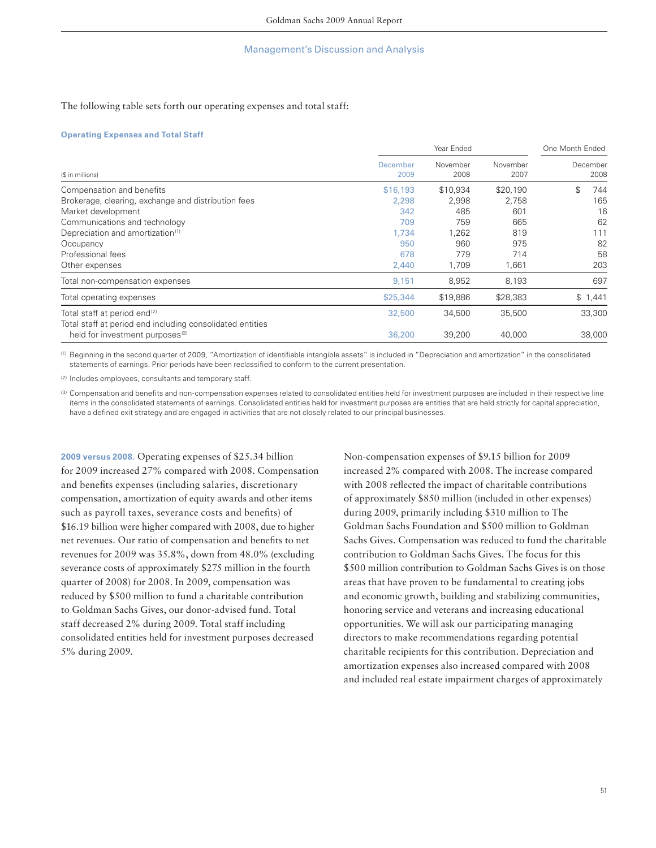## The following table sets forth our operating expenses and total staff:

#### **Operating Expenses and Total Staff**

|                                                           |                         | Year Ended       |                  |                  |
|-----------------------------------------------------------|-------------------------|------------------|------------------|------------------|
| (\$ in millions)                                          | <b>December</b><br>2009 | November<br>2008 | November<br>2007 | December<br>2008 |
| Compensation and benefits                                 | \$16,193                | \$10,934         | \$20,190         | \$<br>744        |
| Brokerage, clearing, exchange and distribution fees       | 2,298                   | 2,998            | 2,758            | 165              |
| Market development                                        | 342                     | 485              | 601              | 16               |
| Communications and technology                             | 709                     | 759              | 665              | 62               |
| Depreciation and amortization <sup>(1)</sup>              | 1.734                   | 1.262            | 819              | 111              |
| Occupancy                                                 | 950                     | 960              | 975              | 82               |
| Professional fees                                         | 678                     | 779              | 714              | 58               |
| Other expenses                                            | 2,440                   | 1,709            | 1,661            | 203              |
| Total non-compensation expenses                           | 9,151                   | 8,952            | 8,193            | 697              |
| Total operating expenses                                  | \$25,344                | \$19,886         | \$28,383         | \$1,441          |
| Total staff at period end <sup>(2)</sup>                  | 32,500                  | 34,500           | 35,500           | 33,300           |
| Total staff at period end including consolidated entities |                         |                  |                  |                  |
| held for investment purposes <sup>(3)</sup>               | 36,200                  | 39,200           | 40,000           | 38,000           |

(1) Beginning in the second quarter of 2009, "Amortization of identifi able intangible assets" is included in "Depreciation and amortization" in the consolidated statements of earnings. Prior periods have been reclassified to conform to the current presentation.

(2) Includes employees, consultants and temporary staff.

(3) Compensation and benefits and non-compensation expenses related to consolidated entities held for investment purposes are included in their respective line items in the consolidated statements of earnings. Consolidated entities held for investment purposes are entities that are held strictly for capital appreciation, have a defined exit strategy and are engaged in activities that are not closely related to our principal businesses.

**2009 versus 2008.** Operating expenses of \$25.34 billion for 2009 increased 27% compared with 2008. Compensation and benefits expenses (including salaries, discretionary compensation, amortization of equity awards and other items such as payroll taxes, severance costs and benefits) of \$16.19 billion were higher compared with 2008, due to higher net revenues. Our ratio of compensation and benefits to net revenues for 2009 was 35.8%, down from 48.0% (excluding severance costs of approximately \$275 million in the fourth quarter of 2008) for 2008. In 2009, compensation was reduced by \$500 million to fund a charitable contribution to Goldman Sachs Gives, our donor-advised fund. Total staff decreased 2% during 2009. Total staff including consolidated entities held for investment purposes decreased 5% during 2009.

Non-compensation expenses of \$9.15 billion for 2009 increased 2% compared with 2008. The increase compared with 2008 reflected the impact of charitable contributions of approximately \$850 million (included in other expenses) during 2009, primarily including \$310 million to The Goldman Sachs Foundation and \$500 million to Goldman Sachs Gives. Compensation was reduced to fund the charitable contribution to Goldman Sachs Gives. The focus for this \$500 million contribution to Goldman Sachs Gives is on those areas that have proven to be fundamental to creating jobs and economic growth, building and stabilizing communities, honoring service and veterans and increasing educational opportunities. We will ask our participating managing directors to make recommendations regarding potential charitable recipients for this contribution. Depreciation and amortization expenses also increased compared with 2008 and included real estate impairment charges of approximately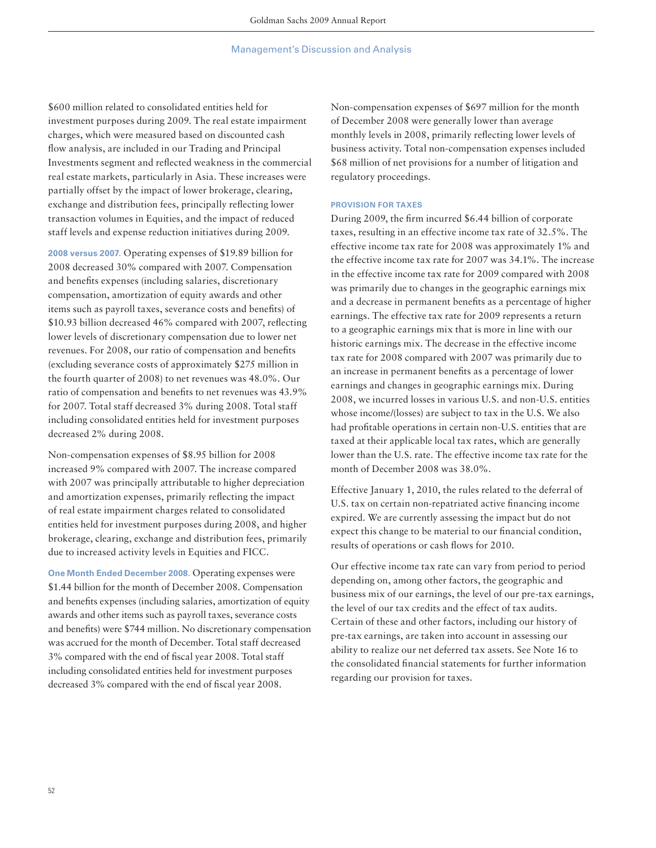\$600 million related to consolidated entities held for investment purposes during 2009. The real estate impairment charges, which were measured based on discounted cash flow analysis, are included in our Trading and Principal Investments segment and reflected weakness in the commercial real estate markets, particularly in Asia. These increases were partially offset by the impact of lower brokerage, clearing, exchange and distribution fees, principally reflecting lower transaction volumes in Equities, and the impact of reduced staff levels and expense reduction initiatives during 2009.

**2008 versus 2007.** Operating expenses of \$19.89 billion for 2008 decreased 30% compared with 2007. Compensation and benefits expenses (including salaries, discretionary compensation, amortization of equity awards and other items such as payroll taxes, severance costs and benefits) of \$10.93 billion decreased 46% compared with 2007, reflecting lower levels of discretionary compensation due to lower net revenues. For 2008, our ratio of compensation and benefits (excluding severance costs of approximately \$275 million in the fourth quarter of 2008) to net revenues was 48.0%. Our ratio of compensation and benefits to net revenues was 43.9% for 2007. Total staff decreased 3% during 2008. Total staff including consolidated entities held for investment purposes decreased 2% during 2008.

Non-compensation expenses of \$8.95 billion for 2008 increased 9% compared with 2007. The increase compared with 2007 was principally attributable to higher depreciation and amortization expenses, primarily reflecting the impact of real estate impairment charges related to consolidated entities held for investment purposes during 2008, and higher brokerage, clearing, exchange and distribution fees, primarily due to increased activity levels in Equities and FICC.

**One Month Ended December 2008.** Operating expenses were \$1.44 billion for the month of December 2008. Compensation and benefits expenses (including salaries, amortization of equity awards and other items such as payroll taxes, severance costs and benefits) were \$744 million. No discretionary compensation was accrued for the month of December. Total staff decreased 3% compared with the end of fiscal year 2008. Total staff including consolidated entities held for investment purposes decreased 3% compared with the end of fiscal year 2008.

Non-compensation expenses of \$697 million for the month of December 2008 were generally lower than average monthly levels in 2008, primarily reflecting lower levels of business activity. Total non-compensation expenses included \$68 million of net provisions for a number of litigation and regulatory proceedings.

## **PROVISION FOR TAXES**

During 2009, the firm incurred \$6.44 billion of corporate taxes, resulting in an effective income tax rate of 32.5%. The effective income tax rate for 2008 was approximately 1% and the effective income tax rate for 2007 was 34.1%. The increase in the effective income tax rate for 2009 compared with 2008 was primarily due to changes in the geographic earnings mix and a decrease in permanent benefits as a percentage of higher earnings. The effective tax rate for 2009 represents a return to a geographic earnings mix that is more in line with our historic earnings mix. The decrease in the effective income tax rate for 2008 compared with 2007 was primarily due to an increase in permanent benefits as a percentage of lower earnings and changes in geographic earnings mix. During 2008, we incurred losses in various U.S. and non-U.S. entities whose income/(losses) are subject to tax in the U.S. We also had profitable operations in certain non-U.S. entities that are taxed at their applicable local tax rates, which are generally lower than the U.S. rate. The effective income tax rate for the month of December 2008 was 38.0%.

Effective January 1, 2010, the rules related to the deferral of U.S. tax on certain non-repatriated active financing income expired. We are currently assessing the impact but do not expect this change to be material to our financial condition, results of operations or cash flows for 2010.

Our effective income tax rate can vary from period to period depending on, among other factors, the geographic and business mix of our earnings, the level of our pre-tax earnings, the level of our tax credits and the effect of tax audits. Certain of these and other factors, including our history of pre-tax earnings, are taken into account in assessing our ability to realize our net deferred tax assets. See Note 16 to the consolidated financial statements for further information regarding our provision for taxes.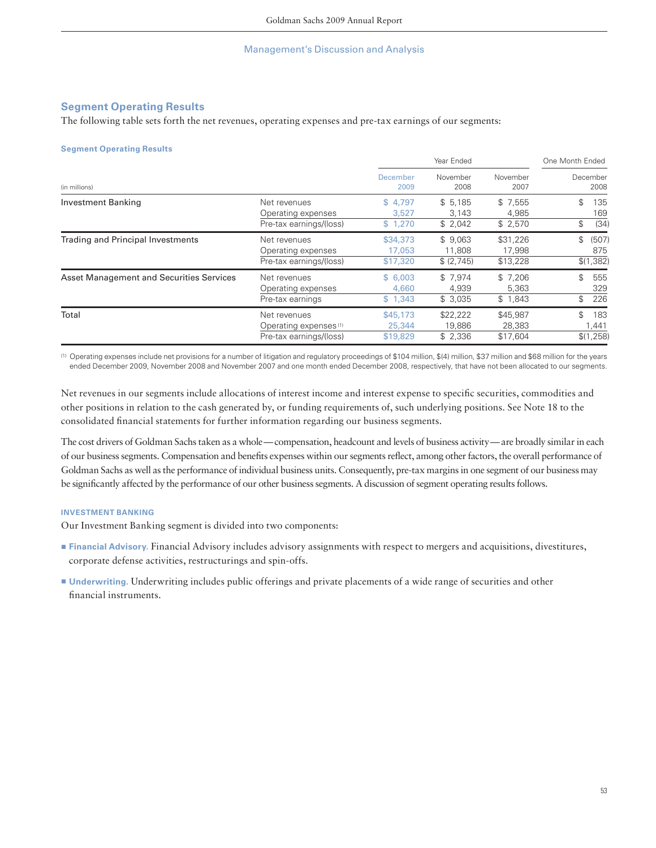## **Segment Operating Results**

The following table sets forth the net revenues, operating expenses and pre-tax earnings of our segments:

### **Segment Operating Results**

|                                                 |                                                                              |                                | Year Ended                       |                                | One Month Ended                 |  |
|-------------------------------------------------|------------------------------------------------------------------------------|--------------------------------|----------------------------------|--------------------------------|---------------------------------|--|
| (in millions)                                   |                                                                              | December<br>2009               | November<br>2008                 | November<br>2007               | December<br>2008                |  |
| Investment Banking                              | Net revenues<br>Operating expenses<br>Pre-tax earnings/(loss)                | \$4.797<br>3.527<br>\$1,270    | \$5.185<br>3.143<br>\$2,042      | \$7,555<br>4.985<br>\$2,570    | \$<br>135<br>169<br>\$<br>(34)  |  |
| <b>Trading and Principal Investments</b>        | Net revenues<br>Operating expenses<br>Pre-tax earnings/(loss)                | \$34,373<br>17.053<br>\$17,320 | \$9.063<br>11,808<br>\$ (2, 745) | \$31,226<br>17,998<br>\$13,228 | \$<br>(507)<br>875<br>\$(1,382) |  |
| <b>Asset Management and Securities Services</b> | Net revenues<br>Operating expenses<br>Pre-tax earnings                       | \$6,003<br>4,660<br>\$1,343    | \$7,974<br>4.939<br>\$3,035      | \$7,206<br>5,363<br>\$1,843    | \$<br>555<br>329<br>\$<br>226   |  |
| Total                                           | Net revenues<br>Operating expenses <sup>(1)</sup><br>Pre-tax earnings/(loss) | \$45,173<br>25,344<br>\$19,829 | \$22,222<br>19,886<br>\$2,336    | \$45,987<br>28,383<br>\$17,604 | \$<br>183<br>1,441<br>\$(1,258) |  |

(1) Operating expenses include net provisions for a number of litigation and regulatory proceedings of \$104 million, \$(4) million, \$37 million and \$68 million for the years ended December 2009, November 2008 and November 2007 and one month ended December 2008, respectively, that have not been allocated to our segments.

Net revenues in our segments include allocations of interest income and interest expense to specific securities, commodities and other positions in relation to the cash generated by, or funding requirements of, such underlying positions. See Note 18 to the consolidated financial statements for further information regarding our business segments.

The cost drivers of Goldman Sachs taken as a whole—compensation, headcount and levels of business activity—are broadly similar in each of our business segments. Compensation and benefits expenses within our segments reflect, among other factors, the overall performance of Goldman Sachs as well as the performance of individual business units. Consequently, pre-tax margins in one segment of our business may be significantly affected by the performance of our other business segments. A discussion of segment operating results follows.

## **INVESTMENT BANKING**

Our Investment Banking segment is divided into two components:

- **Financial Advisory.** Financial Advisory includes advisory assignments with respect to mergers and acquisitions, divestitures, corporate defense activities, restructurings and spin-offs.
- **Underwriting.** Underwriting includes public offerings and private placements of a wide range of securities and other financial instruments.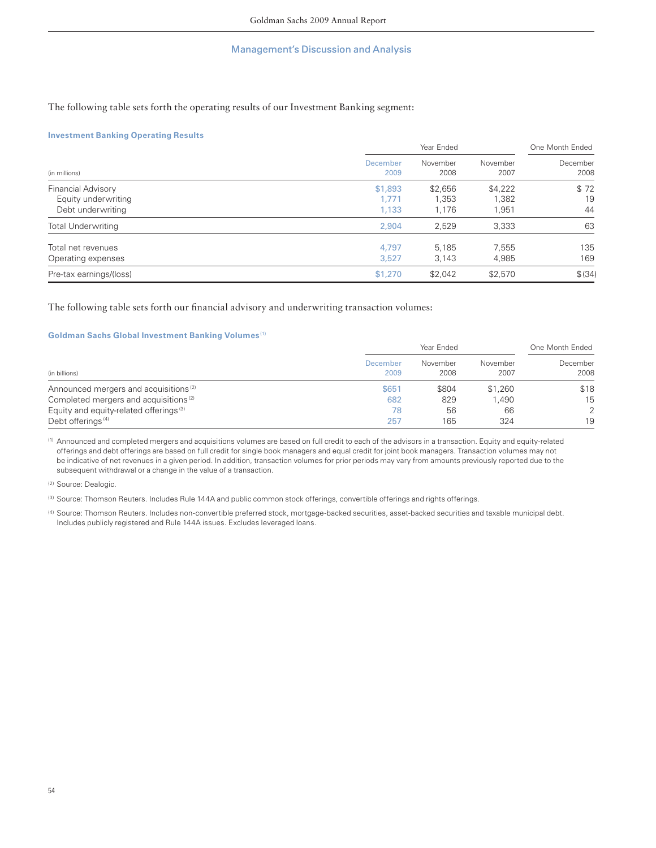## The following table sets forth the operating results of our Investment Banking segment:

## **Investment Banking Operating Results**

|                           |                  | Year Ended       |                  |                  |
|---------------------------|------------------|------------------|------------------|------------------|
| (in millions)             | December<br>2009 | November<br>2008 | November<br>2007 | December<br>2008 |
| Financial Advisory        | \$1,893          | \$2,656          | \$4,222          | \$72             |
| Equity underwriting       | 1.771            | 1,353            | 1,382            | 19               |
| Debt underwriting         | 1,133            | 1,176            | 1,951            | 44               |
| <b>Total Underwriting</b> | 2.904            | 2,529            | 3,333            | 63               |
| Total net revenues        | 4.797            | 5.185            | 7.555            | 135              |
| Operating expenses        | 3,527            | 3,143            | 4,985            | 169              |
| Pre-tax earnings/(loss)   | \$1,270          | \$2,042          | \$2,570          | \$ (34)          |

## The following table sets forth our financial advisory and underwriting transaction volumes:

## **Goldman Sachs Global Investment Banking Volumes** (1)

|                                                    | Year Ended       |                  |                  | One Month Ended  |  |
|----------------------------------------------------|------------------|------------------|------------------|------------------|--|
| (in billions)                                      | December<br>2009 | November<br>2008 | November<br>2007 | December<br>2008 |  |
| Announced mergers and acquisitions <sup>(2)</sup>  | \$651            | \$804            | \$1,260          | \$18             |  |
| Completed mergers and acquisitions <sup>(2)</sup>  | 682              | 829              | 1.490            | 15               |  |
| Equity and equity-related offerings <sup>(3)</sup> | 78               | 56               | 66               | $\overline{2}$   |  |
| Debt offerings <sup>(4)</sup>                      | 257              | 165              | 324              | 19               |  |

(1) Announced and completed mergers and acquisitions volumes are based on full credit to each of the advisors in a transaction. Equity and equity-related offerings and debt offerings are based on full credit for single book managers and equal credit for joint book managers. Transaction volumes may not be indicative of net revenues in a given period. In addition, transaction volumes for prior periods may vary from amounts previously reported due to the subsequent withdrawal or a change in the value of a transaction.

(2) Source: Dealogic.

(3) Source: Thomson Reuters. Includes Rule 144A and public common stock offerings, convertible offerings and rights offerings.

(4) Source: Thomson Reuters. Includes non-convertible preferred stock, mortgage-backed securities, asset-backed securities and taxable municipal debt. Includes publicly registered and Rule 144A issues. Excludes leveraged loans.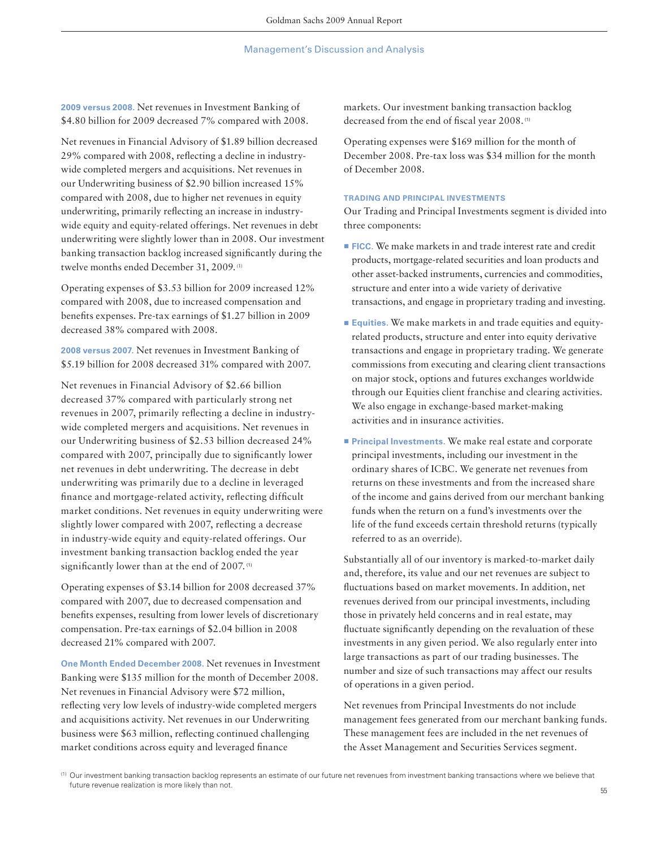**2009 versus 2008.** Net revenues in Investment Banking of \$4.80 billion for 2009 decreased 7% compared with 2008.

Net revenues in Financial Advisory of \$1.89 billion decreased 29% compared with 2008, reflecting a decline in industrywide completed mergers and acquisitions. Net revenues in our Underwriting business of \$2.90 billion increased 15% compared with 2008, due to higher net revenues in equity underwriting, primarily reflecting an increase in industrywide equity and equity-related offerings. Net revenues in debt underwriting were slightly lower than in 2008. Our investment banking transaction backlog increased significantly during the twelve months ended December 31, 2009. (1)

Operating expenses of \$3.53 billion for 2009 increased 12% compared with 2008, due to increased compensation and benefits expenses. Pre-tax earnings of \$1.27 billion in 2009 decreased 38% compared with 2008.

**2008 versus 2007.** Net revenues in Investment Banking of \$5.19 billion for 2008 decreased 31% compared with 2007.

Net revenues in Financial Advisory of \$2.66 billion decreased 37% compared with particularly strong net revenues in 2007, primarily reflecting a decline in industrywide completed mergers and acquisitions. Net revenues in our Underwriting business of \$2.53 billion decreased 24% compared with 2007, principally due to significantly lower net revenues in debt underwriting. The decrease in debt underwriting was primarily due to a decline in leveraged finance and mortgage-related activity, reflecting difficult market conditions. Net revenues in equity underwriting were slightly lower compared with 2007, reflecting a decrease in industry-wide equity and equity-related offerings. Our investment banking transaction backlog ended the year significantly lower than at the end of  $2007$ . (1)

Operating expenses of \$3.14 billion for 2008 decreased 37% compared with 2007, due to decreased compensation and benefits expenses, resulting from lower levels of discretionary compensation. Pre-tax earnings of \$2.04 billion in 2008 decreased 21% compared with 2007.

**One Month Ended December 2008.** Net revenues in Investment Banking were \$135 million for the month of December 2008. Net revenues in Financial Advisory were \$72 million, reflecting very low levels of industry-wide completed mergers and acquisitions activity. Net revenues in our Underwriting business were \$63 million, reflecting continued challenging market conditions across equity and leveraged finance

markets. Our investment banking transaction backlog decreased from the end of fiscal year 2008.<sup>(1)</sup>

Operating expenses were \$169 million for the month of December 2008. Pre-tax loss was \$34 million for the month of December 2008.

## **TRADING AND PRINCIPAL INVESTMENTS**

Our Trading and Principal Investments segment is divided into three components:

- **FICC.** We make markets in and trade interest rate and credit products, mortgage-related securities and loan products and other asset-backed instruments, currencies and commodities, structure and enter into a wide variety of derivative transactions, and engage in proprietary trading and investing.
- **Equities**. We make markets in and trade equities and equityrelated products, structure and enter into equity derivative transactions and engage in proprietary trading. We generate commissions from executing and clearing client transactions on major stock, options and futures exchanges worldwide through our Equities client franchise and clearing activities. We also engage in exchange-based market-making activities and in insurance activities.
- **<u>■ Principal Investments.</u>** We make real estate and corporate principal investments, including our investment in the ordinary shares of ICBC. We generate net revenues from returns on these investments and from the increased share of the income and gains derived from our merchant banking funds when the return on a fund's investments over the life of the fund exceeds certain threshold returns (typically referred to as an override).

Substantially all of our inventory is marked-to-market daily and, therefore, its value and our net revenues are subject to fluctuations based on market movements. In addition, net revenues derived from our principal investments, including those in privately held concerns and in real estate, may fluctuate significantly depending on the revaluation of these investments in any given period. We also regularly enter into large transactions as part of our trading businesses. The number and size of such transactions may affect our results of operations in a given period.

Net revenues from Principal Investments do not include management fees generated from our merchant banking funds. These management fees are included in the net revenues of the Asset Management and Securities Services segment.

<sup>(1)</sup> Our investment banking transaction backlog represents an estimate of our future net revenues from investment banking transactions where we believe that future revenue realization is more likely than not.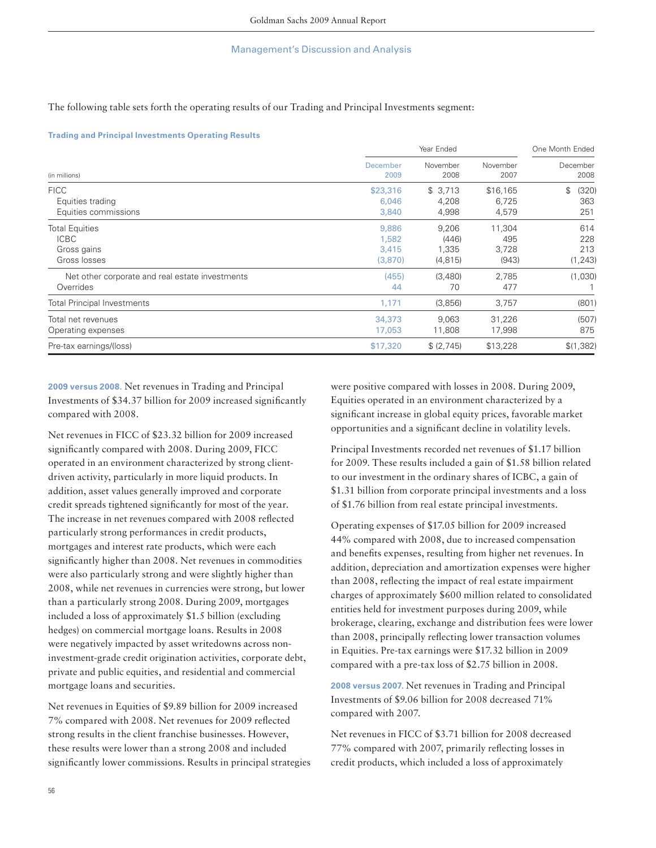The following table sets forth the operating results of our Trading and Principal Investments segment:

## **Trading and Principal Investments Operating Results**

|                                                         | Year Ended                 |                           |                            | One Month Ended           |  |
|---------------------------------------------------------|----------------------------|---------------------------|----------------------------|---------------------------|--|
| (in millions)                                           | December                   | November                  | November                   | December                  |  |
|                                                         | 2009                       | 2008                      | 2007                       | 2008                      |  |
| <b>FICC</b><br>Equities trading<br>Equities commissions | \$23,316<br>6,046<br>3,840 | \$3,713<br>4,208<br>4,998 | \$16,165<br>6,725<br>4,579 | \$<br>(320)<br>363<br>251 |  |
| <b>Total Equities</b>                                   | 9,886                      | 9,206                     | 11,304                     | 614                       |  |
| <b>ICBC</b>                                             | 1,582                      | (446)                     | 495                        | 228                       |  |
| Gross gains                                             | 3,415                      | 1,335                     | 3,728                      | 213                       |  |
| Gross losses                                            | (3,870)                    | (4, 815)                  | (943)                      | (1, 243)                  |  |
| Net other corporate and real estate investments         | (455)                      | (3,480)                   | 2.785                      | (1,030)                   |  |
| Overrides                                               | 44                         | 70                        | 477                        |                           |  |
| <b>Total Principal Investments</b>                      | 1,171                      | (3,856)                   | 3,757                      | (801)                     |  |
| Total net revenues                                      | 34,373                     | 9.063                     | 31,226                     | (507)                     |  |
| Operating expenses                                      | 17,053                     | 11,808                    | 17,998                     | 875                       |  |
| Pre-tax earnings/(loss)                                 | \$17,320                   | \$ (2, 745)               | \$13,228                   | \$(1, 382)                |  |

**2009 versus 2008.** Net revenues in Trading and Principal Investments of \$34.37 billion for 2009 increased significantly compared with 2008.

Net revenues in FICC of \$23.32 billion for 2009 increased significantly compared with 2008. During 2009, FICC operated in an environment characterized by strong clientdriven activity, particularly in more liquid products. In addition, asset values generally improved and corporate credit spreads tightened significantly for most of the year. The increase in net revenues compared with 2008 reflected particularly strong performances in credit products, mortgages and interest rate products, which were each significantly higher than 2008. Net revenues in commodities were also particularly strong and were slightly higher than 2008, while net revenues in currencies were strong, but lower than a particularly strong 2008. During 2009, mortgages included a loss of approximately \$1.5 billion (excluding hedges) on commercial mortgage loans. Results in 2008 were negatively impacted by asset writedowns across noninvestment-grade credit origination activities, corporate debt, private and public equities, and residential and commercial mortgage loans and securities.

Net revenues in Equities of \$9.89 billion for 2009 increased 7% compared with 2008. Net revenues for 2009 reflected strong results in the client franchise businesses. However, these results were lower than a strong 2008 and included significantly lower commissions. Results in principal strategies were positive compared with losses in 2008. During 2009, Equities operated in an environment characterized by a significant increase in global equity prices, favorable market opportunities and a significant decline in volatility levels.

Principal Investments recorded net revenues of \$1.17 billion for 2009. These results included a gain of \$1.58 billion related to our investment in the ordinary shares of ICBC, a gain of \$1.31 billion from corporate principal investments and a loss of \$1.76 billion from real estate principal investments.

Operating expenses of \$17.05 billion for 2009 increased 44% compared with 2008, due to increased compensation and benefits expenses, resulting from higher net revenues. In addition, depreciation and amortization expenses were higher than 2008, reflecting the impact of real estate impairment charges of approximately \$600 million related to consolidated entities held for investment purposes during 2009, while brokerage, clearing, exchange and distribution fees were lower than 2008, principally reflecting lower transaction volumes in Equities. Pre-tax earnings were \$17.32 billion in 2009 compared with a pre-tax loss of \$2.75 billion in 2008.

**2008 versus 2007.** Net revenues in Trading and Principal Investments of \$9.06 billion for 2008 decreased 71% compared with 2007.

Net revenues in FICC of \$3.71 billion for 2008 decreased 77% compared with 2007, primarily reflecting losses in credit products, which included a loss of approximately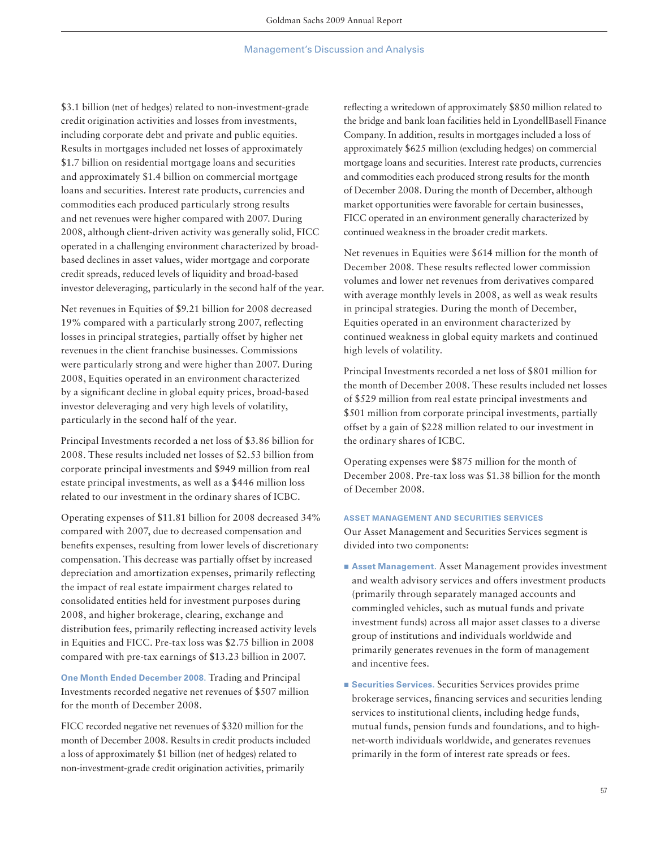\$3.1 billion (net of hedges) related to non-investment-grade credit origination activities and losses from investments, including corporate debt and private and public equities. Results in mortgages included net losses of approximately \$1.7 billion on residential mortgage loans and securities and approximately \$1.4 billion on commercial mortgage loans and securities. Interest rate products, currencies and commodities each produced particularly strong results and net revenues were higher compared with 2007. During 2008, although client-driven activity was generally solid, FICC operated in a challenging environment characterized by broadbased declines in asset values, wider mortgage and corporate credit spreads, reduced levels of liquidity and broad-based investor deleveraging, particularly in the second half of the year.

Net revenues in Equities of \$9.21 billion for 2008 decreased 19% compared with a particularly strong 2007, reflecting losses in principal strategies, partially offset by higher net revenues in the client franchise businesses. Commissions were particularly strong and were higher than 2007. During 2008, Equities operated in an environment characterized by a significant decline in global equity prices, broad-based investor deleveraging and very high levels of volatility, particularly in the second half of the year.

Principal Investments recorded a net loss of \$3.86 billion for 2008. These results included net losses of \$2.53 billion from corporate principal investments and \$949 million from real estate principal investments, as well as a \$446 million loss related to our investment in the ordinary shares of ICBC.

Operating expenses of \$11.81 billion for 2008 decreased 34% compared with 2007, due to decreased compensation and benefits expenses, resulting from lower levels of discretionary compensation. This decrease was partially offset by increased depreciation and amortization expenses, primarily reflecting the impact of real estate impairment charges related to consolidated entities held for investment purposes during 2008, and higher brokerage, clearing, exchange and distribution fees, primarily reflecting increased activity levels in Equities and FICC. Pre-tax loss was \$2.75 billion in 2008 compared with pre-tax earnings of \$13.23 billion in 2007.

**One Month Ended December 2008.** Trading and Principal Investments recorded negative net revenues of \$507 million for the month of December 2008.

FICC recorded negative net revenues of \$320 million for the month of December 2008. Results in credit products included a loss of approximately \$1 billion (net of hedges) related to non-investment-grade credit origination activities, primarily

reflecting a writedown of approximately \$850 million related to the bridge and bank loan facilities held in LyondellBasell Finance Company. In addition, results in mortgages included a loss of approximately \$625 million (excluding hedges) on commercial mortgage loans and securities. Interest rate products, currencies and commodities each produced strong results for the month of December 2008. During the month of December, although market opportunities were favorable for certain businesses, FICC operated in an environment generally characterized by continued weakness in the broader credit markets.

Net revenues in Equities were \$614 million for the month of December 2008. These results reflected lower commission volumes and lower net revenues from derivatives compared with average monthly levels in 2008, as well as weak results in principal strategies. During the month of December, Equities operated in an environment characterized by continued weakness in global equity markets and continued high levels of volatility.

Principal Investments recorded a net loss of \$801 million for the month of December 2008. These results included net losses of \$529 million from real estate principal investments and \$501 million from corporate principal investments, partially offset by a gain of \$228 million related to our investment in the ordinary shares of ICBC.

Operating expenses were \$875 million for the month of December 2008. Pre-tax loss was \$1.38 billion for the month of December 2008.

## **ASSET MANAGEMENT AND SECURITIES SERVICES**

Our Asset Management and Securities Services segment is divided into two components:

- Asset Management. Asset Management provides investment and wealth advisory services and offers investment products (primarily through separately managed accounts and commingled vehicles, such as mutual funds and private investment funds) across all major asset classes to a diverse group of institutions and individuals worldwide and primarily generates revenues in the form of management and incentive fees.
- Securities Services. Securities Services provides prime brokerage services, financing services and securities lending services to institutional clients, including hedge funds, mutual funds, pension funds and foundations, and to highnet-worth individuals worldwide, and generates revenues primarily in the form of interest rate spreads or fees.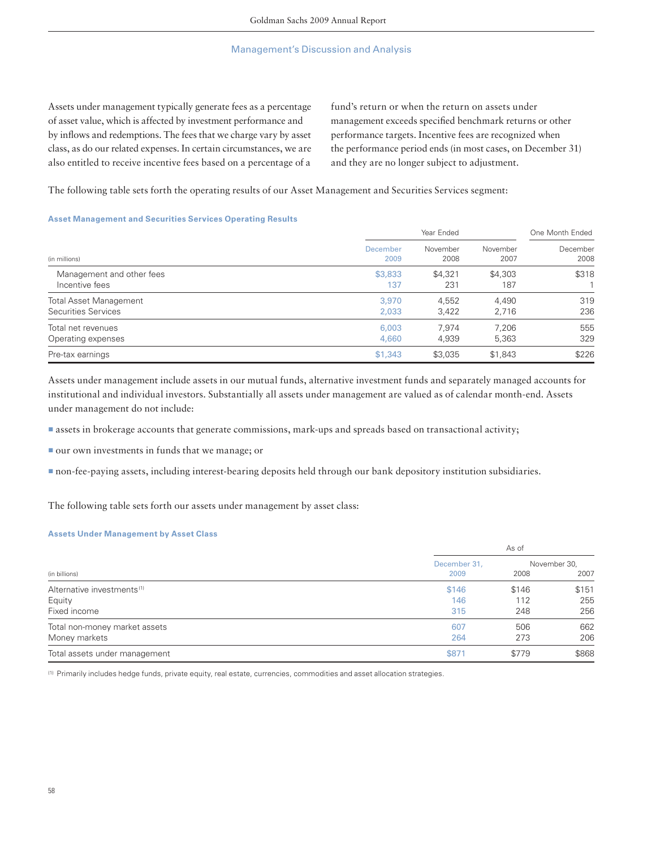Assets under management typically generate fees as a percentage of asset value, which is affected by investment performance and by inflows and redemptions. The fees that we charge vary by asset class, as do our related expenses. In certain circumstances, we are also entitled to receive incentive fees based on a percentage of a fund's return or when the return on assets under management exceeds specified benchmark returns or other performance targets. Incentive fees are recognized when the performance period ends (in most cases, on December 31) and they are no longer subject to adjustment.

The following table sets forth the operating results of our Asset Management and Securities Services segment:

## **Asset Management and Securities Services Operating Results**

|                               |          | Year Ended |          |          |
|-------------------------------|----------|------------|----------|----------|
| (in millions)                 | December | November   | November | December |
|                               | 2009     | 2008       | 2007     | 2008     |
| Management and other fees     | \$3,833  | \$4,321    | \$4,303  | \$318    |
| Incentive fees                | 137      | 231        | 187      |          |
| <b>Total Asset Management</b> | 3,970    | 4.552      | 4.490    | 319      |
| Securities Services           | 2,033    | 3,422      | 2,716    | 236      |
| Total net revenues            | 6,003    | 7.974      | 7.206    | 555      |
| Operating expenses            | 4.660    | 4,939      | 5,363    | 329      |
| Pre-tax earnings              | \$1,343  | \$3,035    | \$1,843  | \$226    |

Assets under management include assets in our mutual funds, alternative investment funds and separately managed accounts for institutional and individual investors. Substantially all assets under management are valued as of calendar month-end. Assets under management do not include:

▪assets in brokerage accounts that generate commissions, mark-ups and spreads based on transactional activity;

■ our own investments in funds that we manage; or

▪non-fee-paying assets, including interest-bearing deposits held through our bank depository institution subsidiaries.

The following table sets forth our assets under management by asset class:

### **Assets Under Management by Asset Class**

|                                        |              | As of |              |  |  |
|----------------------------------------|--------------|-------|--------------|--|--|
|                                        | December 31, |       | November 30, |  |  |
| (in billions)                          | 2009         | 2008  | 2007         |  |  |
| Alternative investments <sup>(1)</sup> | \$146        | \$146 | \$151        |  |  |
| Equity                                 | 146          | 112   | 255          |  |  |
| Fixed income                           | 315          | 248   | 256          |  |  |
| Total non-money market assets          | 607          | 506   | 662          |  |  |
| Money markets                          | 264          | 273   | 206          |  |  |
| Total assets under management          | \$871        | \$779 | \$868        |  |  |

(1) Primarily includes hedge funds, private equity, real estate, currencies, commodities and asset allocation strategies.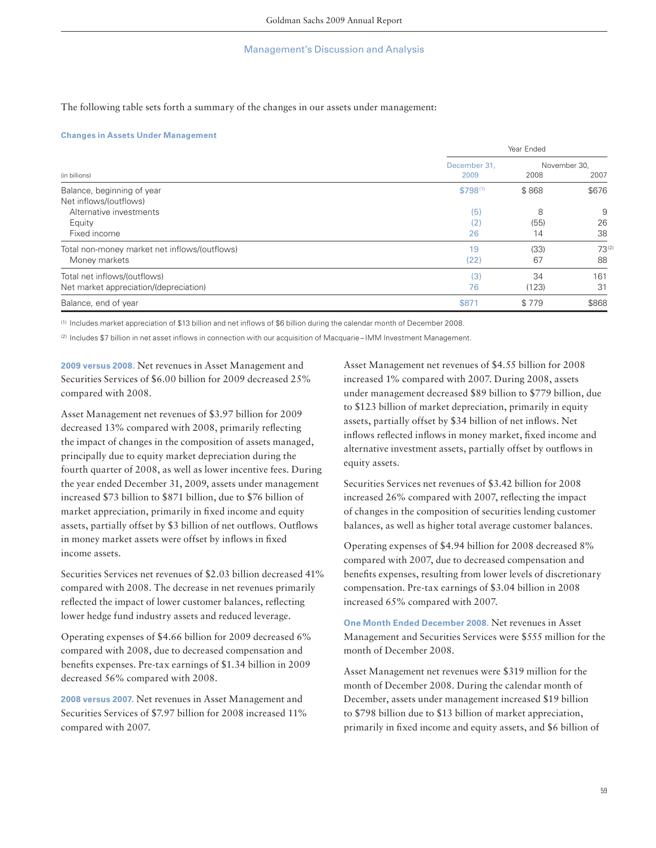The following table sets forth a summary of the changes in our assets under management:

#### **Changes in Assets Under Management**

|                                               |              | Year Ended   |            |  |  |
|-----------------------------------------------|--------------|--------------|------------|--|--|
|                                               | December 31. | November 30. |            |  |  |
| (in billions)                                 | 2009         | 2008         | 2007       |  |  |
| Balance, beginning of year                    | $$798^{(1)}$ | \$868        | \$676      |  |  |
| Net inflows/(outflows)                        |              |              |            |  |  |
| Alternative investments                       | (5)          | 8            | 9          |  |  |
| Equity                                        | (2)          | (55)         | 26         |  |  |
| Fixed income                                  | 26           | 14           | 38         |  |  |
| Total non-money market net inflows/(outflows) | 19           | (33)         | $73^{(2)}$ |  |  |
| Money markets                                 | (22)         | 67           | 88         |  |  |
| Total net inflows/(outflows)                  | (3)          | 34           | 161        |  |  |
| Net market appreciation/(depreciation)        | 76           | (123)        | 31         |  |  |
| Balance, end of year                          | \$871        | \$779        | \$868      |  |  |

(1) Includes market appreciation of \$13 billion and net inflows of \$6 billion during the calendar month of December 2008.

(2) Includes \$7 billion in net asset inflows in connection with our acquisition of Macquarie-IMM Investment Management.

**2009 versus 2008.** Net revenues in Asset Management and Securities Services of \$6.00 billion for 2009 decreased 25% compared with 2008.

Asset Management net revenues of \$3.97 billion for 2009 decreased 13% compared with 2008, primarily reflecting the impact of changes in the composition of assets managed, principally due to equity market depreciation during the fourth quarter of 2008, as well as lower incentive fees. During the year ended December 31, 2009, assets under management increased \$73 billion to \$871 billion, due to \$76 billion of market appreciation, primarily in fixed income and equity assets, partially offset by \$3 billion of net outflows. Outflows in money market assets were offset by inflows in fixed income assets.

Securities Services net revenues of \$2.03 billion decreased 41% compared with 2008. The decrease in net revenues primarily reflected the impact of lower customer balances, reflecting lower hedge fund industry assets and reduced leverage.

Operating expenses of \$4.66 billion for 2009 decreased 6% compared with 2008, due to decreased compensation and benefits expenses. Pre-tax earnings of \$1.34 billion in 2009 decreased 56% compared with 2008.

**2008 versus 2007.** Net revenues in Asset Management and Securities Services of \$7.97 billion for 2008 increased 11% compared with 2007.

Asset Management net revenues of \$4.55 billion for 2008 increased 1% compared with 2007. During 2008, assets under management decreased \$89 billion to \$779 billion, due to \$123 billion of market depreciation, primarily in equity assets, partially offset by \$34 billion of net inflows. Net inflows reflected inflows in money market, fixed income and alternative investment assets, partially offset by outflows in equity assets.

Securities Services net revenues of \$3.42 billion for 2008 increased 26% compared with 2007, reflecting the impact of changes in the composition of securities lending customer balances, as well as higher total average customer balances.

Operating expenses of \$4.94 billion for 2008 decreased 8% compared with 2007, due to decreased compensation and benefits expenses, resulting from lower levels of discretionary compensation. Pre-tax earnings of \$3.04 billion in 2008 increased 65% compared with 2007.

**One Month Ended December 2008.** Net revenues in Asset Management and Securities Services were \$555 million for the month of December 2008.

Asset Management net revenues were \$319 million for the month of December 2008. During the calendar month of December, assets under management increased \$19 billion to \$798 billion due to \$13 billion of market appreciation, primarily in fixed income and equity assets, and \$6 billion of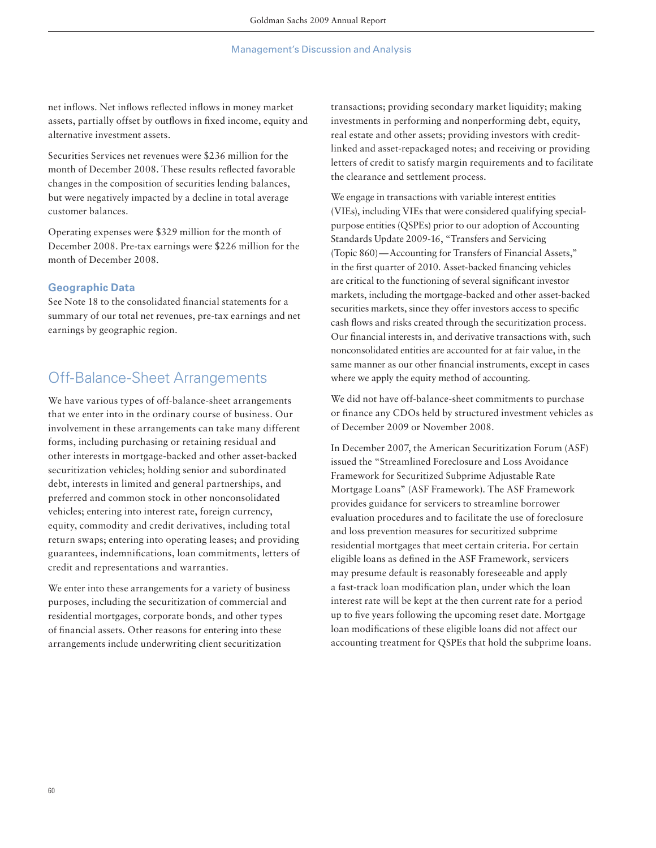net inflows. Net inflows reflected inflows in money market assets, partially offset by outflows in fixed income, equity and alternative investment assets.

Securities Services net revenues were \$236 million for the month of December 2008. These results reflected favorable changes in the composition of securities lending balances, but were negatively impacted by a decline in total average customer balances.

Operating expenses were \$329 million for the month of December 2008. Pre-tax earnings were \$226 million for the month of December 2008.

## **Geographic Data**

See Note 18 to the consolidated financial statements for a summary of our total net revenues, pre-tax earnings and net earnings by geographic region.

## Off-Balance-Sheet Arrangements

We have various types of off-balance-sheet arrangements that we enter into in the ordinary course of business. Our involvement in these arrangements can take many different forms, including purchasing or retaining residual and other interests in mortgage-backed and other asset-backed securitization vehicles; holding senior and subordinated debt, interests in limited and general partnerships, and preferred and common stock in other nonconsolidated vehicles; entering into interest rate, foreign currency, equity, commodity and credit derivatives, including total return swaps; entering into operating leases; and providing guarantees, indemnifications, loan commitments, letters of credit and representations and warranties.

We enter into these arrangements for a variety of business purposes, including the securitization of commercial and residential mortgages, corporate bonds, and other types of financial assets. Other reasons for entering into these arrangements include underwriting client securitization

transactions; providing secondary market liquidity; making investments in performing and nonperforming debt, equity, real estate and other assets; providing investors with creditlinked and asset-repackaged notes; and receiving or providing letters of credit to satisfy margin requirements and to facilitate the clearance and settlement process.

We engage in transactions with variable interest entities (VIEs), including VIEs that were considered qualifying specialpurpose entities (QSPEs) prior to our adoption of Accounting Standards Update 2009-16, "Transfers and Servicing (Topic 860) — Accounting for Transfers of Financial Assets," in the first quarter of 2010. Asset-backed financing vehicles are critical to the functioning of several significant investor markets, including the mortgage-backed and other asset-backed securities markets, since they offer investors access to specific cash flows and risks created through the securitization process. Our financial interests in, and derivative transactions with, such nonconsolidated entities are accounted for at fair value, in the same manner as our other financial instruments, except in cases where we apply the equity method of accounting.

We did not have off-balance-sheet commitments to purchase or finance any CDOs held by structured investment vehicles as of December 2009 or November 2008.

In December 2007, the American Securitization Forum (ASF) issued the "Streamlined Foreclosure and Loss Avoidance Framework for Securitized Subprime Adjustable Rate Mortgage Loans" (ASF Framework). The ASF Framework provides guidance for servicers to streamline borrower evaluation procedures and to facilitate the use of foreclosure and loss prevention measures for securitized subprime residential mortgages that meet certain criteria. For certain eligible loans as defined in the ASF Framework, servicers may presume default is reasonably foreseeable and apply a fast-track loan modification plan, under which the loan interest rate will be kept at the then current rate for a period up to five years following the upcoming reset date. Mortgage loan modifications of these eligible loans did not affect our accounting treatment for QSPEs that hold the subprime loans.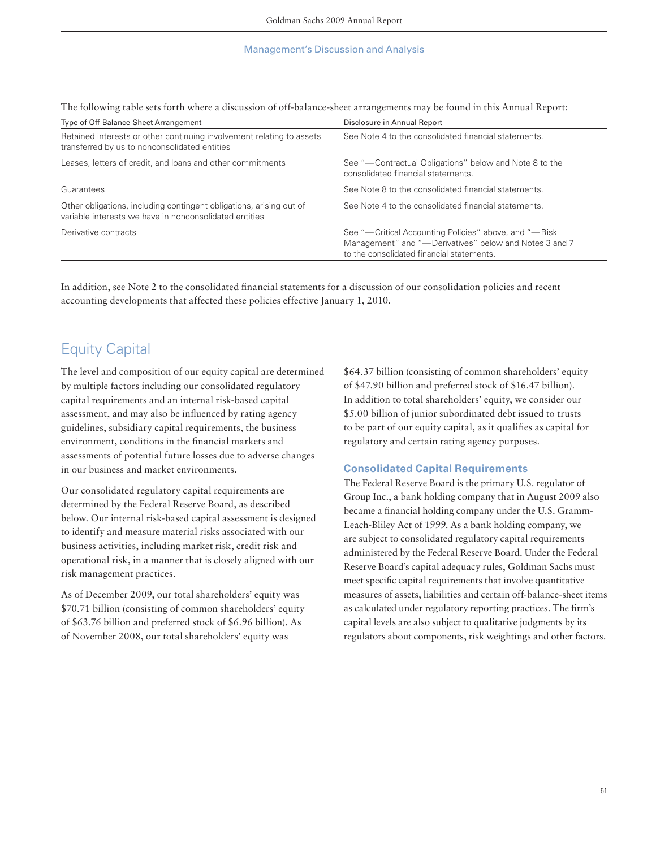The following table sets forth where a discussion of off-balance-sheet arrangements may be found in this Annual Report:

| Type of Off-Balance-Sheet Arrangement                                                                                         | Disclosure in Annual Report                                                                                                                                  |
|-------------------------------------------------------------------------------------------------------------------------------|--------------------------------------------------------------------------------------------------------------------------------------------------------------|
| Retained interests or other continuing involvement relating to assets<br>transferred by us to nonconsolidated entities        | See Note 4 to the consolidated financial statements.                                                                                                         |
| Leases, letters of credit, and loans and other commitments                                                                    | See "-Contractual Obligations" below and Note 8 to the<br>consolidated financial statements.                                                                 |
| Guarantees                                                                                                                    | See Note 8 to the consolidated financial statements.                                                                                                         |
| Other obligations, including contingent obligations, arising out of<br>variable interests we have in nonconsolidated entities | See Note 4 to the consolidated financial statements.                                                                                                         |
| Derivative contracts                                                                                                          | See "—Critical Accounting Policies" above, and "—Risk<br>Management" and "-Derivatives" below and Notes 3 and 7<br>to the consolidated financial statements. |

In addition, see Note 2 to the consolidated financial statements for a discussion of our consolidation policies and recent accounting developments that affected these policies effective January 1, 2010.

# Equity Capital

The level and composition of our equity capital are determined by multiple factors including our consolidated regulatory capital requirements and an internal risk-based capital assessment, and may also be influenced by rating agency guidelines, subsidiary capital requirements, the business environment, conditions in the financial markets and assessments of potential future losses due to adverse changes in our business and market environments.

Our consolidated regulatory capital requirements are determined by the Federal Reserve Board, as described below. Our internal risk-based capital assessment is designed to identify and measure material risks associated with our business activities, including market risk, credit risk and operational risk, in a manner that is closely aligned with our risk management practices.

As of December 2009, our total shareholders' equity was \$70.71 billion (consisting of common shareholders' equity of \$63.76 billion and preferred stock of \$6.96 billion). As of November 2008, our total shareholders' equity was

\$64.37 billion (consisting of common shareholders' equity of \$47.90 billion and preferred stock of \$16.47 billion). In addition to total shareholders' equity, we consider our \$5.00 billion of junior subordinated debt issued to trusts to be part of our equity capital, as it qualifies as capital for regulatory and certain rating agency purposes.

## **Consolidated Capital Requirements**

The Federal Reserve Board is the primary U.S. regulator of Group Inc., a bank holding company that in August 2009 also became a financial holding company under the U.S. Gramm-Leach-Bliley Act of 1999. As a bank holding company, we are subject to consolidated regulatory capital requirements administered by the Federal Reserve Board. Under the Federal Reserve Board's capital adequacy rules, Goldman Sachs must meet specific capital requirements that involve quantitative measures of assets, liabilities and certain off-balance-sheet items as calculated under regulatory reporting practices. The firm's capital levels are also subject to qualitative judgments by its regulators about components, risk weightings and other factors.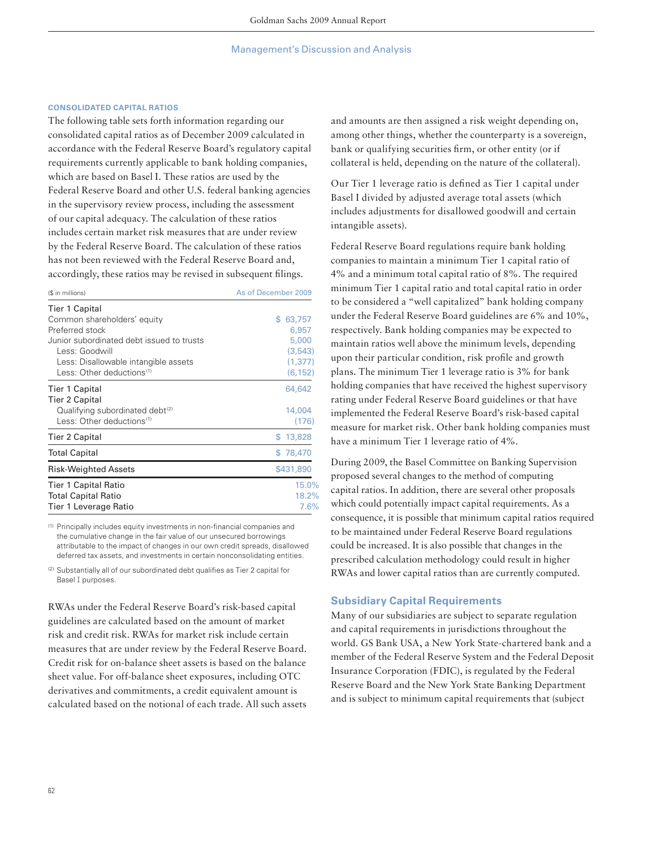## **CONSOLIDATED CAPITAL RATIOS**

The following table sets forth information regarding our consolidated capital ratios as of December 2009 calculated in accordance with the Federal Reserve Board's regulatory capital requirements currently applicable to bank holding companies, which are based on Basel I. These ratios are used by the Federal Reserve Board and other U.S. federal banking agencies in the supervisory review process, including the assessment of our capital adequacy. The calculation of these ratios includes certain market risk measures that are under review by the Federal Reserve Board. The calculation of these ratios has not been reviewed with the Federal Reserve Board and, accordingly, these ratios may be revised in subsequent filings.

| (\$ in millions)                                                     | As of December 2009 |
|----------------------------------------------------------------------|---------------------|
| <b>Tier 1 Capital</b>                                                |                     |
| Common shareholders' equity                                          | 63,757<br>\$        |
| Preferred stock                                                      | 6,957               |
| Junior subordinated debt issued to trusts                            | 5,000               |
| Less: Goodwill                                                       | (3, 543)            |
| Less: Disallowable intangible assets                                 | (1, 377)            |
| Less: Other deductions <sup>(1)</sup>                                | (6, 152)            |
| <b>Tier 1 Capital</b>                                                | 64,642              |
| <b>Tier 2 Capital</b><br>Qualifying subordinated debt <sup>(2)</sup> | 14,004              |
| Less: Other deductions <sup>(1)</sup>                                | (176)               |
| <b>Tier 2 Capital</b>                                                | \$13,828            |
| <b>Total Capital</b>                                                 | \$78,470            |
| Risk-Weighted Assets                                                 | \$431,890           |
| <b>Tier 1 Capital Ratio</b>                                          | 15.0%               |
| <b>Total Capital Ratio</b>                                           | 18.2%               |
| Tier 1 Leverage Ratio                                                | 7.6%                |

(1) Principally includes equity investments in non-fi nancial companies and the cumulative change in the fair value of our unsecured borrowings attributable to the impact of changes in our own credit spreads, disallowed deferred tax assets, and investments in certain nonconsolidating entities.

(2) Substantially all of our subordinated debt qualifies as Tier 2 capital for Basel **I** purposes.

RWAs under the Federal Reserve Board's risk-based capital guidelines are calculated based on the amount of market risk and credit risk. RWAs for market risk include certain measures that are under review by the Federal Reserve Board. Credit risk for on-balance sheet assets is based on the balance sheet value. For off-balance sheet exposures, including OTC derivatives and commitments, a credit equivalent amount is calculated based on the notional of each trade. All such assets and amounts are then assigned a risk weight depending on, among other things, whether the counterparty is a sovereign, bank or qualifying securities firm, or other entity (or if collateral is held, depending on the nature of the collateral).

Our Tier 1 leverage ratio is defined as Tier 1 capital under Basel I divided by adjusted average total assets (which includes adjustments for disallowed goodwill and certain intangible assets).

Federal Reserve Board regulations require bank holding companies to maintain a minimum Tier 1 capital ratio of 4% and a minimum total capital ratio of 8%. The required minimum Tier 1 capital ratio and total capital ratio in order to be considered a "well capitalized" bank holding company under the Federal Reserve Board guidelines are 6% and 10%, respectively. Bank holding companies may be expected to maintain ratios well above the minimum levels, depending upon their particular condition, risk profile and growth plans. The minimum Tier 1 leverage ratio is 3% for bank holding companies that have received the highest supervisory rating under Federal Reserve Board guidelines or that have implemented the Federal Reserve Board's risk-based capital measure for market risk. Other bank holding companies must have a minimum Tier 1 leverage ratio of 4%.

During 2009, the Basel Committee on Banking Supervision proposed several changes to the method of computing capital ratios. In addition, there are several other proposals which could potentially impact capital requirements. As a consequence, it is possible that minimum capital ratios required to be maintained under Federal Reserve Board regulations could be increased. It is also possible that changes in the prescribed calculation methodology could result in higher RWAs and lower capital ratios than are currently computed.

## **Subsidiary Capital Requirements**

Many of our subsidiaries are subject to separate regulation and capital requirements in jurisdictions throughout the world. GS Bank USA, a New York State-chartered bank and a member of the Federal Reserve System and the Federal Deposit Insurance Corporation (FDIC), is regulated by the Federal Reserve Board and the New York State Banking Department and is subject to minimum capital requirements that (subject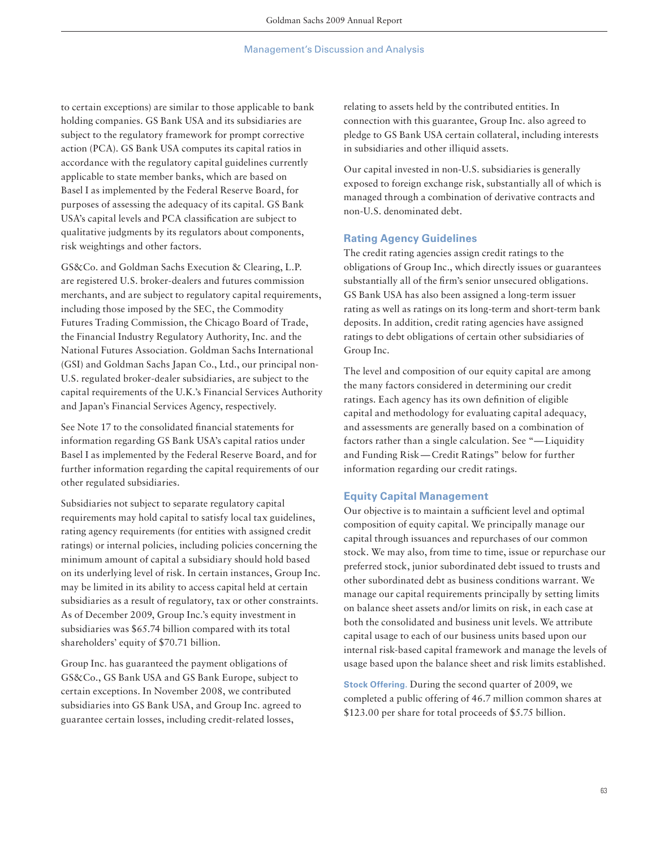to certain exceptions) are similar to those applicable to bank holding companies. GS Bank USA and its subsidiaries are subject to the regulatory framework for prompt corrective action (PCA). GS Bank USA computes its capital ratios in accordance with the regulatory capital guidelines currently applicable to state member banks, which are based on Basel I as implemented by the Federal Reserve Board, for purposes of assessing the adequacy of its capital. GS Bank USA's capital levels and PCA classification are subject to qualitative judgments by its regulators about components, risk weightings and other factors.

GS&Co. and Goldman Sachs Execution & Clearing, L.P. are registered U.S. broker-dealers and futures commission merchants, and are subject to regulatory capital requirements, including those imposed by the SEC, the Commodity Futures Trading Commission, the Chicago Board of Trade, the Financial Industry Regulatory Authority, Inc. and the National Futures Association. Goldman Sachs International (GSI) and Goldman Sachs Japan Co., Ltd., our principal non-U.S. regulated broker-dealer subsidiaries, are subject to the capital requirements of the U.K.'s Financial Services Authority and Japan's Financial Services Agency, respectively.

See Note 17 to the consolidated financial statements for information regarding GS Bank USA's capital ratios under Basel I as implemented by the Federal Reserve Board, and for further information regarding the capital requirements of our other regulated subsidiaries.

Subsidiaries not subject to separate regulatory capital requirements may hold capital to satisfy local tax guidelines, rating agency requirements (for entities with assigned credit ratings) or internal policies, including policies concerning the minimum amount of capital a subsidiary should hold based on its underlying level of risk. In certain instances, Group Inc. may be limited in its ability to access capital held at certain subsidiaries as a result of regulatory, tax or other constraints. As of December 2009, Group Inc.'s equity investment in subsidiaries was \$65.74 billion compared with its total shareholders' equity of \$70.71 billion.

Group Inc. has guaranteed the payment obligations of GS&Co., GS Bank USA and GS Bank Europe, subject to certain exceptions. In November 2008, we contributed subsidiaries into GS Bank USA, and Group Inc. agreed to guarantee certain losses, including credit-related losses,

relating to assets held by the contributed entities. In connection with this guarantee, Group Inc. also agreed to pledge to GS Bank USA certain collateral, including interests in subsidiaries and other illiquid assets.

Our capital invested in non-U.S. subsidiaries is generally exposed to foreign exchange risk, substantially all of which is managed through a combination of derivative contracts and non-U.S. denominated debt.

## **Rating Agency Guidelines**

The credit rating agencies assign credit ratings to the obligations of Group Inc., which directly issues or guarantees substantially all of the firm's senior unsecured obligations. GS Bank USA has also been assigned a long-term issuer rating as well as ratings on its long-term and short-term bank deposits. In addition, credit rating agencies have assigned ratings to debt obligations of certain other subsidiaries of Group Inc.

The level and composition of our equity capital are among the many factors considered in determining our credit ratings. Each agency has its own definition of eligible capital and methodology for evaluating capital adequacy, and assessments are generally based on a combination of factors rather than a single calculation. See "— Liquidity and Funding Risk — Credit Ratings" below for further information regarding our credit ratings.

## **Equity Capital Management**

Our objective is to maintain a sufficient level and optimal composition of equity capital. We principally manage our capital through issuances and repurchases of our common stock. We may also, from time to time, issue or repurchase our preferred stock, junior subordinated debt issued to trusts and other subordinated debt as business conditions warrant. We manage our capital requirements principally by setting limits on balance sheet assets and/or limits on risk, in each case at both the consolidated and business unit levels. We attribute capital usage to each of our business units based upon our internal risk-based capital framework and manage the levels of usage based upon the balance sheet and risk limits established.

**Stock Offering.** During the second quarter of 2009, we completed a public offering of 46.7 million common shares at \$123.00 per share for total proceeds of \$5.75 billion.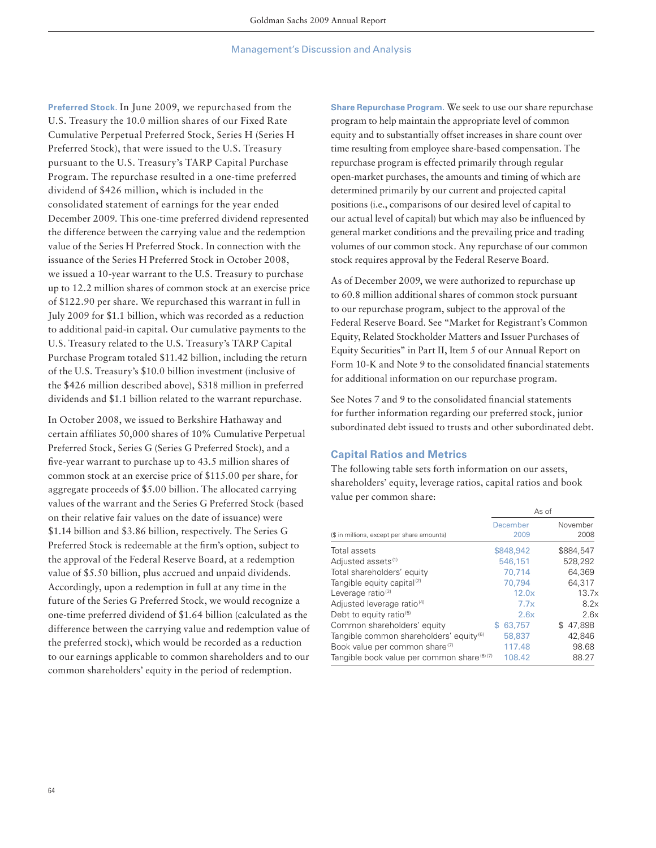**Preferred Stock.** In June 2009, we repurchased from the U.S. Treasury the 10.0 million shares of our Fixed Rate Cumulative Perpetual Preferred Stock, Series H (Series H Preferred Stock), that were issued to the U.S. Treasury pursuant to the U.S. Treasury's TARP Capital Purchase Program. The repurchase resulted in a one-time preferred dividend of \$426 million, which is included in the consolidated statement of earnings for the year ended December 2009. This one-time preferred dividend represented the difference between the carrying value and the redemption value of the Series H Preferred Stock. In connection with the issuance of the Series H Preferred Stock in October 2008, we issued a 10-year warrant to the U.S. Treasury to purchase up to 12.2 million shares of common stock at an exercise price of \$122.90 per share. We repurchased this warrant in full in July 2009 for \$1.1 billion, which was recorded as a reduction to additional paid-in capital. Our cumulative payments to the U.S. Treasury related to the U.S. Treasury's TARP Capital Purchase Program totaled \$11.42 billion, including the return of the U.S. Treasury's \$10.0 billion investment (inclusive of the \$426 million described above), \$318 million in preferred dividends and \$1.1 billion related to the warrant repurchase.

In October 2008, we issued to Berkshire Hathaway and certain affiliates 50,000 shares of 10% Cumulative Perpetual Preferred Stock, Series G (Series G Preferred Stock), and a five-year warrant to purchase up to 43.5 million shares of common stock at an exercise price of \$115.00 per share, for aggregate proceeds of \$5.00 billion. The allocated carrying values of the warrant and the Series G Preferred Stock (based on their relative fair values on the date of issuance) were \$1.14 billion and \$3.86 billion, respectively. The Series G Preferred Stock is redeemable at the firm's option, subject to the approval of the Federal Reserve Board, at a redemption value of \$5.50 billion, plus accrued and unpaid dividends. Accordingly, upon a redemption in full at any time in the future of the Series G Preferred Stock, we would recognize a one-time preferred dividend of \$1.64 billion (calculated as the difference between the carrying value and redemption value of the preferred stock), which would be recorded as a reduction to our earnings applicable to common shareholders and to our common shareholders' equity in the period of redemption.

**Share Repurchase Program.** We seek to use our share repurchase program to help maintain the appropriate level of common equity and to substantially offset increases in share count over time resulting from employee share-based compensation. The repurchase program is effected primarily through regular open-market purchases, the amounts and timing of which are determined primarily by our current and projected capital positions (i.e., comparisons of our desired level of capital to our actual level of capital) but which may also be influenced by general market conditions and the prevailing price and trading volumes of our common stock. Any repurchase of our common stock requires approval by the Federal Reserve Board.

As of December 2009, we were authorized to repurchase up to 60.8 million additional shares of common stock pursuant to our repurchase program, subject to the approval of the Federal Reserve Board. See "Market for Registrant's Common Equity, Related Stockholder Matters and Issuer Purchases of Equity Securities" in Part II, Item 5 of our Annual Report on Form 10-K and Note 9 to the consolidated financial statements for additional information on our repurchase program.

See Notes 7 and 9 to the consolidated financial statements for further information regarding our preferred stock, junior subordinated debt issued to trusts and other subordinated debt.

## **Capital Ratios and Metrics**

The following table sets forth information on our assets, shareholders' equity, leverage ratios, capital ratios and book value per common share:

|                                                     |                  | As of            |
|-----------------------------------------------------|------------------|------------------|
| (\$ in millions, except per share amounts)          | December<br>2009 | November<br>2008 |
| Total assets                                        | \$848,942        | \$884.547        |
| Adjusted assets <sup>(1)</sup>                      | 546,151          | 528,292          |
| Total shareholders' equity                          | 70.714           | 64.369           |
| Tangible equity capital <sup>(2)</sup>              | 70.794           | 64.317           |
| Leverage ratio <sup>(3)</sup>                       | 12.0x            | 13.7x            |
| Adjusted leverage ratio <sup>(4)</sup>              | 7.7x             | 8.2x             |
| Debt to equity ratio <sup>(5)</sup>                 | 2.6x             | 2.6x             |
| Common shareholders' equity                         | 63.757<br>S      | 47.898<br>\$.    |
| Tangible common shareholders' equity <sup>(6)</sup> | 58,837           | 42.846           |
| Book value per common share <sup>(7)</sup>          | 117.48           | 98.68            |
| Tangible book value per common share (6)(7)         | 108.42           | 88.27            |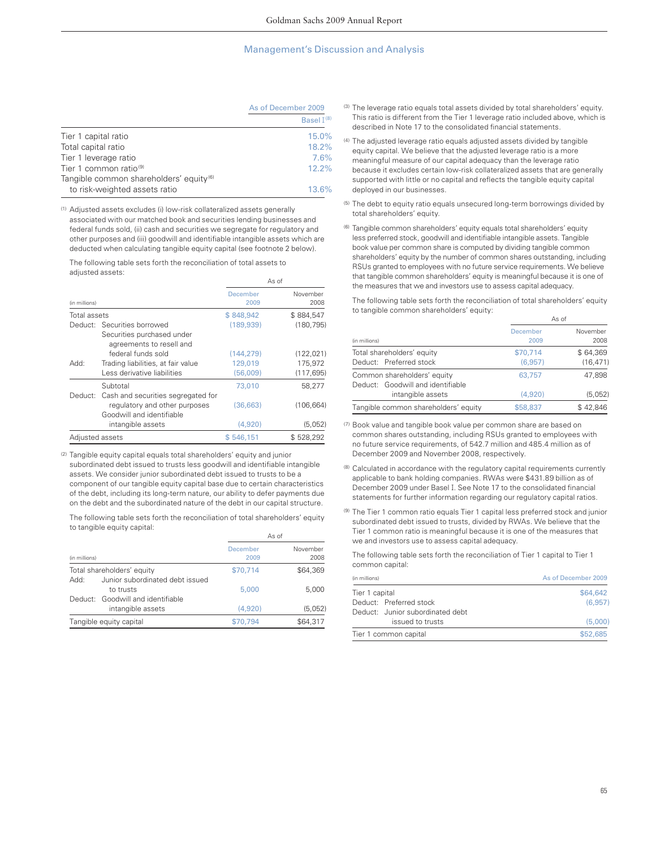|                                                     | As of December 2009 |  |
|-----------------------------------------------------|---------------------|--|
|                                                     | Basel $I^{(8)}$     |  |
| Tier 1 capital ratio                                | 15.0%               |  |
| Total capital ratio                                 | 18.2%               |  |
| Tier 1 leverage ratio                               | 7.6%                |  |
| Tier 1 common ratio <sup>(9)</sup>                  | 12.2%               |  |
| Tangible common shareholders' equity <sup>(6)</sup> |                     |  |
| to risk-weighted assets ratio                       | 13.6%               |  |

(1) Adjusted assets excludes (i) low-risk collateralized assets generally associated with our matched book and securities lending businesses and federal funds sold, (ii) cash and securities we segregate for regulatory and other purposes and (iii) goodwill and identifiable intangible assets which are deducted when calculating tangible equity capital (see footnote 2 below).

The following table sets forth the reconciliation of total assets to adjusted assets:

|                 |                                                                                                          | As of            |                  |
|-----------------|----------------------------------------------------------------------------------------------------------|------------------|------------------|
| (in millions)   |                                                                                                          | December<br>2009 | November<br>2008 |
| Total assets    |                                                                                                          | \$848,942        | \$884,547        |
|                 | Deduct: Securities borrowed                                                                              | (189.939)        | (180, 795)       |
|                 | Securities purchased under                                                                               |                  |                  |
|                 | agreements to resell and                                                                                 |                  |                  |
|                 | federal funds sold                                                                                       | (144.279)        | (122, 021)       |
| :Add            | Trading liabilities, at fair value                                                                       | 129,019          | 175,972          |
|                 | Less derivative liabilities                                                                              | (56.009)         | (117, 695)       |
|                 | Subtotal                                                                                                 | 73,010           | 58.277           |
|                 | Deduct: Cash and securities segregated for<br>regulatory and other purposes<br>Goodwill and identifiable | (36,663)         | (106, 664)       |
|                 | intangible assets                                                                                        | (4.920)          | (5,052)          |
| Adjusted assets |                                                                                                          | \$546,151        | \$528,292        |

(2) Tangible equity capital equals total shareholders' equity and junior subordinated debt issued to trusts less goodwill and identifiable intangible assets. We consider junior subordinated debt issued to trusts to be a component of our tangible equity capital base due to certain characteristics of the debt, including its long-term nature, our ability to defer payments due on the debt and the subordinated nature of the debt in our capital structure.

The following table sets forth the reconciliation of total shareholders' equity to tangible equity capital:

|               |                                   | As of            |                  |
|---------------|-----------------------------------|------------------|------------------|
| (in millions) |                                   | December<br>2009 | November<br>2008 |
|               | Total shareholders' equity        | \$70,714         | \$64,369         |
| :Add          | Junior subordinated debt issued   |                  |                  |
|               | to trusts                         | 5,000            | 5.000            |
|               | Deduct: Goodwill and identifiable |                  |                  |
|               | intangible assets                 | (4.920)          | (5,052)          |
|               | Tangible equity capital           | \$70,794         | \$64,317         |

- (3) The leverage ratio equals total assets divided by total shareholders' equity. This ratio is different from the Tier 1 leverage ratio included above, which is described in Note 17 to the consolidated financial statements.
- (4) The adjusted leverage ratio equals adjusted assets divided by tangible equity capital. We believe that the adjusted leverage ratio is a more meaningful measure of our capital adequacy than the leverage ratio because it excludes certain low-risk collateralized assets that are generally supported with little or no capital and reflects the tangible equity capital deployed in our businesses.
- (5) The debt to equity ratio equals unsecured long-term borrowings divided by total shareholders' equity.
- (6) Tangible common shareholders' equity equals total shareholders' equity less preferred stock, goodwill and identifiable intangible assets. Tangible book value per common share is computed by dividing tangible common shareholders' equity by the number of common shares outstanding, including RSUs granted to employees with no future service requirements. We believe that tangible common shareholders' equity is meaningful because it is one of the measures that we and investors use to assess capital adequacy.

The following table sets forth the reconciliation of total shareholders' equity to tangible common shareholders' equity:

|                                                        | As of            |                  |
|--------------------------------------------------------|------------------|------------------|
| (in millions)                                          | December<br>2009 | November<br>2008 |
| Total shareholders' equity                             | \$70,714         | \$64,369         |
| Deduct: Preferred stock                                | (6.957)          | (16, 471)        |
| Common shareholders' equity                            | 63.757           | 47.898           |
| Deduct: Goodwill and identifiable<br>intangible assets | (4.920)          | (5,052)          |
| Tangible common shareholders' equity                   | \$58,837         | \$42,846         |

- (7) Book value and tangible book value per common share are based on common shares outstanding, including RSUs granted to employees with no future service requirements, of 542.7 million and 485.4 million as of December 2009 and November 2008, respectively.
- (8) Calculated in accordance with the regulatory capital requirements currently applicable to bank holding companies. RWAs were \$431.89 billion as of December 2009 under Basel I. See Note 17 to the consolidated financial statements for further information regarding our regulatory capital ratios.
- (9) The Tier 1 common ratio equals Tier 1 capital less preferred stock and junior subordinated debt issued to trusts, divided by RWAs. We believe that the Tier 1 common ratio is meaningful because it is one of the measures that we and investors use to assess capital adequacy.

The following table sets forth the reconciliation of Tier 1 capital to Tier 1 common capital:

| (in millions)  |                                  | As of December 2009 |
|----------------|----------------------------------|---------------------|
| Tier 1 capital |                                  | \$64,642            |
|                | Deduct: Preferred stock          | (6.957)             |
|                | Deduct: Junior subordinated debt |                     |
|                | issued to trusts                 | (5.000)             |
|                | Tier 1 common capital            | \$52,685            |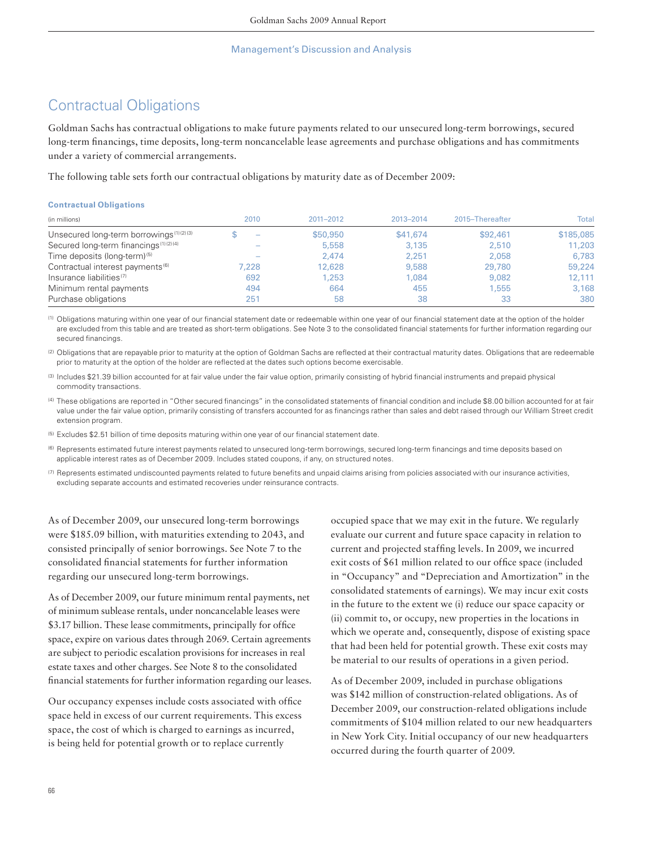# Contractual Obligations

Goldman Sachs has contractual obligations to make future payments related to our unsecured long-term borrowings, secured long-term financings, time deposits, long-term noncancelable lease agreements and purchase obligations and has commitments under a variety of commercial arrangements.

The following table sets forth our contractual obligations by maturity date as of December 2009:

## **Contractual Obligations**

| (in millions)                                       | 2010  | 2011-2012 | 2013-2014 | 2015-Thereafter | Total     |
|-----------------------------------------------------|-------|-----------|-----------|-----------------|-----------|
| Unsecured long-term borrowings <sup>(1)(2)(3)</sup> | -     | \$50,950  | \$41,674  | \$92,461        | \$185,085 |
| Secured long-term financings <sup>(1)(2)(4)</sup>   |       | 5,558     | 3.135     | 2.510           | 11,203    |
| Time deposits (long-term) <sup>(5)</sup>            |       | 2.474     | 2.251     | 2.058           | 6,783     |
| Contractual interest payments <sup>(6)</sup>        | 7.228 | 12,628    | 9.588     | 29,780          | 59,224    |
| Insurance liabilities <sup>(7)</sup>                | 692   | 1.253     | 1.084     | 9.082           | 12.111    |
| Minimum rental payments                             | 494   | 664       | 455       | 1,555           | 3,168     |
| Purchase obligations                                | 251   | 58        | 38        | 33              | 380       |

(1) Obligations maturing within one year of our financial statement date or redeemable within one year of our financial statement date at the option of the holder are excluded from this table and are treated as short-term obligations. See Note 3 to the consolidated financial statements for further information regarding our secured financings.

(2) Obligations that are repayable prior to maturity at the option of Goldman Sachs are reflected at their contractual maturity dates. Obligations that are redeemable prior to maturity at the option of the holder are reflected at the dates such options become exercisable.

(3) Includes \$21.39 billion accounted for at fair value under the fair value option, primarily consisting of hybrid financial instruments and prepaid physical commodity transactions.

(4) These obligations are reported in "Other secured financings" in the consolidated statements of financial condition and include \$8.00 billion accounted for at fair value under the fair value option, primarily consisting of transfers accounted for as financings rather than sales and debt raised through our William Street credit extension program.

(5) Excludes \$2.51 billion of time deposits maturing within one year of our financial statement date.

(6) Represents estimated future interest payments related to unsecured long-term borrowings, secured long-term financings and time deposits based on applicable interest rates as of December 2009. Includes stated coupons, if any, on structured notes.

 $\sigma$  Represents estimated undiscounted payments related to future benefits and unpaid claims arising from policies associated with our insurance activities, excluding separate accounts and estimated recoveries under reinsurance contracts.

As of December 2009, our unsecured long-term borrowings were \$185.09 billion, with maturities extending to 2043, and consisted principally of senior borrowings. See Note 7 to the consolidated financial statements for further information regarding our unsecured long-term borrowings.

As of December 2009, our future minimum rental payments, net of minimum sublease rentals, under noncancelable leases were \$3.17 billion. These lease commitments, principally for office space, expire on various dates through 2069. Certain agreements are subject to periodic escalation provisions for increases in real estate taxes and other charges. See Note 8 to the consolidated financial statements for further information regarding our leases.

Our occupancy expenses include costs associated with office space held in excess of our current requirements. This excess space, the cost of which is charged to earnings as incurred, is being held for potential growth or to replace currently

occupied space that we may exit in the future. We regularly evaluate our current and future space capacity in relation to current and projected staffing levels. In 2009, we incurred exit costs of \$61 million related to our office space (included in "Occupancy" and "Depreciation and Amortization" in the consolidated statements of earnings). We may incur exit costs in the future to the extent we (i) reduce our space capacity or (ii) commit to, or occupy, new properties in the locations in which we operate and, consequently, dispose of existing space that had been held for potential growth. These exit costs may be material to our results of operations in a given period.

As of December 2009, included in purchase obligations was \$142 million of construction-related obligations. As of December 2009, our construction-related obligations include commitments of \$104 million related to our new headquarters in New York City. Initial occupancy of our new headquarters occurred during the fourth quarter of 2009.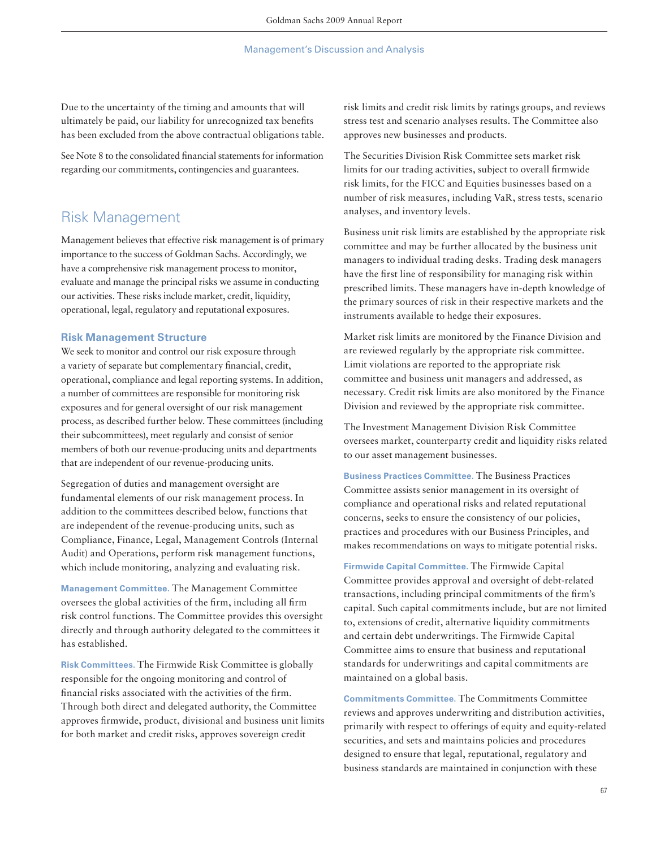Due to the uncertainty of the timing and amounts that will ultimately be paid, our liability for unrecognized tax benefits has been excluded from the above contractual obligations table.

See Note 8 to the consolidated financial statements for information regarding our commitments, contingencies and guarantees.

# Risk Management

Management believes that effective risk management is of primary importance to the success of Goldman Sachs. Accordingly, we have a comprehensive risk management process to monitor, evaluate and manage the principal risks we assume in conducting our activities. These risks include market, credit, liquidity, operational, legal, regulatory and reputational exposures.

## **Risk Management Structure**

We seek to monitor and control our risk exposure through a variety of separate but complementary financial, credit, operational, compliance and legal reporting systems. In addition, a number of committees are responsible for monitoring risk exposures and for general oversight of our risk management process, as described further below. These committees (including their subcommittees), meet regularly and consist of senior members of both our revenue-producing units and departments that are independent of our revenue-producing units.

Segregation of duties and management oversight are fundamental elements of our risk management process. In addition to the committees described below, functions that are independent of the revenue-producing units, such as Compliance, Finance, Legal, Management Controls (Internal Audit) and Operations, perform risk management functions, which include monitoring, analyzing and evaluating risk.

**Management Committee.** The Management Committee oversees the global activities of the firm, including all firm risk control functions. The Committee provides this oversight directly and through authority delegated to the committees it has established.

**Risk Committees.** The Firmwide Risk Committee is globally responsible for the ongoing monitoring and control of financial risks associated with the activities of the firm. Through both direct and delegated authority, the Committee approves firmwide, product, divisional and business unit limits for both market and credit risks, approves sovereign credit

risk limits and credit risk limits by ratings groups, and reviews stress test and scenario analyses results. The Committee also approves new businesses and products.

The Securities Division Risk Committee sets market risk limits for our trading activities, subject to overall firmwide risk limits, for the FICC and Equities businesses based on a number of risk measures, including VaR, stress tests, scenario analyses, and inventory levels.

Business unit risk limits are established by the appropriate risk committee and may be further allocated by the business unit managers to individual trading desks. Trading desk managers have the first line of responsibility for managing risk within prescribed limits. These managers have in-depth knowledge of the primary sources of risk in their respective markets and the instruments available to hedge their exposures.

Market risk limits are monitored by the Finance Division and are reviewed regularly by the appropriate risk committee. Limit violations are reported to the appropriate risk committee and business unit managers and addressed, as necessary. Credit risk limits are also monitored by the Finance Division and reviewed by the appropriate risk committee.

The Investment Management Division Risk Committee oversees market, counterparty credit and liquidity risks related to our asset management businesses.

**Business Practices Committee.** The Business Practices Committee assists senior management in its oversight of compliance and operational risks and related reputational concerns, seeks to ensure the consistency of our policies, practices and procedures with our Business Principles, and makes recommendations on ways to mitigate potential risks.

**Firmwide Capital Committee.** The Firmwide Capital Committee provides approval and oversight of debt-related transactions, including principal commitments of the firm's capital. Such capital commitments include, but are not limited to, extensions of credit, alternative liquidity commitments and certain debt underwritings. The Firmwide Capital Committee aims to ensure that business and reputational standards for underwritings and capital commitments are maintained on a global basis.

**Commitments Committee.** The Commitments Committee reviews and approves underwriting and distribution activities, primarily with respect to offerings of equity and equity-related securities, and sets and maintains policies and procedures designed to ensure that legal, reputational, regulatory and business standards are maintained in conjunction with these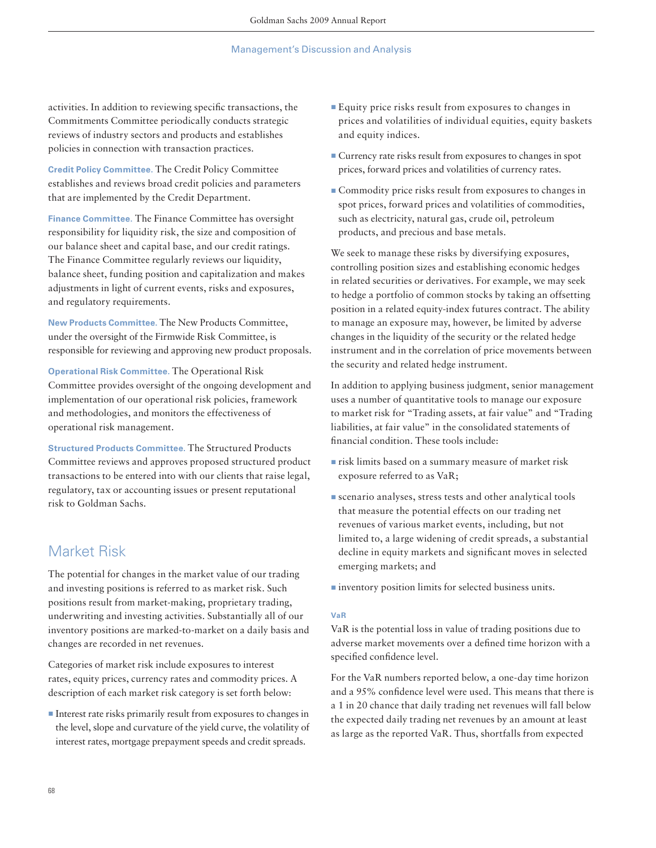activities. In addition to reviewing specific transactions, the Commitments Committee periodically conducts strategic reviews of industry sectors and products and establishes policies in connection with transaction practices.

**Credit Policy Committee.** The Credit Policy Committee establishes and reviews broad credit policies and parameters that are implemented by the Credit Department.

**Finance Committee.** The Finance Committee has oversight responsibility for liquidity risk, the size and composition of our balance sheet and capital base, and our credit ratings. The Finance Committee regularly reviews our liquidity, balance sheet, funding position and capitalization and makes adjustments in light of current events, risks and exposures, and regulatory requirements.

**New Products Committee.** The New Products Committee, under the oversight of the Firmwide Risk Committee, is responsible for reviewing and approving new product proposals.

**Operational Risk Committee.** The Operational Risk Committee provides oversight of the ongoing development and implementation of our operational risk policies, framework and methodologies, and monitors the effectiveness of operational risk management.

**Structured Products Committee.** The Structured Products Committee reviews and approves proposed structured product transactions to be entered into with our clients that raise legal, regulatory, tax or accounting issues or present reputational risk to Goldman Sachs.

# Market Risk

The potential for changes in the market value of our trading and investing positions is referred to as market risk. Such positions result from market-making, proprietary trading, underwriting and investing activities. Substantially all of our inventory positions are marked-to-market on a daily basis and changes are recorded in net revenues.

Categories of market risk include exposures to interest rates, equity prices, currency rates and commodity prices. A description of each market risk category is set forth below:

■ Interest rate risks primarily result from exposures to changes in the level, slope and curvature of the yield curve, the volatility of interest rates, mortgage prepayment speeds and credit spreads.

- ▪Equity price risks result from exposures to changes in prices and volatilities of individual equities, equity baskets and equity indices.
- **Example 2** Currency rate risks result from exposures to changes in spot prices, forward prices and volatilities of currency rates.
- **Commodity price risks result from exposures to changes in** spot prices, forward prices and volatilities of commodities, such as electricity, natural gas, crude oil, petroleum products, and precious and base metals.

We seek to manage these risks by diversifying exposures, controlling position sizes and establishing economic hedges in related securities or derivatives. For example, we may seek to hedge a portfolio of common stocks by taking an offsetting position in a related equity-index futures contract. The ability to manage an exposure may, however, be limited by adverse changes in the liquidity of the security or the related hedge instrument and in the correlation of price movements between the security and related hedge instrument.

In addition to applying business judgment, senior management uses a number of quantitative tools to manage our exposure to market risk for "Trading assets, at fair value" and "Trading liabilities, at fair value" in the consolidated statements of financial condition. These tools include:

- $\blacksquare$  risk limits based on a summary measure of market risk exposure referred to as VaR;
- **Example 3 EXECUTE:** Scenario analytical tools that measure the potential effects on our trading net revenues of various market events, including, but not limited to, a large widening of credit spreads, a substantial decline in equity markets and significant moves in selected emerging markets; and
- **<u>■**inventory</u> position limits for selected business units.

#### **VaR**

VaR is the potential loss in value of trading positions due to adverse market movements over a defined time horizon with a specified confidence level.

For the VaR numbers reported below, a one-day time horizon and a 95% confidence level were used. This means that there is a 1 in 20 chance that daily trading net revenues will fall below the expected daily trading net revenues by an amount at least as large as the reported VaR. Thus, shortfalls from expected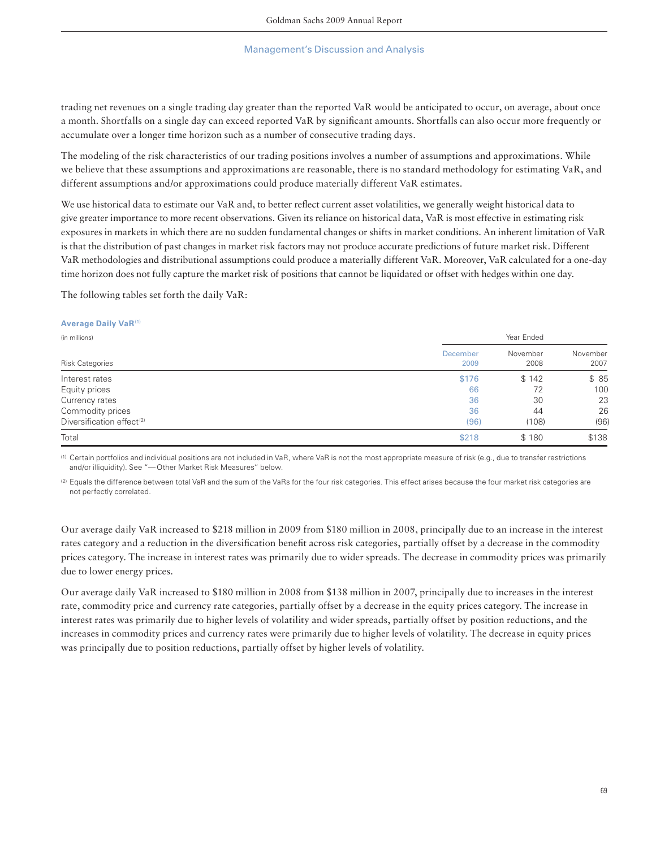trading net revenues on a single trading day greater than the reported VaR would be anticipated to occur, on average, about once a month. Shortfalls on a single day can exceed reported VaR by significant amounts. Shortfalls can also occur more frequently or accumulate over a longer time horizon such as a number of consecutive trading days.

The modeling of the risk characteristics of our trading positions involves a number of assumptions and approximations. While we believe that these assumptions and approximations are reasonable, there is no standard methodology for estimating VaR, and different assumptions and/or approximations could produce materially different VaR estimates.

We use historical data to estimate our VaR and, to better reflect current asset volatilities, we generally weight historical data to give greater importance to more recent observations. Given its reliance on historical data, VaR is most effective in estimating risk exposures in markets in which there are no sudden fundamental changes or shifts in market conditions. An inherent limitation of VaR is that the distribution of past changes in market risk factors may not produce accurate predictions of future market risk. Different VaR methodologies and distributional assumptions could produce a materially different VaR. Moreover, VaR calculated for a one-day time horizon does not fully capture the market risk of positions that cannot be liquidated or offset with hedges within one day.

The following tables set forth the daily VaR:

#### **Average Daily VaR**(1)

| (in millions)                         | Year Ended              |                  |                  |  |  |
|---------------------------------------|-------------------------|------------------|------------------|--|--|
| <b>Risk Categories</b>                | <b>December</b><br>2009 | November<br>2008 | November<br>2007 |  |  |
| Interest rates                        | \$176                   | \$142            | \$85             |  |  |
| Equity prices                         | 66                      | 72               | 100              |  |  |
| Currency rates                        | 36                      | 30               | 23               |  |  |
| Commodity prices                      | 36                      | 44               | 26               |  |  |
| Diversification effect <sup>(2)</sup> | (96)                    | (108)            | (96)             |  |  |
| Total                                 | \$218                   | \$180            | \$138            |  |  |

(1) Certain portfolios and individual positions are not included in VaR, where VaR is not the most appropriate measure of risk (e.g., due to transfer restrictions and/or illiquidity). See "— Other Market Risk Measures" below.

(2) Equals the difference between total VaR and the sum of the VaRs for the four risk categories. This effect arises because the four market risk categories are not perfectly correlated.

Our average daily VaR increased to \$218 million in 2009 from \$180 million in 2008, principally due to an increase in the interest rates category and a reduction in the diversification benefit across risk categories, partially offset by a decrease in the commodity prices category. The increase in interest rates was primarily due to wider spreads. The decrease in commodity prices was primarily due to lower energy prices.

Our average daily VaR increased to \$180 million in 2008 from \$138 million in 2007, principally due to increases in the interest rate, commodity price and currency rate categories, partially offset by a decrease in the equity prices category. The increase in interest rates was primarily due to higher levels of volatility and wider spreads, partially offset by position reductions, and the increases in commodity prices and currency rates were primarily due to higher levels of volatility. The decrease in equity prices was principally due to position reductions, partially offset by higher levels of volatility.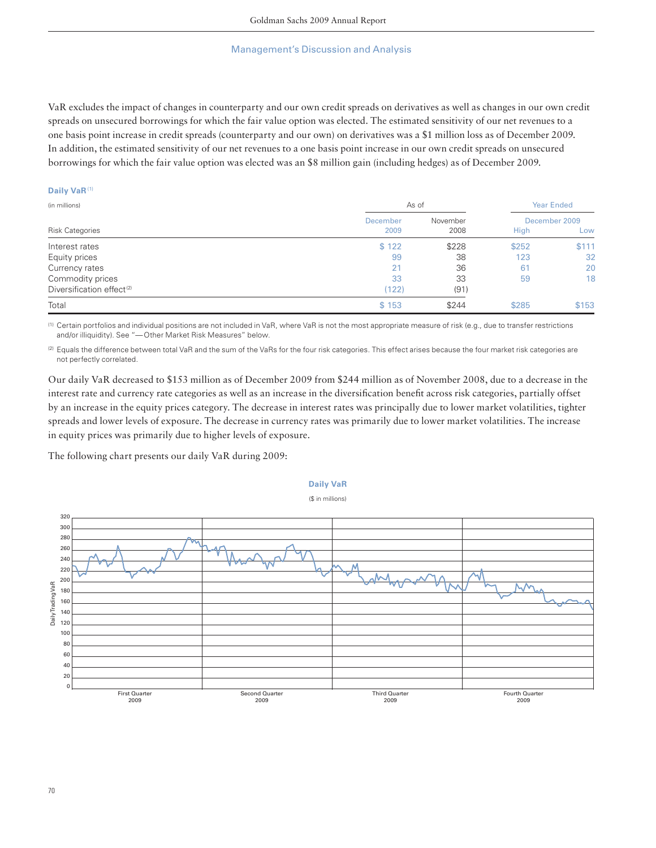VaR excludes the impact of changes in counterparty and our own credit spreads on derivatives as well as changes in our own credit spreads on unsecured borrowings for which the fair value option was elected. The estimated sensitivity of our net revenues to a one basis point increase in credit spreads (counterparty and our own) on derivatives was a \$1 million loss as of December 2009. In addition, the estimated sensitivity of our net revenues to a one basis point increase in our own credit spreads on unsecured borrowings for which the fair value option was elected was an \$8 million gain (including hedges) as of December 2009.

#### **Daily VaR** (1)

| (in millions)                         |                 | As of    |               |       |
|---------------------------------------|-----------------|----------|---------------|-------|
| <b>Risk Categories</b>                | <b>December</b> | November | December 2009 |       |
|                                       | 2009            | 2008     | High          | Low   |
| Interest rates                        | \$122           | \$228    | \$252         | \$111 |
| Equity prices                         | 99              | 38       | 123           | 32    |
| Currency rates                        | 21              | 36       | 61            | 20    |
| Commodity prices                      | 33              | 33       | 59            | 18    |
| Diversification effect <sup>(2)</sup> | (122)           | (91)     |               |       |
| Total                                 | \$153           | \$244    | \$285         | \$153 |

(1) Certain portfolios and individual positions are not included in VaR, where VaR is not the most appropriate measure of risk (e.g., due to transfer restrictions and/or illiquidity). See "— Other Market Risk Measures" below.

(2) Equals the difference between total VaR and the sum of the VaRs for the four risk categories. This effect arises because the four market risk categories are not perfectly correlated.

Our daily VaR decreased to \$153 million as of December 2009 from \$244 million as of November 2008, due to a decrease in the interest rate and currency rate categories as well as an increase in the diversification benefit across risk categories, partially offset by an increase in the equity prices category. The decrease in interest rates was principally due to lower market volatilities, tighter spreads and lower levels of exposure. The decrease in currency rates was primarily due to lower market volatilities. The increase in equity prices was primarily due to higher levels of exposure.

The following chart presents our daily VaR during 2009:

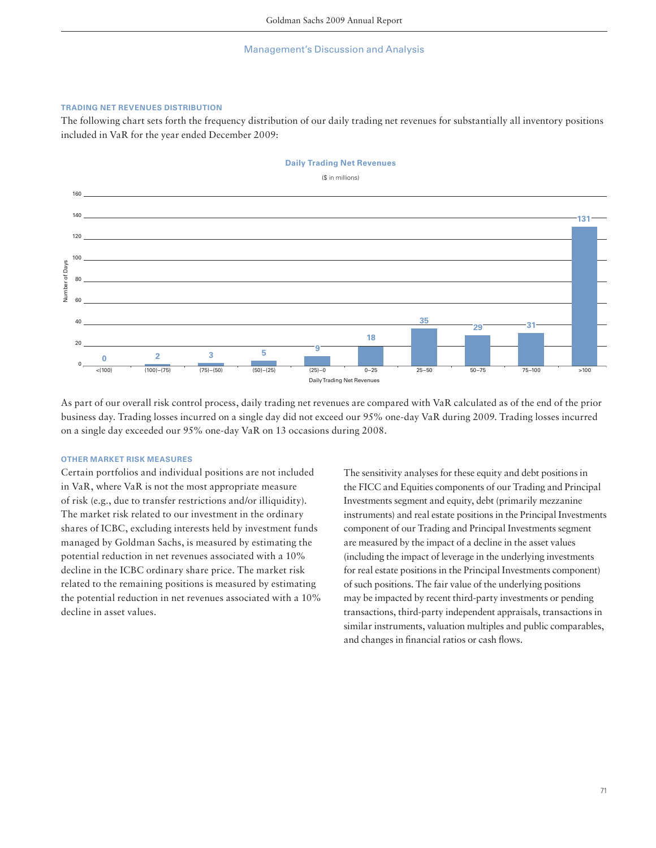### **TRADING NET REVENUES DISTRIBUTION**

The following chart sets forth the frequency distribution of our daily trading net revenues for substantially all inventory positions included in VaR for the year ended December 2009:



As part of our overall risk control process, daily trading net revenues are compared with VaR calculated as of the end of the prior business day. Trading losses incurred on a single day did not exceed our 95% one-day VaR during 2009. Trading losses incurred on a single day exceeded our 95% one-day VaR on 13 occasions during 2008.

## **OTHER MARKET RISK MEASURES**

Certain portfolios and individual positions are not included in VaR, where VaR is not the most appropriate measure of risk (e.g., due to transfer restrictions and/or illiquidity). The market risk related to our investment in the ordinary shares of ICBC, excluding interests held by investment funds managed by Goldman Sachs, is measured by estimating the potential reduction in net revenues associated with a 10% decline in the ICBC ordinary share price. The market risk related to the remaining positions is measured by estimating the potential reduction in net revenues associated with a 10% decline in asset values.

The sensitivity analyses for these equity and debt positions in the FICC and Equities components of our Trading and Principal Investments segment and equity, debt (primarily mezzanine instruments) and real estate positions in the Principal Investments component of our Trading and Principal Investments segment are measured by the impact of a decline in the asset values (including the impact of leverage in the underlying investments for real estate positions in the Principal Investments component) of such positions. The fair value of the underlying positions may be impacted by recent third-party investments or pending transactions, third-party independent appraisals, transactions in similar instruments, valuation multiples and public comparables, and changes in financial ratios or cash flows.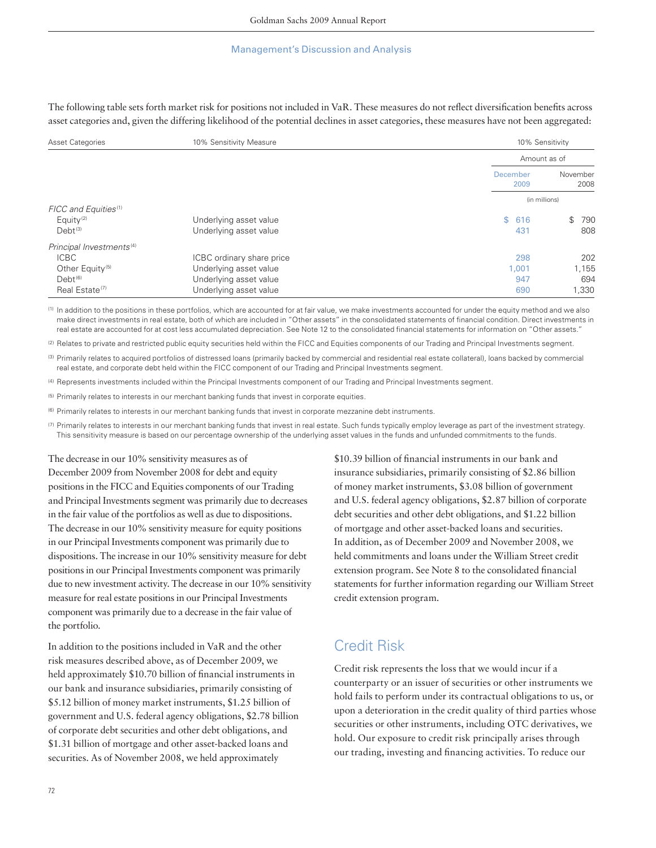The following table sets forth market risk for positions not included in VaR. These measures do not reflect diversification benefits across asset categories and, given the differing likelihood of the potential declines in asset categories, these measures have not been aggregated:

| <b>Asset Categories</b>              | 10% Sensitivity Measure   |                  | 10% Sensitivity  |  |  |
|--------------------------------------|---------------------------|------------------|------------------|--|--|
|                                      |                           | Amount as of     |                  |  |  |
|                                      |                           | December<br>2009 | November<br>2008 |  |  |
|                                      |                           | (in millions)    |                  |  |  |
| FICC and Equities <sup>(1)</sup>     |                           |                  |                  |  |  |
| Equity <sup>(2)</sup>                | Underlying asset value    | S.<br>616        | \$<br>790        |  |  |
| $Debt^{(3)}$                         | Underlying asset value    | 431              | 808              |  |  |
| Principal Investments <sup>(4)</sup> |                           |                  |                  |  |  |
| <b>ICBC</b>                          | ICBC ordinary share price | 298              | 202              |  |  |
| Other Equity <sup>(5)</sup>          | Underlying asset value    | 1,001            | 1,155            |  |  |
| $Debt^{(6)}$                         | Underlying asset value    | 947              | 694              |  |  |
| Real Estate <sup>(7)</sup>           | Underlying asset value    | 690              | 1,330            |  |  |

(1) In addition to the positions in these portfolios, which are accounted for at fair value, we make investments accounted for under the equity method and we also make direct investments in real estate, both of which are included in "Other assets" in the consolidated statements of financial condition. Direct investments in real estate are accounted for at cost less accumulated depreciation. See Note 12 to the consolidated financial statements for information on "Other assets."

<sup>(2)</sup> Relates to private and restricted public equity securities held within the FICC and Equities components of our Trading and Principal Investments segment.

(3) Primarily relates to acquired portfolios of distressed loans (primarily backed by commercial and residential real estate collateral), loans backed by commercial real estate, and corporate debt held within the FICC component of our Trading and Principal Investments segment.

(4) Represents investments included within the Principal Investments component of our Trading and Principal Investments segment.

(5) Primarily relates to interests in our merchant banking funds that invest in corporate equities.

(6) Primarily relates to interests in our merchant banking funds that invest in corporate mezzanine debt instruments.

(7) Primarily relates to interests in our merchant banking funds that invest in real estate. Such funds typically employ leverage as part of the investment strategy. This sensitivity measure is based on our percentage ownership of the underlying asset values in the funds and unfunded commitments to the funds.

The decrease in our 10% sensitivity measures as of

December 2009 from November 2008 for debt and equity positions in the FICC and Equities components of our Trading and Principal Investments segment was primarily due to decreases in the fair value of the portfolios as well as due to dispositions. The decrease in our 10% sensitivity measure for equity positions in our Principal Investments component was primarily due to dispositions. The increase in our 10% sensitivity measure for debt positions in our Principal Investments component was primarily due to new investment activity. The decrease in our 10% sensitivity measure for real estate positions in our Principal Investments component was primarily due to a decrease in the fair value of the portfolio.

In addition to the positions included in VaR and the other risk measures described above, as of December 2009, we held approximately \$10.70 billion of financial instruments in our bank and insurance subsidiaries, primarily consisting of \$5.12 billion of money market instruments, \$1.25 billion of government and U.S. federal agency obligations, \$2.78 billion of corporate debt securities and other debt obligations, and \$1.31 billion of mortgage and other asset-backed loans and securities. As of November 2008, we held approximately

\$10.39 billion of financial instruments in our bank and insurance subsidiaries, primarily consisting of \$2.86 billion of money market instruments, \$3.08 billion of government and U.S. federal agency obligations, \$2.87 billion of corporate debt securities and other debt obligations, and \$1.22 billion of mortgage and other asset-backed loans and securities. In addition, as of December 2009 and November 2008, we held commitments and loans under the William Street credit extension program. See Note 8 to the consolidated financial statements for further information regarding our William Street credit extension program.

# Credit Risk

Credit risk represents the loss that we would incur if a counterparty or an issuer of securities or other instruments we hold fails to perform under its contractual obligations to us, or upon a deterioration in the credit quality of third parties whose securities or other instruments, including OTC derivatives, we hold. Our exposure to credit risk principally arises through our trading, investing and financing activities. To reduce our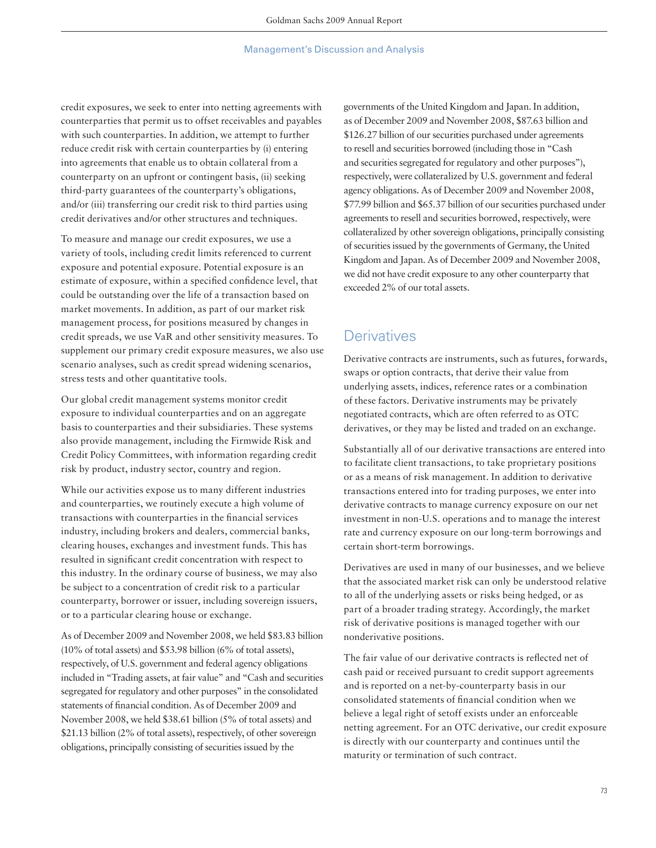credit exposures, we seek to enter into netting agreements with counterparties that permit us to offset receivables and payables with such counterparties. In addition, we attempt to further reduce credit risk with certain counterparties by (i) entering into agreements that enable us to obtain collateral from a counterparty on an upfront or contingent basis, (ii) seeking third-party guarantees of the counterparty's obligations, and/or (iii) transferring our credit risk to third parties using credit derivatives and/or other structures and techniques.

To measure and manage our credit exposures, we use a variety of tools, including credit limits referenced to current exposure and potential exposure. Potential exposure is an estimate of exposure, within a specified confidence level, that could be outstanding over the life of a transaction based on market movements. In addition, as part of our market risk management process, for positions measured by changes in credit spreads, we use VaR and other sensitivity measures. To supplement our primary credit exposure measures, we also use scenario analyses, such as credit spread widening scenarios, stress tests and other quantitative tools.

Our global credit management systems monitor credit exposure to individual counterparties and on an aggregate basis to counterparties and their subsidiaries. These systems also provide management, including the Firmwide Risk and Credit Policy Committees, with information regarding credit risk by product, industry sector, country and region.

While our activities expose us to many different industries and counterparties, we routinely execute a high volume of transactions with counterparties in the financial services industry, including brokers and dealers, commercial banks, clearing houses, exchanges and investment funds. This has resulted in significant credit concentration with respect to this industry. In the ordinary course of business, we may also be subject to a concentration of credit risk to a particular counterparty, borrower or issuer, including sovereign issuers, or to a particular clearing house or exchange.

As of December 2009 and November 2008, we held \$83.83 billion (10% of total assets) and \$53.98 billion (6% of total assets), respectively, of U.S. government and federal agency obligations included in "Trading assets, at fair value" and "Cash and securities segregated for regulatory and other purposes" in the consolidated statements of financial condition. As of December 2009 and November 2008, we held \$38.61 billion (5% of total assets) and \$21.13 billion (2% of total assets), respectively, of other sovereign obligations, principally consisting of securities issued by the

governments of the United Kingdom and Japan. In addition, as of December 2009 and November 2008, \$87.63 billion and \$126.27 billion of our securities purchased under agreements to resell and securities borrowed (including those in "Cash and securities segregated for regulatory and other purposes"), respectively, were collateralized by U.S. government and federal agency obligations. As of December 2009 and November 2008, \$77.99 billion and \$65.37 billion of our securities purchased under agreements to resell and securities borrowed, respectively, were collateralized by other sovereign obligations, principally consisting of securities issued by the governments of Germany, the United Kingdom and Japan. As of December 2009 and November 2008, we did not have credit exposure to any other counterparty that exceeded 2% of our total assets.

# **Derivatives**

Derivative contracts are instruments, such as futures, forwards, swaps or option contracts, that derive their value from underlying assets, indices, reference rates or a combination of these factors. Derivative instruments may be privately negotiated contracts, which are often referred to as OTC derivatives, or they may be listed and traded on an exchange.

Substantially all of our derivative transactions are entered into to facilitate client transactions, to take proprietary positions or as a means of risk management. In addition to derivative transactions entered into for trading purposes, we enter into derivative contracts to manage currency exposure on our net investment in non-U.S. operations and to manage the interest rate and currency exposure on our long-term borrowings and certain short-term borrowings.

Derivatives are used in many of our businesses, and we believe that the associated market risk can only be understood relative to all of the underlying assets or risks being hedged, or as part of a broader trading strategy. Accordingly, the market risk of derivative positions is managed together with our nonderivative positions.

The fair value of our derivative contracts is reflected net of cash paid or received pursuant to credit support agreements and is reported on a net-by-counterparty basis in our consolidated statements of financial condition when we believe a legal right of setoff exists under an enforceable netting agreement. For an OTC derivative, our credit exposure is directly with our counterparty and continues until the maturity or termination of such contract.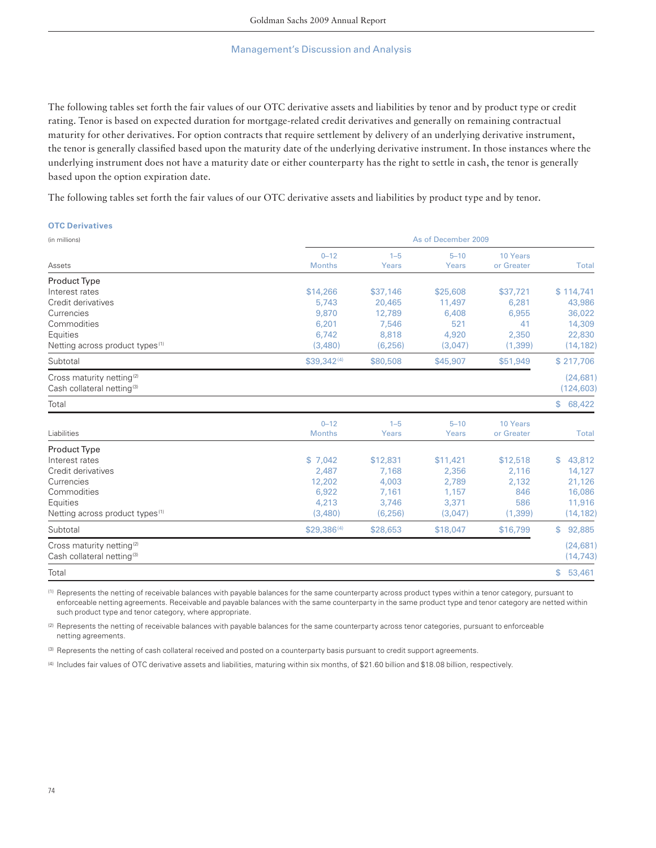The following tables set forth the fair values of our OTC derivative assets and liabilities by tenor and by product type or credit rating. Tenor is based on expected duration for mortgage-related credit derivatives and generally on remaining contractual maturity for other derivatives. For option contracts that require settlement by delivery of an underlying derivative instrument, the tenor is generally classified based upon the maturity date of the underlying derivative instrument. In those instances where the underlying instrument does not have a maturity date or either counterparty has the right to settle in cash, the tenor is generally based upon the option expiration date.

The following tables set forth the fair values of our OTC derivative assets and liabilities by product type and by tenor.

| <b>OTC Derivatives</b>                                                          |                           |                  |                   |                        |                         |  |  |
|---------------------------------------------------------------------------------|---------------------------|------------------|-------------------|------------------------|-------------------------|--|--|
| (in millions)                                                                   | As of December 2009       |                  |                   |                        |                         |  |  |
| Assets                                                                          | $0 - 12$<br><b>Months</b> | $1 - 5$<br>Years | $5 - 10$<br>Years | 10 Years<br>or Greater | <b>Total</b>            |  |  |
| Product Type                                                                    |                           |                  |                   |                        |                         |  |  |
| Interest rates                                                                  | \$14,266                  | \$37,146         | \$25,608          | \$37,721               | \$114,741               |  |  |
| Credit derivatives                                                              | 5,743                     | 20,465           | 11,497            | 6,281                  | 43,986                  |  |  |
| Currencies                                                                      | 9,870                     | 12,789           | 6,408             | 6,955                  | 36,022                  |  |  |
| Commodities                                                                     | 6,201                     | 7,546            | 521               | 41                     | 14,309                  |  |  |
| Equities                                                                        | 6,742                     | 8,818            | 4,920             | 2,350                  | 22,830                  |  |  |
| Netting across product types <sup>(1)</sup>                                     | (3,480)                   | (6, 256)         | (3,047)           | (1,399)                | (14, 182)               |  |  |
| Subtotal                                                                        | \$39,342(4)               | \$80,508         | \$45,907          | \$51,949               | \$217,706               |  |  |
| Cross maturity netting <sup>(2)</sup><br>Cash collateral netting <sup>(3)</sup> |                           |                  |                   |                        | (24, 681)<br>(124, 603) |  |  |
| Total                                                                           |                           |                  |                   |                        | \$68,422                |  |  |
| Liabilities                                                                     | $0 - 12$<br><b>Months</b> | $1 - 5$<br>Years | $5 - 10$<br>Years | 10 Years<br>or Greater | <b>Total</b>            |  |  |
|                                                                                 |                           |                  |                   |                        |                         |  |  |
| Product Type                                                                    |                           |                  |                   |                        |                         |  |  |
| Interest rates                                                                  | \$7,042                   | \$12,831         | \$11,421          | \$12,518               | 43,812<br>\$            |  |  |
| Credit derivatives<br>Currencies                                                | 2,487                     | 7,168            | 2,356             | 2,116                  | 14,127                  |  |  |
| Commodities                                                                     | 12,202<br>6,922           | 4,003<br>7,161   | 2,789<br>1,157    | 2,132<br>846           | 21,126<br>16,086        |  |  |
| Equities                                                                        | 4,213                     | 3,746            | 3,371             | 586                    | 11,916                  |  |  |
| Netting across product types <sup>(1)</sup>                                     | (3,480)                   | (6, 256)         | (3,047)           | (1, 399)               | (14, 182)               |  |  |
|                                                                                 |                           |                  |                   |                        |                         |  |  |
| Subtotal                                                                        | \$29,386(4)               | \$28,653         | \$18,047          | \$16,799               | \$<br>92,885            |  |  |
| Cross maturity netting <sup>(2)</sup><br>Cash collateral netting <sup>(3)</sup> |                           |                  |                   |                        | (24, 681)<br>(14, 743)  |  |  |
| Total                                                                           |                           |                  |                   |                        | $\mathbb{S}$<br>53,461  |  |  |

(1) Represents the netting of receivable balances with payable balances for the same counterparty across product types within a tenor category, pursuant to enforceable netting agreements. Receivable and payable balances with the same counterparty in the same product type and tenor category are netted within such product type and tenor category, where appropriate.

(2) Represents the netting of receivable balances with payable balances for the same counterparty across tenor categories, pursuant to enforceable netting agreements.

(3) Represents the netting of cash collateral received and posted on a counterparty basis pursuant to credit support agreements.

(4) Includes fair values of OTC derivative assets and liabilities, maturing within six months, of \$21.60 billion and \$18.08 billion, respectively.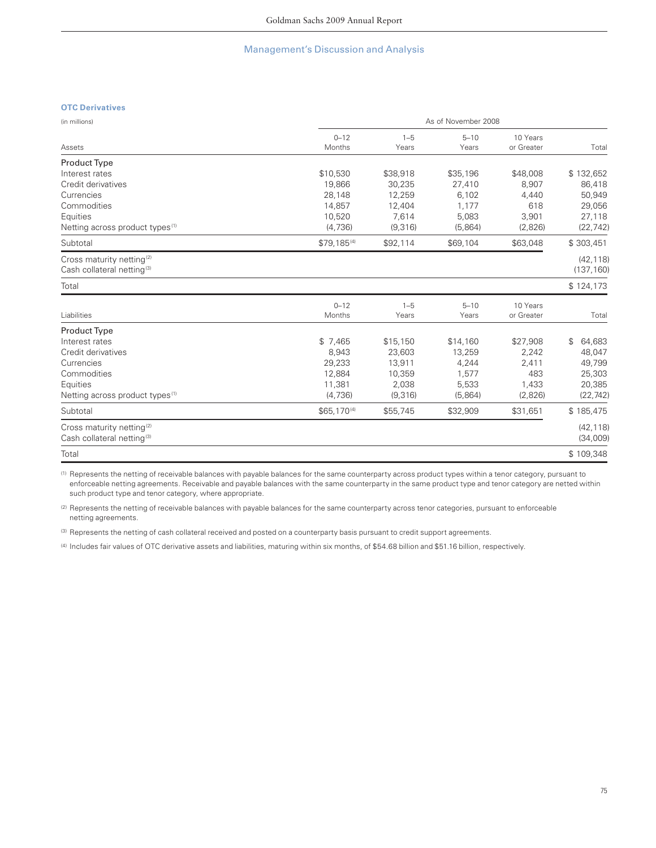### **OTC Derivatives**

| (in millions)                                                                   | As of November 2008     |                  |                   |                        |                         |  |  |
|---------------------------------------------------------------------------------|-------------------------|------------------|-------------------|------------------------|-------------------------|--|--|
| Assets                                                                          | $0 - 12$<br>Months      | $1 - 5$<br>Years | $5 - 10$<br>Years | 10 Years<br>or Greater | Total                   |  |  |
| Product Type                                                                    |                         |                  |                   |                        |                         |  |  |
| Interest rates                                                                  | \$10,530                | \$38,918         | \$35,196          | \$48,008               | \$132,652               |  |  |
| Credit derivatives                                                              | 19,866                  | 30,235           | 27,410            | 8,907                  | 86,418                  |  |  |
| Currencies                                                                      | 28,148                  | 12,259           | 6,102             | 4,440                  | 50,949                  |  |  |
| Commodities                                                                     | 14,857                  | 12,404           | 1,177             | 618                    | 29,056                  |  |  |
| Equities                                                                        | 10,520                  | 7,614            | 5,083             | 3,901                  | 27,118                  |  |  |
| Netting across product types <sup>(1)</sup>                                     | (4, 736)                | (9,316)          | (5,864)           | (2,826)                | (22, 742)               |  |  |
| Subtotal                                                                        | $$79,185^{(4)}$         | \$92,114         | \$69,104          | \$63,048               | \$303,451               |  |  |
| Cross maturity netting <sup>(2)</sup><br>Cash collateral netting <sup>(3)</sup> |                         |                  |                   |                        | (42, 118)<br>(137, 160) |  |  |
| Total                                                                           |                         |                  |                   |                        | \$124,173               |  |  |
|                                                                                 | $0 - 12$                | $1 - 5$          | $5 - 10$          | 10 Years               |                         |  |  |
| Liabilities                                                                     | Months                  | Years            | Years             | or Greater             | Total                   |  |  |
| Product Type                                                                    |                         |                  |                   |                        |                         |  |  |
| Interest rates                                                                  | \$7,465                 | \$15,150         | \$14,160          | \$27,908               | \$<br>64,683            |  |  |
| Credit derivatives                                                              | 8,943                   | 23,603           | 13,259            | 2,242                  | 48,047                  |  |  |
| Currencies                                                                      | 29,233                  | 13,911           | 4,244             | 2,411                  | 49,799                  |  |  |
| Commodities                                                                     | 12,884                  | 10,359           | 1,577             | 483                    | 25,303                  |  |  |
| Equities                                                                        | 11,381                  | 2,038            | 5,533             | 1,433                  | 20,385                  |  |  |
| Netting across product types <sup>(1)</sup>                                     | (4,736)                 | (9,316)          | (5,864)           | (2,826)                | (22, 742)               |  |  |
| Subtotal                                                                        | \$65,170 <sup>(4)</sup> | \$55,745         | \$32,909          | \$31,651               | \$185,475               |  |  |
| Cross maturity netting <sup>(2)</sup><br>Cash collateral netting <sup>(3)</sup> |                         |                  |                   |                        | (42, 118)<br>(34,009)   |  |  |
| Total                                                                           |                         |                  |                   |                        | \$109,348               |  |  |

(1) Represents the netting of receivable balances with payable balances for the same counterparty across product types within a tenor category, pursuant to enforceable netting agreements. Receivable and payable balances with the same counterparty in the same product type and tenor category are netted within such product type and tenor category, where appropriate.

(2) Represents the netting of receivable balances with payable balances for the same counterparty across tenor categories, pursuant to enforceable netting agreements.

(3) Represents the netting of cash collateral received and posted on a counterparty basis pursuant to credit support agreements.

(4) Includes fair values of OTC derivative assets and liabilities, maturing within six months, of \$54.68 billion and \$51.16 billion, respectively.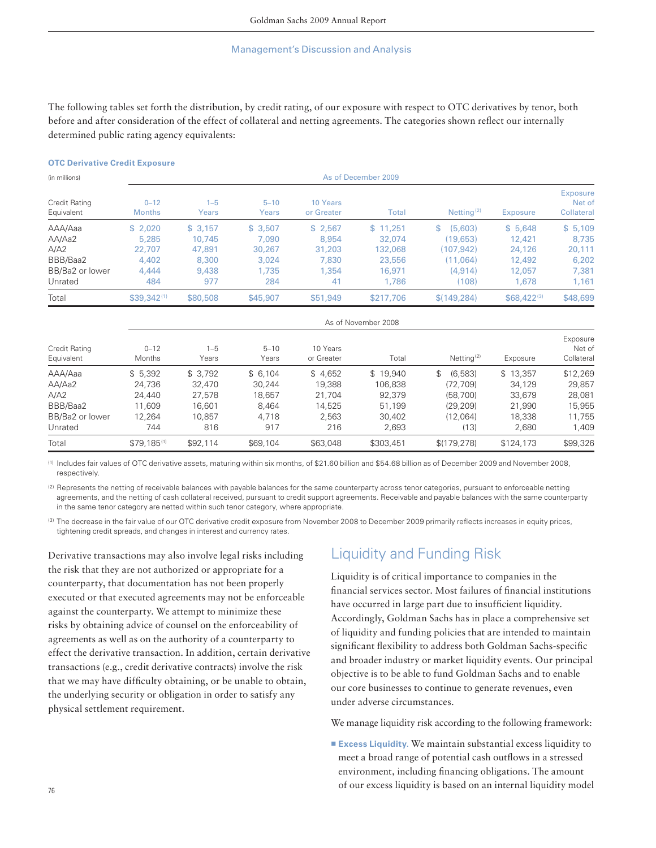The following tables set forth the distribution, by credit rating, of our exposure with respect to OTC derivatives by tenor, both before and after consideration of the effect of collateral and netting agreements. The categories shown reflect our internally determined public rating agency equivalents:

#### **OTC Derivative Credit Exposure**

| (in millions)                      | As of December 2009       |                  |                   |                        |           |                        |                  |                                  |
|------------------------------------|---------------------------|------------------|-------------------|------------------------|-----------|------------------------|------------------|----------------------------------|
| <b>Credit Rating</b><br>Equivalent | $0 - 12$<br><b>Months</b> | $1 - 5$<br>Years | $5 - 10$<br>Years | 10 Years<br>or Greater | Total     | Netting <sup>(2)</sup> | Exposure         | Exposure<br>Net of<br>Collateral |
| AAA/Aaa                            | \$2.020                   | \$3,157          | \$3.507           | \$2.567                | \$11.251  | (5,603)<br>\$          | \$5,648          | \$5,109                          |
| AA/Aa2                             | 5.285                     | 10.745           | 7.090             | 8,954                  | 32,074    | (19.653)               | 12,421           | 8,735                            |
| A/A2                               | 22,707                    | 47,891           | 30,267            | 31,203                 | 132,068   | (107.942)              | 24,126           | 20,111                           |
| BBB/Baa2                           | 4.402                     | 8,300            | 3.024             | 7,830                  | 23,556    | (11.064)               | 12,492           | 6,202                            |
| BB/Ba2 or lower                    | 4.444                     | 9,438            | 1.735             | 1.354                  | 16,971    | (4, 914)               | 12,057           | 7.381                            |
| Unrated                            | 484                       | 977              | 284               | 41                     | 1,786     | (108)                  | 1.678            | 1,161                            |
| Total                              | $$39.342^{(1)}$$          | \$80,508         | \$45,907          | \$51,949               | \$217,706 | \$(149.284)            | $$68,422^{(3)}$$ | \$48,699                         |

| <b>Credit Rating</b><br>Equivalent | As of November 2008       |                  |                   |                        |           |                        |           |                                  |
|------------------------------------|---------------------------|------------------|-------------------|------------------------|-----------|------------------------|-----------|----------------------------------|
|                                    | $0 - 12$<br><b>Months</b> | $1 - 5$<br>Years | $5 - 10$<br>Years | 10 Years<br>or Greater | Total     | Netting <sup>(2)</sup> | Exposure  | Exposure<br>Net of<br>Collateral |
| AAA/Aaa                            | \$5.392                   | \$3.792          | \$6.104           | \$4.652                | \$19.940  | \$<br>(6.583)          | \$13.357  | \$12,269                         |
| AA/Aa2                             | 24.736                    | 32,470           | 30.244            | 19.388                 | 106.838   | (72.709)               | 34.129    | 29,857                           |
| A/A2                               | 24,440                    | 27.578           | 18.657            | 21.704                 | 92.379    | (58.700)               | 33.679    | 28.081                           |
| BBB/Baa2                           | 11.609                    | 16.601           | 8.464             | 14.525                 | 51.199    | (29.209)               | 21.990    | 15.955                           |
| BB/Ba2 or lower                    | 12.264                    | 10.857           | 4.718             | 2.563                  | 30.402    | (12.064)               | 18,338    | 11.755                           |
| Unrated                            | 744                       | 816              | 917               | 216                    | 2.693     | (13)                   | 2,680     | 1,409                            |
| Total                              | $$79.185^{(1)}$           | \$92,114         | \$69,104          | \$63,048               | \$303,451 | \$(179, 278)           | \$124,173 | \$99,326                         |

(1) Includes fair values of OTC derivative assets, maturing within six months, of \$21.60 billion and \$54.68 billion as of December 2009 and November 2008, respectively.

(2) Represents the netting of receivable balances with payable balances for the same counterparty across tenor categories, pursuant to enforceable netting agreements, and the netting of cash collateral received, pursuant to credit support agreements. Receivable and payable balances with the same counterparty in the same tenor category are netted within such tenor category, where appropriate.

(3) The decrease in the fair value of our OTC derivative credit exposure from November 2008 to December 2009 primarily reflects increases in equity prices, tightening credit spreads, and changes in interest and currency rates.

Derivative transactions may also involve legal risks including the risk that they are not authorized or appropriate for a counterparty, that documentation has not been properly executed or that executed agreements may not be enforceable against the counterparty. We attempt to minimize these risks by obtaining advice of counsel on the enforceability of agreements as well as on the authority of a counterparty to effect the derivative transaction. In addition, certain derivative transactions (e.g., credit derivative contracts) involve the risk that we may have difficulty obtaining, or be unable to obtain, the underlying security or obligation in order to satisfy any physical settlement requirement.

# Liquidity and Funding Risk

Liquidity is of critical importance to companies in the financial services sector. Most failures of financial institutions have occurred in large part due to insufficient liquidity. Accordingly, Goldman Sachs has in place a comprehensive set of liquidity and funding policies that are intended to maintain significant flexibility to address both Goldman Sachs-specific and broader industry or market liquidity events. Our principal objective is to be able to fund Goldman Sachs and to enable our core businesses to continue to generate revenues, even under adverse circumstances.

We manage liquidity risk according to the following framework:

**Excess Liquidity.** We maintain substantial excess liquidity to meet a broad range of potential cash outflows in a stressed environment, including financing obligations. The amount of our excess liquidity is based on an internal liquidity model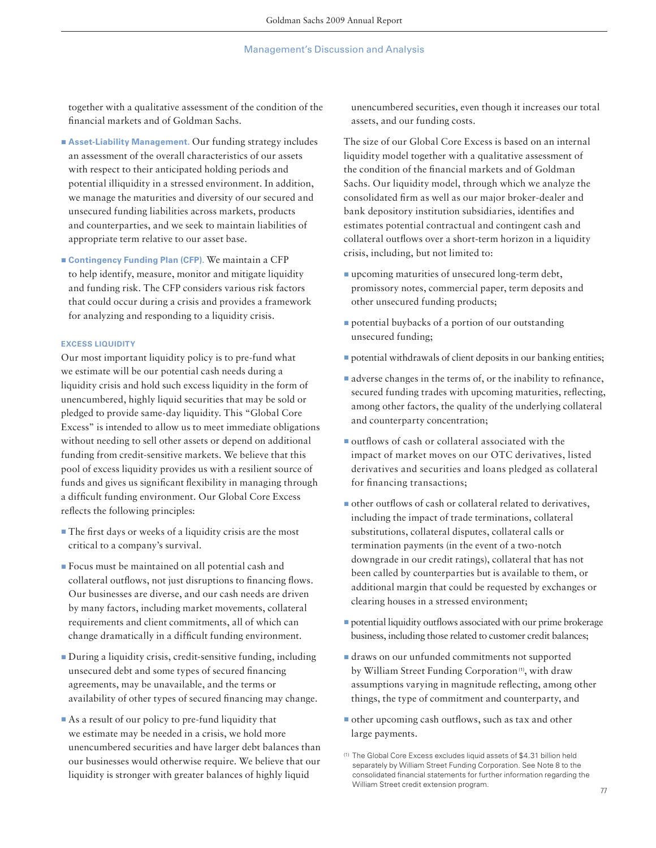together with a qualitative assessment of the condition of the financial markets and of Goldman Sachs.

- Asset-Liability Management. Our funding strategy includes an assessment of the overall characteristics of our assets with respect to their anticipated holding periods and potential illiquidity in a stressed environment. In addition, we manage the maturities and diversity of our secured and unsecured funding liabilities across markets, products and counterparties, and we seek to maintain liabilities of appropriate term relative to our asset base.
- Contingency Funding Plan (CFP). We maintain a CFP to help identify, measure, monitor and mitigate liquidity and funding risk. The CFP considers various risk factors that could occur during a crisis and provides a framework for analyzing and responding to a liquidity crisis.

#### **EXCESS LIQUIDITY**

Our most important liquidity policy is to pre-fund what we estimate will be our potential cash needs during a liquidity crisis and hold such excess liquidity in the form of unencumbered, highly liquid securities that may be sold or pledged to provide same-day liquidity. This "Global Core Excess" is intended to allow us to meet immediate obligations without needing to sell other assets or depend on additional funding from credit-sensitive markets. We believe that this pool of excess liquidity provides us with a resilient source of funds and gives us significant flexibility in managing through a difficult funding environment. Our Global Core Excess reflects the following principles:

- The first days or weeks of a liquidity crisis are the most critical to a company's survival.
- ▪Focus must be maintained on all potential cash and collateral outflows, not just disruptions to financing flows. Our businesses are diverse, and our cash needs are driven by many factors, including market movements, collateral requirements and client commitments, all of which can change dramatically in a difficult funding environment.
- ▪During a liquidity crisis, credit-sensitive funding, including unsecured debt and some types of secured financing agreements, may be unavailable, and the terms or availability of other types of secured financing may change.
- As a result of our policy to pre-fund liquidity that we estimate may be needed in a crisis, we hold more unencumbered securities and have larger debt balances than our businesses would otherwise require. We believe that our liquidity is stronger with greater balances of highly liquid

unencumbered securities, even though it increases our total assets, and our funding costs.

The size of our Global Core Excess is based on an internal liquidity model together with a qualitative assessment of the condition of the financial markets and of Goldman Sachs. Our liquidity model, through which we analyze the consolidated firm as well as our major broker-dealer and bank depository institution subsidiaries, identifies and estimates potential contractual and contingent cash and collateral outflows over a short-term horizon in a liquidity crisis, including, but not limited to:

- upcoming maturities of unsecured long-term debt, promissory notes, commercial paper, term deposits and other unsecured funding products;
- **p** potential buybacks of a portion of our outstanding unsecured funding;
- **p** potential withdrawals of client deposits in our banking entities;
- **a** adverse changes in the terms of, or the inability to refinance, secured funding trades with upcoming maturities, reflecting, among other factors, the quality of the underlying collateral and counterparty concentration;
- outflows of cash or collateral associated with the impact of market moves on our OTC derivatives, listed derivatives and securities and loans pledged as collateral for financing transactions;
- other outflows of cash or collateral related to derivatives, including the impact of trade terminations, collateral substitutions, collateral disputes, collateral calls or termination payments (in the event of a two-notch downgrade in our credit ratings), collateral that has not been called by counterparties but is available to them, or additional margin that could be requested by exchanges or clearing houses in a stressed environment;
- **p** potential liquidity outflows associated with our prime brokerage business, including those related to customer credit balances;
- ▪draws on our unfunded commitments not supported by William Street Funding Corporation<sup>(1)</sup>, with draw assumptions varying in magnitude reflecting, among other things, the type of commitment and counterparty, and
- $\blacksquare$  other upcoming cash outflows, such as tax and other large payments.

<sup>(1)</sup> The Global Core Excess excludes liquid assets of \$4.31 billion held separately by William Street Funding Corporation. See Note 8 to the consolidated financial statements for further information regarding the William Street credit extension program.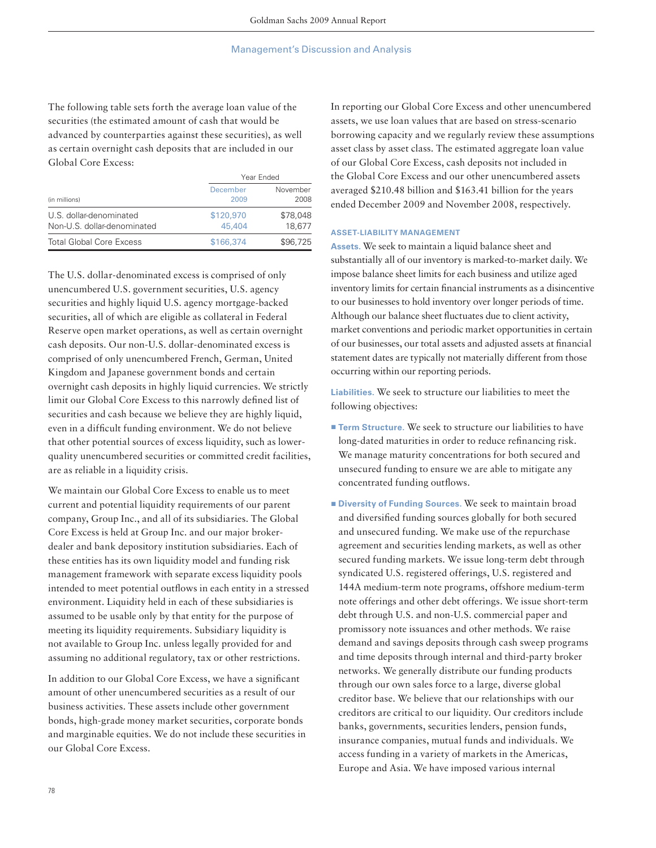The following table sets forth the average loan value of the securities (the estimated amount of cash that would be advanced by counterparties against these securities), as well as certain overnight cash deposits that are included in our Global Core Excess:

|                                                        | Year Ended          |                    |  |
|--------------------------------------------------------|---------------------|--------------------|--|
| (in millions)                                          | December<br>2009    | November<br>2008   |  |
| U.S. dollar-denominated<br>Non-U.S. dollar-denominated | \$120,970<br>45,404 | \$78,048<br>18.677 |  |
| <b>Total Global Core Excess</b>                        | \$166,374           | \$96,725           |  |

The U.S. dollar-denominated excess is comprised of only unencumbered U.S. government securities, U.S. agency securities and highly liquid U.S. agency mortgage-backed securities, all of which are eligible as collateral in Federal Reserve open market operations, as well as certain overnight cash deposits. Our non-U.S. dollar-denominated excess is comprised of only unencumbered French, German, United Kingdom and Japanese government bonds and certain overnight cash deposits in highly liquid currencies. We strictly limit our Global Core Excess to this narrowly defined list of securities and cash because we believe they are highly liquid, even in a difficult funding environment. We do not believe that other potential sources of excess liquidity, such as lowerquality unencumbered securities or committed credit facilities, are as reliable in a liquidity crisis.

We maintain our Global Core Excess to enable us to meet current and potential liquidity requirements of our parent company, Group Inc., and all of its subsidiaries. The Global Core Excess is held at Group Inc. and our major brokerdealer and bank depository institution subsidiaries. Each of these entities has its own liquidity model and funding risk management framework with separate excess liquidity pools intended to meet potential outflows in each entity in a stressed environment. Liquidity held in each of these subsidiaries is assumed to be usable only by that entity for the purpose of meeting its liquidity requirements. Subsidiary liquidity is not available to Group Inc. unless legally provided for and assuming no additional regulatory, tax or other restrictions.

In addition to our Global Core Excess, we have a significant amount of other unencumbered securities as a result of our business activities. These assets include other government bonds, high-grade money market securities, corporate bonds and marginable equities. We do not include these securities in our Global Core Excess.

In reporting our Global Core Excess and other unencumbered assets, we use loan values that are based on stress-scenario borrowing capacity and we regularly review these assumptions asset class by asset class. The estimated aggregate loan value of our Global Core Excess, cash deposits not included in the Global Core Excess and our other unencumbered assets averaged \$210.48 billion and \$163.41 billion for the years ended December 2009 and November 2008, respectively.

### **ASSET-LIABILITY MANAGEMENT**

**Assets.** We seek to maintain a liquid balance sheet and substantially all of our inventory is marked-to-market daily. We impose balance sheet limits for each business and utilize aged inventory limits for certain financial instruments as a disincentive to our businesses to hold inventory over longer periods of time. Although our balance sheet fluctuates due to client activity, market conventions and periodic market opportunities in certain of our businesses, our total assets and adjusted assets at financial statement dates are typically not materially different from those occurring within our reporting periods.

**Liabilities.** We seek to structure our liabilities to meet the following objectives:

- **Term Structure.** We seek to structure our liabilities to have long-dated maturities in order to reduce refinancing risk. We manage maturity concentrations for both secured and unsecured funding to ensure we are able to mitigate any concentrated funding outflows.
- **E** Diversity of Funding Sources. We seek to maintain broad and diversified funding sources globally for both secured and unsecured funding. We make use of the repurchase agreement and securities lending markets, as well as other secured funding markets. We issue long-term debt through syndicated U.S. registered offerings, U.S. registered and 144A medium-term note programs, offshore medium-term note offerings and other debt offerings. We issue short-term debt through U.S. and non-U.S. commercial paper and promissory note issuances and other methods. We raise demand and savings deposits through cash sweep programs and time deposits through internal and third-party broker networks. We generally distribute our funding products through our own sales force to a large, diverse global creditor base. We believe that our relationships with our creditors are critical to our liquidity. Our creditors include banks, governments, securities lenders, pension funds, insurance companies, mutual funds and individuals. We access funding in a variety of markets in the Americas, Europe and Asia. We have imposed various internal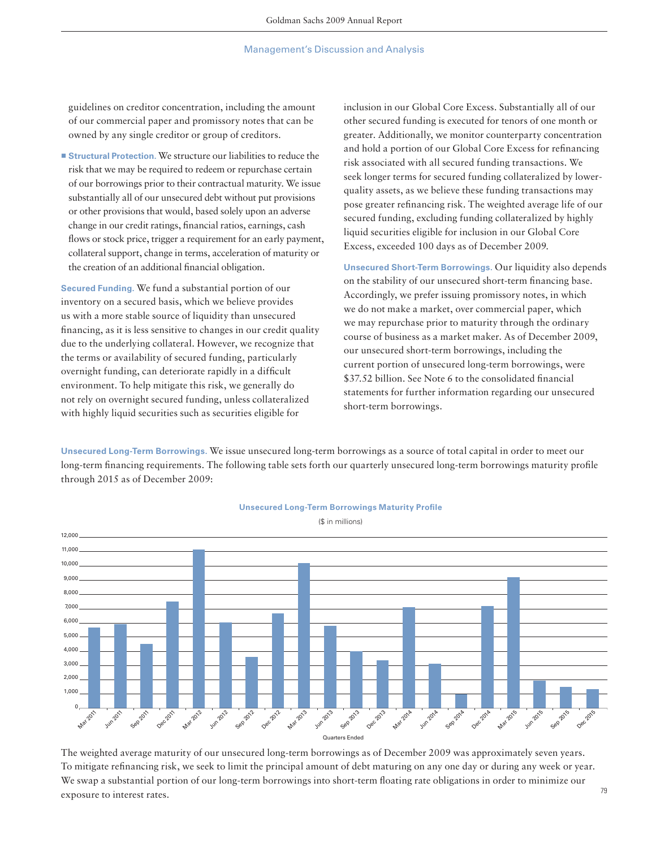guidelines on creditor concentration, including the amount of our commercial paper and promissory notes that can be owned by any single creditor or group of creditors.

■ **Structural Protection.** We structure our liabilities to reduce the risk that we may be required to redeem or repurchase certain of our borrowings prior to their contractual maturity. We issue substantially all of our unsecured debt without put provisions or other provisions that would, based solely upon an adverse change in our credit ratings, financial ratios, earnings, cash flows or stock price, trigger a requirement for an early payment, collateral support, change in terms, acceleration of maturity or the creation of an additional financial obligation.

**Secured Funding.** We fund a substantial portion of our inventory on a secured basis, which we believe provides us with a more stable source of liquidity than unsecured financing, as it is less sensitive to changes in our credit quality due to the underlying collateral. However, we recognize that the terms or availability of secured funding, particularly overnight funding, can deteriorate rapidly in a difficult environment. To help mitigate this risk, we generally do not rely on overnight secured funding, unless collateralized with highly liquid securities such as securities eligible for

inclusion in our Global Core Excess. Substantially all of our other secured funding is executed for tenors of one month or greater. Additionally, we monitor counterparty concentration and hold a portion of our Global Core Excess for refinancing risk associated with all secured funding transactions. We seek longer terms for secured funding collateralized by lowerquality assets, as we believe these funding transactions may pose greater refinancing risk. The weighted average life of our secured funding, excluding funding collateralized by highly liquid securities eligible for inclusion in our Global Core Excess, exceeded 100 days as of December 2009.

**Unsecured Short-Term Borrowings.** Our liquidity also depends on the stability of our unsecured short-term financing base. Accordingly, we prefer issuing promissory notes, in which we do not make a market, over commercial paper, which we may repurchase prior to maturity through the ordinary course of business as a market maker. As of December 2009, our unsecured short-term borrowings, including the current portion of unsecured long-term borrowings, were \$37.52 billion. See Note 6 to the consolidated financial statements for further information regarding our unsecured short-term borrowings.

**Unsecured Long-Term Borrowings.** We issue unsecured long-term borrowings as a source of total capital in order to meet our long-term financing requirements. The following table sets forth our quarterly unsecured long-term borrowings maturity profile through 2015 as of December 2009:



**Unsecured Long-Term Borrowings Maturity Profile** 

The weighted average maturity of our unsecured long-term borrowings as of December 2009 was approximately seven years. To mitigate refinancing risk, we seek to limit the principal amount of debt maturing on any one day or during any week or year. We swap a substantial portion of our long-term borrowings into short-term floating rate obligations in order to minimize our exposure to interest rates.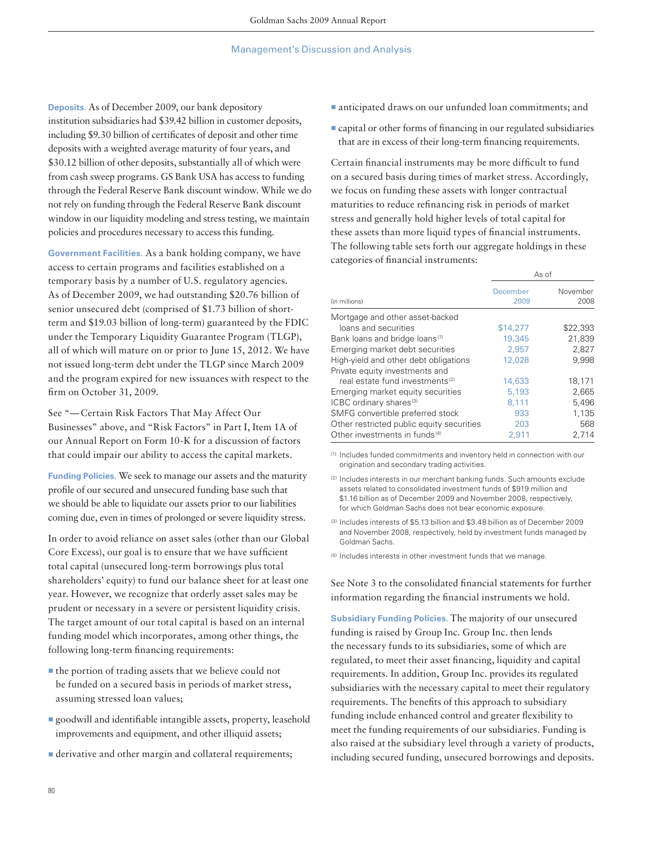**Deposits.** As of December 2009, our bank depository institution subsidiaries had \$39.42 billion in customer deposits, including \$9.30 billion of certificates of deposit and other time deposits with a weighted average maturity of four years, and \$30.12 billion of other deposits, substantially all of which were from cash sweep programs. GS Bank USA has access to funding through the Federal Reserve Bank discount window. While we do not rely on funding through the Federal Reserve Bank discount window in our liquidity modeling and stress testing, we maintain policies and procedures necessary to access this funding.

**Government Facilities.** As a bank holding company, we have access to certain programs and facilities established on a temporary basis by a number of U.S. regulatory agencies. As of December 2009, we had outstanding \$20.76 billion of senior unsecured debt (comprised of \$1.73 billion of shortterm and \$19.03 billion of long-term) guaranteed by the FDIC under the Temporary Liquidity Guarantee Program (TLGP), all of which will mature on or prior to June 15, 2012. We have not issued long-term debt under the TLGP since March 2009 and the program expired for new issuances with respect to the firm on October 31, 2009.

See "— Certain Risk Factors That May Affect Our Businesses" above, and "Risk Factors" in Part I, Item 1A of our Annual Report on Form 10-K for a discussion of factors that could impair our ability to access the capital markets.

**Funding Policies.** We seek to manage our assets and the maturity profile of our secured and unsecured funding base such that we should be able to liquidate our assets prior to our liabilities coming due, even in times of prolonged or severe liquidity stress.

In order to avoid reliance on asset sales (other than our Global Core Excess), our goal is to ensure that we have sufficient total capital (unsecured long-term borrowings plus total shareholders' equity) to fund our balance sheet for at least one year. However, we recognize that orderly asset sales may be prudent or necessary in a severe or persistent liquidity crisis. The target amount of our total capital is based on an internal funding model which incorporates, among other things, the following long-term financing requirements:

- the portion of trading assets that we believe could not be funded on a secured basis in periods of market stress, assuming stressed loan values;
- goodwill and identifiable intangible assets, property, leasehold improvements and equipment, and other illiquid assets;
- *E* derivative and other margin and collateral requirements;
- anticipated draws on our unfunded loan commitments; and
- **Example 2 Capital or other forms of financing in our regulated subsidiaries** that are in excess of their long-term financing requirements.

Certain financial instruments may be more difficult to fund on a secured basis during times of market stress. Accordingly, we focus on funding these assets with longer contractual maturities to reduce refinancing risk in periods of market stress and generally hold higher levels of total capital for these assets than more liquid types of financial instruments. The following table sets forth our aggregate holdings in these categories of financial instruments:

|                                             | As of            |                  |
|---------------------------------------------|------------------|------------------|
| (in millions)                               | December<br>2009 | November<br>2008 |
| Mortgage and other asset-backed             |                  |                  |
| loans and securities                        | \$14,277         | \$22,393         |
| Bank loans and bridge loans <sup>(1)</sup>  | 19,345           | 21,839           |
| Emerging market debt securities             | 2.957            | 2,827            |
| High-yield and other debt obligations       | 12,028           | 9,998            |
| Private equity investments and              |                  |                  |
| real estate fund investments <sup>(2)</sup> | 14,633           | 18,171           |
| Emerging market equity securities           | 5,193            | 2,665            |
| ICBC ordinary shares <sup>(3)</sup>         | 8.111            | 5,496            |
| SMFG convertible preferred stock            | 933              | 1,135            |
| Other restricted public equity securities   | 203              | 568              |
| Other investments in funds <sup>(4)</sup>   | 2.911            | 2.714            |

(1) Includes funded commitments and inventory held in connection with our origination and secondary trading activities.

(2) Includes interests in our merchant banking funds. Such amounts exclude assets related to consolidated investment funds of \$919 million and \$1.16 billion as of December 2009 and November 2008, respectively, for which Goldman Sachs does not bear economic exposure.

(3) Includes interests of \$5.13 billion and \$3.48 billion as of December 2009 and November 2008, respectively, held by investment funds managed by Goldman Sachs.

(4) Includes interests in other investment funds that we manage.

See Note 3 to the consolidated financial statements for further information regarding the financial instruments we hold.

**Subsidiary Funding Policies.** The majority of our unsecured funding is raised by Group Inc. Group Inc. then lends the necessary funds to its subsidiaries, some of which are regulated, to meet their asset financing, liquidity and capital requirements. In addition, Group Inc. provides its regulated subsidiaries with the necessary capital to meet their regulatory requirements. The benefits of this approach to subsidiary funding include enhanced control and greater flexibility to meet the funding requirements of our subsidiaries. Funding is also raised at the subsidiary level through a variety of products, including secured funding, unsecured borrowings and deposits.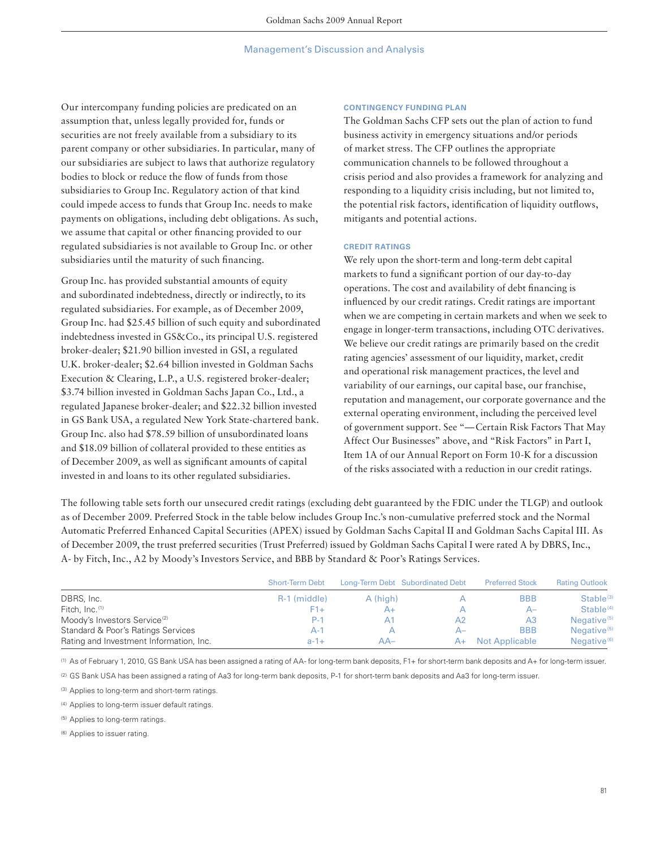Our intercompany funding policies are predicated on an assumption that, unless legally provided for, funds or securities are not freely available from a subsidiary to its parent company or other subsidiaries. In particular, many of our subsidiaries are subject to laws that authorize regulatory bodies to block or reduce the flow of funds from those subsidiaries to Group Inc. Regulatory action of that kind could impede access to funds that Group Inc. needs to make payments on obligations, including debt obligations. As such, we assume that capital or other financing provided to our regulated subsidiaries is not available to Group Inc. or other subsidiaries until the maturity of such financing.

Group Inc. has provided substantial amounts of equity and subordinated indebtedness, directly or indirectly, to its regulated subsidiaries. For example, as of December 2009, Group Inc. had \$25.45 billion of such equity and subordinated indebtedness invested in GS&Co., its principal U.S. registered broker-dealer; \$21.90 billion invested in GSI, a regulated U.K. broker-dealer; \$2.64 billion invested in Goldman Sachs Execution & Clearing, L.P., a U.S. registered broker-dealer; \$3.74 billion invested in Goldman Sachs Japan Co., Ltd., a regulated Japanese broker-dealer; and \$22.32 billion invested in GS Bank USA, a regulated New York State-chartered bank. Group Inc. also had \$78.59 billion of unsubordinated loans and \$18.09 billion of collateral provided to these entities as of December 2009, as well as significant amounts of capital invested in and loans to its other regulated subsidiaries.

#### **CONTINGENCY FUNDING PLAN**

The Goldman Sachs CFP sets out the plan of action to fund business activity in emergency situations and/or periods of market stress. The CFP outlines the appropriate communication channels to be followed throughout a crisis period and also provides a framework for analyzing and responding to a liquidity crisis including, but not limited to, the potential risk factors, identification of liquidity outflows, mitigants and potential actions.

### **CREDIT RATINGS**

We rely upon the short-term and long-term debt capital markets to fund a significant portion of our day-to-day operations. The cost and availability of debt financing is influenced by our credit ratings. Credit ratings are important when we are competing in certain markets and when we seek to engage in longer-term transactions, including OTC derivatives. We believe our credit ratings are primarily based on the credit rating agencies' assessment of our liquidity, market, credit and operational risk management practices, the level and variability of our earnings, our capital base, our franchise, reputation and management, our corporate governance and the external operating environment, including the perceived level of government support. See "— Certain Risk Factors That May Affect Our Businesses" above, and "Risk Factors" in Part I, Item 1A of our Annual Report on Form 10-K for a discussion of the risks associated with a reduction in our credit ratings.

The following table sets forth our unsecured credit ratings (excluding debt guaranteed by the FDIC under the TLGP) and outlook as of December 2009. Preferred Stock in the table below includes Group Inc.'s non-cumulative preferred stock and the Normal Automatic Preferred Enhanced Capital Securities (APEX) issued by Goldman Sachs Capital II and Goldman Sachs Capital III. As of December 2009, the trust preferred securities (Trust Preferred) issued by Goldman Sachs Capital I were rated A by DBRS, Inc., A- by Fitch, Inc., A2 by Moody's Investors Service, and BBB by Standard & Poor's Ratings Services.

|                                          | <b>Short-Term Debt</b> |                | Long-Term Debt Subordinated Debt | <b>Preferred Stock</b> | <b>Rating Outlook</b>   |
|------------------------------------------|------------------------|----------------|----------------------------------|------------------------|-------------------------|
| DBRS, Inc.                               | R-1 (middle)           | A (high)       |                                  | <b>BBB</b>             | Stable <sup>(3)</sup>   |
| Fitch, Inc. <sup>(1)</sup>               | $F1+$                  | A+             |                                  | A–                     | Stable <sup>(4)</sup>   |
| Moody's Investors Service <sup>(2)</sup> | P-1                    | A <sub>1</sub> | A2                               | A3                     | Negative <sup>(5)</sup> |
| Standard & Poor's Ratings Services       | A-'                    |                | А–                               | <b>BBB</b>             | Negative <sup>(5)</sup> |
| Rating and Investment Information, Inc.  | $a - 1 +$              | AA–            | $A+$                             | <b>Not Applicable</b>  | Negative <sup>(6)</sup> |

(1) As of February 1, 2010, GS Bank USA has been assigned a rating of AA- for long-term bank deposits, F1+ for short-term bank deposits and A+ for long-term issuer.

(2) GS Bank USA has been assigned a rating of Aa3 for long-term bank deposits, P-1 for short-term bank deposits and Aa3 for long-term issuer.

(3) Applies to long-term and short-term ratings.

(4) Applies to long-term issuer default ratings.

(5) Applies to long-term ratings.

(6) Applies to issuer rating.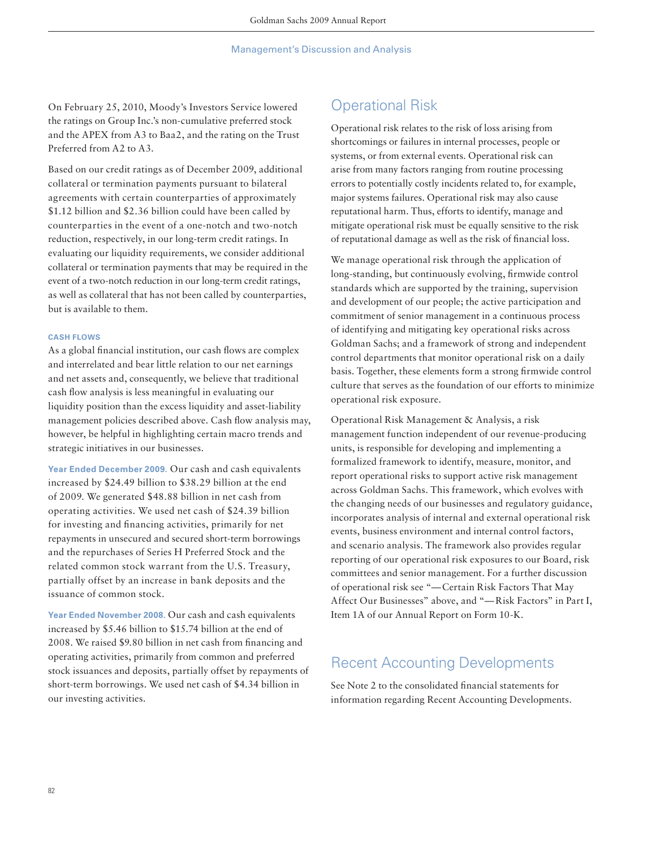On February 25, 2010, Moody's Investors Service lowered the ratings on Group Inc.'s non-cumulative preferred stock and the APEX from A3 to Baa2, and the rating on the Trust Preferred from A2 to A3.

Based on our credit ratings as of December 2009, additional collateral or termination payments pursuant to bilateral agreements with certain counterparties of approximately \$1.12 billion and \$2.36 billion could have been called by counterparties in the event of a one-notch and two-notch reduction, respectively, in our long-term credit ratings. In evaluating our liquidity requirements, we consider additional collateral or termination payments that may be required in the event of a two-notch reduction in our long-term credit ratings, as well as collateral that has not been called by counterparties, but is available to them.

### **CASH FLOWS**

As a global financial institution, our cash flows are complex and interrelated and bear little relation to our net earnings and net assets and, consequently, we believe that traditional cash flow analysis is less meaningful in evaluating our liquidity position than the excess liquidity and asset-liability management policies described above. Cash flow analysis may, however, be helpful in highlighting certain macro trends and strategic initiatives in our businesses.

**Year Ended December 2009.** Our cash and cash equivalents increased by \$24.49 billion to \$38.29 billion at the end of 2009. We generated \$48.88 billion in net cash from operating activities. We used net cash of \$24.39 billion for investing and financing activities, primarily for net repayments in unsecured and secured short-term borrowings and the repurchases of Series H Preferred Stock and the related common stock warrant from the U.S. Treasury, partially offset by an increase in bank deposits and the issuance of common stock.

**Year Ended November 2008.** Our cash and cash equivalents increased by \$5.46 billion to \$15.74 billion at the end of 2008. We raised \$9.80 billion in net cash from financing and operating activities, primarily from common and preferred stock issuances and deposits, partially offset by repayments of short-term borrowings. We used net cash of \$4.34 billion in our investing activities.

# Operational Risk

Operational risk relates to the risk of loss arising from shortcomings or failures in internal processes, people or systems, or from external events. Operational risk can arise from many factors ranging from routine processing errors to potentially costly incidents related to, for example, major systems failures. Operational risk may also cause reputational harm. Thus, efforts to identify, manage and mitigate operational risk must be equally sensitive to the risk of reputational damage as well as the risk of financial loss.

We manage operational risk through the application of long-standing, but continuously evolving, firmwide control standards which are supported by the training, supervision and development of our people; the active participation and commitment of senior management in a continuous process of identifying and mitigating key operational risks across Goldman Sachs; and a framework of strong and independent control departments that monitor operational risk on a daily basis. Together, these elements form a strong firmwide control culture that serves as the foundation of our efforts to minimize operational risk exposure.

Operational Risk Management & Analysis, a risk management function independent of our revenue-producing units, is responsible for developing and implementing a formalized framework to identify, measure, monitor, and report operational risks to support active risk management across Goldman Sachs. This framework, which evolves with the changing needs of our businesses and regulatory guidance, incorporates analysis of internal and external operational risk events, business environment and internal control factors, and scenario analysis. The framework also provides regular reporting of our operational risk exposures to our Board, risk committees and senior management. For a further discussion of operational risk see "— Certain Risk Factors That May Affect Our Businesses" above, and "— Risk Factors" in Part I, Item 1A of our Annual Report on Form 10-K.

# Recent Accounting Developments

See Note 2 to the consolidated financial statements for information regarding Recent Accounting Developments.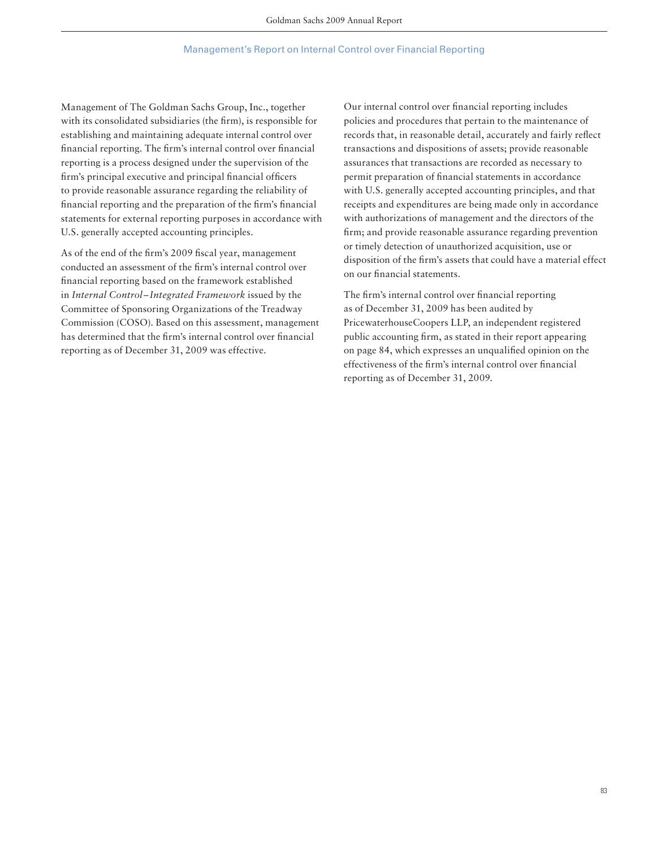### Management's Report on Internal Control over Financial Reporting

Management of The Goldman Sachs Group, Inc., together with its consolidated subsidiaries (the firm), is responsible for establishing and maintaining adequate internal control over financial reporting. The firm's internal control over financial reporting is a process designed under the supervision of the firm's principal executive and principal financial officers to provide reasonable assurance regarding the reliability of financial reporting and the preparation of the firm's financial statements for external reporting purposes in accordance with U.S. generally accepted accounting principles.

As of the end of the firm's 2009 fiscal year, management conducted an assessment of the firm's internal control over financial reporting based on the framework established in *Internal Control – Integrated Framework* issued by the Committee of Sponsoring Organizations of the Treadway Commission (COSO). Based on this assessment, management has determined that the firm's internal control over financial reporting as of December 31, 2009 was effective.

Our internal control over financial reporting includes policies and procedures that pertain to the maintenance of records that, in reasonable detail, accurately and fairly reflect transactions and dispositions of assets; provide reasonable assurances that transactions are recorded as necessary to permit preparation of financial statements in accordance with U.S. generally accepted accounting principles, and that receipts and expenditures are being made only in accordance with authorizations of management and the directors of the firm; and provide reasonable assurance regarding prevention or timely detection of unauthorized acquisition, use or disposition of the firm's assets that could have a material effect on our financial statements.

The firm's internal control over financial reporting as of December 31, 2009 has been audited by PricewaterhouseCoopers LLP, an independent registered public accounting firm, as stated in their report appearing on page 84, which expresses an unqualified opinion on the effectiveness of the firm's internal control over financial reporting as of December 31, 2009.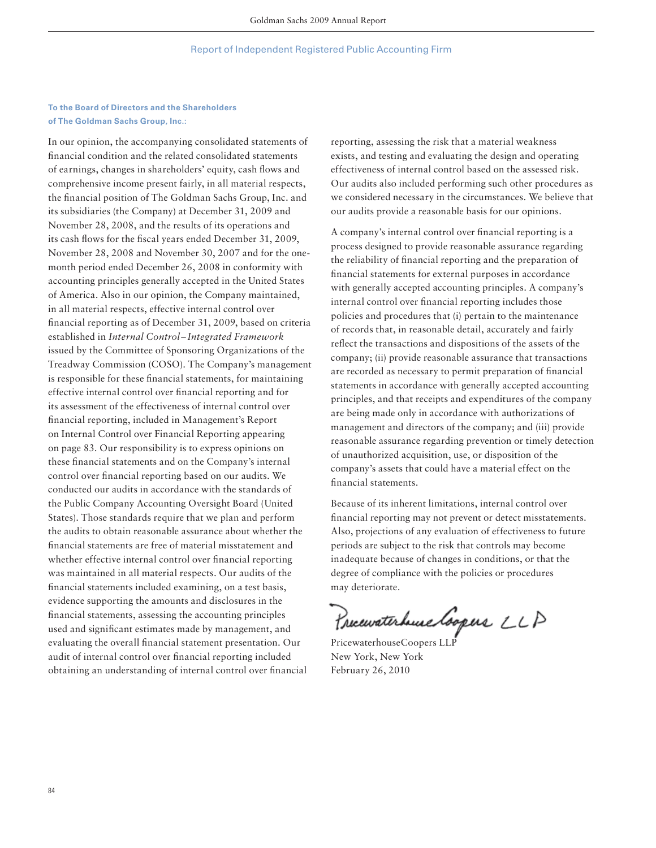## **To the Board of Directors and the Shareholders of The Goldman Sachs Group, Inc.:**

In our opinion, the accompanying consolidated statements of financial condition and the related consolidated statements of earnings, changes in shareholders' equity, cash flows and comprehensive income present fairly, in all material respects, the financial position of The Goldman Sachs Group, Inc. and its subsidiaries (the Company) at December 31, 2009 and November 28, 2008, and the results of its operations and its cash flows for the fiscal years ended December 31, 2009, November 28, 2008 and November 30, 2007 and for the onemonth period ended December 26, 2008 in conformity with accounting principles generally accepted in the United States of America. Also in our opinion, the Company maintained, in all material respects, effective internal control over financial reporting as of December 31, 2009, based on criteria established in *Internal Control – Integrated Framework* issued by the Committee of Sponsoring Organizations of the Treadway Commission (COSO). The Company's management is responsible for these financial statements, for maintaining effective internal control over financial reporting and for its assessment of the effectiveness of internal control over financial reporting, included in Management's Report on Internal Control over Financial Reporting appearing on page 83. Our responsibility is to express opinions on these financial statements and on the Company's internal control over financial reporting based on our audits. We conducted our audits in accordance with the standards of the Public Company Accounting Oversight Board (United States). Those standards require that we plan and perform the audits to obtain reasonable assurance about whether the financial statements are free of material misstatement and whether effective internal control over financial reporting was maintained in all material respects. Our audits of the financial statements included examining, on a test basis, evidence supporting the amounts and disclosures in the financial statements, assessing the accounting principles used and significant estimates made by management, and evaluating the overall financial statement presentation. Our audit of internal control over financial reporting included obtaining an understanding of internal control over financial

reporting, assessing the risk that a material weakness exists, and testing and evaluating the design and operating effectiveness of internal control based on the assessed risk. Our audits also included performing such other procedures as we considered necessary in the circumstances. We believe that our audits provide a reasonable basis for our opinions.

A company's internal control over financial reporting is a process designed to provide reasonable assurance regarding the reliability of financial reporting and the preparation of financial statements for external purposes in accordance with generally accepted accounting principles. A company's internal control over financial reporting includes those policies and procedures that (i) pertain to the maintenance of records that, in reasonable detail, accurately and fairly reflect the transactions and dispositions of the assets of the company; (ii) provide reasonable assurance that transactions are recorded as necessary to permit preparation of financial statements in accordance with generally accepted accounting principles, and that receipts and expenditures of the company are being made only in accordance with authorizations of management and directors of the company; and (iii) provide reasonable assurance regarding prevention or timely detection of unauthorized acquisition, use, or disposition of the company's assets that could have a material effect on the financial statements.

Because of its inherent limitations, internal control over financial reporting may not prevent or detect misstatements. Also, projections of any evaluation of effectiveness to future periods are subject to the risk that controls may become inadequate because of changes in conditions, or that the degree of compliance with the policies or procedures may deteriorate.

Preceivaterhuse Coopers LLP

PricewaterhouseCoopers LL<sup>1</sup> New York, New York February 26, 2010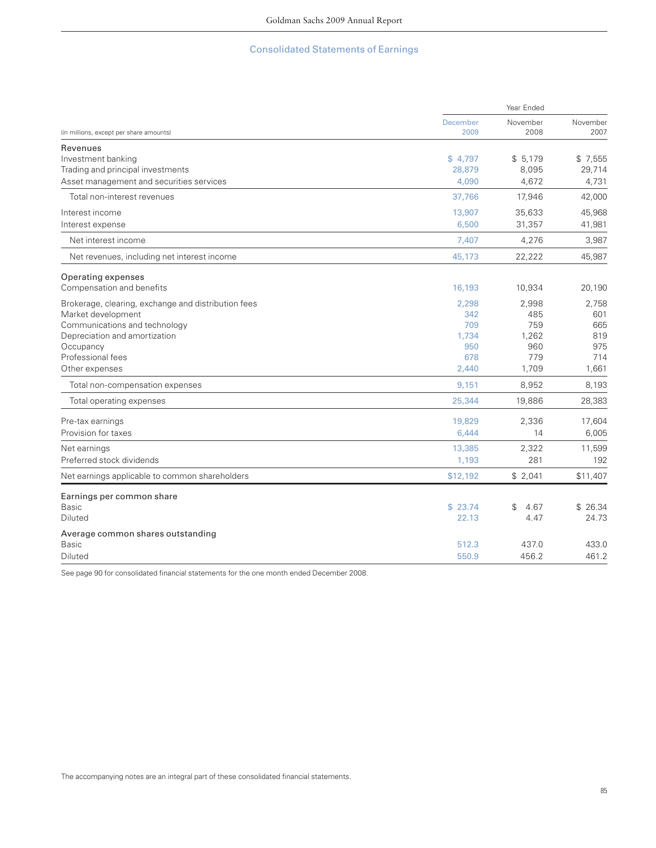# Consolidated Statements of Earnings

|                                                     | Year Ended              |                  |                  |  |
|-----------------------------------------------------|-------------------------|------------------|------------------|--|
| (in millions, except per share amounts)             | <b>December</b><br>2009 | November<br>2008 | November<br>2007 |  |
| Revenues                                            |                         |                  |                  |  |
| Investment banking                                  | \$4,797                 | \$5,179          | \$7,555          |  |
| Trading and principal investments                   | 28,879                  | 8,095            | 29,714           |  |
| Asset management and securities services            | 4.090                   | 4,672            | 4,731            |  |
| Total non-interest revenues                         | 37,766                  | 17,946           | 42,000           |  |
| Interest income                                     | 13,907                  | 35,633           | 45,968           |  |
| Interest expense                                    | 6,500                   | 31,357           | 41,981           |  |
| Net interest income                                 | 7,407                   | 4,276            | 3,987            |  |
| Net revenues, including net interest income         | 45,173                  | 22,222           | 45,987           |  |
| Operating expenses                                  |                         |                  |                  |  |
| Compensation and benefits                           | 16,193                  | 10,934           | 20,190           |  |
| Brokerage, clearing, exchange and distribution fees | 2,298                   | 2,998            | 2.758            |  |
| Market development                                  | 342                     | 485              | 601              |  |
| Communications and technology                       | 709                     | 759              | 665              |  |
| Depreciation and amortization                       | 1,734                   | 1.262            | 819              |  |
| Occupancy                                           | 950                     | 960              | 975              |  |
| Professional fees                                   | 678                     | 779              | 714              |  |
| Other expenses                                      | 2,440                   | 1,709            | 1,661            |  |
| Total non-compensation expenses                     | 9.151                   | 8,952            | 8,193            |  |
| Total operating expenses                            | 25,344                  | 19,886           | 28,383           |  |
| Pre-tax earnings                                    | 19,829                  | 2,336            | 17,604           |  |
| Provision for taxes                                 | 6,444                   | 14               | 6,005            |  |
| Net earnings                                        | 13,385                  | 2,322            | 11,599           |  |
| Preferred stock dividends                           | 1,193                   | 281              | 192              |  |
| Net earnings applicable to common shareholders      | \$12,192                | \$2,041          | \$11,407         |  |
| Earnings per common share                           |                         |                  |                  |  |
| <b>Basic</b>                                        | \$23.74                 | \$<br>4.67       | \$26.34          |  |
| Diluted                                             | 22.13                   | 4.47             | 24.73            |  |
| Average common shares outstanding                   |                         |                  |                  |  |
| <b>Basic</b>                                        | 512.3                   | 437.0            | 433.0            |  |
| <b>Diluted</b>                                      | 550.9                   | 456.2            | 461.2            |  |

See page 90 for consolidated financial statements for the one month ended December 2008.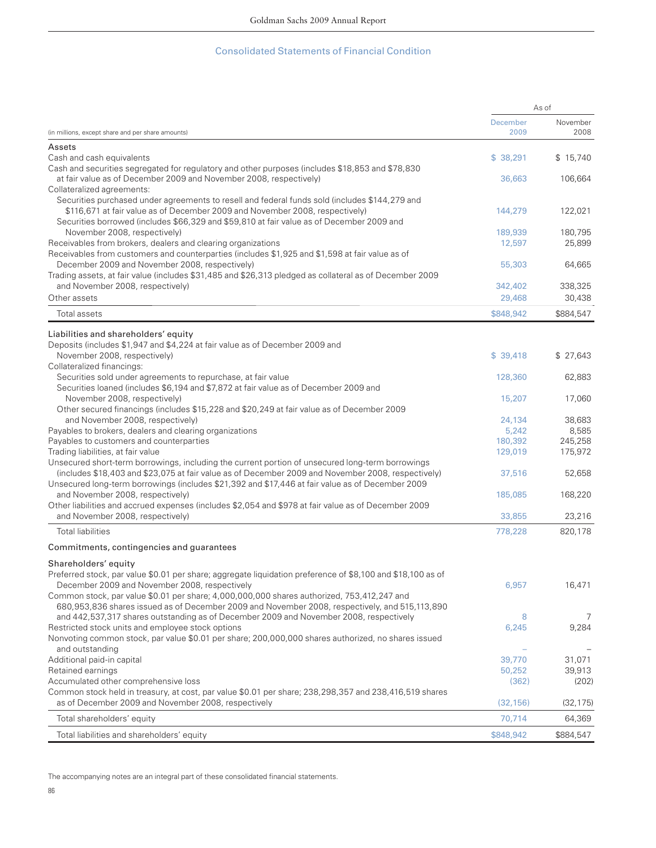### Consolidated Statements of Financial Condition

|                                                                                                                                                                        | As of     |           |
|------------------------------------------------------------------------------------------------------------------------------------------------------------------------|-----------|-----------|
|                                                                                                                                                                        | December  | November  |
| (in millions, except share and per share amounts)                                                                                                                      | 2009      | 2008      |
| Assets                                                                                                                                                                 |           |           |
| Cash and cash equivalents                                                                                                                                              | \$38,291  | \$15,740  |
| Cash and securities segregated for regulatory and other purposes (includes \$18,853 and \$78,830<br>at fair value as of December 2009 and November 2008, respectively) | 36,663    | 106,664   |
| Collateralized agreements:                                                                                                                                             |           |           |
| Securities purchased under agreements to resell and federal funds sold (includes \$144,279 and                                                                         |           |           |
| \$116,671 at fair value as of December 2009 and November 2008, respectively)                                                                                           | 144,279   | 122,021   |
| Securities borrowed (includes \$66,329 and \$59,810 at fair value as of December 2009 and                                                                              |           |           |
| November 2008, respectively)                                                                                                                                           | 189,939   | 180,795   |
| Receivables from brokers, dealers and clearing organizations                                                                                                           | 12,597    | 25,899    |
| Receivables from customers and counterparties (includes \$1,925 and \$1,598 at fair value as of<br>December 2009 and November 2008, respectively)                      |           | 64,665    |
| Trading assets, at fair value (includes \$31,485 and \$26,313 pledged as collateral as of December 2009                                                                | 55,303    |           |
| and November 2008, respectively)                                                                                                                                       | 342,402   | 338,325   |
| Other assets                                                                                                                                                           | 29,468    | 30,438    |
| Total assets                                                                                                                                                           | \$848,942 | \$884,547 |
|                                                                                                                                                                        |           |           |
| Liabilities and shareholders' equity                                                                                                                                   |           |           |
| Deposits (includes \$1,947 and \$4,224 at fair value as of December 2009 and                                                                                           |           |           |
| November 2008, respectively)                                                                                                                                           | \$39,418  | \$27,643  |
| Collateralized financings:<br>Securities sold under agreements to repurchase, at fair value                                                                            |           |           |
| Securities loaned (includes \$6,194 and \$7,872 at fair value as of December 2009 and                                                                                  | 128,360   | 62,883    |
| November 2008, respectively)                                                                                                                                           | 15,207    | 17,060    |
| Other secured financings (includes \$15,228 and \$20,249 at fair value as of December 2009                                                                             |           |           |
| and November 2008, respectively)                                                                                                                                       | 24,134    | 38,683    |
| Payables to brokers, dealers and clearing organizations                                                                                                                | 5,242     | 8,585     |
| Payables to customers and counterparties                                                                                                                               | 180,392   | 245,258   |
| Trading liabilities, at fair value                                                                                                                                     | 129,019   | 175,972   |
| Unsecured short-term borrowings, including the current portion of unsecured long-term borrowings                                                                       |           |           |
| (includes \$18,403 and \$23,075 at fair value as of December 2009 and November 2008, respectively)                                                                     | 37,516    | 52,658    |
| Unsecured long-term borrowings (includes \$21,392 and \$17,446 at fair value as of December 2009                                                                       |           |           |
| and November 2008, respectively)<br>Other liabilities and accrued expenses (includes \$2,054 and \$978 at fair value as of December 2009                               | 185,085   | 168,220   |
| and November 2008, respectively)                                                                                                                                       | 33,855    | 23,216    |
|                                                                                                                                                                        |           |           |
| <b>Total liabilities</b>                                                                                                                                               | 778,228   | 820,178   |
| Commitments, contingencies and guarantees                                                                                                                              |           |           |
| Shareholders' equity                                                                                                                                                   |           |           |
| Preferred stock, par value \$0.01 per share; aggregate liquidation preference of \$8,100 and \$18,100 as of                                                            |           |           |
| December 2009 and November 2008, respectively                                                                                                                          | 6,957     | 16,471    |
| Common stock, par value \$0.01 per share; 4,000,000,000 shares authorized, 753,412,247 and                                                                             |           |           |
| 680,953,836 shares issued as of December 2009 and November 2008, respectively, and 515,113,890                                                                         |           |           |
| and 442,537,317 shares outstanding as of December 2009 and November 2008, respectively                                                                                 | 8         | 7         |
| Restricted stock units and employee stock options<br>Nonvoting common stock, par value \$0.01 per share; 200,000,000 shares authorized, no shares issued               | 6,245     | 9,284     |
| and outstanding                                                                                                                                                        |           |           |
| Additional paid-in capital                                                                                                                                             | 39,770    | 31,071    |
| Retained earnings                                                                                                                                                      | 50,252    | 39,913    |
| Accumulated other comprehensive loss                                                                                                                                   | (362)     | (202)     |
| Common stock held in treasury, at cost, par value \$0.01 per share; 238,298,357 and 238,416,519 shares                                                                 |           |           |
| as of December 2009 and November 2008, respectively                                                                                                                    | (32, 156) | (32, 175) |
| Total shareholders' equity                                                                                                                                             | 70,714    | 64,369    |
| Total liabilities and shareholders' equity                                                                                                                             | \$848,942 | \$884,547 |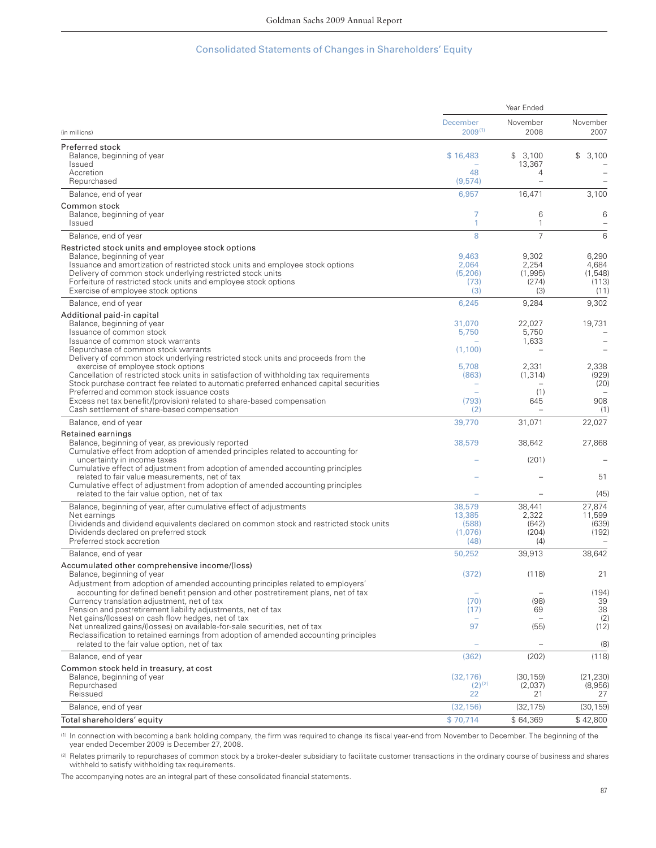## Consolidated Statements of Changes in Shareholders' Equity

|                                                                                                                                                                                                                 | Year Ended                      |                           |                           |
|-----------------------------------------------------------------------------------------------------------------------------------------------------------------------------------------------------------------|---------------------------------|---------------------------|---------------------------|
| (in millions)                                                                                                                                                                                                   | <b>December</b><br>$2009^{(1)}$ | November<br>2008          | November<br>2007          |
|                                                                                                                                                                                                                 |                                 |                           |                           |
| Preferred stock<br>Balance, beginning of year<br>Issued                                                                                                                                                         | \$16,483                        | \$3,100<br>13,367         | 3,100<br>\$               |
| Accretion<br>Repurchased                                                                                                                                                                                        | 48<br>(9,574)                   | 4                         |                           |
| Balance, end of year                                                                                                                                                                                            | 6,957                           | 16,471                    | 3,100                     |
| Common stock<br>Balance, beginning of year<br>Issued                                                                                                                                                            | 7<br>1                          | 6<br>1                    | 6                         |
| Balance, end of year                                                                                                                                                                                            | 8                               | $\overline{7}$            | 6                         |
| Restricted stock units and employee stock options<br>Balance, beginning of year                                                                                                                                 | 9.463                           | 9,302                     | 6,290                     |
| Issuance and amortization of restricted stock units and employee stock options<br>Delivery of common stock underlying restricted stock units<br>Forfeiture of restricted stock units and employee stock options | 2,064<br>(5,206)<br>(73)        | 2,254<br>(1,995)<br>(274) | 4,684<br>(1,548)<br>(113) |
| Exercise of employee stock options                                                                                                                                                                              | (3)                             | (3)                       | (11)                      |
| Balance, end of year                                                                                                                                                                                            | 6,245                           | 9,284                     | 9,302                     |
| Additional paid-in capital<br>Balance, beginning of year<br>Issuance of common stock                                                                                                                            | 31,070<br>5,750                 | 22,027<br>5,750           | 19,731                    |
| Issuance of common stock warrants                                                                                                                                                                               |                                 | 1,633                     | $\overline{\phantom{0}}$  |
| Repurchase of common stock warrants                                                                                                                                                                             | (1,100)                         |                           |                           |
| Delivery of common stock underlying restricted stock units and proceeds from the<br>exercise of employee stock options                                                                                          | 5,708                           | 2,331                     | 2,338                     |
| Cancellation of restricted stock units in satisfaction of withholding tax requirements<br>Stock purchase contract fee related to automatic preferred enhanced capital securities                                | (863)                           | (1, 314)                  | (929)<br>(20)             |
| Preferred and common stock issuance costs<br>Excess net tax benefit/(provision) related to share-based compensation                                                                                             | (793)                           | (1)<br>645                | 908                       |
| Cash settlement of share-based compensation                                                                                                                                                                     | (2)                             |                           | (1)                       |
| Balance, end of year                                                                                                                                                                                            | 39,770                          | 31,071                    | 22,027                    |
| Retained earnings                                                                                                                                                                                               |                                 |                           |                           |
| Balance, beginning of year, as previously reported<br>Cumulative effect from adoption of amended principles related to accounting for<br>uncertainty in income taxes                                            | 38,579                          | 38,642<br>(201)           | 27,868                    |
| Cumulative effect of adjustment from adoption of amended accounting principles                                                                                                                                  |                                 |                           |                           |
| related to fair value measurements, net of tax<br>Cumulative effect of adjustment from adoption of amended accounting principles<br>related to the fair value option, net of tax                                |                                 |                           | 51<br>(45)                |
| Balance, beginning of year, after cumulative effect of adjustments                                                                                                                                              | 38,579                          | 38,441                    | 27,874                    |
| Net earnings                                                                                                                                                                                                    | 13,385                          | 2,322                     | 11,599                    |
| Dividends and dividend equivalents declared on common stock and restricted stock units                                                                                                                          | (588)                           | (642)                     | (639)                     |
| Dividends declared on preferred stock<br>Preferred stock accretion                                                                                                                                              | (1,076)<br>(48)                 | (204)<br>(4)              | (192)                     |
| Balance, end of year                                                                                                                                                                                            | 50,252                          | 39,913                    | 38,642                    |
| Accumulated other comprehensive income/(loss)<br>Balance, beginning of year                                                                                                                                     | (372)                           | (118)                     | 21                        |
| Adjustment from adoption of amended accounting principles related to employers'<br>accounting for defined benefit pension and other postretirement plans, net of tax                                            |                                 |                           | (194)                     |
| Currency translation adjustment, net of tax                                                                                                                                                                     | (70)                            | (98)                      | 39                        |
| Pension and postretirement liability adjustments, net of tax<br>Net gains/(losses) on cash flow hedges, net of tax                                                                                              | (17)                            | 69                        | 38<br>(2)                 |
| Net unrealized gains/(losses) on available-for-sale securities, net of tax<br>Reclassification to retained earnings from adoption of amended accounting principles                                              | 97                              | (55)                      | (12)                      |
| related to the fair value option, net of tax                                                                                                                                                                    |                                 |                           | (8)                       |
| Balance, end of year                                                                                                                                                                                            | (362)                           | (202)                     | (118)                     |
| Common stock held in treasury, at cost<br>Balance, beginning of year<br>Repurchased                                                                                                                             | (32, 176)<br>$(2)^{(2)}$        | (30, 159)<br>(2,037)      | (21, 230)<br>(8,956)      |
| Reissued                                                                                                                                                                                                        | 22                              | 21                        | 27                        |
| Balance, end of year                                                                                                                                                                                            | (32, 156)                       | (32, 175)                 | (30, 159)                 |
| Total shareholders' equity                                                                                                                                                                                      | \$70,714                        | \$64,369                  | \$42,800                  |

(1) In connection with becoming a bank holding company, the firm was required to change its fiscal year-end from November to December. The beginning of the year ended December 2009 is December 27, 2008.

(2) Relates primarily to repurchases of common stock by a broker-dealer subsidiary to facilitate customer transactions in the ordinary course of business and shares withheld to satisfy withholding tax requirements.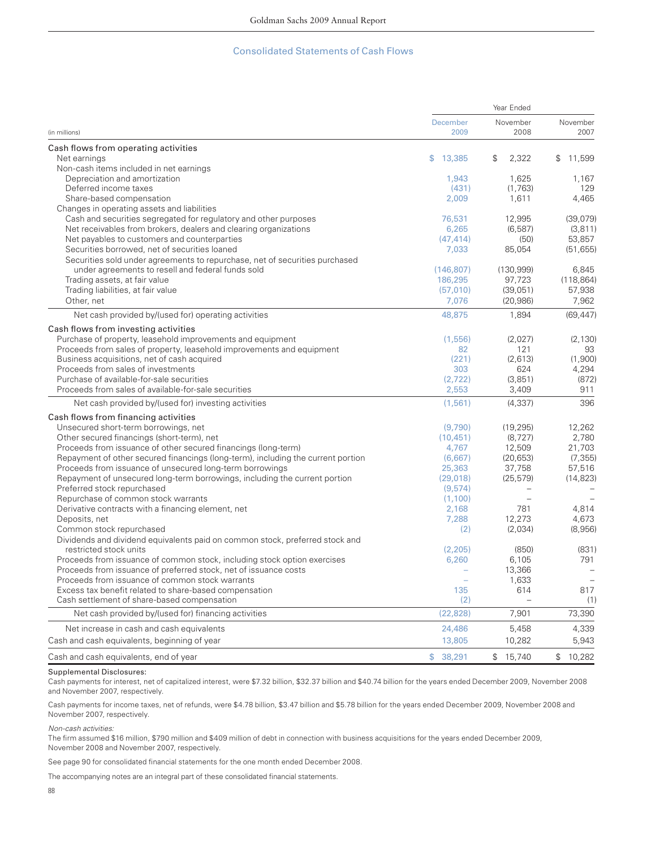### Consolidated Statements of Cash Flows

|                                                                                                        | Year Ended       |                          |                  |
|--------------------------------------------------------------------------------------------------------|------------------|--------------------------|------------------|
| (in millions)                                                                                          | December<br>2009 | November<br>2008         | November<br>2007 |
| Cash flows from operating activities                                                                   |                  |                          |                  |
| Net earnings                                                                                           | \$<br>13,385     | 2,322<br>$\mathcal{S}$   | \$11,599         |
| Non-cash items included in net earnings                                                                |                  |                          |                  |
| Depreciation and amortization                                                                          | 1,943            | 1,625                    | 1,167            |
| Deferred income taxes                                                                                  | (431)            | (1,763)                  | 129              |
| Share-based compensation                                                                               | 2,009            | 1,611                    | 4,465            |
| Changes in operating assets and liabilities                                                            |                  |                          |                  |
| Cash and securities segregated for regulatory and other purposes                                       | 76,531           | 12,995                   | (39,079)         |
| Net receivables from brokers, dealers and clearing organizations                                       | 6,265            | (6, 587)                 | (3, 811)         |
| Net payables to customers and counterparties                                                           | (47, 414)        | (50)                     | 53.857           |
| Securities borrowed, net of securities loaned                                                          | 7,033            | 85,054                   | (51, 655)        |
| Securities sold under agreements to repurchase, net of securities purchased                            |                  |                          |                  |
| under agreements to resell and federal funds sold                                                      | (146, 807)       | (130, 999)               | 6,845            |
| Trading assets, at fair value                                                                          | 186,295          | 97,723                   | (118, 864)       |
| Trading liabilities, at fair value                                                                     | (57,010)         | (39,051)                 | 57,938           |
| Other, net                                                                                             | 7,076            | (20, 986)                | 7,962            |
| Net cash provided by/(used for) operating activities                                                   | 48,875           | 1,894                    | (69, 447)        |
| Cash flows from investing activities                                                                   |                  |                          |                  |
| Purchase of property, leasehold improvements and equipment                                             | (1,556)          | (2,027)                  | (2, 130)         |
| Proceeds from sales of property, leasehold improvements and equipment                                  | 82               | 121                      | 93               |
| Business acquisitions, net of cash acquired                                                            | (221)            | (2,613)                  | (1,900)          |
| Proceeds from sales of investments                                                                     | 303              | 624                      | 4,294            |
| Purchase of available-for-sale securities                                                              | (2,722)          | (3,851)                  | (872)            |
| Proceeds from sales of available-for-sale securities                                                   | 2,553            | 3,409                    | 911              |
| Net cash provided by/(used for) investing activities                                                   | (1,561)          | (4, 337)                 | 396              |
| Cash flows from financing activities                                                                   |                  |                          |                  |
| Unsecured short-term borrowings, net                                                                   | (9,790)          | (19, 295)                | 12,262           |
| Other secured financings (short-term), net                                                             | (10, 451)        | (8, 727)                 | 2.780            |
| Proceeds from issuance of other secured financings (long-term)                                         | 4,767            | 12,509                   | 21,703           |
| Repayment of other secured financings (long-term), including the current portion                       | (6,667)          | (20.653)                 | (7.355)          |
| Proceeds from issuance of unsecured long-term borrowings                                               | 25,363           | 37,758                   | 57,516           |
| Repayment of unsecured long-term borrowings, including the current portion                             | (29.018)         | (25, 579)                | (14, 823)        |
| Preferred stock repurchased                                                                            | (9,574)          |                          |                  |
| Repurchase of common stock warrants                                                                    | (1,100)          | $\overline{\phantom{a}}$ |                  |
| Derivative contracts with a financing element, net                                                     | 2,168            | 781                      | 4,814            |
| Deposits, net                                                                                          | 7,288            | 12,273                   | 4,673            |
| Common stock repurchased                                                                               | (2)              | (2,034)                  | (8,956)          |
| Dividends and dividend equivalents paid on common stock, preferred stock and<br>restricted stock units | (2,205)          | (850)                    | (831)            |
| Proceeds from issuance of common stock, including stock option exercises                               | 6,260            | 6,105                    | 791              |
| Proceeds from issuance of preferred stock, net of issuance costs                                       |                  | 13,366                   |                  |
| Proceeds from issuance of common stock warrants                                                        |                  | 1,633                    |                  |
| Excess tax benefit related to share-based compensation                                                 | 135              | 614                      | 817              |
| Cash settlement of share-based compensation                                                            | (2)              |                          | (1)              |
| Net cash provided by/(used for) financing activities                                                   | (22, 828)        | 7,901                    | 73,390           |
| Net increase in cash and cash equivalents                                                              | 24,486           | 5,458                    | 4,339            |
| Cash and cash equivalents, beginning of year                                                           | 13,805           | 10,282                   | 5,943            |
| Cash and cash equivalents, end of year                                                                 | \$<br>38,291     | \$15,740                 | \$10,282         |

### Supplemental Disclosures:

Cash payments for interest, net of capitalized interest, were \$7.32 billion, \$32.37 billion and \$40.74 billion for the years ended December 2009, November 2008 and November 2007, respectively.

Cash payments for income taxes, net of refunds, were \$4.78 billion, \$3.47 billion and \$5.78 billion for the years ended December 2009, November 2008 and November 2007, respectively.

Non-cash activities:

The firm assumed \$16 million, \$790 million and \$409 million of debt in connection with business acquisitions for the years ended December 2009, November 2008 and November 2007, respectively.

See page 90 for consolidated financial statements for the one month ended December 2008.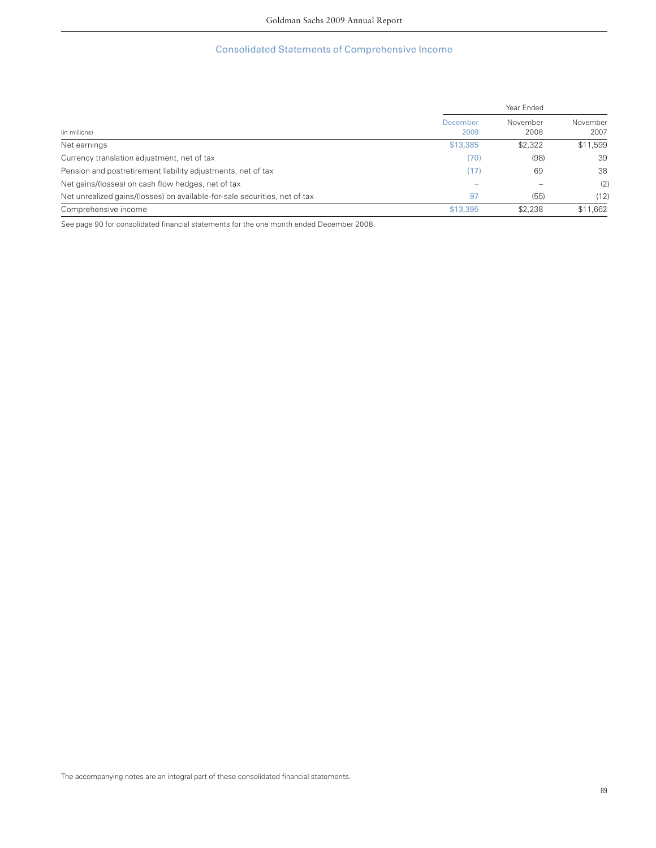# Consolidated Statements of Comprehensive Income

|                                                                            |                  | Year Ended       |                  |
|----------------------------------------------------------------------------|------------------|------------------|------------------|
| (in millions)                                                              | December<br>2009 | November<br>2008 | November<br>2007 |
| Net earnings                                                               | \$13,385         | \$2,322          | \$11,599         |
| Currency translation adjustment, net of tax                                | (70)             | (98)             | 39               |
| Pension and postretirement liability adjustments, net of tax               | (17)             | 69               | 38               |
| Net gains/(losses) on cash flow hedges, net of tax                         |                  |                  | (2)              |
| Net unrealized gains/(losses) on available-for-sale securities, net of tax | 97               | (55)             | (12)             |
| Comprehensive income                                                       | \$13,395         | \$2,238          | \$11,662         |

See page 90 for consolidated financial statements for the one month ended December 2008.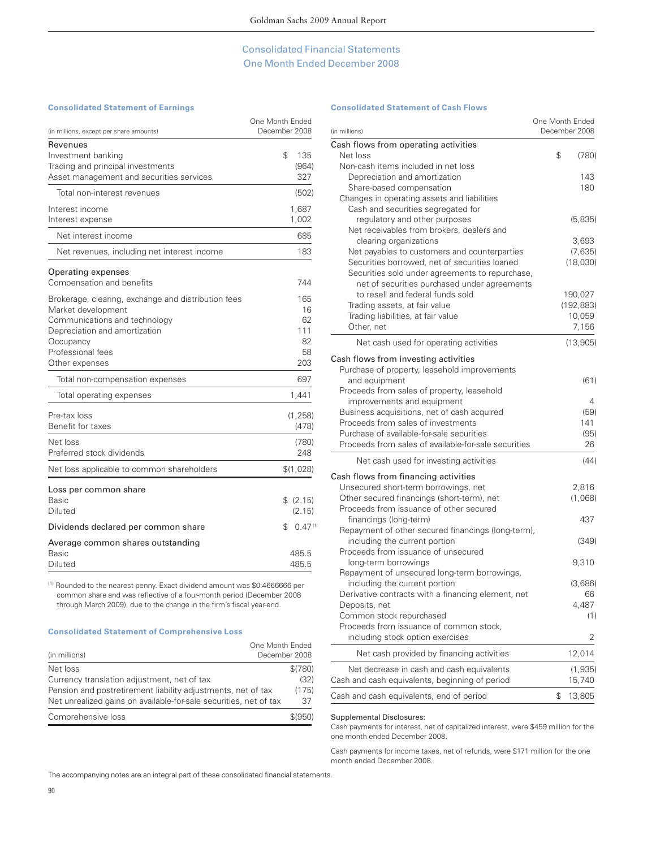## Consolidated Financial Statements One Month Ended December 2008

### **Consolidated Statement of Earnings**

| (in millions, except per share amounts)                                                                                                                                                         | One Month Ended<br>December 2008          |
|-------------------------------------------------------------------------------------------------------------------------------------------------------------------------------------------------|-------------------------------------------|
| Revenues<br>Investment banking<br>Trading and principal investments<br>Asset management and securities services                                                                                 | \$<br>135<br>(964)<br>327                 |
| Total non-interest revenues                                                                                                                                                                     | (502)                                     |
| Interest income<br>Interest expense                                                                                                                                                             | 1,687<br>1,002                            |
| Net interest income                                                                                                                                                                             | 685                                       |
| Net revenues, including net interest income                                                                                                                                                     | 183                                       |
| Operating expenses<br>Compensation and benefits                                                                                                                                                 | 744                                       |
| Brokerage, clearing, exchange and distribution fees<br>Market development<br>Communications and technology<br>Depreciation and amortization<br>Occupancy<br>Professional fees<br>Other expenses | 165<br>16<br>62<br>111<br>82<br>58<br>203 |
| Total non-compensation expenses                                                                                                                                                                 | 697                                       |
| Total operating expenses                                                                                                                                                                        | 1,441                                     |
| Pre-tax loss<br>Benefit for taxes                                                                                                                                                               | (1, 258)<br>(478)                         |
| Net loss<br>Preferred stock dividends                                                                                                                                                           | (780)<br>248                              |
| Net loss applicable to common shareholders                                                                                                                                                      | \$(1,028)                                 |
| Loss per common share<br><b>Basic</b><br><b>Diluted</b>                                                                                                                                         | \$ (2.15)<br>(2.15)                       |
| Dividends declared per common share                                                                                                                                                             | \$<br>0.47(1)                             |
| Average common shares outstanding<br>Basic<br><b>Diluted</b>                                                                                                                                    | 485.5<br>485.5                            |

(1) Rounded to the nearest penny. Exact dividend amount was \$0.4666666 per common share and was reflective of a four-month period (December 2008 through March 2009), due to the change in the firm's fiscal year-end.

### **Consolidated Statement of Comprehensive Loss**

| One Month Ended                                                   |         |
|-------------------------------------------------------------------|---------|
| December 2008<br>(in millions)                                    |         |
| Net loss                                                          | \$(780) |
| Currency translation adjustment, net of tax                       | (32)    |
| Pension and postretirement liability adjustments, net of tax      | (175)   |
| Net unrealized gains on available-for-sale securities, net of tax | 37      |
| Comprehensive loss                                                | \$(950) |

### **Consolidated Statement of Cash Flows**

| (in millions)                                        | One Month Ended<br>December 2008 |
|------------------------------------------------------|----------------------------------|
| Cash flows from operating activities                 |                                  |
| Net loss                                             | \$<br>(780)                      |
| Non-cash items included in net loss                  |                                  |
| Depreciation and amortization                        | 143                              |
| Share-based compensation                             | 180                              |
| Changes in operating assets and liabilities          |                                  |
| Cash and securities segregated for                   |                                  |
| regulatory and other purposes                        | (5,835)                          |
| Net receivables from brokers, dealers and            |                                  |
| clearing organizations                               | 3,693                            |
| Net payables to customers and counterparties         | (7,635)                          |
| Securities borrowed, net of securities loaned        | (18,030)                         |
| Securities sold under agreements to repurchase,      |                                  |
| net of securities purchased under agreements         |                                  |
| to resell and federal funds sold                     | 190,027                          |
| Trading assets, at fair value                        | (192, 883)                       |
| Trading liabilities, at fair value                   | 10,059                           |
| Other, net                                           | 7,156                            |
| Net cash used for operating activities               | (13,905)                         |
| Cash flows from investing activities                 |                                  |
| Purchase of property, leasehold improvements         |                                  |
| and equipment                                        | (61)                             |
| Proceeds from sales of property, leasehold           |                                  |
| improvements and equipment                           | 4                                |
| Business acquisitions, net of cash acquired          | (59)                             |
| Proceeds from sales of investments                   | 141                              |
| Purchase of available-for-sale securities            | (95)                             |
| Proceeds from sales of available-for-sale securities | 26                               |
|                                                      |                                  |
| Net cash used for investing activities               | (44)                             |
| Cash flows from financing activities                 |                                  |
| Unsecured short-term borrowings, net                 | 2,816                            |
| Other secured financings (short-term), net           | (1,068)                          |
| Proceeds from issuance of other secured              |                                  |
| financings (long-term)                               | 437                              |
| Repayment of other secured financings (long-term),   |                                  |
| including the current portion                        | (349)                            |
| Proceeds from issuance of unsecured                  |                                  |
| long-term borrowings                                 | 9,310                            |
| Repayment of unsecured long-term borrowings,         |                                  |
| including the current portion                        | (3,686)                          |
| Derivative contracts with a financing element, net   | 66                               |
| Deposits, net                                        | 4,487                            |
| Common stock repurchased                             | (1)                              |
| Proceeds from issuance of common stock,              |                                  |
| including stock option exercises                     | 2                                |
| Net cash provided by financing activities            | 12,014                           |
| Net decrease in cash and cash equivalents            | (1,935)                          |
| Cash and cash equivalents, beginning of period       | 15,740                           |
| Cash and cash equivalents, end of period             | \$<br>13,805                     |

#### Supplemental Disclosures:

Cash payments for interest, net of capitalized interest, were \$459 million for the one month ended December 2008.

Cash payments for income taxes, net of refunds, were \$171 million for the one month ended December 2008.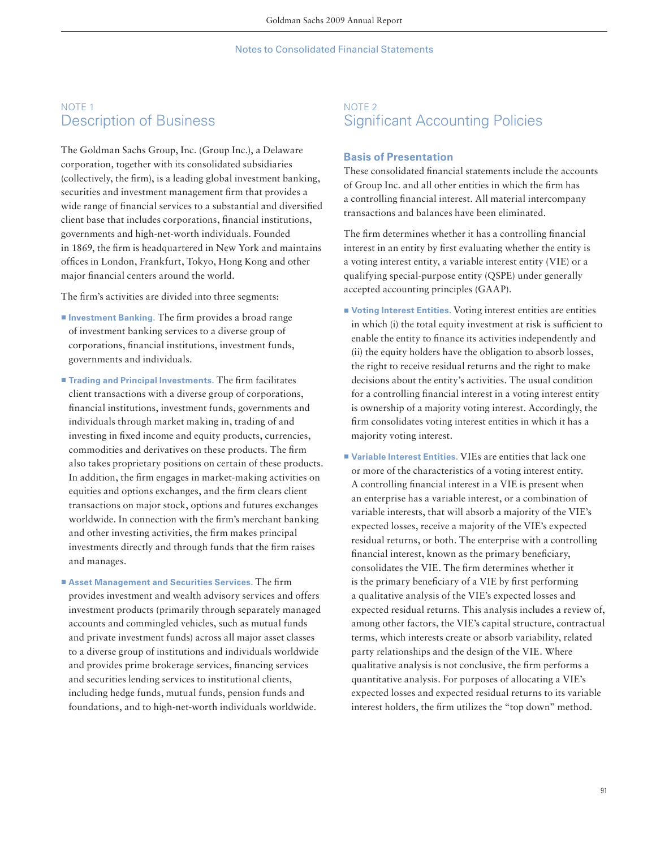# NOTE 1 Description of Business

The Goldman Sachs Group, Inc. (Group Inc.), a Delaware corporation, together with its consolidated subsidiaries (collectively, the firm), is a leading global investment banking, securities and investment management firm that provides a wide range of financial services to a substantial and diversified client base that includes corporations, financial institutions, governments and high-net-worth individuals. Founded in 1869, the firm is headquartered in New York and maintains offices in London, Frankfurt, Tokyo, Hong Kong and other major financial centers around the world.

The firm's activities are divided into three segments:

- **Investment Banking.** The firm provides a broad range of investment banking services to a diverse group of corporations, financial institutions, investment funds, governments and individuals.
- **Trading and Principal Investments.** The firm facilitates client transactions with a diverse group of corporations, financial institutions, investment funds, governments and individuals through market making in, trading of and investing in fixed income and equity products, currencies, commodities and derivatives on these products. The firm also takes proprietary positions on certain of these products. In addition, the firm engages in market-making activities on equities and options exchanges, and the firm clears client transactions on major stock, options and futures exchanges worldwide. In connection with the firm's merchant banking and other investing activities, the firm makes principal investments directly and through funds that the firm raises and manages.
- Asset Management and Securities Services. The firm provides investment and wealth advisory services and offers investment products (primarily through separately managed accounts and commingled vehicles, such as mutual funds and private investment funds) across all major asset classes to a diverse group of institutions and individuals worldwide and provides prime brokerage services, financing services and securities lending services to institutional clients, including hedge funds, mutual funds, pension funds and foundations, and to high-net-worth individuals worldwide.

# NOTE 2 **Significant Accounting Policies**

## **Basis of Presentation**

These consolidated financial statements include the accounts of Group Inc. and all other entities in which the firm has a controlling financial interest. All material intercompany transactions and balances have been eliminated.

The firm determines whether it has a controlling financial interest in an entity by first evaluating whether the entity is a voting interest entity, a variable interest entity (VIE) or a qualifying special-purpose entity (QSPE) under generally accepted accounting principles (GAAP).

- **Voting Interest Entities.** Voting interest entities are entities in which (i) the total equity investment at risk is sufficient to enable the entity to finance its activities independently and (ii) the equity holders have the obligation to absorb losses, the right to receive residual returns and the right to make decisions about the entity's activities. The usual condition for a controlling financial interest in a voting interest entity is ownership of a majority voting interest. Accordingly, the firm consolidates voting interest entities in which it has a majority voting interest.
- Variable Interest Entities. VIEs are entities that lack one or more of the characteristics of a voting interest entity. A controlling financial interest in a VIE is present when an enterprise has a variable interest, or a combination of variable interests, that will absorb a majority of the VIE's expected losses, receive a majority of the VIE's expected residual returns, or both. The enterprise with a controlling financial interest, known as the primary beneficiary, consolidates the VIE. The firm determines whether it is the primary beneficiary of a VIE by first performing a qualitative analysis of the VIE's expected losses and expected residual returns. This analysis includes a review of, among other factors, the VIE's capital structure, contractual terms, which interests create or absorb variability, related party relationships and the design of the VIE. Where qualitative analysis is not conclusive, the firm performs a quantitative analysis. For purposes of allocating a VIE's expected losses and expected residual returns to its variable interest holders, the firm utilizes the "top down" method.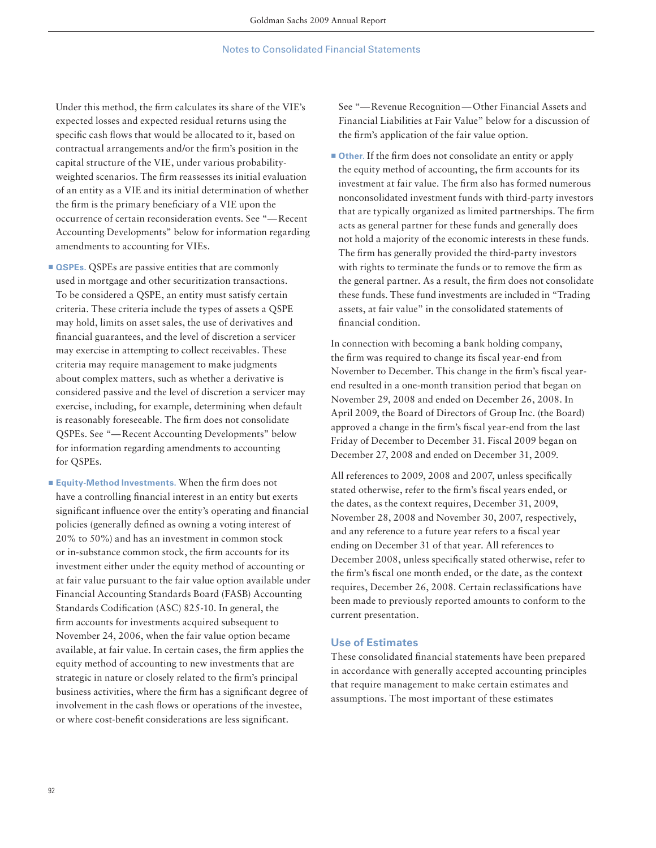Under this method, the firm calculates its share of the VIE's expected losses and expected residual returns using the specific cash flows that would be allocated to it, based on contractual arrangements and/or the firm's position in the capital structure of the VIE, under various probabilityweighted scenarios. The firm reassesses its initial evaluation of an entity as a VIE and its initial determination of whether the firm is the primary beneficiary of a VIE upon the occurrence of certain reconsideration events. See "— Recent Accounting Developments" below for information regarding amendments to accounting for VIEs.

- $\blacksquare$  **QSPEs.** QSPEs are passive entities that are commonly used in mortgage and other securitization transactions. To be considered a QSPE, an entity must satisfy certain criteria. These criteria include the types of assets a QSPE may hold, limits on asset sales, the use of derivatives and financial guarantees, and the level of discretion a servicer may exercise in attempting to collect receivables. These criteria may require management to make judgments about complex matters, such as whether a derivative is considered passive and the level of discretion a servicer may exercise, including, for example, determining when default is reasonably foreseeable. The firm does not consolidate QSPEs. See "— Recent Accounting Developments" below for information regarding amendments to accounting for QSPEs.
- **Equity-Method Investments. When the firm does not** have a controlling financial interest in an entity but exerts significant influence over the entity's operating and financial policies (generally defined as owning a voting interest of 20% to 50%) and has an investment in common stock or in-substance common stock, the firm accounts for its investment either under the equity method of accounting or at fair value pursuant to the fair value option available under Financial Accounting Standards Board (FASB) Accounting Standards Codification (ASC) 825-10. In general, the firm accounts for investments acquired subsequent to November 24, 2006, when the fair value option became available, at fair value. In certain cases, the firm applies the equity method of accounting to new investments that are strategic in nature or closely related to the firm's principal business activities, where the firm has a significant degree of involvement in the cash flows or operations of the investee, or where cost-benefit considerations are less significant.

See "— Revenue Recognition — Other Financial Assets and Financial Liabilities at Fair Value" below for a discussion of the firm's application of the fair value option.

**• Other.** If the firm does not consolidate an entity or apply the equity method of accounting, the firm accounts for its investment at fair value. The firm also has formed numerous nonconsolidated investment funds with third-party investors that are typically organized as limited partnerships. The firm acts as general partner for these funds and generally does not hold a majority of the economic interests in these funds. The firm has generally provided the third-party investors with rights to terminate the funds or to remove the firm as the general partner. As a result, the firm does not consolidate these funds. These fund investments are included in "Trading assets, at fair value" in the consolidated statements of financial condition.

In connection with becoming a bank holding company, the firm was required to change its fiscal year-end from November to December. This change in the firm's fiscal yearend resulted in a one-month transition period that began on November 29, 2008 and ended on December 26, 2008. In April 2009, the Board of Directors of Group Inc. (the Board) approved a change in the firm's fiscal year-end from the last Friday of December to December 31. Fiscal 2009 began on December 27, 2008 and ended on December 31, 2009.

All references to 2009, 2008 and 2007, unless specifically stated otherwise, refer to the firm's fiscal years ended, or the dates, as the context requires, December 31, 2009, November 28, 2008 and November 30, 2007, respectively, and any reference to a future year refers to a fiscal year ending on December 31 of that year. All references to December 2008, unless specifically stated otherwise, refer to the firm's fiscal one month ended, or the date, as the context requires, December 26, 2008. Certain reclassifications have been made to previously reported amounts to conform to the current presentation.

## **Use of Estimates**

These consolidated financial statements have been prepared in accordance with generally accepted accounting principles that require management to make certain estimates and assumptions. The most important of these estimates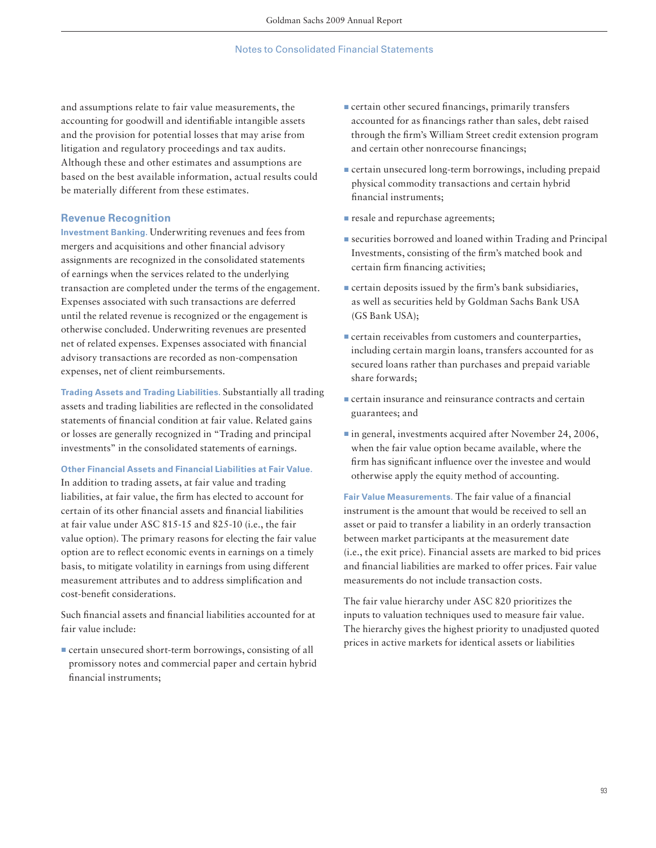and assumptions relate to fair value measurements, the accounting for goodwill and identifiable intangible assets and the provision for potential losses that may arise from litigation and regulatory proceedings and tax audits. Although these and other estimates and assumptions are based on the best available information, actual results could be materially different from these estimates.

## **Revenue Recognition**

**Investment Banking.** Underwriting revenues and fees from mergers and acquisitions and other financial advisory assignments are recognized in the consolidated statements of earnings when the services related to the underlying transaction are completed under the terms of the engagement. Expenses associated with such transactions are deferred until the related revenue is recognized or the engagement is otherwise concluded. Underwriting revenues are presented net of related expenses. Expenses associated with financial advisory transactions are recorded as non-compensation expenses, net of client reimbursements.

**Trading Assets and Trading Liabilities.** Substantially all trading assets and trading liabilities are reflected in the consolidated statements of financial condition at fair value. Related gains or losses are generally recognized in "Trading and principal investments" in the consolidated statements of earnings.

#### **Other Financial Assets and Financial Liabilities at Fair Value.**

In addition to trading assets, at fair value and trading liabilities, at fair value, the firm has elected to account for certain of its other financial assets and financial liabilities at fair value under ASC 815-15 and 825-10 (i.e., the fair value option). The primary reasons for electing the fair value option are to reflect economic events in earnings on a timely basis, to mitigate volatility in earnings from using different measurement attributes and to address simplification and cost-benefit considerations.

Such financial assets and financial liabilities accounted for at fair value include:

 $\blacksquare$  certain unsecured short-term borrowings, consisting of all promissory notes and commercial paper and certain hybrid financial instruments;

- $\blacksquare$  certain other secured financings, primarily transfers accounted for as financings rather than sales, debt raised through the firm's William Street credit extension program and certain other nonrecourse financings;
- **Exercise** certain unsecured long-term borrowings, including prepaid physical commodity transactions and certain hybrid financial instruments;
- **Example 2** resale and repurchase agreements;
- securities borrowed and loaned within Trading and Principal Investments, consisting of the firm's matched book and certain firm financing activities;
- $\blacksquare$  certain deposits issued by the firm's bank subsidiaries, as well as securities held by Goldman Sachs Bank USA (GS Bank USA);
- $\blacksquare$  certain receivables from customers and counterparties, including certain margin loans, transfers accounted for as secured loans rather than purchases and prepaid variable share forwards;
- $\blacksquare$  certain insurance and reinsurance contracts and certain guarantees; and
- In general, investments acquired after November 24, 2006, when the fair value option became available, where the firm has significant influence over the investee and would otherwise apply the equity method of accounting.

Fair Value Measurements. The fair value of a financial instrument is the amount that would be received to sell an asset or paid to transfer a liability in an orderly transaction between market participants at the measurement date (i.e., the exit price). Financial assets are marked to bid prices and financial liabilities are marked to offer prices. Fair value measurements do not include transaction costs.

The fair value hierarchy under ASC 820 prioritizes the inputs to valuation techniques used to measure fair value. The hierarchy gives the highest priority to unadjusted quoted prices in active markets for identical assets or liabilities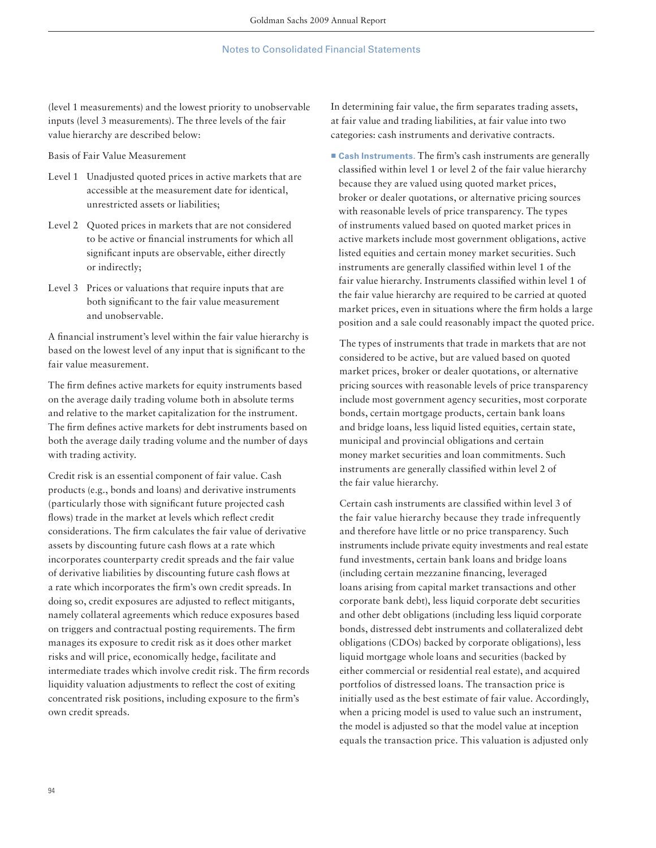(level 1 measurements) and the lowest priority to unobservable inputs (level 3 measurements). The three levels of the fair value hierarchy are described below:

Basis of Fair Value Measurement

- Level 1 Unadjusted quoted prices in active markets that are accessible at the measurement date for identical, unrestricted assets or liabilities;
- Level 2 Quoted prices in markets that are not considered to be active or financial instruments for which all significant inputs are observable, either directly or indirectly;
- Level 3 Prices or valuations that require inputs that are both significant to the fair value measurement and unobservable.

A financial instrument's level within the fair value hierarchy is based on the lowest level of any input that is significant to the fair value measurement.

The firm defines active markets for equity instruments based on the average daily trading volume both in absolute terms and relative to the market capitalization for the instrument. The firm defines active markets for debt instruments based on both the average daily trading volume and the number of days with trading activity.

Credit risk is an essential component of fair value. Cash products (e.g., bonds and loans) and derivative instruments (particularly those with significant future projected cash flows) trade in the market at levels which reflect credit considerations. The firm calculates the fair value of derivative assets by discounting future cash flows at a rate which incorporates counterparty credit spreads and the fair value of derivative liabilities by discounting future cash flows at a rate which incorporates the firm's own credit spreads. In doing so, credit exposures are adjusted to reflect mitigants, namely collateral agreements which reduce exposures based on triggers and contractual posting requirements. The firm manages its exposure to credit risk as it does other market risks and will price, economically hedge, facilitate and intermediate trades which involve credit risk. The firm records liquidity valuation adjustments to reflect the cost of exiting concentrated risk positions, including exposure to the firm's own credit spreads.

In determining fair value, the firm separates trading assets, at fair value and trading liabilities, at fair value into two categories: cash instruments and derivative contracts.

**Example 1** Cash Instruments. The firm's cash instruments are generally classified within level 1 or level 2 of the fair value hierarchy because they are valued using quoted market prices, broker or dealer quotations, or alternative pricing sources with reasonable levels of price transparency. The types of instruments valued based on quoted market prices in active markets include most government obligations, active listed equities and certain money market securities. Such instruments are generally classified within level 1 of the fair value hierarchy. Instruments classified within level 1 of the fair value hierarchy are required to be carried at quoted market prices, even in situations where the firm holds a large position and a sale could reasonably impact the quoted price.

 The types of instruments that trade in markets that are not considered to be active, but are valued based on quoted market prices, broker or dealer quotations, or alternative pricing sources with reasonable levels of price transparency include most government agency securities, most corporate bonds, certain mortgage products, certain bank loans and bridge loans, less liquid listed equities, certain state, municipal and provincial obligations and certain money market securities and loan commitments. Such instruments are generally classified within level 2 of the fair value hierarchy.

Certain cash instruments are classified within level 3 of the fair value hierarchy because they trade infrequently and therefore have little or no price transparency. Such instruments include private equity investments and real estate fund investments, certain bank loans and bridge loans (including certain mezzanine financing, leveraged loans arising from capital market transactions and other corporate bank debt), less liquid corporate debt securities and other debt obligations (including less liquid corporate bonds, distressed debt instruments and collateralized debt obligations (CDOs) backed by corporate obligations), less liquid mortgage whole loans and securities (backed by either commercial or residential real estate), and acquired portfolios of distressed loans. The transaction price is initially used as the best estimate of fair value. Accordingly, when a pricing model is used to value such an instrument, the model is adjusted so that the model value at inception equals the transaction price. This valuation is adjusted only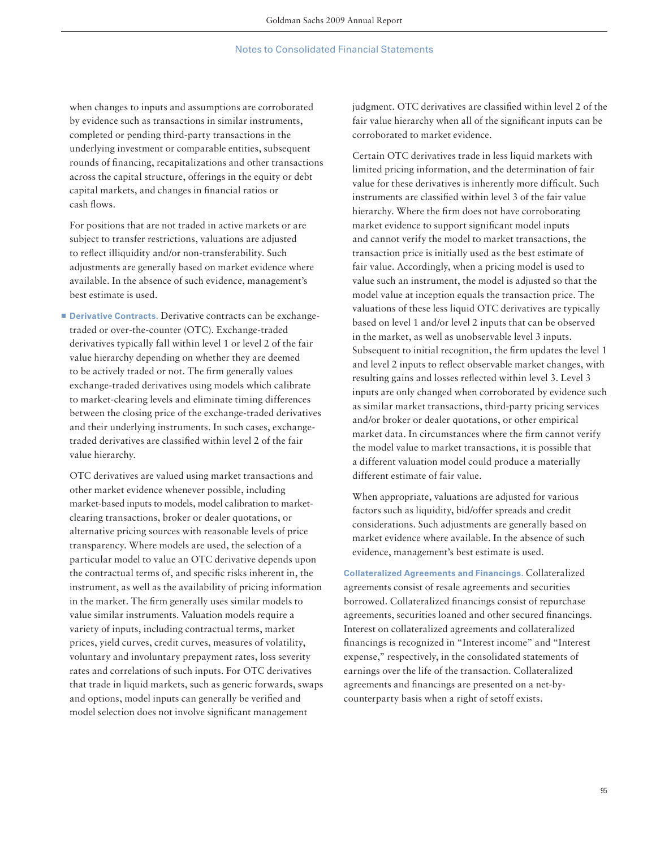when changes to inputs and assumptions are corroborated by evidence such as transactions in similar instruments, completed or pending third-party transactions in the underlying investment or comparable entities, subsequent rounds of financing, recapitalizations and other transactions across the capital structure, offerings in the equity or debt capital markets, and changes in financial ratios or cash flows.

 For positions that are not traded in active markets or are subject to transfer restrictions, valuations are adjusted to reflect illiquidity and/or non-transferability. Such adjustments are generally based on market evidence where available. In the absence of such evidence, management's best estimate is used.

■ **Derivative Contracts.** Derivative contracts can be exchangetraded or over-the-counter (OTC). Exchange-traded derivatives typically fall within level 1 or level 2 of the fair value hierarchy depending on whether they are deemed to be actively traded or not. The firm generally values exchange-traded derivatives using models which calibrate to market-clearing levels and eliminate timing differences between the closing price of the exchange-traded derivatives and their underlying instruments. In such cases, exchangetraded derivatives are classified within level 2 of the fair value hierarchy.

 OTC derivatives are valued using market transactions and other market evidence whenever possible, including market-based inputs to models, model calibration to marketclearing transactions, broker or dealer quotations, or alternative pricing sources with reasonable levels of price transparency. Where models are used, the selection of a particular model to value an OTC derivative depends upon the contractual terms of, and specific risks inherent in, the instrument, as well as the availability of pricing information in the market. The firm generally uses similar models to value similar instruments. Valuation models require a variety of inputs, including contractual terms, market prices, yield curves, credit curves, measures of volatility, voluntary and involuntary prepayment rates, loss severity rates and correlations of such inputs. For OTC derivatives that trade in liquid markets, such as generic forwards, swaps and options, model inputs can generally be verified and model selection does not involve significant management

judgment. OTC derivatives are classified within level 2 of the fair value hierarchy when all of the significant inputs can be corroborated to market evidence.

 Certain OTC derivatives trade in less liquid markets with limited pricing information, and the determination of fair value for these derivatives is inherently more difficult. Such instruments are classified within level 3 of the fair value hierarchy. Where the firm does not have corroborating market evidence to support significant model inputs and cannot verify the model to market transactions, the transaction price is initially used as the best estimate of fair value. Accordingly, when a pricing model is used to value such an instrument, the model is adjusted so that the model value at inception equals the transaction price. The valuations of these less liquid OTC derivatives are typically based on level 1 and/or level 2 inputs that can be observed in the market, as well as unobservable level 3 inputs. Subsequent to initial recognition, the firm updates the level 1 and level 2 inputs to reflect observable market changes, with resulting gains and losses reflected within level 3. Level 3 inputs are only changed when corroborated by evidence such as similar market transactions, third-party pricing services and/or broker or dealer quotations, or other empirical market data. In circumstances where the firm cannot verify the model value to market transactions, it is possible that a different valuation model could produce a materially different estimate of fair value.

 When appropriate, valuations are adjusted for various factors such as liquidity, bid/offer spreads and credit considerations. Such adjustments are generally based on market evidence where available. In the absence of such evidence, management's best estimate is used.

**Collateralized Agreements and Financings.** Collateralized agreements consist of resale agreements and securities borrowed. Collateralized financings consist of repurchase agreements, securities loaned and other secured financings. Interest on collateralized agreements and collateralized financings is recognized in "Interest income" and "Interest expense," respectively, in the consolidated statements of earnings over the life of the transaction. Collateralized agreements and financings are presented on a net-bycounterparty basis when a right of setoff exists.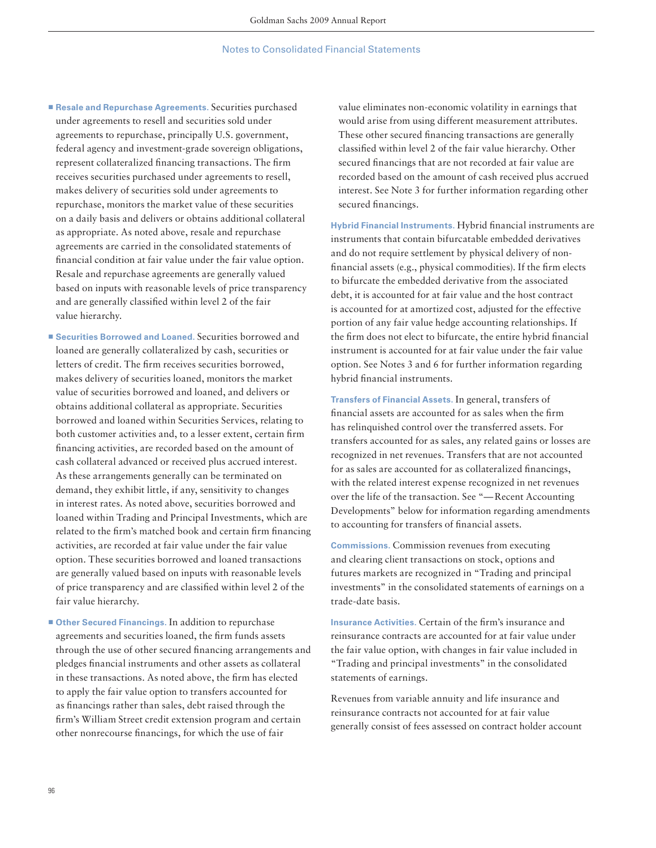- Resale and Repurchase Agreements. Securities purchased under agreements to resell and securities sold under agreements to repurchase, principally U.S. government, federal agency and investment-grade sovereign obligations, represent collateralized financing transactions. The firm receives securities purchased under agreements to resell, makes delivery of securities sold under agreements to repurchase, monitors the market value of these securities on a daily basis and delivers or obtains additional collateral as appropriate. As noted above, resale and repurchase agreements are carried in the consolidated statements of financial condition at fair value under the fair value option. Resale and repurchase agreements are generally valued based on inputs with reasonable levels of price transparency and are generally classified within level 2 of the fair value hierarchy.
- Securities Borrowed and Loaned. Securities borrowed and loaned are generally collateralized by cash, securities or letters of credit. The firm receives securities borrowed, makes delivery of securities loaned, monitors the market value of securities borrowed and loaned, and delivers or obtains additional collateral as appropriate. Securities borrowed and loaned within Securities Services, relating to both customer activities and, to a lesser extent, certain firm financing activities, are recorded based on the amount of cash collateral advanced or received plus accrued interest. As these arrangements generally can be terminated on demand, they exhibit little, if any, sensitivity to changes in interest rates. As noted above, securities borrowed and loaned within Trading and Principal Investments, which are related to the firm's matched book and certain firm financing activities, are recorded at fair value under the fair value option. These securities borrowed and loaned transactions are generally valued based on inputs with reasonable levels of price transparency and are classified within level 2 of the fair value hierarchy.
- Other Secured Financings. In addition to repurchase agreements and securities loaned, the firm funds assets through the use of other secured financing arrangements and pledges financial instruments and other assets as collateral in these transactions. As noted above, the firm has elected to apply the fair value option to transfers accounted for as financings rather than sales, debt raised through the firm's William Street credit extension program and certain other nonrecourse financings, for which the use of fair

value eliminates non-economic volatility in earnings that would arise from using different measurement attributes. These other secured financing transactions are generally classified within level 2 of the fair value hierarchy. Other secured financings that are not recorded at fair value are recorded based on the amount of cash received plus accrued interest. See Note 3 for further information regarding other secured financings.

**Hybrid Financial Instruments. Hybrid financial instruments are** instruments that contain bifurcatable embedded derivatives and do not require settlement by physical delivery of nonfinancial assets (e.g., physical commodities). If the firm elects to bifurcate the embedded derivative from the associated debt, it is accounted for at fair value and the host contract is accounted for at amortized cost, adjusted for the effective portion of any fair value hedge accounting relationships. If the firm does not elect to bifurcate, the entire hybrid financial instrument is accounted for at fair value under the fair value option. See Notes 3 and 6 for further information regarding hybrid financial instruments.

**Transfers of Financial Assets.** In general, transfers of financial assets are accounted for as sales when the firm has relinquished control over the transferred assets. For transfers accounted for as sales, any related gains or losses are recognized in net revenues. Transfers that are not accounted for as sales are accounted for as collateralized financings, with the related interest expense recognized in net revenues over the life of the transaction. See "— Recent Accounting Developments" below for information regarding amendments to accounting for transfers of financial assets.

**Commissions.** Commission revenues from executing and clearing client transactions on stock, options and futures markets are recognized in "Trading and principal investments" in the consolidated statements of earnings on a trade-date basis.

**Insurance Activities.** Certain of the firm's insurance and reinsurance contracts are accounted for at fair value under the fair value option, with changes in fair value included in "Trading and principal investments" in the consolidated statements of earnings.

Revenues from variable annuity and life insurance and reinsurance contracts not accounted for at fair value generally consist of fees assessed on contract holder account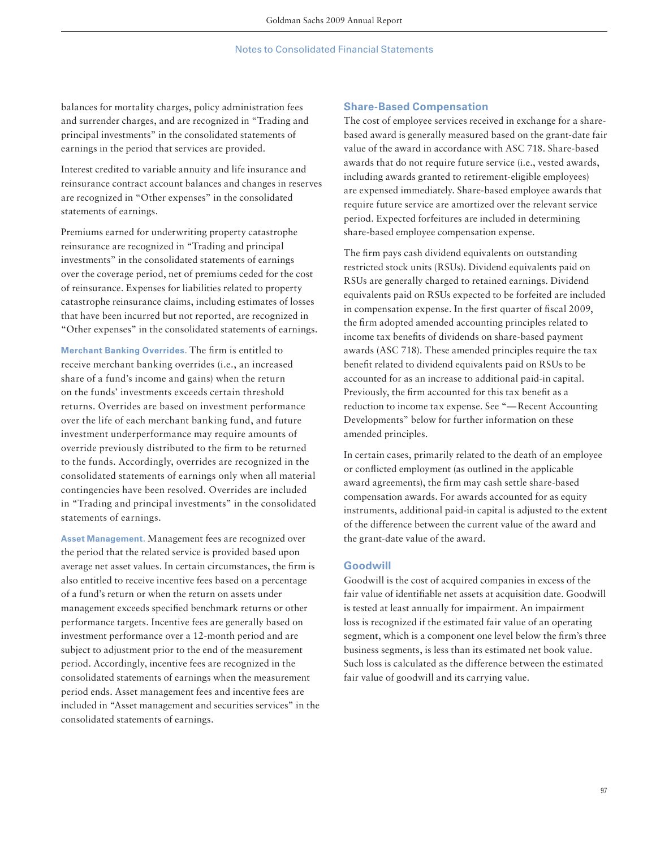balances for mortality charges, policy administration fees and surrender charges, and are recognized in "Trading and principal investments" in the consolidated statements of earnings in the period that services are provided.

Interest credited to variable annuity and life insurance and reinsurance contract account balances and changes in reserves are recognized in "Other expenses" in the consolidated statements of earnings.

Premiums earned for underwriting property catastrophe reinsurance are recognized in "Trading and principal investments" in the consolidated statements of earnings over the coverage period, net of premiums ceded for the cost of reinsurance. Expenses for liabilities related to property catastrophe reinsurance claims, including estimates of losses that have been incurred but not reported, are recognized in "Other expenses" in the consolidated statements of earnings.

**Merchant Banking Overrides.** The firm is entitled to receive merchant banking overrides (i.e., an increased share of a fund's income and gains) when the return on the funds' investments exceeds certain threshold returns. Overrides are based on investment performance over the life of each merchant banking fund, and future investment underperformance may require amounts of override previously distributed to the firm to be returned to the funds. Accordingly, overrides are recognized in the consolidated statements of earnings only when all material contingencies have been resolved. Overrides are included in "Trading and principal investments" in the consolidated statements of earnings.

**Asset Management.** Management fees are recognized over the period that the related service is provided based upon average net asset values. In certain circumstances, the firm is also entitled to receive incentive fees based on a percentage of a fund's return or when the return on assets under management exceeds specified benchmark returns or other performance targets. Incentive fees are generally based on investment performance over a 12-month period and are subject to adjustment prior to the end of the measurement period. Accordingly, incentive fees are recognized in the consolidated statements of earnings when the measurement period ends. Asset management fees and incentive fees are included in "Asset management and securities services" in the consolidated statements of earnings.

### **Share-Based Compensation**

The cost of employee services received in exchange for a sharebased award is generally measured based on the grant-date fair value of the award in accordance with ASC 718. Share-based awards that do not require future service (i.e., vested awards, including awards granted to retirement-eligible employees) are expensed immediately. Share-based employee awards that require future service are amortized over the relevant service period. Expected forfeitures are included in determining share-based employee compensation expense.

The firm pays cash dividend equivalents on outstanding restricted stock units (RSUs). Dividend equivalents paid on RSUs are generally charged to retained earnings. Dividend equivalents paid on RSUs expected to be forfeited are included in compensation expense. In the first quarter of fiscal 2009, the firm adopted amended accounting principles related to income tax benefits of dividends on share-based payment awards (ASC 718). These amended principles require the tax benefit related to dividend equivalents paid on RSUs to be accounted for as an increase to additional paid-in capital. Previously, the firm accounted for this tax benefit as a reduction to income tax expense. See "— Recent Accounting Developments" below for further information on these amended principles.

In certain cases, primarily related to the death of an employee or conflicted employment (as outlined in the applicable award agreements), the firm may cash settle share-based compensation awards. For awards accounted for as equity instruments, additional paid-in capital is adjusted to the extent of the difference between the current value of the award and the grant-date value of the award.

## **Goodwill**

Goodwill is the cost of acquired companies in excess of the fair value of identifiable net assets at acquisition date. Goodwill is tested at least annually for impairment. An impairment loss is recognized if the estimated fair value of an operating segment, which is a component one level below the firm's three business segments, is less than its estimated net book value. Such loss is calculated as the difference between the estimated fair value of goodwill and its carrying value.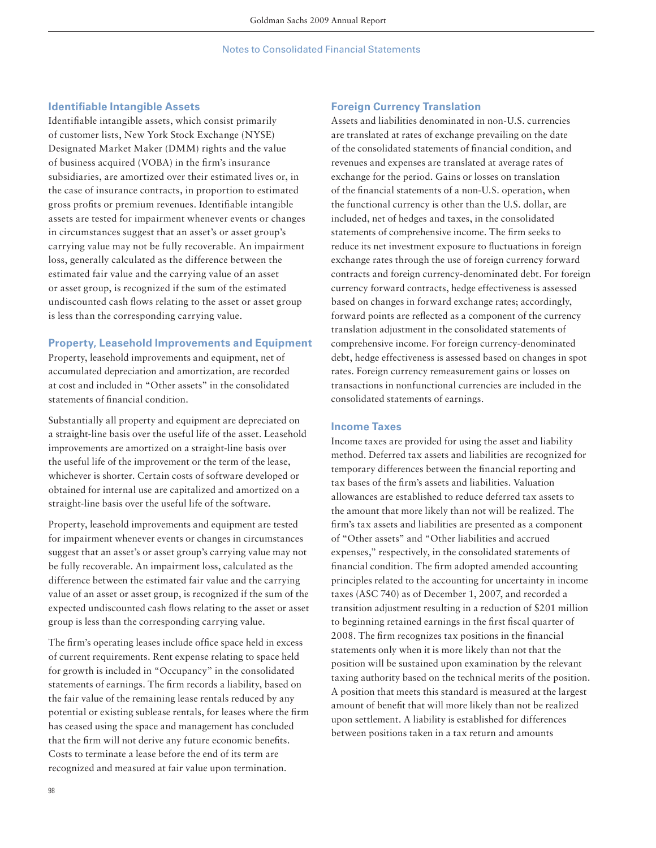### **Identifiable Intangible Assets**

Identifiable intangible assets, which consist primarily of customer lists, New York Stock Exchange (NYSE) Designated Market Maker (DMM) rights and the value of business acquired (VOBA) in the firm's insurance subsidiaries, are amortized over their estimated lives or, in the case of insurance contracts, in proportion to estimated gross profits or premium revenues. Identifiable intangible assets are tested for impairment whenever events or changes in circumstances suggest that an asset's or asset group's carrying value may not be fully recoverable. An impairment loss, generally calculated as the difference between the estimated fair value and the carrying value of an asset or asset group, is recognized if the sum of the estimated undiscounted cash flows relating to the asset or asset group is less than the corresponding carrying value.

### **Property, Leasehold Improvements and Equipment**

Property, leasehold improvements and equipment, net of accumulated depreciation and amortization, are recorded at cost and included in "Other assets" in the consolidated statements of financial condition.

Substantially all property and equipment are depreciated on a straight-line basis over the useful life of the asset. Leasehold improvements are amortized on a straight-line basis over the useful life of the improvement or the term of the lease, whichever is shorter. Certain costs of software developed or obtained for internal use are capitalized and amortized on a straight-line basis over the useful life of the software.

Property, leasehold improvements and equipment are tested for impairment whenever events or changes in circumstances suggest that an asset's or asset group's carrying value may not be fully recoverable. An impairment loss, calculated as the difference between the estimated fair value and the carrying value of an asset or asset group, is recognized if the sum of the expected undiscounted cash flows relating to the asset or asset group is less than the corresponding carrying value.

The firm's operating leases include office space held in excess of current requirements. Rent expense relating to space held for growth is included in "Occupancy" in the consolidated statements of earnings. The firm records a liability, based on the fair value of the remaining lease rentals reduced by any potential or existing sublease rentals, for leases where the firm has ceased using the space and management has concluded that the firm will not derive any future economic benefits. Costs to terminate a lease before the end of its term are recognized and measured at fair value upon termination.

### **Foreign Currency Translation**

Assets and liabilities denominated in non-U.S. currencies are translated at rates of exchange prevailing on the date of the consolidated statements of financial condition, and revenues and expenses are translated at average rates of exchange for the period. Gains or losses on translation of the financial statements of a non-U.S. operation, when the functional currency is other than the U.S. dollar, are included, net of hedges and taxes, in the consolidated statements of comprehensive income. The firm seeks to reduce its net investment exposure to fluctuations in foreign exchange rates through the use of foreign currency forward contracts and foreign currency-denominated debt. For foreign currency forward contracts, hedge effectiveness is assessed based on changes in forward exchange rates; accordingly, forward points are reflected as a component of the currency translation adjustment in the consolidated statements of comprehensive income. For foreign currency-denominated debt, hedge effectiveness is assessed based on changes in spot rates. Foreign currency remeasurement gains or losses on transactions in nonfunctional currencies are included in the consolidated statements of earnings.

#### **Income Taxes**

Income taxes are provided for using the asset and liability method. Deferred tax assets and liabilities are recognized for temporary differences between the financial reporting and tax bases of the firm's assets and liabilities. Valuation allowances are established to reduce deferred tax assets to the amount that more likely than not will be realized. The firm's tax assets and liabilities are presented as a component of "Other assets" and "Other liabilities and accrued expenses," respectively, in the consolidated statements of financial condition. The firm adopted amended accounting principles related to the accounting for uncertainty in income taxes (ASC 740) as of December 1, 2007, and recorded a transition adjustment resulting in a reduction of \$201 million to beginning retained earnings in the first fiscal quarter of 2008. The firm recognizes tax positions in the financial statements only when it is more likely than not that the position will be sustained upon examination by the relevant taxing authority based on the technical merits of the position. A position that meets this standard is measured at the largest amount of benefit that will more likely than not be realized upon settlement. A liability is established for differences between positions taken in a tax return and amounts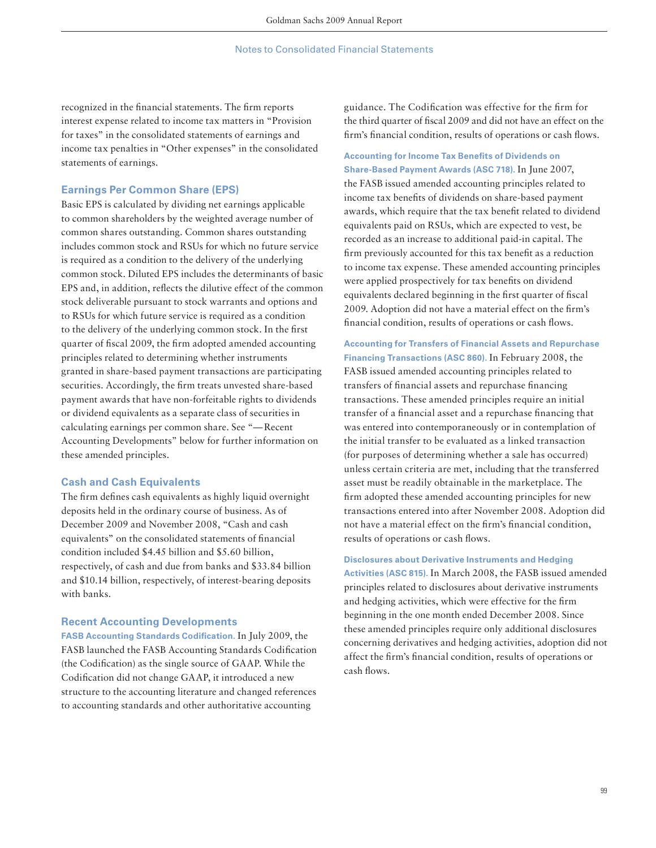recognized in the financial statements. The firm reports interest expense related to income tax matters in "Provision for taxes" in the consolidated statements of earnings and income tax penalties in "Other expenses" in the consolidated statements of earnings.

### **Earnings Per Common Share (EPS)**

Basic EPS is calculated by dividing net earnings applicable to common shareholders by the weighted average number of common shares outstanding. Common shares outstanding includes common stock and RSUs for which no future service is required as a condition to the delivery of the underlying common stock. Diluted EPS includes the determinants of basic EPS and, in addition, reflects the dilutive effect of the common stock deliverable pursuant to stock warrants and options and to RSUs for which future service is required as a condition to the delivery of the underlying common stock. In the first quarter of fiscal 2009, the firm adopted amended accounting principles related to determining whether instruments granted in share-based payment transactions are participating securities. Accordingly, the firm treats unvested share-based payment awards that have non-forfeitable rights to dividends or dividend equivalents as a separate class of securities in calculating earnings per common share. See "— Recent Accounting Developments" below for further information on these amended principles.

### **Cash and Cash Equivalents**

The firm defines cash equivalents as highly liquid overnight deposits held in the ordinary course of business. As of December 2009 and November 2008, "Cash and cash equivalents" on the consolidated statements of financial condition included \$4.45 billion and \$5.60 billion, respectively, of cash and due from banks and \$33.84 billion and \$10.14 billion, respectively, of interest-bearing deposits with banks.

### **Recent Accounting Developments**

FASB Accounting Standards Codification. In July 2009, the FASB launched the FASB Accounting Standards Codification (the Codification) as the single source of GAAP. While the Codification did not change GAAP, it introduced a new structure to the accounting literature and changed references to accounting standards and other authoritative accounting

guidance. The Codification was effective for the firm for the third quarter of fiscal 2009 and did not have an effect on the firm's financial condition, results of operations or cash flows.

## **Accounting for Income Tax Benefits of Dividends on Share-Based Payment Awards (ASC 718).** In June 2007,

the FASB issued amended accounting principles related to income tax benefits of dividends on share-based payment awards, which require that the tax benefit related to dividend equivalents paid on RSUs, which are expected to vest, be recorded as an increase to additional paid-in capital. The firm previously accounted for this tax benefit as a reduction to income tax expense. These amended accounting principles were applied prospectively for tax benefits on dividend equivalents declared beginning in the first quarter of fiscal 2009. Adoption did not have a material effect on the firm's financial condition, results of operations or cash flows.

**Accounting for Transfers of Financial Assets and Repurchase Financing Transactions (ASC 860).** In February 2008, the FASB issued amended accounting principles related to transfers of financial assets and repurchase financing transactions. These amended principles require an initial transfer of a financial asset and a repurchase financing that was entered into contemporaneously or in contemplation of the initial transfer to be evaluated as a linked transaction (for purposes of determining whether a sale has occurred) unless certain criteria are met, including that the transferred asset must be readily obtainable in the marketplace. The firm adopted these amended accounting principles for new transactions entered into after November 2008. Adoption did not have a material effect on the firm's financial condition, results of operations or cash flows.

**Disclosures about Derivative Instruments and Hedging Activities (ASC 815).** In March 2008, the FASB issued amended principles related to disclosures about derivative instruments and hedging activities, which were effective for the firm beginning in the one month ended December 2008. Since these amended principles require only additional disclosures concerning derivatives and hedging activities, adoption did not affect the firm's financial condition, results of operations or cash flows.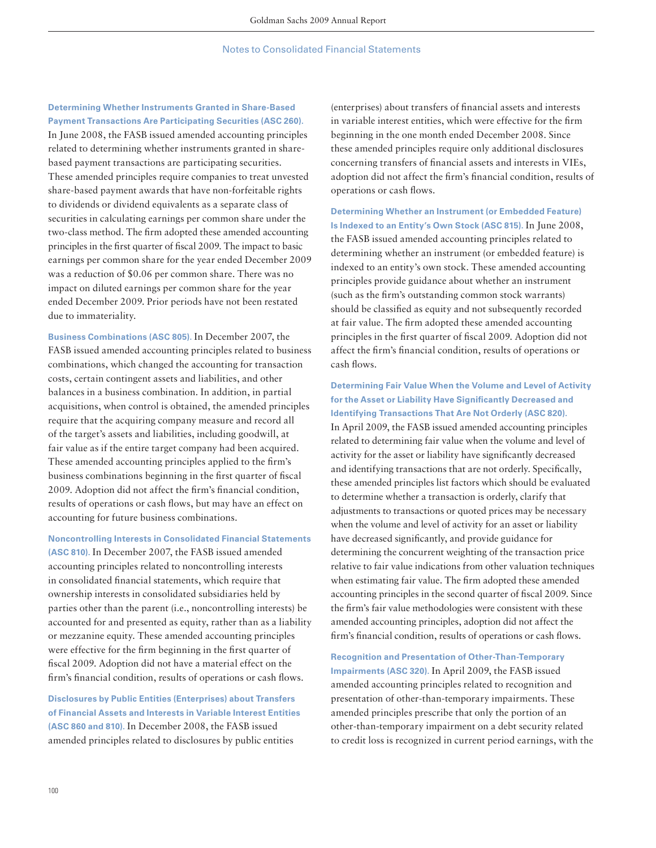## **Determining Whether Instruments Granted in Share-Based**

**Payment Transactions Are Participating Securities (ASC 260).**  In June 2008, the FASB issued amended accounting principles related to determining whether instruments granted in sharebased payment transactions are participating securities. These amended principles require companies to treat unvested share-based payment awards that have non-forfeitable rights to dividends or dividend equivalents as a separate class of securities in calculating earnings per common share under the two-class method. The firm adopted these amended accounting principles in the first quarter of fiscal 2009. The impact to basic earnings per common share for the year ended December 2009 was a reduction of \$0.06 per common share. There was no impact on diluted earnings per common share for the year ended December 2009. Prior periods have not been restated due to immateriality.

**Business Combinations (ASC 805).** In December 2007, the FASB issued amended accounting principles related to business combinations, which changed the accounting for transaction costs, certain contingent assets and liabilities, and other balances in a business combination. In addition, in partial acquisitions, when control is obtained, the amended principles require that the acquiring company measure and record all of the target's assets and liabilities, including goodwill, at fair value as if the entire target company had been acquired. These amended accounting principles applied to the firm's business combinations beginning in the first quarter of fiscal 2009. Adoption did not affect the firm's financial condition, results of operations or cash flows, but may have an effect on accounting for future business combinations.

**Noncontrolling Interests in Consolidated Financial Statements (ASC 810).** In December 2007, the FASB issued amended accounting principles related to noncontrolling interests in consolidated financial statements, which require that ownership interests in consolidated subsidiaries held by parties other than the parent (i.e., noncontrolling interests) be accounted for and presented as equity, rather than as a liability or mezzanine equity. These amended accounting principles were effective for the firm beginning in the first quarter of fiscal 2009. Adoption did not have a material effect on the firm's financial condition, results of operations or cash flows.

**Disclosures by Public Entities (Enterprises) about Transfers of Financial Assets and Interests in Variable Interest Entities (ASC 860 and 810).** In December 2008, the FASB issued amended principles related to disclosures by public entities

(enterprises) about transfers of financial assets and interests in variable interest entities, which were effective for the firm beginning in the one month ended December 2008. Since these amended principles require only additional disclosures concerning transfers of financial assets and interests in VIEs, adoption did not affect the firm's financial condition, results of operations or cash flows.

**Determining Whether an Instrument (or Embedded Feature) Is Indexed to an Entity's Own Stock (ASC 815).** In June 2008, the FASB issued amended accounting principles related to determining whether an instrument (or embedded feature) is indexed to an entity's own stock. These amended accounting principles provide guidance about whether an instrument (such as the firm's outstanding common stock warrants) should be classified as equity and not subsequently recorded at fair value. The firm adopted these amended accounting principles in the first quarter of fiscal 2009. Adoption did not affect the firm's financial condition, results of operations or cash flows.

**Determining Fair Value When the Volume and Level of Activity**  for the Asset or Liability Have Significantly Decreased and **Identifying Transactions That Are Not Orderly (ASC 820).**  In April 2009, the FASB issued amended accounting principles related to determining fair value when the volume and level of activity for the asset or liability have significantly decreased and identifying transactions that are not orderly. Specifically, these amended principles list factors which should be evaluated to determine whether a transaction is orderly, clarify that adjustments to transactions or quoted prices may be necessary when the volume and level of activity for an asset or liability have decreased significantly, and provide guidance for determining the concurrent weighting of the transaction price relative to fair value indications from other valuation techniques when estimating fair value. The firm adopted these amended accounting principles in the second quarter of fiscal 2009. Since the firm's fair value methodologies were consistent with these amended accounting principles, adoption did not affect the firm's financial condition, results of operations or cash flows.

**Recognition and Presentation of Other-Than-Temporary Impairments (ASC 320).** In April 2009, the FASB issued amended accounting principles related to recognition and presentation of other-than-temporary impairments. These amended principles prescribe that only the portion of an other-than-temporary impairment on a debt security related to credit loss is recognized in current period earnings, with the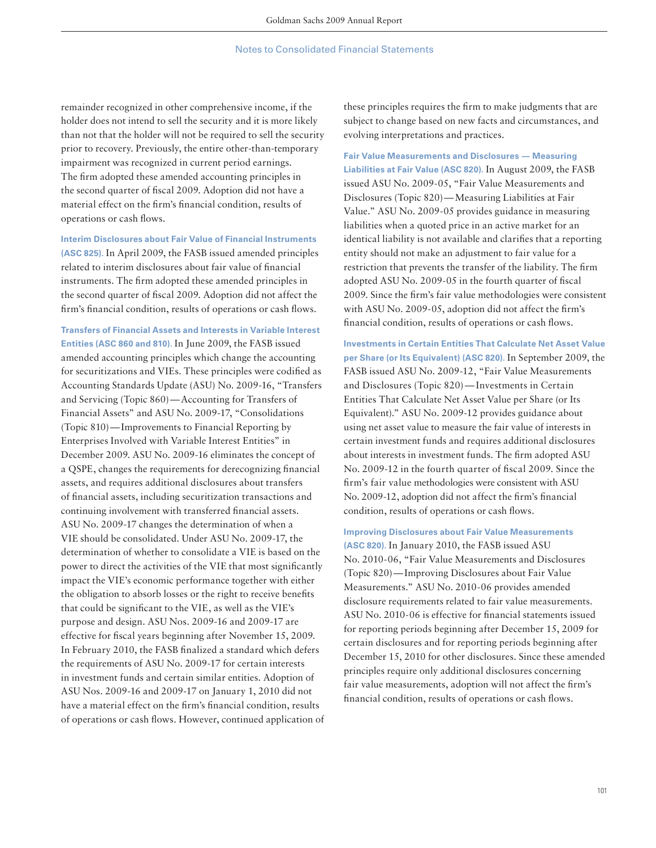remainder recognized in other comprehensive income, if the holder does not intend to sell the security and it is more likely than not that the holder will not be required to sell the security prior to recovery. Previously, the entire other-than-temporary impairment was recognized in current period earnings. The firm adopted these amended accounting principles in the second quarter of fiscal 2009. Adoption did not have a material effect on the firm's financial condition, results of operations or cash flows.

**Interim Disclosures about Fair Value of Financial Instruments (ASC 825).** In April 2009, the FASB issued amended principles related to interim disclosures about fair value of financial instruments. The firm adopted these amended principles in the second quarter of fiscal 2009. Adoption did not affect the firm's financial condition, results of operations or cash flows.

**Transfers of Financial Assets and Interests in Variable Interest Entities (ASC 860 and 810).** In June 2009, the FASB issued amended accounting principles which change the accounting for securitizations and VIEs. These principles were codified as Accounting Standards Update (ASU) No. 2009-16, "Transfers and Servicing (Topic 860) — Accounting for Transfers of Financial Assets" and ASU No. 2009-17, "Consolidations (Topic 810) — Improvements to Financial Reporting by Enterprises Involved with Variable Interest Entities" in December 2009. ASU No. 2009-16 eliminates the concept of a QSPE, changes the requirements for derecognizing financial assets, and requires additional disclosures about transfers of financial assets, including securitization transactions and continuing involvement with transferred financial assets. ASU No. 2009-17 changes the determination of when a VIE should be consolidated. Under ASU No. 2009-17, the determination of whether to consolidate a VIE is based on the power to direct the activities of the VIE that most significantly impact the VIE's economic performance together with either the obligation to absorb losses or the right to receive benefits that could be significant to the VIE, as well as the VIE's purpose and design. ASU Nos. 2009-16 and 2009-17 are effective for fiscal years beginning after November 15, 2009. In February 2010, the FASB finalized a standard which defers the requirements of ASU No. 2009-17 for certain interests in investment funds and certain similar entities. Adoption of ASU Nos. 2009-16 and 2009-17 on January 1, 2010 did not have a material effect on the firm's financial condition, results of operations or cash flows. However, continued application of

these principles requires the firm to make judgments that are subject to change based on new facts and circumstances, and evolving interpretations and practices.

**Fair Value Measurements and Disclosures — Measuring Liabilities at Fair Value (ASC 820).** In August 2009, the FASB issued ASU No. 2009-05, "Fair Value Measurements and Disclosures (Topic 820) — Measuring Liabilities at Fair Value." ASU No. 2009-05 provides guidance in measuring liabilities when a quoted price in an active market for an identical liability is not available and clarifies that a reporting entity should not make an adjustment to fair value for a restriction that prevents the transfer of the liability. The firm adopted ASU No. 2009-05 in the fourth quarter of fiscal 2009. Since the firm's fair value methodologies were consistent with ASU No. 2009-05, adoption did not affect the firm's financial condition, results of operations or cash flows.

**Investments in Certain Entities That Calculate Net Asset Value per Share (or Its Equivalent) (ASC 820).** In September 2009, the FASB issued ASU No. 2009-12, "Fair Value Measurements and Disclosures (Topic 820) — Investments in Certain Entities That Calculate Net Asset Value per Share (or Its Equivalent)." ASU No. 2009-12 provides guidance about using net asset value to measure the fair value of interests in certain investment funds and requires additional disclosures about interests in investment funds. The firm adopted ASU No. 2009-12 in the fourth quarter of fiscal 2009. Since the firm's fair value methodologies were consistent with ASU No. 2009-12, adoption did not affect the firm's financial condition, results of operations or cash flows.

**Improving Disclosures about Fair Value Measurements (ASC 820).** In January 2010, the FASB issued ASU

No. 2010-06, "Fair Value Measurements and Disclosures (Topic 820) — Improving Disclosures about Fair Value Measurements." ASU No. 2010-06 provides amended disclosure requirements related to fair value measurements. ASU No. 2010-06 is effective for financial statements issued for reporting periods beginning after December 15, 2009 for certain disclosures and for reporting periods beginning after December 15, 2010 for other disclosures. Since these amended principles require only additional disclosures concerning fair value measurements, adoption will not affect the firm's financial condition, results of operations or cash flows.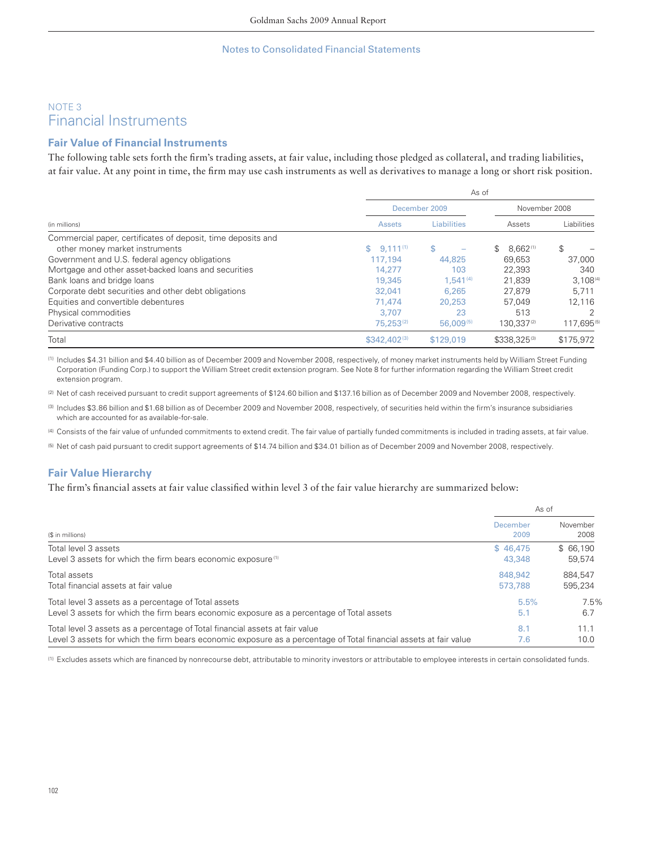# NOTE 3 Financial Instruments

# **Fair Value of Financial Instruments**

The following table sets forth the firm's trading assets, at fair value, including those pledged as collateral, and trading liabilities, at fair value. At any point in time, the firm may use cash instruments as well as derivatives to manage a long or short risk position.

|                                                              | As of            |                    |                          |               |
|--------------------------------------------------------------|------------------|--------------------|--------------------------|---------------|
|                                                              |                  | December 2009      | November 2008            |               |
| (in millions)                                                | <b>Assets</b>    | <b>Liabilities</b> | Assets                   | Liabilities   |
| Commercial paper, certificates of deposit, time deposits and |                  |                    |                          |               |
| other money market instruments                               | $$9.111^{(1)}$   | \$                 | 8.662(1)<br>$\mathbb{S}$ | \$            |
| Government and U.S. federal agency obligations               | 117,194          | 44,825             | 69.653                   | 37,000        |
| Mortgage and other asset-backed loans and securities         | 14,277           | 103                | 22.393                   | 340           |
| Bank loans and bridge loans                                  | 19,345           | $1.541^{(4)}$      | 21.839                   | $3.108^{(4)}$ |
| Corporate debt securities and other debt obligations         | 32,041           | 6,265              | 27.879                   | 5.711         |
| Equities and convertible debentures                          | 71.474           | 20,253             | 57.049                   | 12.116        |
| Physical commodities                                         | 3.707            | 23                 | 513                      |               |
| Derivative contracts                                         | $75.253^{(2)}$   | $56,009^{(5)}$     | 130.337(2)               | 117.695(5)    |
| Total                                                        | $$342.402^{(3)}$ | \$129,019          | \$338.325(3)             | \$175,972     |

(1) Includes \$4.31 billion and \$4.40 billion as of December 2009 and November 2008, respectively, of money market instruments held by William Street Funding Corporation (Funding Corp.) to support the William Street credit extension program. See Note 8 for further information regarding the William Street credit extension program.

(2) Net of cash received pursuant to credit support agreements of \$124.60 billion and \$137.16 billion as of December 2009 and November 2008, respectively.

(3) Includes \$3.86 billion and \$1.68 billion as of December 2009 and November 2008, respectively, of securities held within the firm's insurance subsidiaries which are accounted for as available-for-sale.

(4) Consists of the fair value of unfunded commitments to extend credit. The fair value of partially funded commitments is included in trading assets, at fair value.

(5) Net of cash paid pursuant to credit support agreements of \$14.74 billion and \$34.01 billion as of December 2009 and November 2008, respectively.

## **Fair Value Hierarchy**

The firm's financial assets at fair value classified within level 3 of the fair value hierarchy are summarized below:

|                                                                                                                   | As of            |                  |
|-------------------------------------------------------------------------------------------------------------------|------------------|------------------|
| (\$ in millions)                                                                                                  | December<br>2009 | November<br>2008 |
| Total level 3 assets                                                                                              | \$46.475         | \$66.190         |
| Level 3 assets for which the firm bears economic exposure <sup>(1)</sup>                                          | 43,348           | 59.574           |
| Total assets                                                                                                      | 848.942          | 884.547          |
| Total financial assets at fair value                                                                              | 573,788          | 595.234          |
| Total level 3 assets as a percentage of Total assets                                                              | 5.5%             | 7.5%             |
| Level 3 assets for which the firm bears economic exposure as a percentage of Total assets                         | 5.1              | 6.7              |
| Total level 3 assets as a percentage of Total financial assets at fair value                                      | 8.1              | 11.1             |
| Level 3 assets for which the firm bears economic exposure as a percentage of Total financial assets at fair value | 7.6              | 10.0             |

(1) Excludes assets which are financed by nonrecourse debt, attributable to minority investors or attributable to employee interests in certain consolidated funds.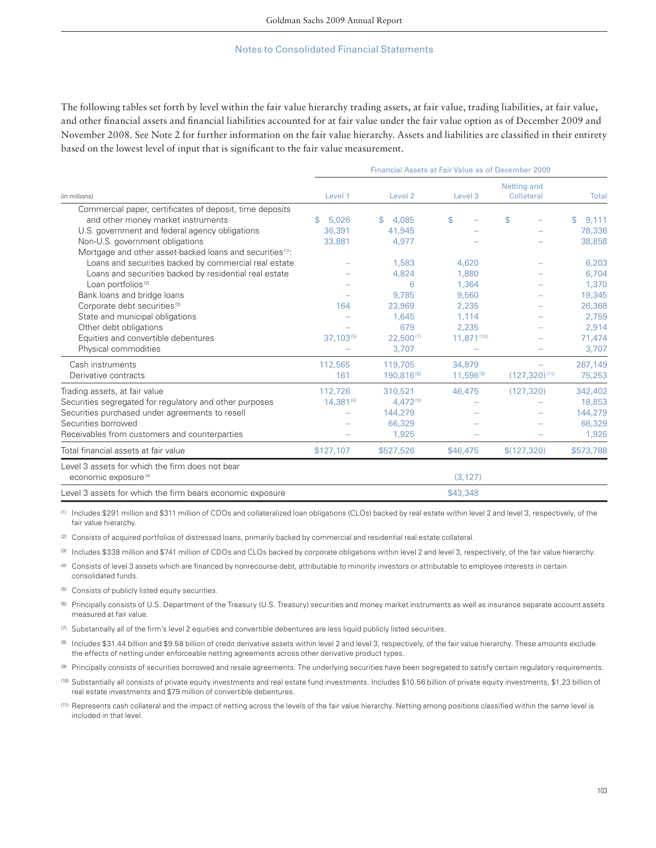The following tables set forth by level within the fair value hierarchy trading assets, at fair value, trading liabilities, at fair value, and other financial assets and financial liabilities accounted for at fair value under the fair value option as of December 2009 and November 2008. See Note 2 for further information on the fair value hierarchy. Assets and liabilities are classified in their entirety based on the lowest level of input that is significant to the fair value measurement.

|                                                                                     | <b>Financial Assets at Fair Value as of December 2009</b> |                    |                       |                           |             |  |  |
|-------------------------------------------------------------------------------------|-----------------------------------------------------------|--------------------|-----------------------|---------------------------|-------------|--|--|
| (in millions)                                                                       | Level 1                                                   | Level <sub>2</sub> | Level 3               | Netting and<br>Collateral | Total       |  |  |
| Commercial paper, certificates of deposit, time deposits                            |                                                           |                    |                       |                           |             |  |  |
| and other money market instruments                                                  | 5.026<br>S.                                               | 4,085<br>\$        | \$                    | \$                        | 9,111<br>\$ |  |  |
| U.S. government and federal agency obligations                                      | 36.391                                                    | 41,945             |                       |                           | 78,336      |  |  |
| Non-U.S. government obligations                                                     | 33,881                                                    | 4,977              |                       |                           | 38,858      |  |  |
| Mortgage and other asset-backed loans and securities <sup>(1)</sup> :               |                                                           |                    |                       |                           |             |  |  |
| Loans and securities backed by commercial real estate                               |                                                           | 1,583              | 4,620                 |                           | 6,203       |  |  |
| Loans and securities backed by residential real estate                              |                                                           | 4,824              | 1,880                 |                           | 6,704       |  |  |
| Loan portfolios <sup>(2)</sup>                                                      |                                                           | 6                  | 1,364                 |                           | 1,370       |  |  |
| Bank loans and bridge loans                                                         |                                                           | 9.785              | 9,560                 |                           | 19,345      |  |  |
| Corporate debt securities <sup>(3)</sup>                                            | 164                                                       | 23,969             | 2,235                 |                           | 26,368      |  |  |
| State and municipal obligations                                                     |                                                           | 1.645              | 1,114                 |                           | 2,759       |  |  |
| Other debt obligations                                                              |                                                           | 679                | 2,235                 |                           | 2,914       |  |  |
| Equities and convertible debentures                                                 | $37,103^{(5)}$                                            | $22,500^{(7)}$     | 11,871(10)            |                           | 71,474      |  |  |
| Physical commodities                                                                |                                                           | 3,707              |                       |                           | 3,707       |  |  |
| Cash instruments                                                                    | 112,565                                                   | 119,705            | 34,879                |                           | 267,149     |  |  |
| Derivative contracts                                                                | 161                                                       | 190,816(8)         | 11,596 <sup>(8)</sup> | $(127,320)^{(11)}$        | 75,253      |  |  |
| Trading assets, at fair value                                                       | 112,726                                                   | 310,521            | 46,475                | (127.320)                 | 342,402     |  |  |
| Securities segregated for regulatory and other purposes                             | 14,381(6)                                                 | $4,472^{(9)}$      |                       |                           | 18,853      |  |  |
| Securities purchased under agreements to resell                                     |                                                           | 144,279            |                       |                           | 144,279     |  |  |
| Securities borrowed                                                                 |                                                           | 66,329             |                       |                           | 66,329      |  |  |
| Receivables from customers and counterparties                                       |                                                           | 1,925              |                       |                           | 1,925       |  |  |
| Total financial assets at fair value                                                | \$127,107                                                 | \$527,526          | \$46,475              | \$(127, 320)              | \$573,788   |  |  |
| Level 3 assets for which the firm does not bear<br>economic exposure <sup>(4)</sup> |                                                           |                    | (3, 127)              |                           |             |  |  |
| Level 3 assets for which the firm bears economic exposure                           |                                                           |                    | \$43,348              |                           |             |  |  |

(1) Includes \$291 million and \$311 million of CDOs and collateralized loan obligations (CLOs) backed by real estate within level 2 and level 3, respectively, of the fair value hierarchy.

(2) Consists of acquired portfolios of distressed loans, primarily backed by commercial and residential real estate collateral.

(3) Includes \$338 million and \$741 million of CDOs and CLOs backed by corporate obligations within level 2 and level 3, respectively, of the fair value hierarchy.

(4) Consists of level 3 assets which are financed by nonrecourse debt, attributable to minority investors or attributable to employee interests in certain consolidated funds.

(5) Consists of publicly listed equity securities.

- (6) Principally consists of U.S. Department of the Treasury (U.S. Treasury) securities and money market instruments as well as insurance separate account assets measured at fair value.
- $(7)$  Substantially all of the firm's level 2 equities and convertible debentures are less liquid publicly listed securities.
- (8) Includes \$31.44 billion and \$9.58 billion of credit derivative assets within level 2 and level 3, respectively, of the fair value hierarchy. These amounts exclude the effects of netting under enforceable netting agreements across other derivative product types.
- (9) Principally consists of securities borrowed and resale agreements. The underlying securities have been segregated to satisfy certain regulatory requirements.
- (10) Substantially all consists of private equity investments and real estate fund investments. Includes \$10.56 billion of private equity investments, \$1.23 billion of real estate investments and \$79 million of convertible debentures.
- (11) Represents cash collateral and the impact of netting across the levels of the fair value hierarchy. Netting among positions classified within the same level is included in that level.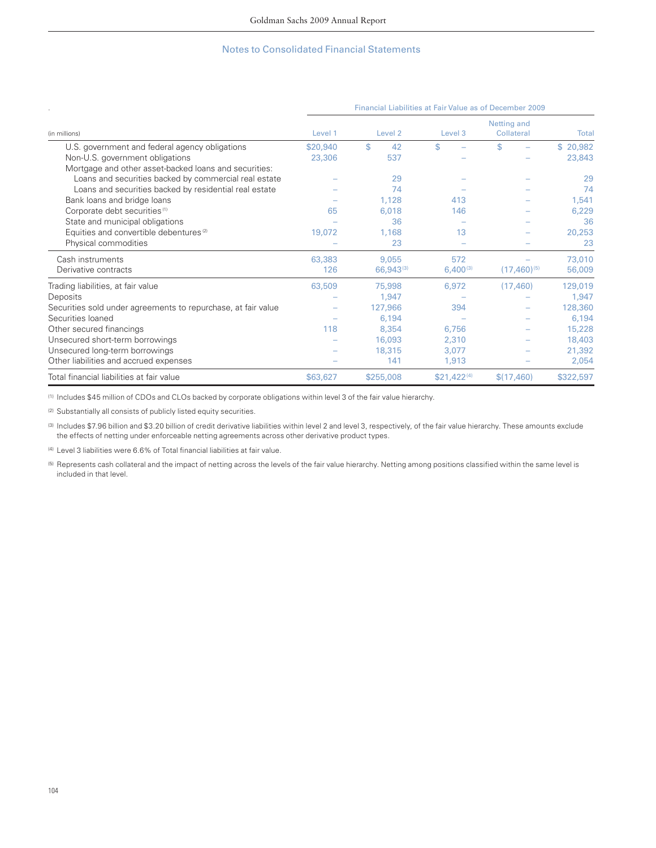|                                                               | Financial Liabilities at Fair Value as of December 2009 |           |                    |                           |           |  |
|---------------------------------------------------------------|---------------------------------------------------------|-----------|--------------------|---------------------------|-----------|--|
| (in millions)                                                 | Level 1                                                 | Level 2   | Level <sub>3</sub> | Netting and<br>Collateral | Total     |  |
| U.S. government and federal agency obligations                | \$20,940                                                | \$<br>42  | \$                 | \$                        | \$20,982  |  |
| Non-U.S. government obligations                               | 23,306                                                  | 537       |                    |                           | 23,843    |  |
| Mortgage and other asset-backed loans and securities:         |                                                         |           |                    |                           |           |  |
| Loans and securities backed by commercial real estate         |                                                         | 29        |                    |                           | 29        |  |
| Loans and securities backed by residential real estate        |                                                         | 74        |                    |                           | 74        |  |
| Bank loans and bridge loans                                   |                                                         | 1,128     | 413                |                           | 1,541     |  |
| Corporate debt securities <sup>(1)</sup>                      | 65                                                      | 6,018     | 146                |                           | 6,229     |  |
| State and municipal obligations                               |                                                         | 36        |                    |                           | 36        |  |
| Equities and convertible debentures <sup>(2)</sup>            | 19,072                                                  | 1,168     | 13                 |                           | 20,253    |  |
| Physical commodities                                          |                                                         | 23        |                    |                           | 23        |  |
| Cash instruments                                              | 63,383                                                  | 9,055     | 572                |                           | 73,010    |  |
| Derivative contracts                                          | 126                                                     | 66,943(3) | $6,400^{(3)}$      | $(17,460)^{(5)}$          | 56,009    |  |
| Trading liabilities, at fair value                            | 63,509                                                  | 75,998    | 6,972              | (17, 460)                 | 129,019   |  |
| Deposits                                                      |                                                         | 1,947     |                    |                           | 1,947     |  |
| Securities sold under agreements to repurchase, at fair value |                                                         | 127,966   | 394                |                           | 128,360   |  |
| Securities loaned                                             |                                                         | 6,194     |                    |                           | 6,194     |  |
| Other secured financings                                      | 118                                                     | 8,354     | 6,756              |                           | 15,228    |  |
| Unsecured short-term borrowings                               |                                                         | 16,093    | 2,310              |                           | 18,403    |  |
| Unsecured long-term borrowings                                |                                                         | 18,315    | 3,077              |                           | 21,392    |  |
| Other liabilities and accrued expenses                        |                                                         | 141       | 1,913              |                           | 2,054     |  |
| Total financial liabilities at fair value                     | \$63,627                                                | \$255,008 | $$21,422^{(4)}$    | \$(17, 460)               | \$322,597 |  |

(1) Includes \$45 million of CDOs and CLOs backed by corporate obligations within level 3 of the fair value hierarchy.

(2) Substantially all consists of publicly listed equity securities.

(3) Includes \$7.96 billion and \$3.20 billion of credit derivative liabilities within level 2 and level 3, respectively, of the fair value hierarchy. These amounts exclude the effects of netting under enforceable netting agreements across other derivative product types.

<sup>(4)</sup> Level 3 liabilities were 6.6% of Total financial liabilities at fair value.

(5) Represents cash collateral and the impact of netting across the levels of the fair value hierarchy. Netting among positions classified within the same level is included in that level.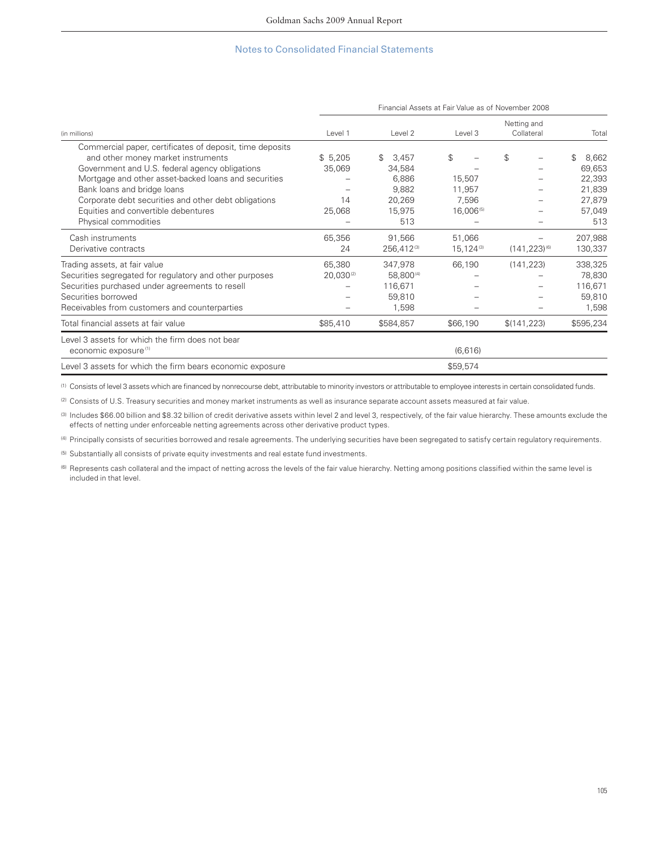|                                                                                                                                                                                                                                                                                                 | Financial Assets at Fair Value as of November 2008 |                                                    |                                 |                           |                                                     |  |
|-------------------------------------------------------------------------------------------------------------------------------------------------------------------------------------------------------------------------------------------------------------------------------------------------|----------------------------------------------------|----------------------------------------------------|---------------------------------|---------------------------|-----------------------------------------------------|--|
| (in millions)                                                                                                                                                                                                                                                                                   | Level 1                                            | Level 2                                            | Level 3                         | Netting and<br>Collateral | Total                                               |  |
| Commercial paper, certificates of deposit, time deposits<br>and other money market instruments<br>Government and U.S. federal agency obligations<br>Mortgage and other asset-backed loans and securities<br>Bank loans and bridge loans<br>Corporate debt securities and other debt obligations | \$5,205<br>35,069<br>14                            | 3,457<br>\$<br>34,584<br>6,886<br>9,882<br>20,269  | \$<br>15,507<br>11,957<br>7,596 | \$                        | 8,662<br>\$<br>69,653<br>22,393<br>21,839<br>27,879 |  |
| Equities and convertible debentures<br>Physical commodities                                                                                                                                                                                                                                     | 25,068                                             | 15,975<br>513                                      | 16,006(5)                       |                           | 57,049<br>513                                       |  |
| Cash instruments<br>Derivative contracts                                                                                                                                                                                                                                                        | 65,356<br>24                                       | 91,566<br>256,412(3)                               | 51,066<br>$15,124^{(3)}$        | $(141, 223)^{(6)}$        | 207,988<br>130,337                                  |  |
| Trading assets, at fair value<br>Securities segregated for regulatory and other purposes<br>Securities purchased under agreements to resell<br>Securities borrowed<br>Receivables from customers and counterparties                                                                             | 65,380<br>$20,030^{(2)}$                           | 347,978<br>58,800(4)<br>116,671<br>59,810<br>1,598 | 66,190                          | (141, 223)                | 338,325<br>78,830<br>116,671<br>59,810<br>1,598     |  |
| Total financial assets at fair value                                                                                                                                                                                                                                                            | \$85,410                                           | \$584,857                                          | \$66,190                        | \$(141, 223)              | \$595,234                                           |  |
| Level 3 assets for which the firm does not bear<br>economic exposure <sup>(1)</sup>                                                                                                                                                                                                             |                                                    |                                                    | (6,616)                         |                           |                                                     |  |
| Level 3 assets for which the firm bears economic exposure                                                                                                                                                                                                                                       |                                                    |                                                    | \$59,574                        |                           |                                                     |  |

(1) Consists of level 3 assets which are financed by nonrecourse debt, attributable to minority investors or attributable to employee interests in certain consolidated funds.

(2) Consists of U.S. Treasury securities and money market instruments as well as insurance separate account assets measured at fair value.

(3) Includes \$66.00 billion and \$8.32 billion of credit derivative assets within level 2 and level 3, respectively, of the fair value hierarchy. These amounts exclude the effects of netting under enforceable netting agreements across other derivative product types.

(4) Principally consists of securities borrowed and resale agreements. The underlying securities have been segregated to satisfy certain regulatory requirements.

(5) Substantially all consists of private equity investments and real estate fund investments.

(6) Represents cash collateral and the impact of netting across the levels of the fair value hierarchy. Netting among positions classified within the same level is included in that level.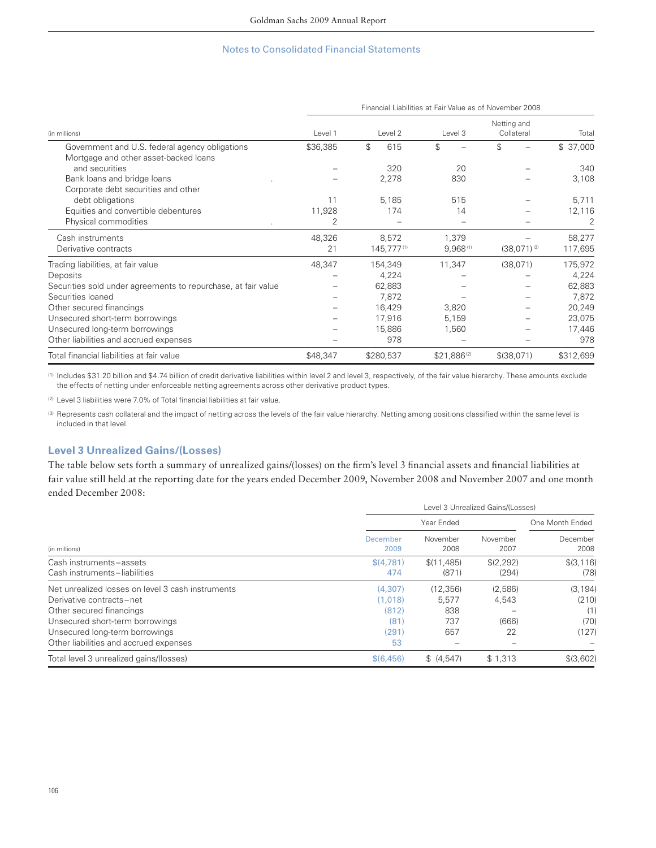|                                                               | Financial Liabilities at Fair Value as of November 2008 |                       |                         |                           |           |  |  |
|---------------------------------------------------------------|---------------------------------------------------------|-----------------------|-------------------------|---------------------------|-----------|--|--|
| (in millions)                                                 | Level 1                                                 | Level <sub>2</sub>    | Level 3                 | Netting and<br>Collateral | Total     |  |  |
| Government and U.S. federal agency obligations                | \$36,385                                                | $\mathfrak{L}$<br>615 | \$                      | \$                        | \$37,000  |  |  |
| Mortgage and other asset-backed loans                         |                                                         |                       |                         |                           |           |  |  |
| and securities                                                |                                                         | 320                   | 20                      |                           | 340       |  |  |
| Bank loans and bridge loans                                   |                                                         | 2,278                 | 830                     |                           | 3,108     |  |  |
| Corporate debt securities and other                           |                                                         |                       |                         |                           |           |  |  |
| debt obligations                                              | 11                                                      | 5,185                 | 515                     |                           | 5,711     |  |  |
| Equities and convertible debentures                           | 11,928                                                  | 174                   | 14                      |                           | 12,116    |  |  |
| Physical commodities                                          | 2                                                       |                       |                         |                           | 2         |  |  |
| Cash instruments                                              | 48,326                                                  | 8,572                 | 1,379                   |                           | 58,277    |  |  |
| Derivative contracts                                          | 21                                                      | 145,777(1)            | $9,968$ <sup>(1)</sup>  | $(38,071)^{(3)}$          | 117,695   |  |  |
| Trading liabilities, at fair value                            | 48,347                                                  | 154,349               | 11,347                  | (38,071)                  | 175,972   |  |  |
| Deposits                                                      |                                                         | 4,224                 |                         |                           | 4,224     |  |  |
| Securities sold under agreements to repurchase, at fair value |                                                         | 62,883                |                         |                           | 62,883    |  |  |
| Securities loaned                                             |                                                         | 7,872                 |                         |                           | 7,872     |  |  |
| Other secured financings                                      |                                                         | 16,429                | 3,820                   |                           | 20,249    |  |  |
| Unsecured short-term borrowings                               |                                                         | 17,916                | 5,159                   |                           | 23,075    |  |  |
| Unsecured long-term borrowings                                |                                                         | 15,886                | 1,560                   |                           | 17,446    |  |  |
| Other liabilities and accrued expenses                        |                                                         | 978                   |                         |                           | 978       |  |  |
| Total financial liabilities at fair value                     | \$48,347                                                | \$280,537             | \$21,886 <sup>(2)</sup> | \$ (38,071)               | \$312,699 |  |  |

(1) Includes \$31.20 billion and \$4.74 billion of credit derivative liabilities within level 2 and level 3, respectively, of the fair value hierarchy. These amounts exclude the effects of netting under enforceable netting agreements across other derivative product types.

 $(2)$  Level 3 liabilities were 7.0% of Total financial liabilities at fair value.

(3) Represents cash collateral and the impact of netting across the levels of the fair value hierarchy. Netting among positions classified within the same level is included in that level.

## **Level 3 Unrealized Gains/(Losses)**

The table below sets forth a summary of unrealized gains/(losses) on the firm's level 3 financial assets and financial liabilities at fair value still held at the reporting date for the years ended December 2009, November 2008 and November 2007 and one month ended December 2008:

|                                                                                                                                                                                                                          | Level 3 Unrealized Gains/(Losses)                  |                                        |                                 |                                           |  |  |  |
|--------------------------------------------------------------------------------------------------------------------------------------------------------------------------------------------------------------------------|----------------------------------------------------|----------------------------------------|---------------------------------|-------------------------------------------|--|--|--|
|                                                                                                                                                                                                                          |                                                    | Year Ended                             |                                 | One Month Ended                           |  |  |  |
| (in millions)                                                                                                                                                                                                            | December<br>2009                                   | November<br>2008                       | November<br>2007                | December<br>2008                          |  |  |  |
| Cash instruments-assets<br>Cash instruments-liabilities                                                                                                                                                                  | \$(4.781)<br>474                                   | \$(11.485)<br>(871)                    | \$(2.292)<br>(294)              | \$ (3.116)<br>(78)                        |  |  |  |
| Net unrealized losses on level 3 cash instruments<br>Derivative contracts-net<br>Other secured financings<br>Unsecured short-term borrowings<br>Unsecured long-term borrowings<br>Other liabilities and accrued expenses | (4.307)<br>(1.018)<br>(812)<br>(81)<br>(291)<br>53 | (12.356)<br>5.577<br>838<br>737<br>657 | (2,586)<br>4,543<br>(666)<br>22 | (3, 194)<br>(210)<br>(1)<br>(70)<br>(127) |  |  |  |
| Total level 3 unrealized gains/(losses)                                                                                                                                                                                  | \$(6, 456)                                         | (4.547)                                | \$1,313                         | \$(3,602)                                 |  |  |  |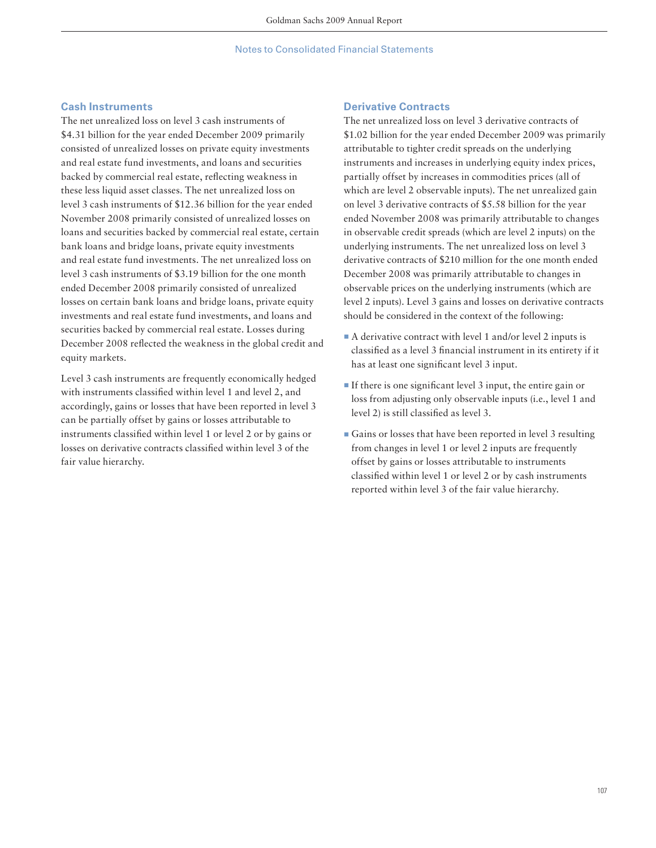## **Cash Instruments**

The net unrealized loss on level 3 cash instruments of \$4.31 billion for the year ended December 2009 primarily consisted of unrealized losses on private equity investments and real estate fund investments, and loans and securities backed by commercial real estate, reflecting weakness in these less liquid asset classes. The net unrealized loss on level 3 cash instruments of \$12.36 billion for the year ended November 2008 primarily consisted of unrealized losses on loans and securities backed by commercial real estate, certain bank loans and bridge loans, private equity investments and real estate fund investments. The net unrealized loss on level 3 cash instruments of \$3.19 billion for the one month ended December 2008 primarily consisted of unrealized losses on certain bank loans and bridge loans, private equity investments and real estate fund investments, and loans and securities backed by commercial real estate. Losses during December 2008 reflected the weakness in the global credit and equity markets.

Level 3 cash instruments are frequently economically hedged with instruments classified within level 1 and level 2, and accordingly, gains or losses that have been reported in level 3 can be partially offset by gains or losses attributable to instruments classified within level 1 or level 2 or by gains or losses on derivative contracts classified within level 3 of the fair value hierarchy.

### **Derivative Contracts**

The net unrealized loss on level 3 derivative contracts of \$1.02 billion for the year ended December 2009 was primarily attributable to tighter credit spreads on the underlying instruments and increases in underlying equity index prices, partially offset by increases in commodities prices (all of which are level 2 observable inputs). The net unrealized gain on level 3 derivative contracts of \$5.58 billion for the year ended November 2008 was primarily attributable to changes in observable credit spreads (which are level 2 inputs) on the underlying instruments. The net unrealized loss on level 3 derivative contracts of \$210 million for the one month ended December 2008 was primarily attributable to changes in observable prices on the underlying instruments (which are level 2 inputs). Level 3 gains and losses on derivative contracts should be considered in the context of the following:

- $\blacksquare$  A derivative contract with level 1 and/or level 2 inputs is classified as a level 3 financial instrument in its entirety if it has at least one significant level 3 input.
- $\blacksquare$  If there is one significant level 3 input, the entire gain or loss from adjusting only observable inputs (i.e., level 1 and level 2) is still classified as level 3.
- Gains or losses that have been reported in level 3 resulting from changes in level 1 or level 2 inputs are frequently offset by gains or losses attributable to instruments classified within level 1 or level 2 or by cash instruments reported within level 3 of the fair value hierarchy.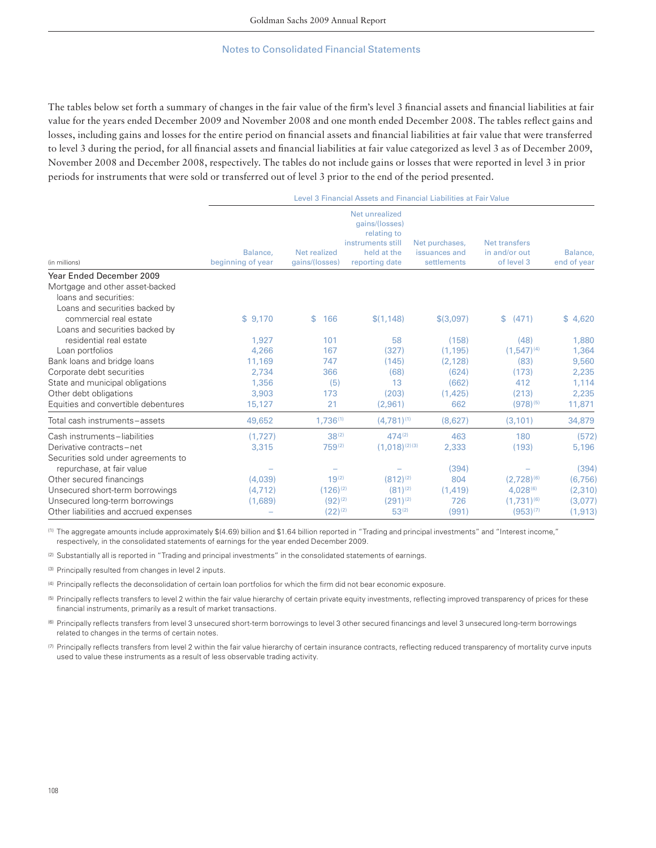The tables below set forth a summary of changes in the fair value of the firm's level 3 financial assets and financial liabilities at fair value for the years ended December 2009 and November 2008 and one month ended December 2008. The tables reflect gains and losses, including gains and losses for the entire period on financial assets and financial liabilities at fair value that were transferred to level 3 during the period, for all financial assets and financial liabilities at fair value categorized as level 3 as of December 2009, November 2008 and December 2008, respectively. The tables do not include gains or losses that were reported in level 3 in prior periods for instruments that were sold or transferred out of level 3 prior to the end of the period presented.

Level 3 Financial Assets and Financial Liabilities at Fair Value

| (in millions)                                                                              | Balance,<br>beginning of year | Net realized<br>gains/(losses) | Net unrealized<br>gains/(losses)<br>relating to<br>instruments still<br>held at the<br>reporting date | Net purchases,<br>issuances and<br>settlements | <b>Net transfers</b><br>in and/or out<br>of level 3 | Balance,<br>end of year |  |  |
|--------------------------------------------------------------------------------------------|-------------------------------|--------------------------------|-------------------------------------------------------------------------------------------------------|------------------------------------------------|-----------------------------------------------------|-------------------------|--|--|
| Year Ended December 2009                                                                   |                               |                                |                                                                                                       |                                                |                                                     |                         |  |  |
| Mortgage and other asset-backed<br>loans and securities:<br>Loans and securities backed by |                               |                                |                                                                                                       |                                                |                                                     |                         |  |  |
| commercial real estate                                                                     | \$9,170                       | \$<br>166                      | \$(1, 148)                                                                                            | \$(3,097)                                      | (471)<br>\$.                                        | \$4,620                 |  |  |
| Loans and securities backed by                                                             |                               |                                |                                                                                                       |                                                |                                                     |                         |  |  |
| residential real estate                                                                    | 1,927                         | 101                            | 58                                                                                                    | (158)                                          | (48)                                                | 1,880                   |  |  |
| Loan portfolios                                                                            | 4,266                         | 167                            | (327)                                                                                                 | (1, 195)                                       | $(1,547)^{(4)}$                                     | 1,364                   |  |  |
| Bank loans and bridge loans                                                                | 11,169                        | 747                            | (145)                                                                                                 | (2, 128)                                       | (83)                                                | 9,560                   |  |  |
| Corporate debt securities                                                                  | 2,734                         | 366                            | (68)                                                                                                  | (624)                                          | (173)                                               | 2,235                   |  |  |
| State and municipal obligations                                                            | 1,356                         | (5)                            | 13                                                                                                    | (662)                                          | 412                                                 | 1,114                   |  |  |
| Other debt obligations                                                                     | 3,903                         | 173                            | (203)                                                                                                 | (1, 425)                                       | (213)                                               | 2,235                   |  |  |
| Equities and convertible debentures                                                        | 15,127                        | 21                             | (2,961)                                                                                               | 662                                            | $(978)^{(5)}$                                       | 11,871                  |  |  |
| Total cash instruments-assets                                                              | 49,652                        | 1,736(1)                       | $(4,781)^{(1)}$                                                                                       | (8,627)                                        | (3, 101)                                            | 34,879                  |  |  |
| Cash instruments-liabilities                                                               | (1,727)                       | $38^{(2)}$                     | $474^{(2)}$                                                                                           | 463                                            | 180                                                 | (572)                   |  |  |
| Derivative contracts-net                                                                   | 3,315                         | 759(2)                         | $(1,018)^{(2)(3)}$                                                                                    | 2,333                                          | (193)                                               | 5,196                   |  |  |
| Securities sold under agreements to                                                        |                               |                                |                                                                                                       |                                                |                                                     |                         |  |  |
| repurchase, at fair value                                                                  |                               |                                |                                                                                                       | (394)                                          |                                                     | (394)                   |  |  |
| Other secured financings                                                                   | (4,039)                       | $19^{(2)}$                     | $(812)^{(2)}$                                                                                         | 804                                            | $(2,728)^{(6)}$                                     | (6, 756)                |  |  |
| Unsecured short-term borrowings                                                            | (4, 712)                      | $(126)^{(2)}$                  | $(81)^{(2)}$                                                                                          | (1, 419)                                       | $4.028^{(6)}$                                       | (2,310)                 |  |  |
| Unsecured long-term borrowings                                                             | (1,689)                       | $(92)^{(2)}$                   | $(291)^{(2)}$                                                                                         | 726                                            | $(1,731)^{(6)}$                                     | (3,077)                 |  |  |
| Other liabilities and accrued expenses                                                     |                               | $(22)^{(2)}$                   | $53^{(2)}$                                                                                            | (991)                                          | $(953)^{(7)}$                                       | (1, 913)                |  |  |

(1) The aggregate amounts include approximately \$(4.69) billion and \$1.64 billion reported in "Trading and principal investments" and "Interest income," respectively, in the consolidated statements of earnings for the year ended December 2009.

(2) Substantially all is reported in "Trading and principal investments" in the consolidated statements of earnings.

(3) Principally resulted from changes in level 2 inputs.

(4) Principally reflects the deconsolidation of certain loan portfolios for which the firm did not bear economic exposure.

(5) Principally reflects transfers to level 2 within the fair value hierarchy of certain private equity investments, reflecting improved transparency of prices for these financial instruments, primarily as a result of market transactions.

(6) Principally reflects transfers from level 3 unsecured short-term borrowings to level 3 other secured financings and level 3 unsecured long-term borrowings related to changes in the terms of certain notes.

(7) Principally reflects transfers from level 2 within the fair value hierarchy of certain insurance contracts, reflecting reduced transparency of mortality curve inputs used to value these instruments as a result of less observable trading activity.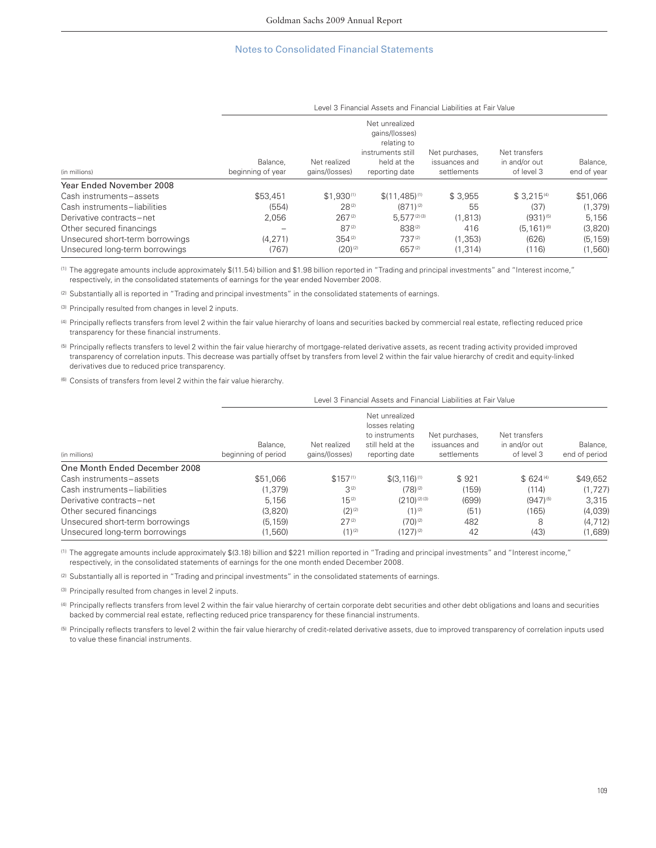| (in millions)                   |                               | Level 3 Financial Assets and Financial Liabilities at Fair Value |                                                                                                       |                                                |                                              |                         |  |  |
|---------------------------------|-------------------------------|------------------------------------------------------------------|-------------------------------------------------------------------------------------------------------|------------------------------------------------|----------------------------------------------|-------------------------|--|--|
|                                 | Balance.<br>beginning of year | Net realized<br>qains/(losses)                                   | Net unrealized<br>qains/(losses)<br>relating to<br>instruments still<br>held at the<br>reporting date | Net purchases,<br>issuances and<br>settlements | Net transfers<br>in and/or out<br>of level 3 | Balance,<br>end of year |  |  |
| Year Ended November 2008        |                               |                                                                  |                                                                                                       |                                                |                                              |                         |  |  |
| Cash instruments-assets         | \$53,451                      | $$1.930^{(1)}$                                                   | $$(11,485)^{(1)}$                                                                                     | \$3,955                                        | $$3.215^{(4)}$                               | \$51,066                |  |  |
| Cash instruments-liabilities    | (554)                         | $28^{(2)}$                                                       | $(871)^{(2)}$                                                                                         | 55                                             | (37)                                         | (1, 379)                |  |  |
| Derivative contracts-net        | 2,056                         | $267^{(2)}$                                                      | 5.577(2)(3)                                                                                           | (1, 813)                                       | $(931)^{(5)}$                                | 5,156                   |  |  |
| Other secured financings        |                               | $87^{(2)}$                                                       | 838(2)                                                                                                | 416                                            | $(5.161)^{(6)}$                              | (3,820)                 |  |  |
| Unsecured short-term borrowings | (4.271)                       | $354^{(2)}$                                                      | 737(2)                                                                                                | (1.353)                                        | (626)                                        | (5, 159)                |  |  |
| Unsecured long-term borrowings  | (767)                         | $(20)^{(2)}$                                                     | $657^{(2)}$                                                                                           | (1.314)                                        | (116)                                        | (1,560)                 |  |  |

(1) The aggregate amounts include approximately \$(11.54) billion and \$1.98 billion reported in "Trading and principal investments" and "Interest income," respectively, in the consolidated statements of earnings for the year ended November 2008.

(2) Substantially all is reported in "Trading and principal investments" in the consolidated statements of earnings.

(3) Principally resulted from changes in level 2 inputs.

(4) Principally reflects transfers from level 2 within the fair value hierarchy of loans and securities backed by commercial real estate, reflecting reduced price transparency for these financial instruments.

(5) Principally reflects transfers to level 2 within the fair value hierarchy of mortgage-related derivative assets, as recent trading activity provided improved transparency of correlation inputs. This decrease was partially offset by transfers from level 2 within the fair value hierarchy of credit and equity-linked derivatives due to reduced price transparency.

(6) Consists of transfers from level 2 within the fair value hierarchy.

|                                 | Level 3 Financial Assets and Financial Liabilities at Fair Value |                                |                                                                                            |                                                |                                              |                           |  |  |
|---------------------------------|------------------------------------------------------------------|--------------------------------|--------------------------------------------------------------------------------------------|------------------------------------------------|----------------------------------------------|---------------------------|--|--|
| (in millions)                   | Balance.<br>beginning of period                                  | Net realized<br>qains/(losses) | Net unrealized<br>losses relating<br>to instruments<br>still held at the<br>reporting date | Net purchases.<br>issuances and<br>settlements | Net transfers<br>in and/or out<br>of level 3 | Balance.<br>end of period |  |  |
| One Month Ended December 2008   |                                                                  |                                |                                                                                            |                                                |                                              |                           |  |  |
| Cash instruments-assets         | \$51,066                                                         | $$157^{(1)}$                   | $$(3.116)^{(1)}$$                                                                          | \$921                                          | $$624^{(4)}$                                 | \$49,652                  |  |  |
| Cash instruments-liabilities    | (1.379)                                                          | $3^{(2)}$                      | $(78)^{(2)}$                                                                               | (159)                                          | (114)                                        | (1,727)                   |  |  |
| Derivative contracts-net        | 5.156                                                            | $15^{(2)}$                     | $(210)^{(2)(3)}$                                                                           | (699)                                          | $(947)^{(5)}$                                | 3.315                     |  |  |
| Other secured financings        | (3,820)                                                          | $(2)^{(2)}$                    | $(1)^{(2)}$                                                                                | (51)                                           | (165)                                        | (4,039)                   |  |  |
| Unsecured short-term borrowings | (5, 159)                                                         | $27^{(2)}$                     | $(70)^{(2)}$                                                                               | 482                                            | 8                                            | (4, 712)                  |  |  |

Unsecured long-term borrowings (1,660) (1)<sup>(2)</sup> (1,629) (1,689) (1,689)

(1) The aggregate amounts include approximately \$(3.18) billion and \$221 million reported in "Trading and principal investments" and "Interest income," respectively, in the consolidated statements of earnings for the one month ended December 2008.

(2) Substantially all is reported in "Trading and principal investments" in the consolidated statements of earnings.

(3) Principally resulted from changes in level 2 inputs.

(4) Principally reflects transfers from level 2 within the fair value hierarchy of certain corporate debt securities and other debt obligations and loans and securities backed by commercial real estate, reflecting reduced price transparency for these financial instruments.

<sup>(5)</sup> Principally reflects transfers to level 2 within the fair value hierarchy of credit-related derivative assets, due to improved transparency of correlation inputs used to value these financial instruments.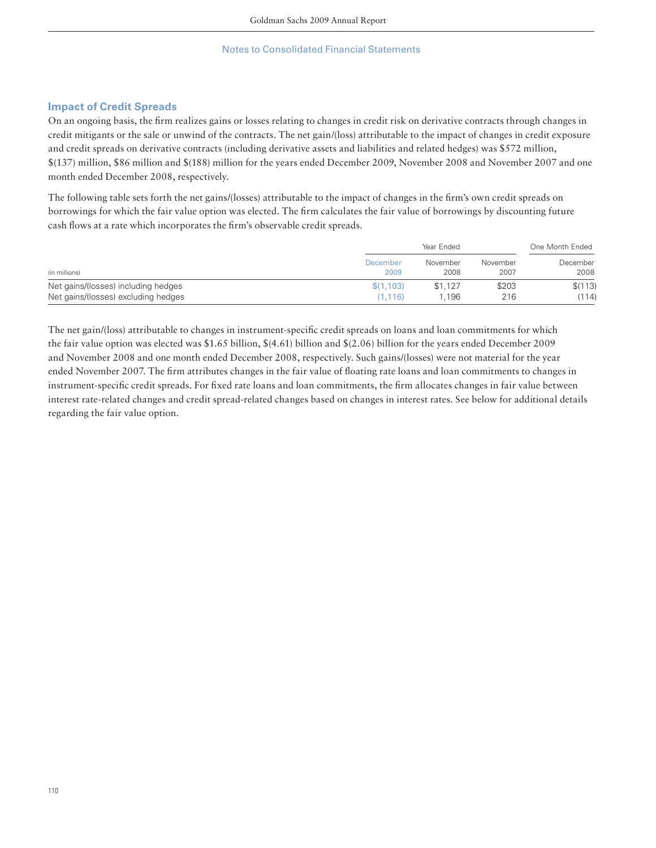## **Impact of Credit Spreads**

On an ongoing basis, the firm realizes gains or losses relating to changes in credit risk on derivative contracts through changes in credit mitigants or the sale or unwind of the contracts. The net gain/(loss) attributable to the impact of changes in credit exposure and credit spreads on derivative contracts (including derivative assets and liabilities and related hedges) was \$572 million, \$(137) million, \$86 million and \$(188) million for the years ended December 2009, November 2008 and November 2007 and one month ended December 2008, respectively.

The following table sets forth the net gains/(losses) attributable to the impact of changes in the firm's own credit spreads on borrowings for which the fair value option was elected. The firm calculates the fair value of borrowings by discounting future cash flows at a rate which incorporates the firm's observable credit spreads.

|                                     |           | Year Ended |          |          |
|-------------------------------------|-----------|------------|----------|----------|
| (in millions)                       | December  | November   | November | December |
|                                     | 2009      | 2008       | 2007     | 2008     |
| Net gains/(losses) including hedges | \$(1,103) | \$1,127    | \$203    | \$(113)  |
| Net gains/(losses) excluding hedges | (1.116)   | 1.196      | 216      | (114)    |

The net gain/(loss) attributable to changes in instrument-specific credit spreads on loans and loan commitments for which the fair value option was elected was \$1.65 billion, \$(4.61) billion and \$(2.06) billion for the years ended December 2009 and November 2008 and one month ended December 2008, respectively. Such gains/(losses) were not material for the year ended November 2007. The firm attributes changes in the fair value of floating rate loans and loan commitments to changes in instrument-specific credit spreads. For fixed rate loans and loan commitments, the firm allocates changes in fair value between interest rate-related changes and credit spread-related changes based on changes in interest rates. See below for additional details regarding the fair value option.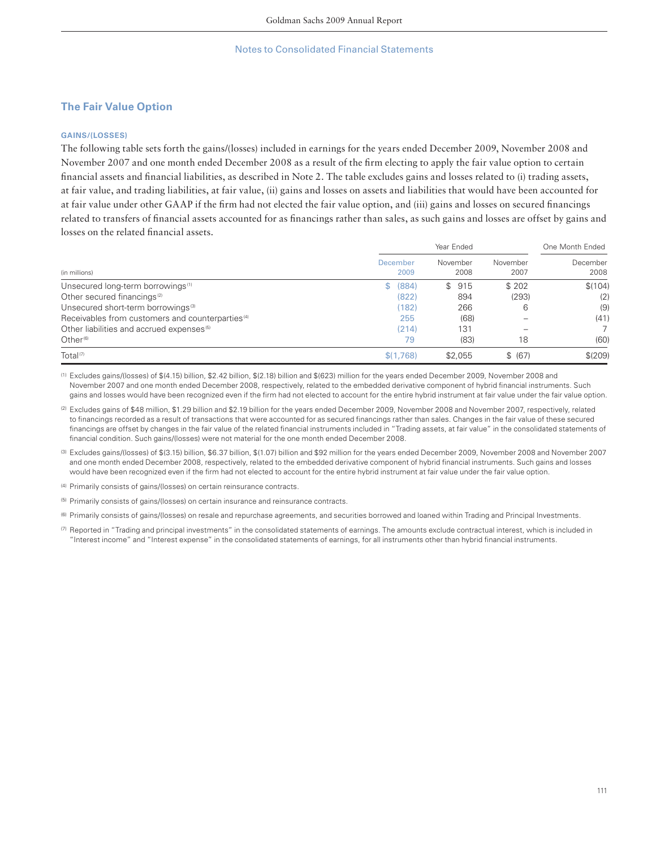## **The Fair Value Option**

#### **GAINS/(LOSSES)**

The following table sets forth the gains/(losses) included in earnings for the years ended December 2009, November 2008 and November 2007 and one month ended December 2008 as a result of the firm electing to apply the fair value option to certain financial assets and financial liabilities, as described in Note 2. The table excludes gains and losses related to (i) trading assets, at fair value, and trading liabilities, at fair value, (ii) gains and losses on assets and liabilities that would have been accounted for at fair value under other GAAP if the firm had not elected the fair value option, and (iii) gains and losses on secured financings related to transfers of financial assets accounted for as financings rather than sales, as such gains and losses are offset by gains and losses on the related financial assets.

|                                                              |                         | One Month Ended  |                  |                  |
|--------------------------------------------------------------|-------------------------|------------------|------------------|------------------|
| (in millions)                                                | <b>December</b><br>2009 | November<br>2008 | November<br>2007 | December<br>2008 |
| Unsecured long-term borrowings <sup>(1)</sup>                | \$ (884)                | \$915            | \$ 202           | \$(104)          |
| Other secured financings <sup>(2)</sup>                      | (822)                   | 894              | (293)            | (2)              |
| Unsecured short-term borrowings <sup>(3)</sup>               | (182)                   | 266              | 6                | (9)              |
| Receivables from customers and counterparties <sup>(4)</sup> | 255                     | (68)             |                  | (41)             |
| Other liabilities and accrued expenses <sup>(5)</sup>        | (214)                   | 131              |                  |                  |
| Other $(6)$                                                  | 79                      | (83)             | 18               | (60)             |
| Total <sup><math>(7)</math></sup>                            | \$(1.768)               | \$2,055          | \$ (67)          | \$(209)          |

(1) Excludes gains/(losses) of \$(4.15) billion, \$2.42 billion, \$(2.18) billion and \$(623) million for the years ended December 2009, November 2008 and November 2007 and one month ended December 2008, respectively, related to the embedded derivative component of hybrid financial instruments. Such gains and losses would have been recognized even if the firm had not elected to account for the entire hybrid instrument at fair value under the fair value option.

(2) Excludes gains of \$48 million, \$1.29 billion and \$2.19 billion for the years ended December 2009, November 2008 and November 2007, respectively, related to financings recorded as a result of transactions that were accounted for as secured financings rather than sales. Changes in the fair value of these secured financings are offset by changes in the fair value of the related financial instruments included in "Trading assets, at fair value" in the consolidated statements of financial condition. Such gains/(losses) were not material for the one month ended December 2008.

(3) Excludes gains/(losses) of \$(3.15) billion, \$6.37 billion, \$(1.07) billion and \$92 million for the years ended December 2009, November 2008 and November 2007 and one month ended December 2008, respectively, related to the embedded derivative component of hybrid financial instruments. Such gains and losses would have been recognized even if the firm had not elected to account for the entire hybrid instrument at fair value under the fair value option.

(4) Primarily consists of gains/(losses) on certain reinsurance contracts.

(5) Primarily consists of gains/(losses) on certain insurance and reinsurance contracts.

<sup>(6)</sup> Primarily consists of gains/(losses) on resale and repurchase agreements, and securities borrowed and loaned within Trading and Principal Investments.

 $(7)$  Reported in "Trading and principal investments" in the consolidated statements of earnings. The amounts exclude contractual interest, which is included in "Interest income" and "Interest expense" in the consolidated statements of earnings, for all instruments other than hybrid financial instruments.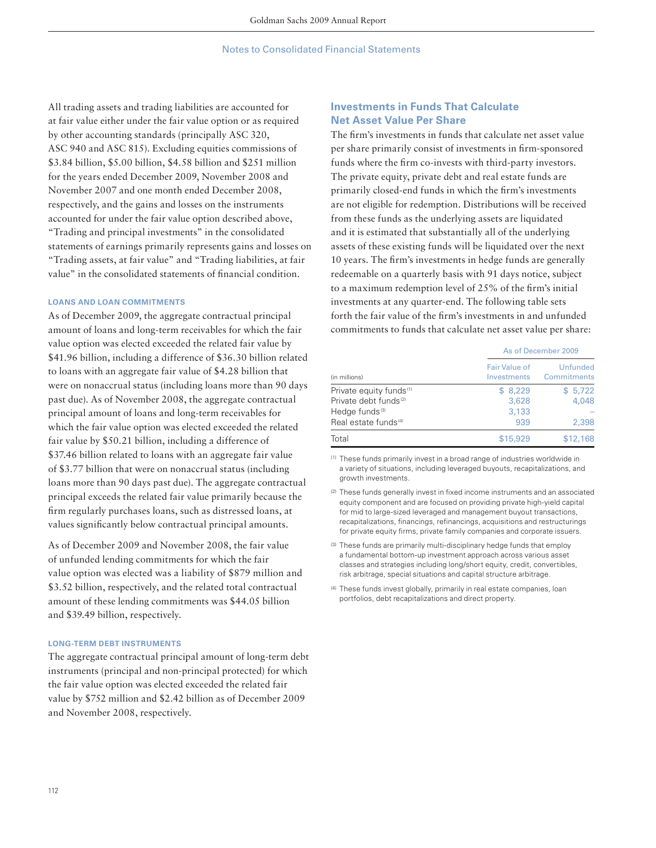All trading assets and trading liabilities are accounted for at fair value either under the fair value option or as required by other accounting standards (principally ASC 320, ASC 940 and ASC 815). Excluding equities commissions of \$3.84 billion, \$5.00 billion, \$4.58 billion and \$251 million for the years ended December 2009, November 2008 and November 2007 and one month ended December 2008, respectively, and the gains and losses on the instruments accounted for under the fair value option described above, "Trading and principal investments" in the consolidated statements of earnings primarily represents gains and losses on "Trading assets, at fair value" and "Trading liabilities, at fair value" in the consolidated statements of financial condition.

#### **LOANS AND LOAN COMMITMENTS**

As of December 2009, the aggregate contractual principal amount of loans and long-term receivables for which the fair value option was elected exceeded the related fair value by \$41.96 billion, including a difference of \$36.30 billion related to loans with an aggregate fair value of \$4.28 billion that were on nonaccrual status (including loans more than 90 days past due). As of November 2008, the aggregate contractual principal amount of loans and long-term receivables for which the fair value option was elected exceeded the related fair value by \$50.21 billion, including a difference of \$37.46 billion related to loans with an aggregate fair value of \$3.77 billion that were on nonaccrual status (including loans more than 90 days past due). The aggregate contractual principal exceeds the related fair value primarily because the firm regularly purchases loans, such as distressed loans, at values significantly below contractual principal amounts.

As of December 2009 and November 2008, the fair value of unfunded lending commitments for which the fair value option was elected was a liability of \$879 million and \$3.52 billion, respectively, and the related total contractual amount of these lending commitments was \$44.05 billion and \$39.49 billion, respectively.

## **LONG-TERM DEBT INSTRUMENTS**

The aggregate contractual principal amount of long-term debt instruments (principal and non-principal protected) for which the fair value option was elected exceeded the related fair value by \$752 million and \$2.42 billion as of December 2009 and November 2008, respectively.

## **Investments in Funds That Calculate Net Asset Value Per Share**

The firm's investments in funds that calculate net asset value per share primarily consist of investments in firm-sponsored funds where the firm co-invests with third-party investors. The private equity, private debt and real estate funds are primarily closed-end funds in which the firm's investments are not eligible for redemption. Distributions will be received from these funds as the underlying assets are liquidated and it is estimated that substantially all of the underlying assets of these existing funds will be liquidated over the next 10 years. The firm's investments in hedge funds are generally redeemable on a quarterly basis with 91 days notice, subject to a maximum redemption level of  $25%$  of the firm's initial investments at any quarter-end. The following table sets forth the fair value of the firm's investments in and unfunded commitments to funds that calculate net asset value per share:

|                                     | As of December 2009          |                         |  |  |
|-------------------------------------|------------------------------|-------------------------|--|--|
| (in millions)                       | Fair Value of<br>Investments | Unfunded<br>Commitments |  |  |
| Private equity funds <sup>(1)</sup> | \$8.229                      | \$5,722                 |  |  |
| Private debt funds <sup>(2)</sup>   | 3,628                        | 4.048                   |  |  |
| Hedge funds <sup>(3)</sup>          | 3,133                        |                         |  |  |
| Real estate funds <sup>(4)</sup>    | 939                          | 2,398                   |  |  |
| Total                               | \$15,929                     | \$12,168                |  |  |

(1) These funds primarily invest in a broad range of industries worldwide in a variety of situations, including leveraged buyouts, recapitalizations, and growth investments.

(2) These funds generally invest in fixed income instruments and an associated equity component and are focused on providing private high-yield capital for mid to large-sized leveraged and management buyout transactions, recapitalizations, financings, refinancings, acquisitions and restructurings for private equity firms, private family companies and corporate issuers.

(3) These funds are primarily multi-disciplinary hedge funds that employ a fundamental bottom-up investment approach across various asset classes and strategies including long/short equity, credit, convertibles, risk arbitrage, special situations and capital structure arbitrage.

(4) These funds invest globally, primarily in real estate companies, loan portfolios, debt recapitalizations and direct property.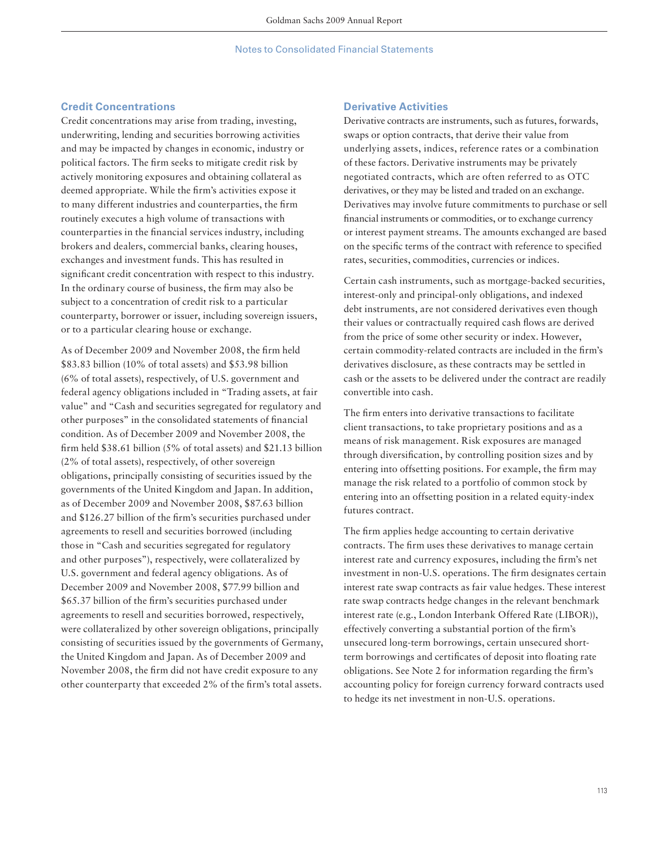## **Credit Concentrations**

Credit concentrations may arise from trading, investing, underwriting, lending and securities borrowing activities and may be impacted by changes in economic, industry or political factors. The firm seeks to mitigate credit risk by actively monitoring exposures and obtaining collateral as deemed appropriate. While the firm's activities expose it to many different industries and counterparties, the firm routinely executes a high volume of transactions with counterparties in the financial services industry, including brokers and dealers, commercial banks, clearing houses, exchanges and investment funds. This has resulted in significant credit concentration with respect to this industry. In the ordinary course of business, the firm may also be subject to a concentration of credit risk to a particular counterparty, borrower or issuer, including sovereign issuers, or to a particular clearing house or exchange.

As of December 2009 and November 2008, the firm held \$83.83 billion (10% of total assets) and \$53.98 billion (6% of total assets), respectively, of U.S. government and federal agency obligations included in "Trading assets, at fair value" and "Cash and securities segregated for regulatory and other purposes" in the consolidated statements of financial condition. As of December 2009 and November 2008, the firm held  $$38.61$  billion (5% of total assets) and  $$21.13$  billion (2% of total assets), respectively, of other sovereign obligations, principally consisting of securities issued by the governments of the United Kingdom and Japan. In addition, as of December 2009 and November 2008, \$87.63 billion and \$126.27 billion of the firm's securities purchased under agreements to resell and securities borrowed (including those in "Cash and securities segregated for regulatory and other purposes"), respectively, were collateralized by U.S. government and federal agency obligations. As of December 2009 and November 2008, \$77.99 billion and \$65.37 billion of the firm's securities purchased under agreements to resell and securities borrowed, respectively, were collateralized by other sovereign obligations, principally consisting of securities issued by the governments of Germany, the United Kingdom and Japan. As of December 2009 and November 2008, the firm did not have credit exposure to any other counterparty that exceeded 2% of the firm's total assets.

#### **Derivative Activities**

Derivative contracts are instruments, such as futures, forwards, swaps or option contracts, that derive their value from underlying assets, indices, reference rates or a combination of these factors. Derivative instruments may be privately negotiated contracts, which are often referred to as OTC derivatives, or they may be listed and traded on an exchange. Derivatives may involve future commitments to purchase or sell financial instruments or commodities, or to exchange currency or interest payment streams. The amounts exchanged are based on the specific terms of the contract with reference to specified rates, securities, commodities, currencies or indices.

Certain cash instruments, such as mortgage-backed securities, interest-only and principal-only obligations, and indexed debt instruments, are not considered derivatives even though their values or contractually required cash flows are derived from the price of some other security or index. However, certain commodity-related contracts are included in the firm's derivatives disclosure, as these contracts may be settled in cash or the assets to be delivered under the contract are readily convertible into cash.

The firm enters into derivative transactions to facilitate client transactions, to take proprietary positions and as a means of risk management. Risk exposures are managed through diversification, by controlling position sizes and by entering into offsetting positions. For example, the firm may manage the risk related to a portfolio of common stock by entering into an offsetting position in a related equity-index futures contract.

The firm applies hedge accounting to certain derivative contracts. The firm uses these derivatives to manage certain interest rate and currency exposures, including the firm's net investment in non-U.S. operations. The firm designates certain interest rate swap contracts as fair value hedges. These interest rate swap contracts hedge changes in the relevant benchmark interest rate (e.g., London Interbank Offered Rate (LIBOR)), effectively converting a substantial portion of the firm's unsecured long-term borrowings, certain unsecured shortterm borrowings and certificates of deposit into floating rate obligations. See Note 2 for information regarding the firm's accounting policy for foreign currency forward contracts used to hedge its net investment in non-U.S. operations.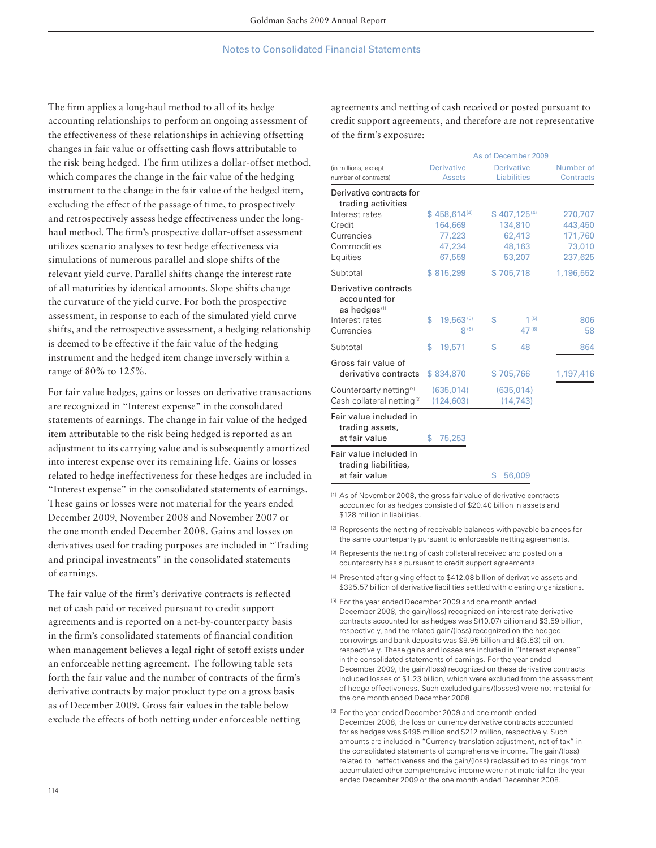The firm applies a long-haul method to all of its hedge accounting relationships to perform an ongoing assessment of the effectiveness of these relationships in achieving offsetting changes in fair value or offsetting cash flows attributable to the risk being hedged. The firm utilizes a dollar-offset method, which compares the change in the fair value of the hedging instrument to the change in the fair value of the hedged item, excluding the effect of the passage of time, to prospectively and retrospectively assess hedge effectiveness under the longhaul method. The firm's prospective dollar-offset assessment utilizes scenario analyses to test hedge effectiveness via simulations of numerous parallel and slope shifts of the relevant yield curve. Parallel shifts change the interest rate of all maturities by identical amounts. Slope shifts change the curvature of the yield curve. For both the prospective assessment, in response to each of the simulated yield curve shifts, and the retrospective assessment, a hedging relationship is deemed to be effective if the fair value of the hedging instrument and the hedged item change inversely within a range of 80% to 125%.

For fair value hedges, gains or losses on derivative transactions are recognized in "Interest expense" in the consolidated statements of earnings. The change in fair value of the hedged item attributable to the risk being hedged is reported as an adjustment to its carrying value and is subsequently amortized into interest expense over its remaining life. Gains or losses related to hedge ineffectiveness for these hedges are included in "Interest expense" in the consolidated statements of earnings. These gains or losses were not material for the years ended December 2009, November 2008 and November 2007 or the one month ended December 2008. Gains and losses on derivatives used for trading purposes are included in "Trading and principal investments" in the consolidated statements of earnings.

The fair value of the firm's derivative contracts is reflected net of cash paid or received pursuant to credit support agreements and is reported on a net-by-counterparty basis in the firm's consolidated statements of financial condition when management believes a legal right of setoff exists under an enforceable netting agreement. The following table sets forth the fair value and the number of contracts of the firm's derivative contracts by major product type on a gross basis as of December 2009. Gross fair values in the table below exclude the effects of both netting under enforceable netting

agreements and netting of cash received or posted pursuant to credit support agreements, and therefore are not representative of the firm's exposure:

|                                                                               |                                    | As of December 2009                     |                        |
|-------------------------------------------------------------------------------|------------------------------------|-----------------------------------------|------------------------|
| (in millions, except<br>number of contracts)                                  | <b>Derivative</b><br><b>Assets</b> | <b>Derivative</b><br><b>Liabilities</b> | Number of<br>Contracts |
| Derivative contracts for<br>trading activities                                |                                    |                                         |                        |
| Interest rates                                                                | $$458,614^{(4)}$                   | $$407,125^{(4)}$                        | 270,707                |
| Credit                                                                        | 164,669                            | 134,810                                 | 443,450                |
| Currencies                                                                    | 77,223                             | 62,413                                  | 171,760                |
| Commodities                                                                   | 47,234                             | 48,163                                  | 73,010                 |
| Equities                                                                      | 67,559                             | 53,207                                  | 237,625                |
| Subtotal                                                                      | \$815,299                          | \$705,718                               | 1,196,552              |
| Derivative contracts<br>accounted for<br>as hedges <sup>(1)</sup>             |                                    |                                         |                        |
| Interest rates<br>Currencies                                                  | \$<br>19,563(5)<br>8(6)            | \$<br>1(5)<br>47(6)                     | 806<br>58              |
| Subtotal                                                                      | \$<br>19,571                       | \$<br>48                                | 864                    |
| Gross fair value of<br>derivative contracts                                   | \$834,870                          | \$705,766                               | 1,197,416              |
| Counterparty netting <sup>(2)</sup><br>Cash collateral netting <sup>(3)</sup> | (635, 014)<br>(124, 603)           | (635, 014)<br>(14, 743)                 |                        |
| Fair value included in<br>trading assets,<br>at fair value                    | \$<br>75,253                       |                                         |                        |
| Fair value included in<br>trading liabilities,<br>at fair value               |                                    | \$<br>56,009                            |                        |

(1) As of November 2008, the gross fair value of derivative contracts accounted for as hedges consisted of \$20.40 billion in assets and \$128 million in liabilities.

- (2) Represents the netting of receivable balances with payable balances for the same counterparty pursuant to enforceable netting agreements.
- (3) Represents the netting of cash collateral received and posted on a counterparty basis pursuant to credit support agreements.
- (4) Presented after giving effect to \$412.08 billion of derivative assets and \$395.57 billion of derivative liabilities settled with clearing organizations.
- (5) For the year ended December 2009 and one month ended December 2008, the gain/(loss) recognized on interest rate derivative contracts accounted for as hedges was \$(10.07) billion and \$3.59 billion, respectively, and the related gain/(loss) recognized on the hedged borrowings and bank deposits was \$9.95 billion and \$(3.53) billion, respectively. These gains and losses are included in "Interest expense" in the consolidated statements of earnings. For the year ended December 2009, the gain/(loss) recognized on these derivative contracts included losses of \$1.23 billion, which were excluded from the assessment of hedge effectiveness. Such excluded gains/(losses) were not material for the one month ended December 2008.
- (6) For the year ended December 2009 and one month ended December 2008, the loss on currency derivative contracts accounted for as hedges was \$495 million and \$212 million, respectively. Such amounts are included in "Currency translation adjustment, net of tax" in the consolidated statements of comprehensive income. The gain/(loss) related to ineffectiveness and the gain/(loss) reclassified to earnings from accumulated other comprehensive income were not material for the year ended December 2009 or the one month ended December 2008.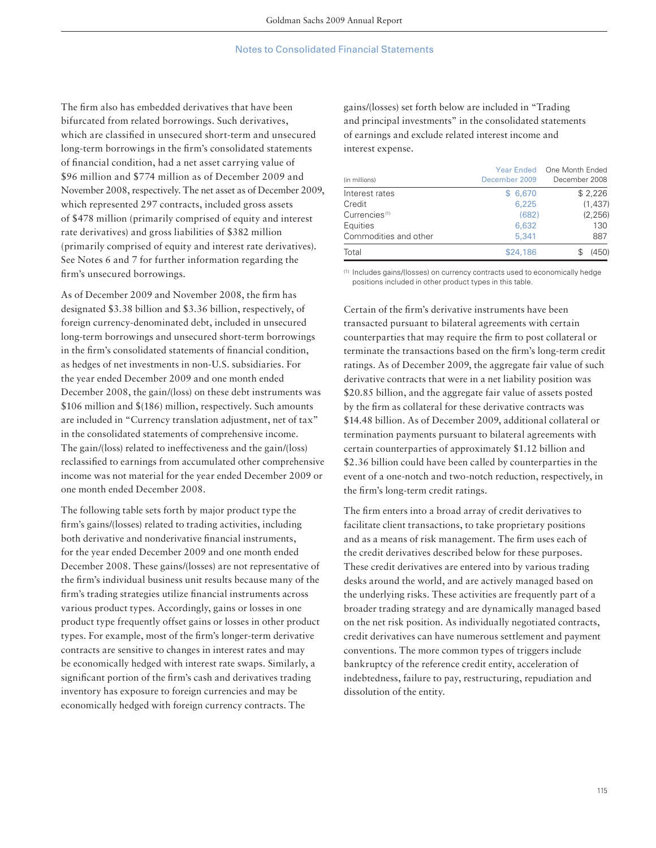The firm also has embedded derivatives that have been bifurcated from related borrowings. Such derivatives, which are classified in unsecured short-term and unsecured long-term borrowings in the firm's consolidated statements of financial condition, had a net asset carrying value of \$96 million and \$774 million as of December 2009 and November 2008, respectively. The net asset as of December 2009, which represented 297 contracts, included gross assets of \$478 million (primarily comprised of equity and interest rate derivatives) and gross liabilities of \$382 million (primarily comprised of equity and interest rate derivatives). See Notes 6 and 7 for further information regarding the firm's unsecured borrowings.

As of December 2009 and November 2008, the firm has designated \$3.38 billion and \$3.36 billion, respectively, of foreign currency-denominated debt, included in unsecured long-term borrowings and unsecured short-term borrowings in the firm's consolidated statements of financial condition, as hedges of net investments in non-U.S. subsidiaries. For the year ended December 2009 and one month ended December 2008, the gain/(loss) on these debt instruments was \$106 million and \$(186) million, respectively. Such amounts are included in "Currency translation adjustment, net of tax" in the consolidated statements of comprehensive income. The gain/(loss) related to ineffectiveness and the gain/(loss) reclassified to earnings from accumulated other comprehensive income was not material for the year ended December 2009 or one month ended December 2008.

The following table sets forth by major product type the firm's gains/(losses) related to trading activities, including both derivative and nonderivative financial instruments, for the year ended December 2009 and one month ended December 2008. These gains/(losses) are not representative of the firm's individual business unit results because many of the firm's trading strategies utilize financial instruments across various product types. Accordingly, gains or losses in one product type frequently offset gains or losses in other product types. For example, most of the firm's longer-term derivative contracts are sensitive to changes in interest rates and may be economically hedged with interest rate swaps. Similarly, a significant portion of the firm's cash and derivatives trading inventory has exposure to foreign currencies and may be economically hedged with foreign currency contracts. The

gains/(losses) set forth below are included in "Trading and principal investments" in the consolidated statements of earnings and exclude related interest income and interest expense.

| (in millions)             | December 2009 | Year Ended One Month Ended<br>December 2008 |
|---------------------------|---------------|---------------------------------------------|
| Interest rates            | \$6.670       | \$2,226                                     |
| Credit                    | 6.225         | (1, 437)                                    |
| Currencies <sup>(1)</sup> | (682)         | (2, 256)                                    |
| Equities                  | 6,632         | 130                                         |
| Commodities and other     | 5,341         | 887                                         |
| Total                     | \$24,186      | (450)                                       |

(1) Includes gains/(losses) on currency contracts used to economically hedge positions included in other product types in this table.

Certain of the firm's derivative instruments have been transacted pursuant to bilateral agreements with certain counterparties that may require the firm to post collateral or terminate the transactions based on the firm's long-term credit ratings. As of December 2009, the aggregate fair value of such derivative contracts that were in a net liability position was \$20.85 billion, and the aggregate fair value of assets posted by the firm as collateral for these derivative contracts was \$14.48 billion. As of December 2009, additional collateral or termination payments pursuant to bilateral agreements with certain counterparties of approximately \$1.12 billion and \$2.36 billion could have been called by counterparties in the event of a one-notch and two-notch reduction, respectively, in the firm's long-term credit ratings.

The firm enters into a broad array of credit derivatives to facilitate client transactions, to take proprietary positions and as a means of risk management. The firm uses each of the credit derivatives described below for these purposes. These credit derivatives are entered into by various trading desks around the world, and are actively managed based on the underlying risks. These activities are frequently part of a broader trading strategy and are dynamically managed based on the net risk position. As individually negotiated contracts, credit derivatives can have numerous settlement and payment conventions. The more common types of triggers include bankruptcy of the reference credit entity, acceleration of indebtedness, failure to pay, restructuring, repudiation and dissolution of the entity.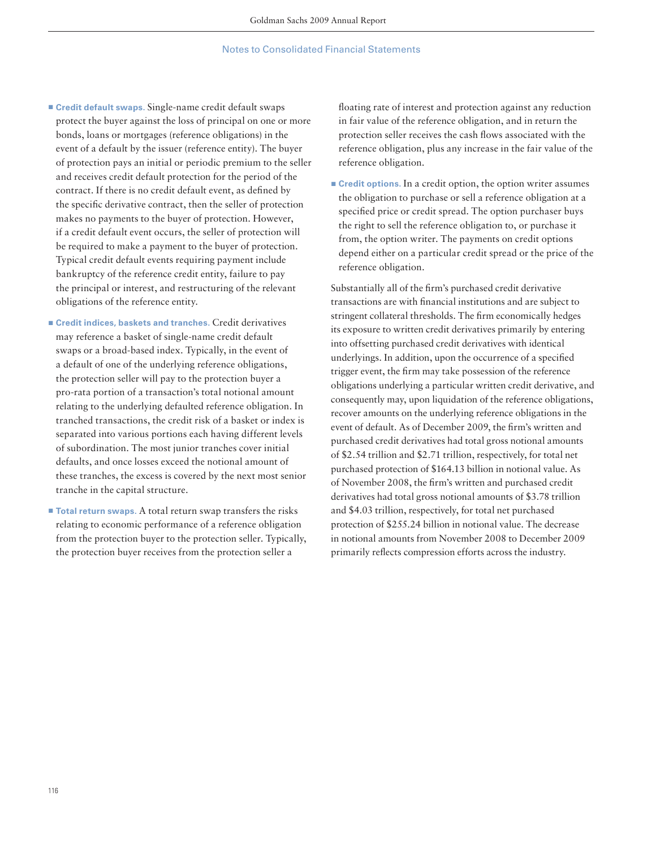- Credit default swaps. Single-name credit default swaps protect the buyer against the loss of principal on one or more bonds, loans or mortgages (reference obligations) in the event of a default by the issuer (reference entity). The buyer of protection pays an initial or periodic premium to the seller and receives credit default protection for the period of the contract. If there is no credit default event, as defined by the specific derivative contract, then the seller of protection makes no payments to the buyer of protection. However, if a credit default event occurs, the seller of protection will be required to make a payment to the buyer of protection. Typical credit default events requiring payment include bankruptcy of the reference credit entity, failure to pay the principal or interest, and restructuring of the relevant obligations of the reference entity.
- **Credit indices, baskets and tranches.** Credit derivatives may reference a basket of single-name credit default swaps or a broad-based index. Typically, in the event of a default of one of the underlying reference obligations, the protection seller will pay to the protection buyer a pro-rata portion of a transaction's total notional amount relating to the underlying defaulted reference obligation. In tranched transactions, the credit risk of a basket or index is separated into various portions each having different levels of subordination. The most junior tranches cover initial defaults, and once losses exceed the notional amount of these tranches, the excess is covered by the next most senior tranche in the capital structure.
- **Total return swaps**. A total return swap transfers the risks relating to economic performance of a reference obligation from the protection buyer to the protection seller. Typically, the protection buyer receives from the protection seller a

floating rate of interest and protection against any reduction in fair value of the reference obligation, and in return the protection seller receives the cash flows associated with the reference obligation, plus any increase in the fair value of the reference obligation.

**Example 2** Credit options. In a credit option, the option writer assumes the obligation to purchase or sell a reference obligation at a specified price or credit spread. The option purchaser buys the right to sell the reference obligation to, or purchase it from, the option writer. The payments on credit options depend either on a particular credit spread or the price of the reference obligation.

Substantially all of the firm's purchased credit derivative transactions are with financial institutions and are subject to stringent collateral thresholds. The firm economically hedges its exposure to written credit derivatives primarily by entering into offsetting purchased credit derivatives with identical underlyings. In addition, upon the occurrence of a specified trigger event, the firm may take possession of the reference obligations underlying a particular written credit derivative, and consequently may, upon liquidation of the reference obligations, recover amounts on the underlying reference obligations in the event of default. As of December 2009, the firm's written and purchased credit derivatives had total gross notional amounts of \$2.54 trillion and \$2.71 trillion, respectively, for total net purchased protection of \$164.13 billion in notional value. As of November 2008, the firm's written and purchased credit derivatives had total gross notional amounts of \$3.78 trillion and \$4.03 trillion, respectively, for total net purchased protection of \$255.24 billion in notional value. The decrease in notional amounts from November 2008 to December 2009 primarily reflects compression efforts across the industry.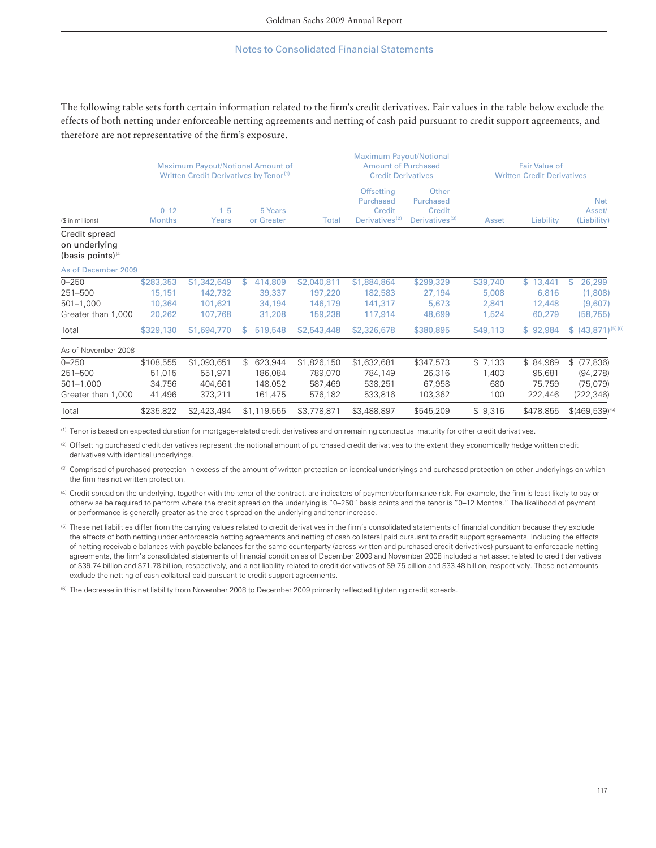The following table sets forth certain information related to the firm's credit derivatives. Fair values in the table below exclude the effects of both netting under enforceable netting agreements and netting of cash paid pursuant to credit support agreements, and therefore are not representative of the firm's exposure.

|                                                             |                                         |                                              | Maximum Payout/Notional Amount of<br>Written Credit Derivatives by Tenor <sup>(1)</sup> |                                              |                                                                        | <b>Maximum Payout/Notional</b><br><b>Amount of Purchased</b><br><b>Fair Value of</b><br><b>Credit Derivatives</b><br><b>Written Credit Derivatives</b> |                                     |                                         |                                                    |
|-------------------------------------------------------------|-----------------------------------------|----------------------------------------------|-----------------------------------------------------------------------------------------|----------------------------------------------|------------------------------------------------------------------------|--------------------------------------------------------------------------------------------------------------------------------------------------------|-------------------------------------|-----------------------------------------|----------------------------------------------------|
| (\$ in millions)                                            | $0 - 12$<br><b>Months</b>               | $1 - 5$<br>Years                             | 5 Years<br>or Greater                                                                   | Total                                        | <b>Offsetting</b><br>Purchased<br>Credit<br>Derivatives <sup>(2)</sup> | Other<br>Purchased<br>Credit<br>Derivatives <sup>(3)</sup>                                                                                             | Asset                               | Liability                               | <b>Net</b><br>Asset/<br>(Liability)                |
| Credit spread<br>on underlying<br>$(basis points)^{4}$      |                                         |                                              |                                                                                         |                                              |                                                                        |                                                                                                                                                        |                                     |                                         |                                                    |
| As of December 2009                                         |                                         |                                              |                                                                                         |                                              |                                                                        |                                                                                                                                                        |                                     |                                         |                                                    |
| $0 - 250$<br>251-500<br>$501 - 1,000$<br>Greater than 1,000 | \$283,353<br>15,151<br>10,364<br>20,262 | \$1,342,649<br>142,732<br>101,621<br>107,768 | \$<br>414,809<br>39,337<br>34,194<br>31,208                                             | \$2,040,811<br>197,220<br>146,179<br>159,238 | \$1,884,864<br>182,583<br>141,317<br>117,914                           | \$299,329<br>27,194<br>5,673<br>48,699                                                                                                                 | \$39,740<br>5,008<br>2,841<br>1,524 | \$13,441<br>6,816<br>12,448<br>60,279   | 26,299<br>\$<br>(1,808)<br>(9,607)<br>(58, 755)    |
| Total                                                       | \$329,130                               | \$1,694,770                                  | 519,548<br>S                                                                            | \$2,543,448                                  | \$2,326,678                                                            | \$380,895                                                                                                                                              | \$49,113                            | \$92,984                                | $$ (43,871)^{(5)(6)}$                              |
| As of November 2008                                         |                                         |                                              |                                                                                         |                                              |                                                                        |                                                                                                                                                        |                                     |                                         |                                                    |
| $0 - 250$<br>251-500<br>$501 - 1,000$<br>Greater than 1,000 | \$108,555<br>51,015<br>34,756<br>41,496 | \$1,093,651<br>551,971<br>404,661<br>373,211 | 623,944<br>\$<br>186,084<br>148,052<br>161,475                                          | \$1,826,150<br>789,070<br>587,469<br>576,182 | \$1,632,681<br>784,149<br>538,251<br>533,816                           | \$347,573<br>26,316<br>67,958<br>103,362                                                                                                               | \$7,133<br>1,403<br>680<br>100      | \$84,969<br>95,681<br>75,759<br>222,446 | \$ (77,836)<br>(94, 278)<br>(75,079)<br>(222, 346) |
| Total                                                       | \$235,822                               | \$2,423,494                                  | \$1,119,555                                                                             | \$3,778,871                                  | \$3,488,897                                                            | \$545,209                                                                                                                                              | \$9,316                             | \$478,855                               | $$(469, 539)^{(5)}$                                |

(1) Tenor is based on expected duration for mortgage-related credit derivatives and on remaining contractual maturity for other credit derivatives.

(2) Offsetting purchased credit derivatives represent the notional amount of purchased credit derivatives to the extent they economically hedge written credit derivatives with identical underlyings.

(3) Comprised of purchased protection in excess of the amount of written protection on identical underlyings and purchased protection on other underlyings on which the firm has not written protection.

(4) Credit spread on the underlying, together with the tenor of the contract, are indicators of payment/performance risk. For example, the firm is least likely to pay or otherwise be required to perform where the credit spread on the underlying is "0–250" basis points and the tenor is "0–12 Months." The likelihood of payment or performance is generally greater as the credit spread on the underlying and tenor increase.

<sup>(5)</sup> These net liabilities differ from the carrying values related to credit derivatives in the firm's consolidated statements of financial condition because they exclude the effects of both netting under enforceable netting agreements and netting of cash collateral paid pursuant to credit support agreements. Including the effects of netting receivable balances with payable balances for the same counterparty (across written and purchased credit derivatives) pursuant to enforceable netting agreements, the firm's consolidated statements of financial condition as of December 2009 and November 2008 included a net asset related to credit derivatives of \$39.74 billion and \$71.78 billion, respectively, and a net liability related to credit derivatives of \$9.75 billion and \$33.48 billion, respectively. These net amounts exclude the netting of cash collateral paid pursuant to credit support agreements.

(6) The decrease in this net liability from November 2008 to December 2009 primarily reflected tightening credit spreads.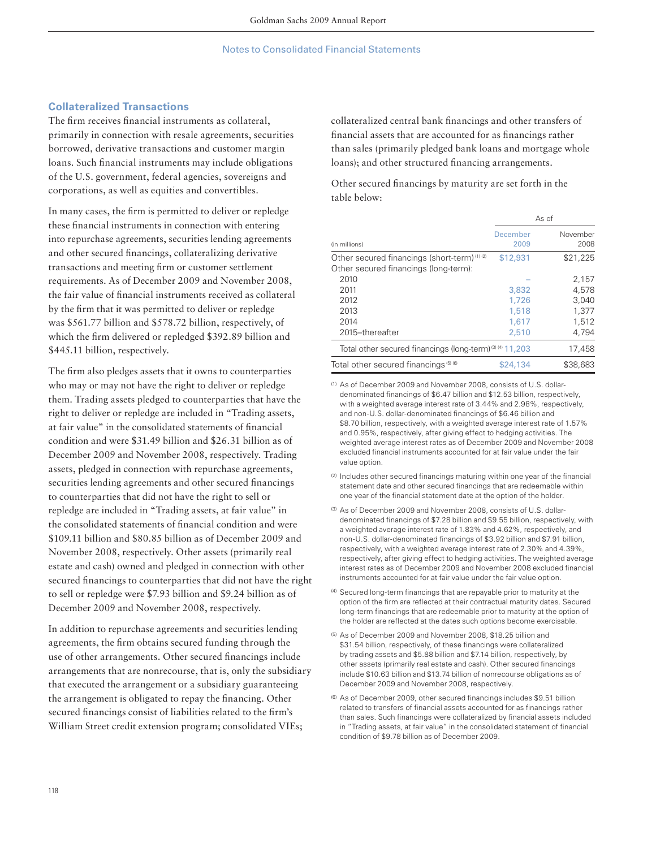## **Collateralized Transactions**

The firm receives financial instruments as collateral, primarily in connection with resale agreements, securities borrowed, derivative transactions and customer margin loans. Such financial instruments may include obligations of the U.S. government, federal agencies, sovereigns and corporations, as well as equities and convertibles.

In many cases, the firm is permitted to deliver or repledge these financial instruments in connection with entering into repurchase agreements, securities lending agreements and other secured financings, collateralizing derivative transactions and meeting firm or customer settlement requirements. As of December 2009 and November 2008, the fair value of financial instruments received as collateral by the firm that it was permitted to deliver or repledge was \$561.77 billion and \$578.72 billion, respectively, of which the firm delivered or repledged \$392.89 billion and \$445.11 billion, respectively.

The firm also pledges assets that it owns to counterparties who may or may not have the right to deliver or repledge them. Trading assets pledged to counterparties that have the right to deliver or repledge are included in "Trading assets, at fair value" in the consolidated statements of financial condition and were \$31.49 billion and \$26.31 billion as of December 2009 and November 2008, respectively. Trading assets, pledged in connection with repurchase agreements, securities lending agreements and other secured financings to counterparties that did not have the right to sell or repledge are included in "Trading assets, at fair value" in the consolidated statements of financial condition and were \$109.11 billion and \$80.85 billion as of December 2009 and November 2008, respectively. Other assets (primarily real estate and cash) owned and pledged in connection with other secured financings to counterparties that did not have the right to sell or repledge were \$7.93 billion and \$9.24 billion as of December 2009 and November 2008, respectively.

In addition to repurchase agreements and securities lending agreements, the firm obtains secured funding through the use of other arrangements. Other secured financings include arrangements that are nonrecourse, that is, only the subsidiary that executed the arrangement or a subsidiary guaranteeing the arrangement is obligated to repay the financing. Other secured financings consist of liabilities related to the firm's William Street credit extension program; consolidated VIEs;

collateralized central bank financings and other transfers of financial assets that are accounted for as financings rather than sales (primarily pledged bank loans and mortgage whole loans); and other structured financing arrangements.

Other secured financings by maturity are set forth in the table below:

|                                                                                                  |                  | As of            |
|--------------------------------------------------------------------------------------------------|------------------|------------------|
| (in millions)                                                                                    | December<br>2009 | November<br>2008 |
| Other secured financings (short-term) <sup>(1)(2)</sup><br>Other secured financings (long-term): | \$12,931         | \$21,225         |
| 2010                                                                                             |                  | 2,157            |
| 2011                                                                                             | 3,832            | 4.578            |
| 2012                                                                                             | 1.726            | 3,040            |
| 2013                                                                                             | 1,518            | 1.377            |
| 2014                                                                                             | 1,617            | 1,512            |
| 2015-thereafter                                                                                  | 2,510            | 4,794            |
| Total other secured financings (long-term) <sup>(3)(4)</sup> 11,203                              |                  | 17,458           |
| Total other secured financings (6) (6)                                                           | \$24,134         | \$38,683         |

(1) As of December 2009 and November 2008, consists of U.S. dollardenominated financings of \$6.47 billion and \$12.53 billion, respectively, with a weighted average interest rate of 3.44% and 2.98%, respectively, and non-U.S. dollar-denominated financings of \$6.46 billion and \$8.70 billion, respectively, with a weighted average interest rate of 1.57% and 0.95%, respectively, after giving effect to hedging activities. The weighted average interest rates as of December 2009 and November 2008 excluded financial instruments accounted for at fair value under the fair value option.

- $(2)$  Includes other secured financings maturing within one year of the financial statement date and other secured financings that are redeemable within one year of the financial statement date at the option of the holder.
- (3) As of December 2009 and November 2008, consists of U.S. dollardenominated financings of \$7.28 billion and \$9.55 billion, respectively, with a weighted average interest rate of 1.83% and 4.62%, respectively, and non-U.S. dollar-denominated financings of \$3.92 billion and \$7.91 billion, respectively, with a weighted average interest rate of 2.30% and 4.39%, respectively, after giving effect to hedging activities. The weighted average interest rates as of December 2009 and November 2008 excluded financial instruments accounted for at fair value under the fair value option.
- (4) Secured long-term financings that are repayable prior to maturity at the option of the firm are reflected at their contractual maturity dates. Secured long-term financings that are redeemable prior to maturity at the option of the holder are reflected at the dates such options become exercisable.
- (5) As of December 2009 and November 2008, \$18.25 billion and \$31.54 billion, respectively, of these financings were collateralized by trading assets and \$5.88 billion and \$7.14 billion, respectively, by other assets (primarily real estate and cash). Other secured financings include \$10.63 billion and \$13.74 billion of nonrecourse obligations as of December 2009 and November 2008, respectively.
- (6) As of December 2009, other secured financings includes \$9.51 billion related to transfers of financial assets accounted for as financings rather than sales. Such financings were collateralized by financial assets included in "Trading assets, at fair value" in the consolidated statement of financial condition of \$9.78 billion as of December 2009.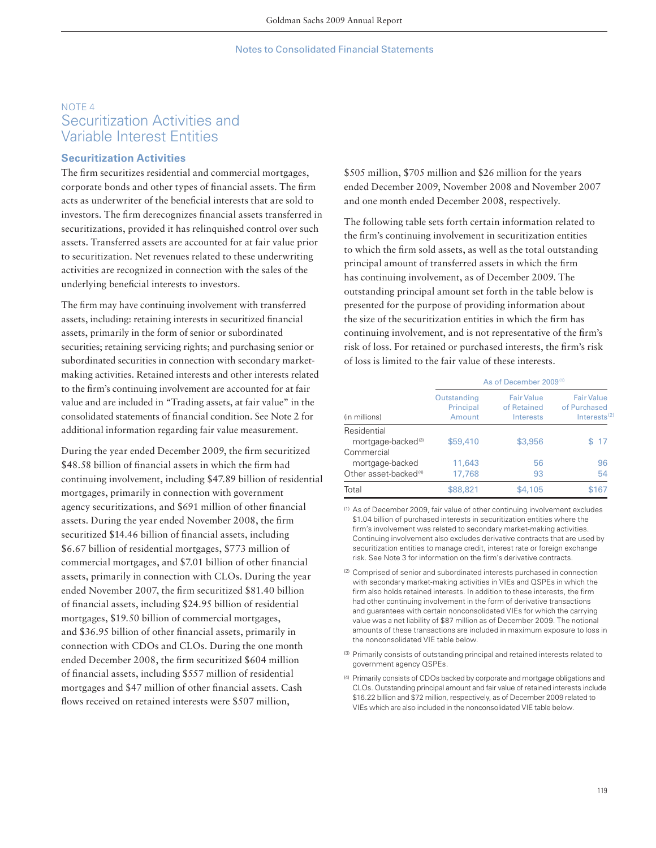# NOTE 4 Securitization Activities and Variable Interest Entities

## **Securitization Activities**

The firm securitizes residential and commercial mortgages, corporate bonds and other types of financial assets. The firm acts as underwriter of the beneficial interests that are sold to investors. The firm derecognizes financial assets transferred in securitizations, provided it has relinquished control over such assets. Transferred assets are accounted for at fair value prior to securitization. Net revenues related to these underwriting activities are recognized in connection with the sales of the underlying beneficial interests to investors.

The firm may have continuing involvement with transferred assets, including: retaining interests in securitized financial assets, primarily in the form of senior or subordinated securities; retaining servicing rights; and purchasing senior or subordinated securities in connection with secondary marketmaking activities. Retained interests and other interests related to the firm's continuing involvement are accounted for at fair value and are included in "Trading assets, at fair value" in the consolidated statements of financial condition. See Note 2 for additional information regarding fair value measurement.

During the year ended December 2009, the firm securitized \$48.58 billion of financial assets in which the firm had continuing involvement, including \$47.89 billion of residential mortgages, primarily in connection with government agency securitizations, and \$691 million of other financial assets. During the year ended November 2008, the firm securitized \$14.46 billion of financial assets, including \$6.67 billion of residential mortgages, \$773 million of commercial mortgages, and \$7.01 billion of other financial assets, primarily in connection with CLOs. During the year ended November 2007, the firm securitized \$81.40 billion of financial assets, including \$24.95 billion of residential mortgages, \$19.50 billion of commercial mortgages, and \$36.95 billion of other financial assets, primarily in connection with CDOs and CLOs. During the one month ended December 2008, the firm securitized \$604 million of financial assets, including \$557 million of residential mortgages and \$47 million of other financial assets. Cash flows received on retained interests were \$507 million,

\$505 million, \$705 million and \$26 million for the years ended December 2009, November 2008 and November 2007 and one month ended December 2008, respectively.

The following table sets forth certain information related to the firm's continuing involvement in securitization entities to which the firm sold assets, as well as the total outstanding principal amount of transferred assets in which the firm has continuing involvement, as of December 2009. The outstanding principal amount set forth in the table below is presented for the purpose of providing information about the size of the securitization entities in which the firm has continuing involvement, and is not representative of the firm's risk of loss. For retained or purchased interests, the firm's risk of loss is limited to the fair value of these interests.

|                                   | As of December 2009 <sup>(1)</sup> |                                               |                                                      |  |  |
|-----------------------------------|------------------------------------|-----------------------------------------------|------------------------------------------------------|--|--|
| (in millions)                     | Outstanding<br>Principal<br>Amount | <b>Fair Value</b><br>of Retained<br>Interests | <b>Fair Value</b><br>of Purchased<br>Interests $(2)$ |  |  |
| Residential                       |                                    |                                               |                                                      |  |  |
| mortgage-backed <sup>(3)</sup>    | \$59,410                           | \$3,956                                       | -17<br>ፍ                                             |  |  |
| Commercial                        |                                    |                                               |                                                      |  |  |
| mortgage-backed                   | 11,643                             | 56                                            | 96                                                   |  |  |
| Other asset-backed <sup>(4)</sup> | 17,768                             | 93                                            | 54                                                   |  |  |
| Total                             | \$88,821                           | \$4,105                                       | \$167                                                |  |  |

(1) As of December 2009, fair value of other continuing involvement excludes \$1.04 billion of purchased interests in securitization entities where the firm's involvement was related to secondary market-making activities. Continuing involvement also excludes derivative contracts that are used by securitization entities to manage credit, interest rate or foreign exchange risk. See Note 3 for information on the firm's derivative contracts.

- (2) Comprised of senior and subordinated interests purchased in connection with secondary market-making activities in VIEs and QSPEs in which the firm also holds retained interests. In addition to these interests, the firm had other continuing involvement in the form of derivative transactions and guarantees with certain nonconsolidated VIEs for which the carrying value was a net liability of \$87 million as of December 2009. The notional amounts of these transactions are included in maximum exposure to loss in the nonconsolidated VIE table below.
- (3) Primarily consists of outstanding principal and retained interests related to government agency QSPEs.
- (4) Primarily consists of CDOs backed by corporate and mortgage obligations and CLOs. Outstanding principal amount and fair value of retained interests include \$16.22 billion and \$72 million, respectively, as of December 2009 related to VIEs which are also included in the nonconsolidated VIE table below.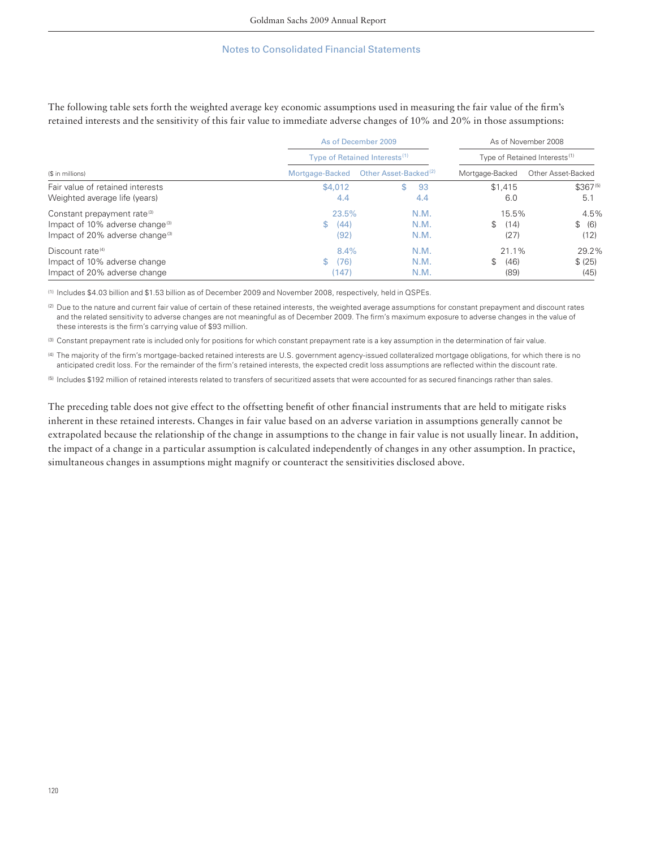| The following table sets forth the weighted average key economic assumptions used in measuring the fair value of the firm's |                     |                     |
|-----------------------------------------------------------------------------------------------------------------------------|---------------------|---------------------|
| retained interests and the sensitivity of this fair value to immediate adverse changes of 10% and 20% in those assumptions: |                     |                     |
|                                                                                                                             | As of December 2009 | As of November 2008 |

|                                             |                 | <b>AS OF DECETTIVEL ZUUS</b>              | AS OF NOVEHIDEL ZUUO<br>Type of Retained Interests <sup>(1)</sup> |                    |  |
|---------------------------------------------|-----------------|-------------------------------------------|-------------------------------------------------------------------|--------------------|--|
| (\$ in millions)                            |                 | Type of Retained Interests <sup>(1)</sup> |                                                                   |                    |  |
|                                             | Mortgage-Backed | Other Asset-Backed <sup>(2)</sup>         | Mortgage-Backed                                                   | Other Asset-Backed |  |
| Fair value of retained interests            | \$4,012         | 93                                        | \$1,415                                                           | $$367^{(5)}$       |  |
| Weighted average life (years)               | 4.4             | 4.4                                       | 6.0                                                               | 5.1                |  |
| Constant prepayment rate <sup>(3)</sup>     | 23.5%           | N.M.                                      | 15.5%                                                             | 4.5%               |  |
| Impact of 10% adverse change <sup>(3)</sup> | (44)<br>S       | N.M.                                      | \$.<br>(14)                                                       | \$<br>(6)          |  |
| Impact of 20% adverse change <sup>(3)</sup> | (92)            | N.M.                                      | (27)                                                              | (12)               |  |
| Discount rate <sup>(4)</sup>                | 8.4%            | N.M.                                      | 21.1%                                                             | 29.2%              |  |
| Impact of 10% adverse change                | (76)<br>\$      | N.M.                                      | (46)<br>\$                                                        | \$ (25)            |  |
| Impact of 20% adverse change                | 147)            | N.M.                                      | (89)                                                              | (45)               |  |

(1) Includes \$4.03 billion and \$1.53 billion as of December 2009 and November 2008, respectively, held in QSPEs.

(2) Due to the nature and current fair value of certain of these retained interests, the weighted average assumptions for constant prepayment and discount rates and the related sensitivity to adverse changes are not meaningful as of December 2009. The firm's maximum exposure to adverse changes in the value of these interests is the firm's carrying value of \$93 million.

(3) Constant prepayment rate is included only for positions for which constant prepayment rate is a key assumption in the determination of fair value.

(4) The majority of the firm's mortgage-backed retained interests are U.S. government agency-issued collateralized mortgage obligations, for which there is no anticipated credit loss. For the remainder of the firm's retained interests, the expected credit loss assumptions are reflected within the discount rate.

(5) Includes \$192 million of retained interests related to transfers of securitized assets that were accounted for as secured financings rather than sales.

The preceding table does not give effect to the offsetting benefit of other financial instruments that are held to mitigate risks inherent in these retained interests. Changes in fair value based on an adverse variation in assumptions generally cannot be extrapolated because the relationship of the change in assumptions to the change in fair value is not usually linear. In addition, the impact of a change in a particular assumption is calculated independently of changes in any other assumption. In practice, simultaneous changes in assumptions might magnify or counteract the sensitivities disclosed above.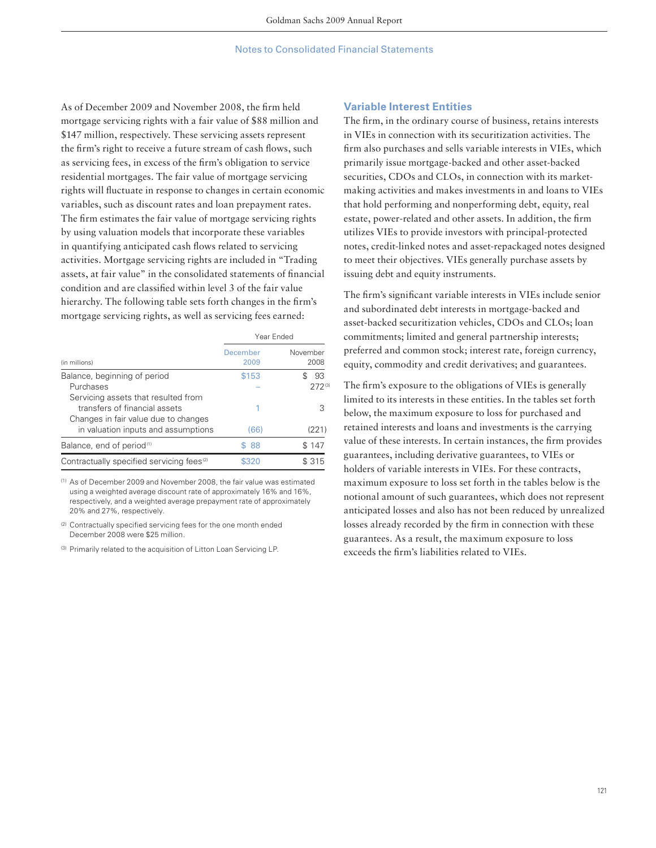As of December 2009 and November 2008, the firm held mortgage servicing rights with a fair value of \$88 million and \$147 million, respectively. These servicing assets represent the firm's right to receive a future stream of cash flows, such as servicing fees, in excess of the firm's obligation to service residential mortgages. The fair value of mortgage servicing rights will fluctuate in response to changes in certain economic variables, such as discount rates and loan prepayment rates. The firm estimates the fair value of mortgage servicing rights by using valuation models that incorporate these variables in quantifying anticipated cash flows related to servicing activities. Mortgage servicing rights are included in "Trading assets, at fair value" in the consolidated statements of financial condition and are classified within level 3 of the fair value hierarchy. The following table sets forth changes in the firm's mortgage servicing rights, as well as servicing fees earned:

|                                                                                                              | Year Ended       |                  |
|--------------------------------------------------------------------------------------------------------------|------------------|------------------|
| (in millions)                                                                                                | December<br>2009 | November<br>2008 |
| Balance, beginning of period                                                                                 | \$153            | 93               |
| Purchases                                                                                                    |                  | $272^{(3)}$      |
| Servicing assets that resulted from<br>transfers of financial assets<br>Changes in fair value due to changes |                  | 3                |
| in valuation inputs and assumptions                                                                          | (66)             | (221)            |
| Balance, end of period <sup>(1)</sup>                                                                        | -88              | \$147            |
| Contractually specified servicing fees <sup>(2)</sup>                                                        | 8320             | \$315            |

(1) As of December 2009 and November 2008, the fair value was estimated using a weighted average discount rate of approximately 16% and 16%, respectively, and a weighted average prepayment rate of approximately 20% and 27%, respectively.

(2) Contractually specified servicing fees for the one month ended December 2008 were \$25 million.

(3) Primarily related to the acquisition of Litton Loan Servicing LP.

## **Variable Interest Entities**

The firm, in the ordinary course of business, retains interests in VIEs in connection with its securitization activities. The firm also purchases and sells variable interests in VIEs, which primarily issue mortgage-backed and other asset-backed securities, CDOs and CLOs, in connection with its marketmaking activities and makes investments in and loans to VIEs that hold performing and nonperforming debt, equity, real estate, power-related and other assets. In addition, the firm utilizes VIEs to provide investors with principal-protected notes, credit-linked notes and asset-repackaged notes designed to meet their objectives. VIEs generally purchase assets by issuing debt and equity instruments.

The firm's significant variable interests in VIEs include senior and subordinated debt interests in mortgage-backed and asset-backed securitization vehicles, CDOs and CLOs; loan commitments; limited and general partnership interests; preferred and common stock; interest rate, foreign currency, equity, commodity and credit derivatives; and guarantees.

The firm's exposure to the obligations of VIEs is generally limited to its interests in these entities. In the tables set forth below, the maximum exposure to loss for purchased and retained interests and loans and investments is the carrying value of these interests. In certain instances, the firm provides guarantees, including derivative guarantees, to VIEs or holders of variable interests in VIEs. For these contracts, maximum exposure to loss set forth in the tables below is the notional amount of such guarantees, which does not represent anticipated losses and also has not been reduced by unrealized losses already recorded by the firm in connection with these guarantees. As a result, the maximum exposure to loss exceeds the firm's liabilities related to VIEs.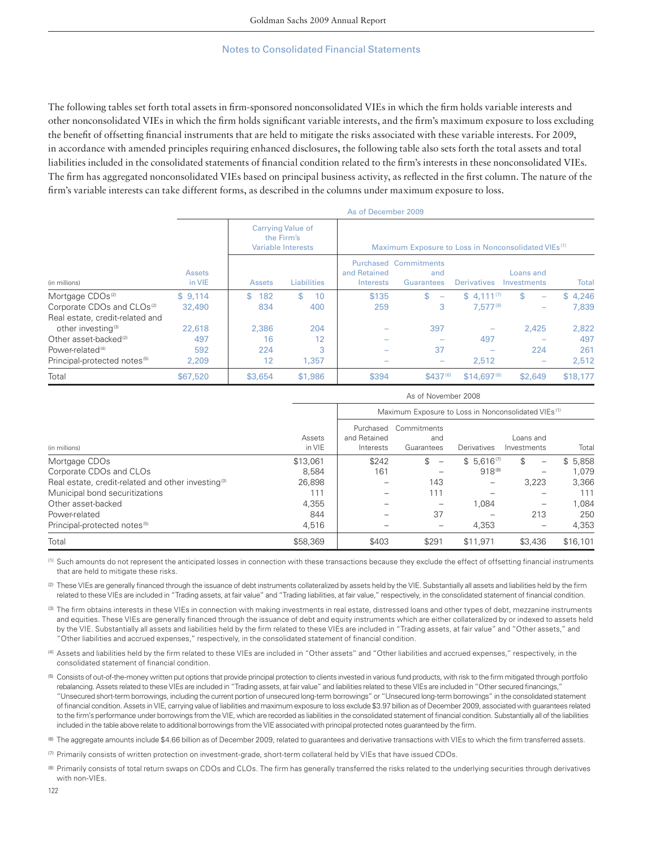The following tables set forth total assets in firm-sponsored nonconsolidated VIEs in which the firm holds variable interests and other nonconsolidated VIEs in which the firm holds significant variable interests, and the firm's maximum exposure to loss excluding the benefit of offsetting financial instruments that are held to mitigate the risks associated with these variable interests. For 2009, in accordance with amended principles requiring enhanced disclosures, the following table also sets forth the total assets and total liabilities included in the consolidated statements of financial condition related to the firm's interests in these nonconsolidated VIEs. The firm has aggregated nonconsolidated VIEs based on principal business activity, as reflected in the first column. The nature of the firm's variable interests can take different forms, as described in the columns under maximum exposure to loss.

|                                          |                         |               |                                                                     | As of December 2009       |                                                                 |                    |                                |          |
|------------------------------------------|-------------------------|---------------|---------------------------------------------------------------------|---------------------------|-----------------------------------------------------------------|--------------------|--------------------------------|----------|
|                                          |                         |               | <b>Carrying Value of</b><br>the Firm's<br><b>Variable Interests</b> |                           | Maximum Exposure to Loss in Nonconsolidated VIEs <sup>(1)</sup> |                    |                                |          |
| (in millions)                            | <b>Assets</b><br>in VIE | <b>Assets</b> | <b>Liabilities</b>                                                  | and Retained<br>Interests | <b>Purchased Commitments</b><br>and<br>Guarantees               | <b>Derivatives</b> | Loans and<br>Investments       | Total    |
| Mortgage CDOs <sup>(2)</sup>             | \$9.114                 | \$<br>182     | \$<br>10                                                            | \$135                     | \$<br>$\overline{\phantom{a}}$                                  | $$4.111^{(7)}$     | \$<br>$\overline{\phantom{0}}$ | \$4.246  |
| Corporate CDOs and CLOs <sup>(2)</sup>   | 32,490                  | 834           | 400                                                                 | 259                       | 3                                                               | $7.577^{(8)}$      | $\overline{\phantom{0}}$       | 7,839    |
| Real estate, credit-related and          |                         |               |                                                                     |                           |                                                                 |                    |                                |          |
| other investing <sup>(3)</sup>           | 22,618                  | 2,386         | 204                                                                 |                           | 397                                                             |                    | 2,425                          | 2,822    |
| Other asset-backed <sup>(2)</sup>        | 497                     | 16            | 12                                                                  |                           |                                                                 | 497                |                                | 497      |
| Power-related <sup>(4)</sup>             | 592                     | 224           | 3                                                                   |                           | 37                                                              |                    | 224                            | 261      |
| Principal-protected notes <sup>(5)</sup> | 2,209                   | 12            | 1,357                                                               |                           |                                                                 | 2,512              |                                | 2,512    |
| Total                                    | \$67,520                | \$3,654       | \$1,986                                                             | \$394                     | $$437^{(6)}$                                                    | $$14.697^{(6)}$    | \$2,649                        | \$18,177 |

|                                                                |                  | As of November 2008                    |                                                                 |                |                                |          |  |  |
|----------------------------------------------------------------|------------------|----------------------------------------|-----------------------------------------------------------------|----------------|--------------------------------|----------|--|--|
|                                                                |                  |                                        | Maximum Exposure to Loss in Nonconsolidated VIEs <sup>(1)</sup> |                |                                |          |  |  |
| (in millions)                                                  | Assets<br>in VIE | Purchased<br>and Retained<br>Interests | Commitments<br>and<br>Guarantees                                | Derivatives    | Loans and<br>Investments       | Total    |  |  |
| Mortgage CDOs                                                  | \$13,061         | \$242                                  | \$<br>$\overline{\phantom{0}}$                                  | $$5.616^{(7)}$ | \$<br>$\overline{\phantom{0}}$ | \$5,858  |  |  |
| Corporate CDOs and CLOs                                        | 8.584            | 161                                    |                                                                 | 918(8)         | -                              | 1,079    |  |  |
| Real estate, credit-related and other investing <sup>(3)</sup> | 26,898           |                                        | 143                                                             |                | 3.223                          | 3.366    |  |  |
| Municipal bond securitizations                                 | 111              |                                        | 111                                                             |                |                                | 111      |  |  |
| Other asset-backed                                             | 4.355            |                                        |                                                                 | 1.084          | —                              | 1,084    |  |  |
| Power-related                                                  | 844              |                                        | 37                                                              |                | 213                            | 250      |  |  |
| Principal-protected notes <sup>(5)</sup>                       | 4,516            |                                        |                                                                 | 4,353          |                                | 4,353    |  |  |
| Total                                                          | \$58,369         | \$403                                  | \$291                                                           | \$11.971       | \$3,436                        | \$16,101 |  |  |

(1) Such amounts do not represent the anticipated losses in connection with these transactions because they exclude the effect of offsetting financial instruments that are held to mitigate these risks.

(2) These VIEs are generally financed through the issuance of debt instruments collateralized by assets held by the VIE. Substantially all assets and liabilities held by the firm related to these VIEs are included in "Trading assets, at fair value" and "Trading liabilities, at fair value," respectively, in the consolidated statement of financial condition.

(3) The firm obtains interests in these VIEs in connection with making investments in real estate, distressed loans and other types of debt, mezzanine instruments and equities. These VIEs are generally financed through the issuance of debt and equity instruments which are either collateralized by or indexed to assets held by the VIE. Substantially all assets and liabilities held by the firm related to these VIEs are included in "Trading assets, at fair value" and "Other assets," and "Other liabilities and accrued expenses," respectively, in the consolidated statement of financial condition.

(4) Assets and liabilities held by the firm related to these VIEs are included in "Other assets" and "Other liabilities and accrued expenses," respectively, in the consolidated statement of financial condition.

(5) Consists of out-of-the-money written put options that provide principal protection to clients invested in various fund products, with risk to the firm mitigated through portfolio rebalancing. Assets related to these VIEs are included in "Trading assets, at fair value" and liabilities related to these VIEs are included in "Other secured financings," "Unsecured short-term borrowings, including the current portion of unsecured long-term borrowings" or "Unsecured long-term borrowings" in the consolidated statement of financial condition. Assets in VIE, carrying value of liabilities and maximum exposure to loss exclude \$3.97 billion as of December 2009, associated with guarantees related to the firm's performance under borrowings from the VIE, which are recorded as liabilities in the consolidated statement of financial condition. Substantially all of the liabilities included in the table above relate to additional borrowings from the VIE associated with principal protected notes guaranteed by the firm.

(6) The aggregate amounts include \$4.66 billion as of December 2009, related to guarantees and derivative transactions with VIEs to which the firm transferred assets.

(7) Primarily consists of written protection on investment-grade, short-term collateral held by VIEs that have issued CDOs.

(8) Primarily consists of total return swaps on CDOs and CLOs. The firm has generally transferred the risks related to the underlying securities through derivatives with non-VIEs.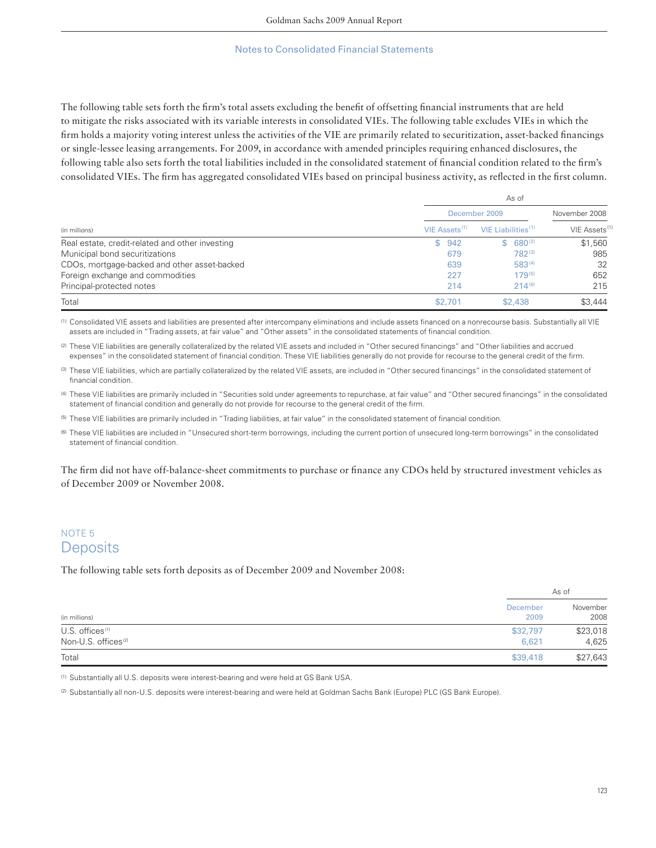The following table sets forth the firm's total assets excluding the benefit of offsetting financial instruments that are held to mitigate the risks associated with its variable interests in consolidated VIEs. The following table excludes VIEs in which the firm holds a majority voting interest unless the activities of the VIE are primarily related to securitization, asset-backed financings or single-lessee leasing arrangements. For 2009, in accordance with amended principles requiring enhanced disclosures, the following table also sets forth the total liabilities included in the consolidated statement of financial condition related to the firm's consolidated VIEs. The firm has aggregated consolidated VIEs based on principal business activity, as reflected in the first column.

|                                                 |                           | As of                 |                           |
|-------------------------------------------------|---------------------------|-----------------------|---------------------------|
|                                                 |                           | December 2009         | November 2008             |
| (in millions)                                   | VIE Assets <sup>(1)</sup> | VIE Liabilities $(1)$ | VIE Assets <sup>(1)</sup> |
| Real estate, credit-related and other investing | 942<br>\$.                | $680^{(2)}$<br>S.     | \$1,560                   |
| Municipal bond securitizations                  | 679                       | 782(3)                | 985                       |
| CDOs, mortgage-backed and other asset-backed    | 639                       | $583^{(4)}$           | 32                        |
| Foreign exchange and commodities                | 227                       | $179^{(5)}$           | 652                       |
| Principal-protected notes                       | 214                       | $214^{(6)}$           | 215                       |
| Total                                           | \$2,701                   | \$2,438               | \$3,444                   |

(1) Consolidated VIE assets and liabilities are presented after intercompany eliminations and include assets financed on a nonrecourse basis. Substantially all VIE assets are included in "Trading assets, at fair value" and "Other assets" in the consolidated statements of financial condition.

(2) These VIE liabilities are generally collateralized by the related VIE assets and included in "Other secured financings" and "Other liabilities and accrued expenses" in the consolidated statement of financial condition. These VIE liabilities generally do not provide for recourse to the general credit of the firm.

(3) These VIE liabilities, which are partially collateralized by the related VIE assets, are included in "Other secured financings" in the consolidated statement of financial condition.

(4) These VIE liabilities are primarily included in "Securities sold under agreements to repurchase, at fair value" and "Other secured financings" in the consolidated statement of financial condition and generally do not provide for recourse to the general credit of the firm.

(5) These VIE liabilities are primarily included in "Trading liabilities, at fair value" in the consolidated statement of financial condition.

(6) These VIE liabilities are included in "Unsecured short-term borrowings, including the current portion of unsecured long-term borrowings" in the consolidated statement of financial condition.

The firm did not have off-balance-sheet commitments to purchase or finance any CDOs held by structured investment vehicles as of December 2009 or November 2008.

# NOTE 5 **Deposits**

The following table sets forth deposits as of December 2009 and November 2008:

|                                 |                  | As of            |
|---------------------------------|------------------|------------------|
| (in millions)                   | December<br>2009 | November<br>2008 |
| $U.S.$ offices $(1)$            | \$32,797         | \$23,018         |
| Non-U.S. offices <sup>(2)</sup> | 6,621            | 4,625            |
| Total                           | \$39,418         | \$27,643         |

(1) Substantially all U.S. deposits were interest-bearing and were held at GS Bank USA.

(2) Substantially all non-U.S. deposits were interest-bearing and were held at Goldman Sachs Bank (Europe) PLC (GS Bank Europe).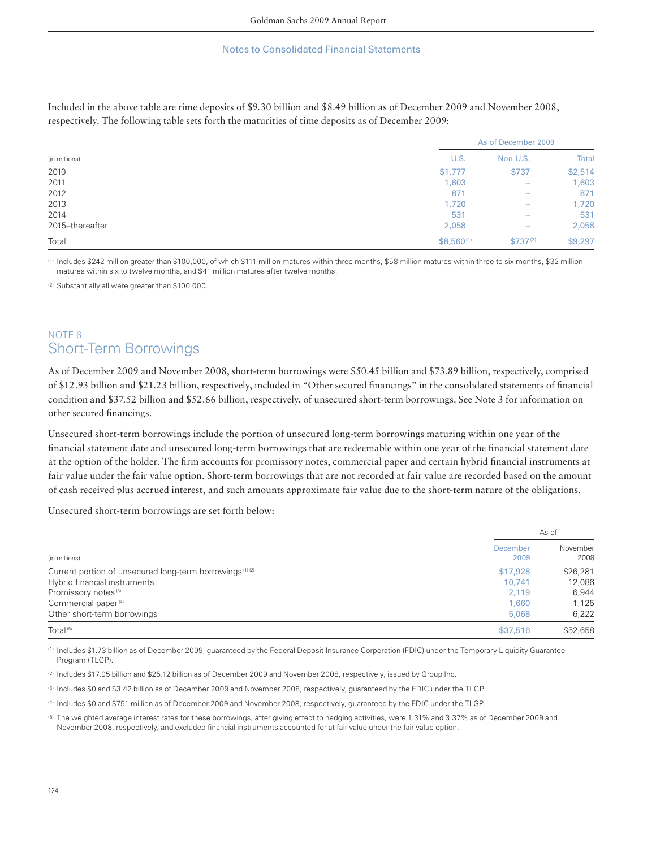Included in the above table are time deposits of \$9.30 billion and \$8.49 billion as of December 2009 and November 2008, respectively. The following table sets forth the maturities of time deposits as of December 2009:

|                 |                | As of December 2009      |              |  |
|-----------------|----------------|--------------------------|--------------|--|
| (in millions)   | U.S.           | Non-U.S.                 | <b>Total</b> |  |
| 2010            | \$1,777        | \$737                    | \$2,514      |  |
| 2011            | 1,603          |                          | 1,603        |  |
| 2012            | 871            |                          | 871          |  |
| 2013            | 1,720          | $\overline{\phantom{0}}$ | 1,720        |  |
| 2014            | 531            |                          | 531          |  |
| 2015-thereafter | 2,058          |                          | 2,058        |  |
| Total           | $$8,560^{(1)}$ | $$737^{(2)}$             | \$9,297      |  |

(1) Includes \$242 million greater than \$100,000, of which \$111 million matures within three months, \$58 million matures within three to six months, \$32 million matures within six to twelve months, and \$41 million matures after twelve months.

(2) Substantially all were greater than \$100,000.

# NOTE 6 Short-Term Borrowings

As of December 2009 and November 2008, short-term borrowings were \$50.45 billion and \$73.89 billion, respectively, comprised of \$12.93 billion and \$21.23 billion, respectively, included in "Other secured financings" in the consolidated statements of financial condition and \$37.52 billion and \$52.66 billion, respectively, of unsecured short-term borrowings. See Note 3 for information on other secured financings.

Unsecured short-term borrowings include the portion of unsecured long-term borrowings maturing within one year of the financial statement date and unsecured long-term borrowings that are redeemable within one year of the financial statement date at the option of the holder. The firm accounts for promissory notes, commercial paper and certain hybrid financial instruments at fair value under the fair value option. Short-term borrowings that are not recorded at fair value are recorded based on the amount of cash received plus accrued interest, and such amounts approximate fair value due to the short-term nature of the obligations.

Unsecured short-term borrowings are set forth below:

|                                                                     |                  | As of            |  |  |
|---------------------------------------------------------------------|------------------|------------------|--|--|
| (in millions)                                                       | December<br>2009 | November<br>2008 |  |  |
| Current portion of unsecured long-term borrowings <sup>(1)(2)</sup> | \$17,928         | \$26,281         |  |  |
| Hybrid financial instruments                                        | 10.741           | 12,086           |  |  |
| Promissory notes <sup>(3)</sup>                                     | 2.119            | 6,944            |  |  |
| Commercial paper <sup>(4)</sup>                                     | 1,660            | 1,125            |  |  |
| Other short-term borrowings                                         | 5,068            | 6,222            |  |  |
| Total <sup>(5)</sup>                                                | \$37,516         | \$52,658         |  |  |

(1) Includes \$1.73 billion as of December 2009, guaranteed by the Federal Deposit Insurance Corporation (FDIC) under the Temporary Liquidity Guarantee Program (TLGP).

(2) Includes \$17.05 billion and \$25.12 billion as of December 2009 and November 2008, respectively, issued by Group Inc.

(3) Includes \$0 and \$3.42 billion as of December 2009 and November 2008, respectively, guaranteed by the FDIC under the TLGP.

(4) Includes \$0 and \$751 million as of December 2009 and November 2008, respectively, guaranteed by the FDIC under the TLGP.

<sup>(5)</sup> The weighted average interest rates for these borrowings, after giving effect to hedging activities, were 1.31% and 3.37% as of December 2009 and November 2008, respectively, and excluded financial instruments accounted for at fair value under the fair value option.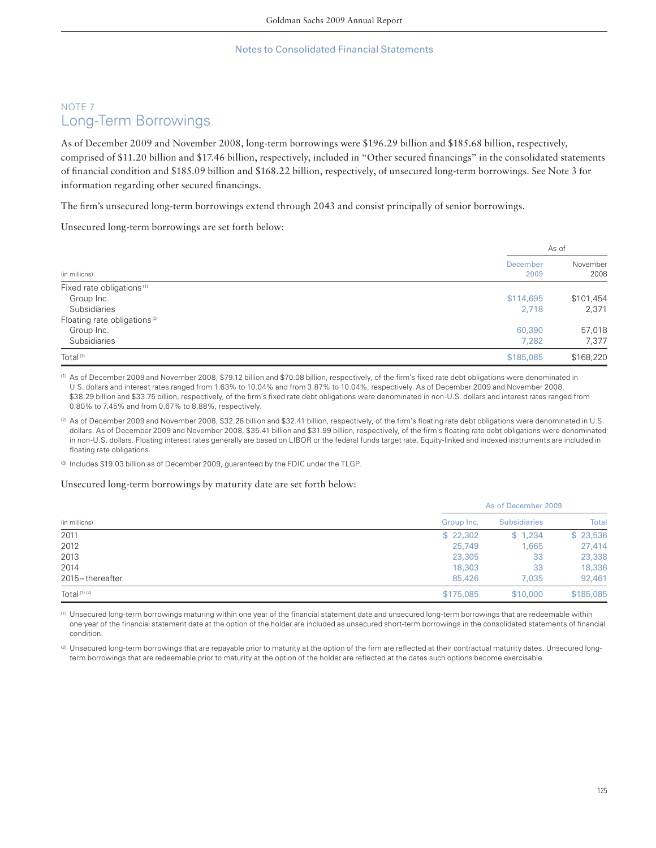# NOTE 7 Long-Term Borrowings

As of December 2009 and November 2008, long-term borrowings were \$196.29 billion and \$185.68 billion, respectively, comprised of \$11.20 billion and \$17.46 billion, respectively, included in "Other secured financings" in the consolidated statements of financial condition and \$185.09 billion and \$168.22 billion, respectively, of unsecured long-term borrowings. See Note 3 for information regarding other secured financings.

The firm's unsecured long-term borrowings extend through 2043 and consist principally of senior borrowings.

Unsecured long-term borrowings are set forth below:

|                                          |                  | As of            |
|------------------------------------------|------------------|------------------|
| (in millions)                            | December<br>2009 | November<br>2008 |
| Fixed rate obligations <sup>(1)</sup>    |                  |                  |
| Group Inc.                               | \$114,695        | \$101,454        |
| Subsidiaries                             | 2,718            | 2,371            |
| Floating rate obligations <sup>(2)</sup> |                  |                  |
| Group Inc.                               | 60,390           | 57,018           |
| Subsidiaries                             | 7.282            | 7,377            |
| Total <sup>(3)</sup>                     | \$185,085        | \$168,220        |

(1) As of December 2009 and November 2008, \$79.12 billion and \$70.08 billion, respectively, of the firm's fixed rate debt obligations were denominated in U.S. dollars and interest rates ranged from 1.63% to 10.04% and from 3.87% to 10.04%, respectively. As of December 2009 and November 2008, \$38.29 billion and \$33.75 billion, respectively, of the firm's fixed rate debt obligations were denominated in non-U.S. dollars and interest rates ranged from 0.80% to 7.45% and from 0.67% to 8.88%, respectively.

(2) As of December 2009 and November 2008, \$32.26 billion and \$32.41 billion, respectively, of the firm's floating rate debt obligations were denominated in U.S. dollars. As of December 2009 and November 2008, \$35.41 billion and \$31.99 billion, respectively, of the firm's floating rate debt obligations were denominated in non-U.S. dollars. Floating interest rates generally are based on LIBOR or the federal funds target rate. Equity-linked and indexed instruments are included in floating rate obligations.

(3) Includes \$19.03 billion as of December 2009, guaranteed by the FDIC under the TLGP.

### Unsecured long-term borrowings by maturity date are set forth below:

| (in millions)           |            | As of December 2009 |           |  |  |
|-------------------------|------------|---------------------|-----------|--|--|
|                         | Group Inc. | <b>Subsidiaries</b> | Total     |  |  |
| 2011                    | \$22,302   | \$1,234             | \$23,536  |  |  |
| 2012                    | 25,749     | 1,665               | 27,414    |  |  |
| 2013                    | 23,305     | 33                  | 23,338    |  |  |
| 2014                    | 18,303     | 33                  | 18,336    |  |  |
| 2015-thereafter         | 85,426     | 7.035               | 92,461    |  |  |
| Total <sup>(1)(2)</sup> | \$175,085  | \$10,000            | \$185,085 |  |  |

(1) Unsecured long-term borrowings maturing within one year of the financial statement date and unsecured long-term borrowings that are redeemable within one year of the financial statement date at the option of the holder are included as unsecured short-term borrowings in the consolidated statements of financial condition.

(2) Unsecured long-term borrowings that are repayable prior to maturity at the option of the firm are reflected at their contractual maturity dates. Unsecured longterm borrowings that are redeemable prior to maturity at the option of the holder are reflected at the dates such options become exercisable.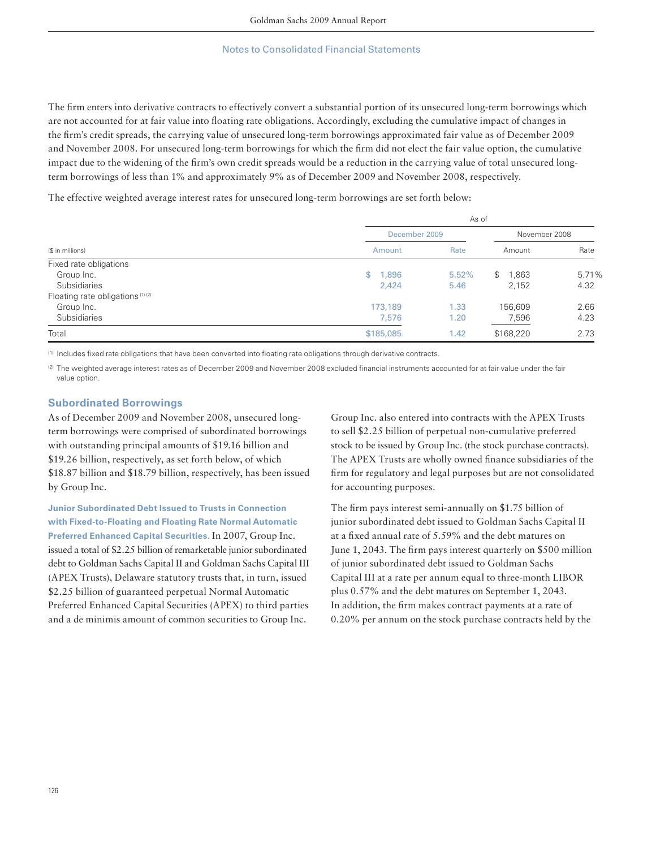The firm enters into derivative contracts to effectively convert a substantial portion of its unsecured long-term borrowings which are not accounted for at fair value into floating rate obligations. Accordingly, excluding the cumulative impact of changes in the firm's credit spreads, the carrying value of unsecured long-term borrowings approximated fair value as of December 2009 and November 2008. For unsecured long-term borrowings for which the firm did not elect the fair value option, the cumulative impact due to the widening of the firm's own credit spreads would be a reduction in the carrying value of total unsecured longterm borrowings of less than 1% and approximately 9% as of December 2009 and November 2008, respectively.

The effective weighted average interest rates for unsecured long-term borrowings are set forth below:

|                                             | As of                 |       |               |       |  |  |
|---------------------------------------------|-----------------------|-------|---------------|-------|--|--|
|                                             | December 2009         |       | November 2008 |       |  |  |
| (\$ in millions)                            | Amount                | Rate  | Amount        | Rate  |  |  |
| Fixed rate obligations                      |                       |       |               |       |  |  |
| Group Inc.                                  | 1,896<br>$\mathbb{S}$ | 5.52% | \$<br>1,863   | 5.71% |  |  |
| Subsidiaries                                | 2.424                 | 5.46  | 2,152         | 4.32  |  |  |
| Floating rate obligations <sup>(1)(2)</sup> |                       |       |               |       |  |  |
| Group Inc.                                  | 173,189               | 1.33  | 156,609       | 2.66  |  |  |
| <b>Subsidiaries</b>                         | 7,576                 | 1.20  | 7,596         | 4.23  |  |  |
| Total                                       | \$185,085             | 1.42  | \$168,220     | 2.73  |  |  |

(1) Includes fixed rate obligations that have been converted into floating rate obligations through derivative contracts.

(2) The weighted average interest rates as of December 2009 and November 2008 excluded financial instruments accounted for at fair value under the fair value option.

### **Subordinated Borrowings**

As of December 2009 and November 2008, unsecured longterm borrowings were comprised of subordinated borrowings with outstanding principal amounts of \$19.16 billion and \$19.26 billion, respectively, as set forth below, of which \$18.87 billion and \$18.79 billion, respectively, has been issued by Group Inc.

**Junior Subordinated Debt Issued to Trusts in Connection with Fixed-to-Floating and Floating Rate Normal Automatic Preferred Enhanced Capital Securities.** In 2007, Group Inc. issued a total of \$2.25 billion of remarketable junior subordinated debt to Goldman Sachs Capital II and Goldman Sachs Capital III (APEX Trusts), Delaware statutory trusts that, in turn, issued \$2.25 billion of guaranteed perpetual Normal Automatic Preferred Enhanced Capital Securities (APEX) to third parties and a de minimis amount of common securities to Group Inc.

Group Inc. also entered into contracts with the APEX Trusts to sell \$2.25 billion of perpetual non-cumulative preferred stock to be issued by Group Inc. (the stock purchase contracts). The APEX Trusts are wholly owned finance subsidiaries of the firm for regulatory and legal purposes but are not consolidated for accounting purposes.

The firm pays interest semi-annually on \$1.75 billion of junior subordinated debt issued to Goldman Sachs Capital II at a fixed annual rate of 5.59% and the debt matures on June 1, 2043. The firm pays interest quarterly on \$500 million of junior subordinated debt issued to Goldman Sachs Capital III at a rate per annum equal to three-month LIBOR plus 0.57% and the debt matures on September 1, 2043. In addition, the firm makes contract payments at a rate of 0.20% per annum on the stock purchase contracts held by the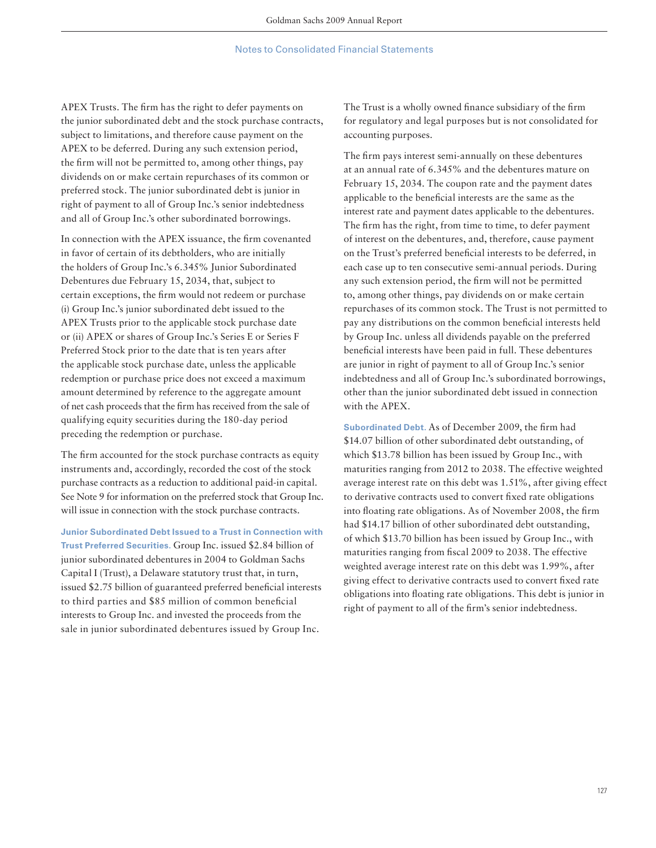APEX Trusts. The firm has the right to defer payments on the junior subordinated debt and the stock purchase contracts, subject to limitations, and therefore cause payment on the APEX to be deferred. During any such extension period, the firm will not be permitted to, among other things, pay dividends on or make certain repurchases of its common or preferred stock. The junior subordinated debt is junior in right of payment to all of Group Inc.'s senior indebtedness and all of Group Inc.'s other subordinated borrowings.

In connection with the APEX issuance, the firm covenanted in favor of certain of its debtholders, who are initially the holders of Group Inc.'s 6.345% Junior Subordinated Debentures due February 15, 2034, that, subject to certain exceptions, the firm would not redeem or purchase (i) Group Inc.'s junior subordinated debt issued to the APEX Trusts prior to the applicable stock purchase date or (ii) APEX or shares of Group Inc.'s Series E or Series F Preferred Stock prior to the date that is ten years after the applicable stock purchase date, unless the applicable redemption or purchase price does not exceed a maximum amount determined by reference to the aggregate amount of net cash proceeds that the firm has received from the sale of qualifying equity securities during the 180-day period preceding the redemption or purchase.

The firm accounted for the stock purchase contracts as equity instruments and, accordingly, recorded the cost of the stock purchase contracts as a reduction to additional paid-in capital. See Note 9 for information on the preferred stock that Group Inc. will issue in connection with the stock purchase contracts.

**Junior Subordinated Debt Issued to a Trust in Connection with Trust Preferred Securities.** Group Inc. issued \$2.84 billion of junior subordinated debentures in 2004 to Goldman Sachs Capital I (Trust), a Delaware statutory trust that, in turn, issued \$2.75 billion of guaranteed preferred beneficial interests to third parties and \$85 million of common beneficial interests to Group Inc. and invested the proceeds from the sale in junior subordinated debentures issued by Group Inc.

The Trust is a wholly owned finance subsidiary of the firm for regulatory and legal purposes but is not consolidated for accounting purposes.

The firm pays interest semi-annually on these debentures at an annual rate of 6.345% and the debentures mature on February 15, 2034. The coupon rate and the payment dates applicable to the beneficial interests are the same as the interest rate and payment dates applicable to the debentures. The firm has the right, from time to time, to defer payment of interest on the debentures, and, therefore, cause payment on the Trust's preferred beneficial interests to be deferred, in each case up to ten consecutive semi-annual periods. During any such extension period, the firm will not be permitted to, among other things, pay dividends on or make certain repurchases of its common stock. The Trust is not permitted to pay any distributions on the common beneficial interests held by Group Inc. unless all dividends payable on the preferred beneficial interests have been paid in full. These debentures are junior in right of payment to all of Group Inc.'s senior indebtedness and all of Group Inc.'s subordinated borrowings, other than the junior subordinated debt issued in connection with the APEX.

**Subordinated Debt.** As of December 2009, the firm had \$14.07 billion of other subordinated debt outstanding, of which \$13.78 billion has been issued by Group Inc., with maturities ranging from 2012 to 2038. The effective weighted average interest rate on this debt was 1.51%, after giving effect to derivative contracts used to convert fixed rate obligations into floating rate obligations. As of November 2008, the firm had \$14.17 billion of other subordinated debt outstanding, of which \$13.70 billion has been issued by Group Inc., with maturities ranging from fiscal 2009 to 2038. The effective weighted average interest rate on this debt was 1.99%, after giving effect to derivative contracts used to convert fixed rate obligations into floating rate obligations. This debt is junior in right of payment to all of the firm's senior indebtedness.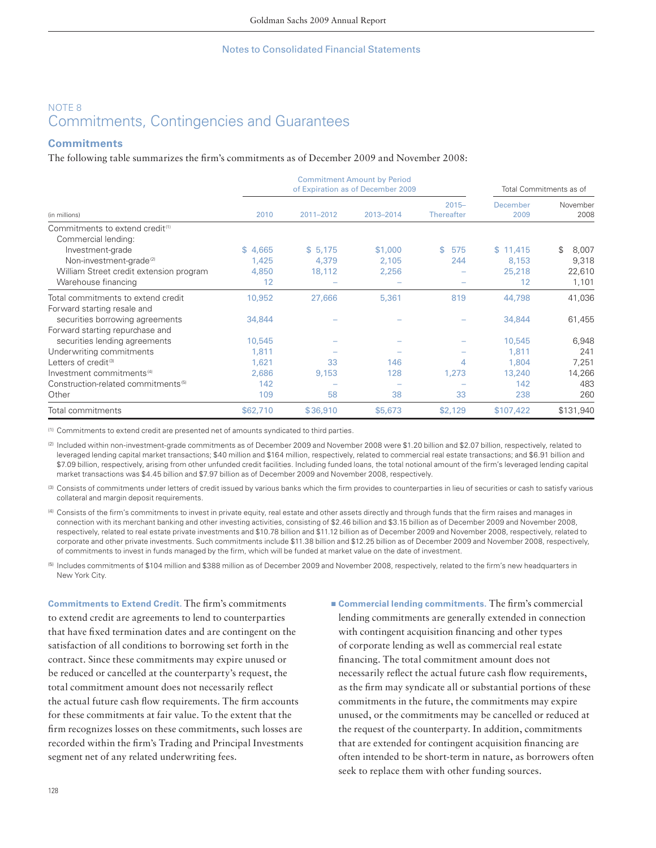# NOTE 8 Commitments, Contingencies and Guarantees

## **Commitments**

The following table summarizes the firm's commitments as of December 2009 and November 2008:

|                                                                    |          | <b>Commitment Amount by Period</b><br>of Expiration as of December 2009 | Total Commitments as of |                               |                  |                  |
|--------------------------------------------------------------------|----------|-------------------------------------------------------------------------|-------------------------|-------------------------------|------------------|------------------|
| (in millions)                                                      | 2010     | 2011-2012                                                               | 2013-2014               | $2015 -$<br><b>Thereafter</b> | December<br>2009 | November<br>2008 |
| Commitments to extend credit <sup>(1)</sup><br>Commercial lending: |          |                                                                         |                         |                               |                  |                  |
| Investment-grade                                                   | \$4,665  | \$5,175                                                                 | \$1,000                 | \$.<br>575                    | \$11,415         | 8,007<br>\$.     |
| Non-investment-grade <sup>(2)</sup>                                | 1,425    | 4,379                                                                   | 2,105                   | 244                           | 8,153            | 9,318            |
| William Street credit extension program                            | 4,850    | 18,112                                                                  | 2,256                   |                               | 25,218           | 22,610           |
| Warehouse financing                                                | 12       |                                                                         |                         |                               | 12               | 1,101            |
| Total commitments to extend credit                                 | 10,952   | 27,666                                                                  | 5,361                   | 819                           | 44,798           | 41,036           |
| Forward starting resale and                                        |          |                                                                         |                         |                               |                  |                  |
| securities borrowing agreements                                    | 34,844   |                                                                         |                         |                               | 34,844           | 61,455           |
| Forward starting repurchase and                                    |          |                                                                         |                         |                               |                  |                  |
| securities lending agreements                                      | 10,545   |                                                                         |                         |                               | 10,545           | 6,948            |
| Underwriting commitments                                           | 1,811    |                                                                         |                         |                               | 1,811            | 241              |
| Letters of credit <sup>(3)</sup>                                   | 1,621    | 33                                                                      | 146                     | 4                             | 1.804            | 7,251            |
| Investment commitments <sup>(4)</sup>                              | 2,686    | 9,153                                                                   | 128                     | 1,273                         | 13,240           | 14,266           |
| Construction-related commitments <sup>(5)</sup>                    | 142      |                                                                         |                         |                               | 142              | 483              |
| Other                                                              | 109      | 58                                                                      | 38                      | 33                            | 238              | 260              |
| Total commitments                                                  | \$62,710 | \$36,910                                                                | \$5,673                 | \$2,129                       | \$107,422        | \$131,940        |

(1) Commitments to extend credit are presented net of amounts syndicated to third parties.

(2) Included within non-investment-grade commitments as of December 2009 and November 2008 were \$1.20 billion and \$2.07 billion, respectively, related to leveraged lending capital market transactions; \$40 million and \$164 million, respectively, related to commercial real estate transactions; and \$6.91 billion and \$7.09 billion, respectively, arising from other unfunded credit facilities. Including funded loans, the total notional amount of the firm's leveraged lending capital market transactions was \$4.45 billion and \$7.97 billion as of December 2009 and November 2008, respectively.

(3) Consists of commitments under letters of credit issued by various banks which the firm provides to counterparties in lieu of securities or cash to satisfy various collateral and margin deposit requirements.

(4) Consists of the firm's commitments to invest in private equity, real estate and other assets directly and through funds that the firm raises and manages in connection with its merchant banking and other investing activities, consisting of \$2.46 billion and \$3.15 billion as of December 2009 and November 2008, respectively, related to real estate private investments and \$10.78 billion and \$11.12 billion as of December 2009 and November 2008, respectively, related to corporate and other private investments. Such commitments include \$11.38 billion and \$12.25 billion as of December 2009 and November 2008, respectively, of commitments to invest in funds managed by the firm, which will be funded at market value on the date of investment.

(5) Includes commitments of \$104 million and \$388 million as of December 2009 and November 2008, respectively, related to the firm's new headquarters in New York City.

**Commitments to Extend Credit.** The firm's commitments to extend credit are agreements to lend to counterparties that have fixed termination dates and are contingent on the satisfaction of all conditions to borrowing set forth in the contract. Since these commitments may expire unused or be reduced or cancelled at the counterparty's request, the total commitment amount does not necessarily reflect the actual future cash flow requirements. The firm accounts for these commitments at fair value. To the extent that the firm recognizes losses on these commitments, such losses are recorded within the firm's Trading and Principal Investments segment net of any related underwriting fees.

■ **Commercial lending commitments**. The firm's commercial lending commitments are generally extended in connection with contingent acquisition financing and other types of corporate lending as well as commercial real estate financing. The total commitment amount does not necessarily reflect the actual future cash flow requirements, as the firm may syndicate all or substantial portions of these commitments in the future, the commitments may expire unused, or the commitments may be cancelled or reduced at the request of the counterparty. In addition, commitments that are extended for contingent acquisition financing are often intended to be short-term in nature, as borrowers often seek to replace them with other funding sources.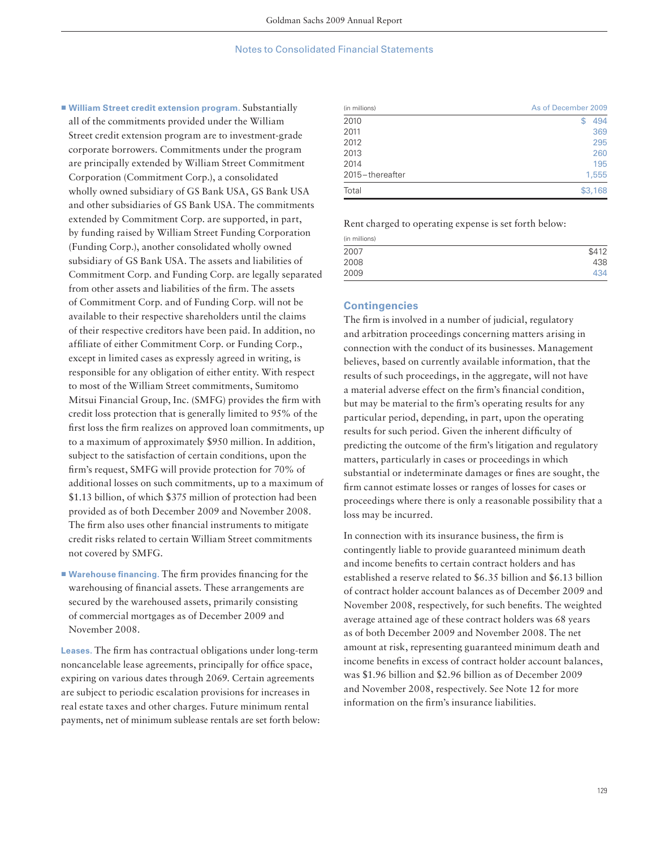▪ **William Street credit extension program.** Substantially all of the commitments provided under the William Street credit extension program are to investment-grade corporate borrowers. Commitments under the program are principally extended by William Street Commitment Corporation (Commitment Corp.), a consolidated wholly owned subsidiary of GS Bank USA, GS Bank USA and other subsidiaries of GS Bank USA. The commitments extended by Commitment Corp. are supported, in part, by funding raised by William Street Funding Corporation (Funding Corp.), another consolidated wholly owned subsidiary of GS Bank USA. The assets and liabilities of Commitment Corp. and Funding Corp. are legally separated from other assets and liabilities of the firm. The assets of Commitment Corp. and of Funding Corp. will not be available to their respective shareholders until the claims of their respective creditors have been paid. In addition, no affiliate of either Commitment Corp. or Funding Corp., except in limited cases as expressly agreed in writing, is responsible for any obligation of either entity. With respect to most of the William Street commitments, Sumitomo Mitsui Financial Group, Inc. (SMFG) provides the firm with credit loss protection that is generally limited to 95% of the first loss the firm realizes on approved loan commitments, up to a maximum of approximately \$950 million. In addition, subject to the satisfaction of certain conditions, upon the firm's request, SMFG will provide protection for 70% of additional losses on such commitments, up to a maximum of \$1.13 billion, of which \$375 million of protection had been provided as of both December 2009 and November 2008. The firm also uses other financial instruments to mitigate credit risks related to certain William Street commitments not covered by SMFG.

■ Warehouse financing. The firm provides financing for the warehousing of financial assets. These arrangements are secured by the warehoused assets, primarily consisting of commercial mortgages as of December 2009 and November 2008.

**Leases.** The firm has contractual obligations under long-term noncancelable lease agreements, principally for office space, expiring on various dates through 2069. Certain agreements are subject to periodic escalation provisions for increases in real estate taxes and other charges. Future minimum rental payments, net of minimum sublease rentals are set forth below:

| (in millions)   | As of December 2009 |
|-----------------|---------------------|
| 2010            | 494<br>S            |
| 2011            | 369                 |
| 2012            | 295                 |
| 2013            | 260                 |
| 2014            | 195                 |
| 2015-thereafter | 1,555               |
| Total           | \$3,168             |

Rent charged to operating expense is set forth below:

| (in millions) |       |
|---------------|-------|
| 2007          | \$412 |
| 2008          | 438   |
| 2009          | 434   |

### **Contingencies**

The firm is involved in a number of judicial, regulatory and arbitration proceedings concerning matters arising in connection with the conduct of its businesses. Management believes, based on currently available information, that the results of such proceedings, in the aggregate, will not have a material adverse effect on the firm's financial condition, but may be material to the firm's operating results for any particular period, depending, in part, upon the operating results for such period. Given the inherent difficulty of predicting the outcome of the firm's litigation and regulatory matters, particularly in cases or proceedings in which substantial or indeterminate damages or fines are sought, the firm cannot estimate losses or ranges of losses for cases or proceedings where there is only a reasonable possibility that a loss may be incurred.

In connection with its insurance business, the firm is contingently liable to provide guaranteed minimum death and income benefits to certain contract holders and has established a reserve related to \$6.35 billion and \$6.13 billion of contract holder account balances as of December 2009 and November 2008, respectively, for such benefits. The weighted average attained age of these contract holders was 68 years as of both December 2009 and November 2008. The net amount at risk, representing guaranteed minimum death and income benefits in excess of contract holder account balances, was \$1.96 billion and \$2.96 billion as of December 2009 and November 2008, respectively. See Note 12 for more information on the firm's insurance liabilities.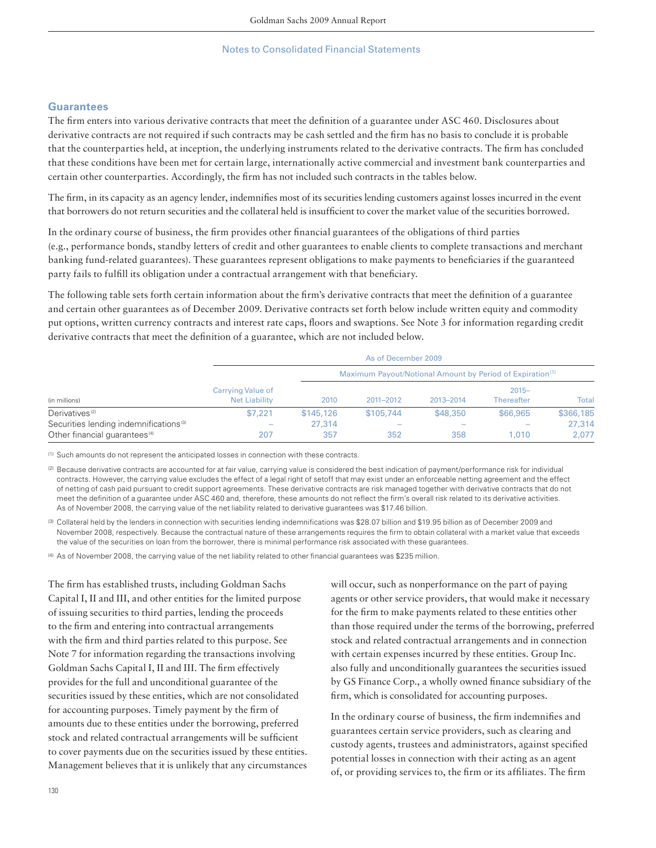## **Guarantees**

The firm enters into various derivative contracts that meet the definition of a guarantee under ASC 460. Disclosures about derivative contracts are not required if such contracts may be cash settled and the firm has no basis to conclude it is probable that the counterparties held, at inception, the underlying instruments related to the derivative contracts. The firm has concluded that these conditions have been met for certain large, internationally active commercial and investment bank counterparties and certain other counterparties. Accordingly, the firm has not included such contracts in the tables below.

The firm, in its capacity as an agency lender, indemnifies most of its securities lending customers against losses incurred in the event that borrowers do not return securities and the collateral held is insufficient to cover the market value of the securities borrowed.

In the ordinary course of business, the firm provides other financial guarantees of the obligations of third parties (e.g., performance bonds, standby letters of credit and other guarantees to enable clients to complete transactions and merchant banking fund-related guarantees). These guarantees represent obligations to make payments to beneficiaries if the guaranteed party fails to fulfill its obligation under a contractual arrangement with that beneficiary.

The following table sets forth certain information about the firm's derivative contracts that meet the definition of a guarantee and certain other guarantees as of December 2009. Derivative contracts set forth below include written equity and commodity put options, written currency contracts and interest rate caps, floors and swaptions. See Note 3 for information regarding credit derivative contracts that meet the definition of a guarantee, which are not included below.

|                                                    | As of December 2009                       |           |           |           |                                                                       |           |  |  |
|----------------------------------------------------|-------------------------------------------|-----------|-----------|-----------|-----------------------------------------------------------------------|-----------|--|--|
| (in millions)                                      |                                           |           |           |           | Maximum Payout/Notional Amount by Period of Expiration <sup>(1)</sup> |           |  |  |
|                                                    | Carrying Value of<br><b>Net Liability</b> | 2010      | 2011-2012 | 2013-2014 | $2015 -$<br><b>Thereafter</b>                                         | Total     |  |  |
| Derivatives <sup>(2)</sup>                         | \$7.221                                   | \$145,126 | \$105,744 | \$48,350  | \$66,965                                                              | \$366,185 |  |  |
| Securities lending indemnifications <sup>(3)</sup> | $\overline{\phantom{a}}$                  | 27,314    |           |           |                                                                       | 27,314    |  |  |
| Other financial quarantees <sup>(4)</sup>          | 207                                       | 357       | 352       | 358       | 1,010                                                                 | 2,077     |  |  |

(1) Such amounts do not represent the anticipated losses in connection with these contracts.

(2) Because derivative contracts are accounted for at fair value, carrying value is considered the best indication of payment/performance risk for individual contracts. However, the carrying value excludes the effect of a legal right of setoff that may exist under an enforceable netting agreement and the effect of netting of cash paid pursuant to credit support agreements. These derivative contracts are risk managed together with derivative contracts that do not meet the definition of a guarantee under ASC 460 and, therefore, these amounts do not reflect the firm's overall risk related to its derivative activities. As of November 2008, the carrying value of the net liability related to derivative guarantees was \$17.46 billion.

(3) Collateral held by the lenders in connection with securities lending indemnifications was \$28.07 billion and \$19.95 billion as of December 2009 and November 2008, respectively. Because the contractual nature of these arrangements requires the firm to obtain collateral with a market value that exceeds the value of the securities on loan from the borrower, there is minimal performance risk associated with these guarantees.

(4) As of November 2008, the carrying value of the net liability related to other financial guarantees was \$235 million.

The firm has established trusts, including Goldman Sachs Capital I, II and III, and other entities for the limited purpose of issuing securities to third parties, lending the proceeds to the firm and entering into contractual arrangements with the firm and third parties related to this purpose. See Note 7 for information regarding the transactions involving Goldman Sachs Capital I, II and III. The firm effectively provides for the full and unconditional guarantee of the securities issued by these entities, which are not consolidated for accounting purposes. Timely payment by the firm of amounts due to these entities under the borrowing, preferred stock and related contractual arrangements will be sufficient to cover payments due on the securities issued by these entities. Management believes that it is unlikely that any circumstances

will occur, such as nonperformance on the part of paying agents or other service providers, that would make it necessary for the firm to make payments related to these entities other than those required under the terms of the borrowing, preferred stock and related contractual arrangements and in connection with certain expenses incurred by these entities. Group Inc. also fully and unconditionally guarantees the securities issued by GS Finance Corp., a wholly owned finance subsidiary of the firm, which is consolidated for accounting purposes.

In the ordinary course of business, the firm indemnifies and guarantees certain service providers, such as clearing and custody agents, trustees and administrators, against specified potential losses in connection with their acting as an agent of, or providing services to, the firm or its affiliates. The firm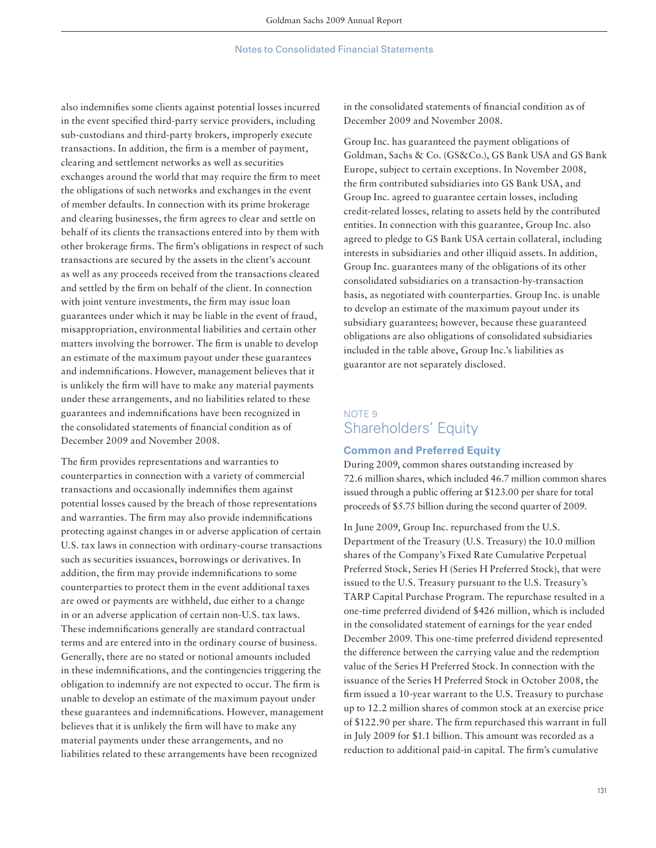also indemnifies some clients against potential losses incurred in the event specified third-party service providers, including sub-custodians and third-party brokers, improperly execute transactions. In addition, the firm is a member of payment, clearing and settlement networks as well as securities exchanges around the world that may require the firm to meet the obligations of such networks and exchanges in the event of member defaults. In connection with its prime brokerage and clearing businesses, the firm agrees to clear and settle on behalf of its clients the transactions entered into by them with other brokerage firms. The firm's obligations in respect of such transactions are secured by the assets in the client's account as well as any proceeds received from the transactions cleared and settled by the firm on behalf of the client. In connection with joint venture investments, the firm may issue loan guarantees under which it may be liable in the event of fraud, misappropriation, environmental liabilities and certain other matters involving the borrower. The firm is unable to develop an estimate of the maximum payout under these guarantees and indemnifications. However, management believes that it is unlikely the firm will have to make any material payments under these arrangements, and no liabilities related to these guarantees and indemnifications have been recognized in the consolidated statements of financial condition as of December 2009 and November 2008.

The firm provides representations and warranties to counterparties in connection with a variety of commercial transactions and occasionally indemnifies them against potential losses caused by the breach of those representations and warranties. The firm may also provide indemnifications protecting against changes in or adverse application of certain U.S. tax laws in connection with ordinary-course transactions such as securities issuances, borrowings or derivatives. In addition, the firm may provide indemnifications to some counterparties to protect them in the event additional taxes are owed or payments are withheld, due either to a change in or an adverse application of certain non-U.S. tax laws. These indemnifications generally are standard contractual terms and are entered into in the ordinary course of business. Generally, there are no stated or notional amounts included in these indemnifications, and the contingencies triggering the obligation to indemnify are not expected to occur. The firm is unable to develop an estimate of the maximum payout under these guarantees and indemnifications. However, management believes that it is unlikely the firm will have to make any material payments under these arrangements, and no liabilities related to these arrangements have been recognized

in the consolidated statements of financial condition as of December 2009 and November 2008.

Group Inc. has guaranteed the payment obligations of Goldman, Sachs & Co. (GS&Co.), GS Bank USA and GS Bank Europe, subject to certain exceptions. In November 2008, the firm contributed subsidiaries into GS Bank USA, and Group Inc. agreed to guarantee certain losses, including credit-related losses, relating to assets held by the contributed entities. In connection with this guarantee, Group Inc. also agreed to pledge to GS Bank USA certain collateral, including interests in subsidiaries and other illiquid assets. In addition, Group Inc. guarantees many of the obligations of its other consolidated subsidiaries on a transaction-by-transaction basis, as negotiated with counterparties. Group Inc. is unable to develop an estimate of the maximum payout under its subsidiary guarantees; however, because these guaranteed obligations are also obligations of consolidated subsidiaries included in the table above, Group Inc.'s liabilities as guarantor are not separately disclosed.

# NOTE 9 Shareholders' Equity

## **Common and Preferred Equity**

During 2009, common shares outstanding increased by 72.6 million shares, which included 46.7 million common shares issued through a public offering at \$123.00 per share for total proceeds of \$5.75 billion during the second quarter of 2009.

In June 2009, Group Inc. repurchased from the U.S. Department of the Treasury (U.S. Treasury) the 10.0 million shares of the Company's Fixed Rate Cumulative Perpetual Preferred Stock, Series H (Series H Preferred Stock), that were issued to the U.S. Treasury pursuant to the U.S. Treasury's TARP Capital Purchase Program. The repurchase resulted in a one-time preferred dividend of \$426 million, which is included in the consolidated statement of earnings for the year ended December 2009. This one-time preferred dividend represented the difference between the carrying value and the redemption value of the Series H Preferred Stock. In connection with the issuance of the Series H Preferred Stock in October 2008, the firm issued a 10-year warrant to the U.S. Treasury to purchase up to 12.2 million shares of common stock at an exercise price of \$122.90 per share. The firm repurchased this warrant in full in July 2009 for \$1.1 billion. This amount was recorded as a reduction to additional paid-in capital. The firm's cumulative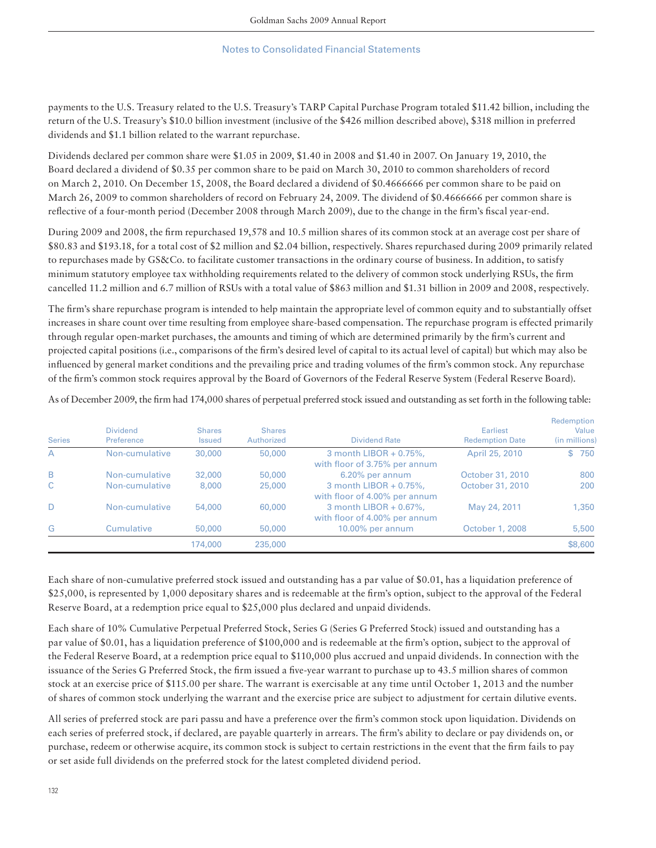payments to the U.S. Treasury related to the U.S. Treasury's TARP Capital Purchase Program totaled \$11.42 billion, including the return of the U.S. Treasury's \$10.0 billion investment (inclusive of the \$426 million described above), \$318 million in preferred dividends and \$1.1 billion related to the warrant repurchase.

Dividends declared per common share were \$1.05 in 2009, \$1.40 in 2008 and \$1.40 in 2007. On January 19, 2010, the Board declared a dividend of \$0.35 per common share to be paid on March 30, 2010 to common shareholders of record on March 2, 2010. On December 15, 2008, the Board declared a dividend of \$0.4666666 per common share to be paid on March 26, 2009 to common shareholders of record on February 24, 2009. The dividend of \$0.4666666 per common share is reflective of a four-month period (December 2008 through March 2009), due to the change in the firm's fiscal year-end.

During 2009 and 2008, the firm repurchased 19,578 and 10.5 million shares of its common stock at an average cost per share of \$80.83 and \$193.18, for a total cost of \$2 million and \$2.04 billion, respectively. Shares repurchased during 2009 primarily related to repurchases made by GS&Co. to facilitate customer transactions in the ordinary course of business. In addition, to satisfy minimum statutory employee tax withholding requirements related to the delivery of common stock underlying RSUs, the firm cancelled 11.2 million and 6.7 million of RSUs with a total value of \$863 million and \$1.31 billion in 2009 and 2008, respectively.

The firm's share repurchase program is intended to help maintain the appropriate level of common equity and to substantially offset increases in share count over time resulting from employee share-based compensation. The repurchase program is effected primarily through regular open-market purchases, the amounts and timing of which are determined primarily by the firm's current and projected capital positions (i.e., comparisons of the firm's desired level of capital to its actual level of capital) but which may also be influenced by general market conditions and the prevailing price and trading volumes of the firm's common stock. Any repurchase of the fi rm's common stock requires approval by the Board of Governors of the Federal Reserve System (Federal Reserve Board).

As of December 2009, the firm had 174,000 shares of perpetual preferred stock issued and outstanding as set forth in the following table:

| <b>Series</b> | <b>Dividend</b><br>Preference | <b>Shares</b><br><b>Issued</b> | <b>Shares</b><br>Authorized | <b>Dividend Rate</b>                                    | Earliest<br><b>Redemption Date</b> | Redemption<br>Value<br>(in millions) |
|---------------|-------------------------------|--------------------------------|-----------------------------|---------------------------------------------------------|------------------------------------|--------------------------------------|
| A             | Non-cumulative                | 30,000                         | 50,000                      | 3 month LIBOR + 0.75%,<br>with floor of 3.75% per annum | April 25, 2010                     | 750<br>$$^{\circ}$                   |
| B             | Non-cumulative                | 32,000                         | 50,000                      | 6.20% per annum                                         | October 31, 2010                   | 800                                  |
| C             | Non-cumulative                | 8,000                          | 25,000                      | 3 month LIBOR + 0.75%,<br>with floor of 4.00% per annum | October 31, 2010                   | 200                                  |
| D             | Non-cumulative                | 54,000                         | 60,000                      | 3 month LIBOR + 0.67%,<br>with floor of 4.00% per annum | May 24, 2011                       | 1,350                                |
| G             | Cumulative                    | 50,000                         | 50,000                      | 10.00% per annum                                        | October 1, 2008                    | 5,500                                |
|               |                               | 174,000                        | 235,000                     |                                                         |                                    | \$8,600                              |

Each share of non-cumulative preferred stock issued and outstanding has a par value of \$0.01, has a liquidation preference of \$25,000, is represented by 1,000 depositary shares and is redeemable at the firm's option, subject to the approval of the Federal Reserve Board, at a redemption price equal to \$25,000 plus declared and unpaid dividends.

Each share of 10% Cumulative Perpetual Preferred Stock, Series G (Series G Preferred Stock) issued and outstanding has a par value of \$0.01, has a liquidation preference of \$100,000 and is redeemable at the firm's option, subject to the approval of the Federal Reserve Board, at a redemption price equal to \$110,000 plus accrued and unpaid dividends. In connection with the issuance of the Series G Preferred Stock, the firm issued a five-year warrant to purchase up to 43.5 million shares of common stock at an exercise price of \$115.00 per share. The warrant is exercisable at any time until October 1, 2013 and the number of shares of common stock underlying the warrant and the exercise price are subject to adjustment for certain dilutive events.

All series of preferred stock are pari passu and have a preference over the firm's common stock upon liquidation. Dividends on each series of preferred stock, if declared, are payable quarterly in arrears. The firm's ability to declare or pay dividends on, or purchase, redeem or otherwise acquire, its common stock is subject to certain restrictions in the event that the firm fails to pay or set aside full dividends on the preferred stock for the latest completed dividend period.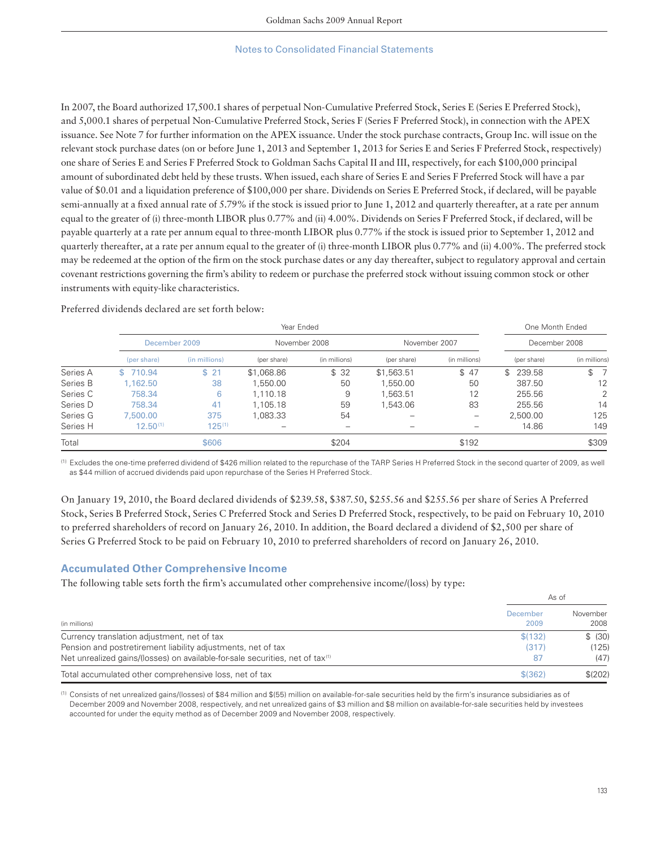In 2007, the Board authorized 17,500.1 shares of perpetual Non-Cumulative Preferred Stock, Series E (Series E Preferred Stock), and 5,000.1 shares of perpetual Non-Cumulative Preferred Stock, Series F (Series F Preferred Stock), in connection with the APEX issuance. See Note 7 for further information on the APEX issuance. Under the stock purchase contracts, Group Inc. will issue on the relevant stock purchase dates (on or before June 1, 2013 and September 1, 2013 for Series E and Series F Preferred Stock, respectively) one share of Series E and Series F Preferred Stock to Goldman Sachs Capital II and III, respectively, for each \$100,000 principal amount of subordinated debt held by these trusts. When issued, each share of Series E and Series F Preferred Stock will have a par value of \$0.01 and a liquidation preference of \$100,000 per share. Dividends on Series E Preferred Stock, if declared, will be payable semi-annually at a fixed annual rate of 5.79% if the stock is issued prior to June 1, 2012 and quarterly thereafter, at a rate per annum equal to the greater of (i) three-month LIBOR plus 0.77% and (ii) 4.00%. Dividends on Series F Preferred Stock, if declared, will be payable quarterly at a rate per annum equal to three-month LIBOR plus 0.77% if the stock is issued prior to September 1, 2012 and quarterly thereafter, at a rate per annum equal to the greater of (i) three-month LIBOR plus 0.77% and (ii) 4.00%. The preferred stock may be redeemed at the option of the firm on the stock purchase dates or any day thereafter, subject to regulatory approval and certain covenant restrictions governing the firm's ability to redeem or purchase the preferred stock without issuing common stock or other instruments with equity-like characteristics.

|          | Year Ended    |               |               |               |               | One Month Ended |               |               |
|----------|---------------|---------------|---------------|---------------|---------------|-----------------|---------------|---------------|
|          | December 2009 |               | November 2008 |               | November 2007 |                 | December 2008 |               |
|          | (per share)   | (in millions) | (per share)   | (in millions) | (per share)   | (in millions)   | (per share)   | (in millions) |
| Series A | 710.94<br>S.  | \$21          | \$1,068.86    | \$32          | \$1,563.51    | \$47            | \$239.58      | $\mathbb{S}$  |
| Series B | 1.162.50      | 38            | .550.00       | 50            | 1.550.00      | 50              | 387.50        | 12            |
| Series C | 758.34        | 6             | 1.110.18      | 9             | 1.563.51      | 12              | 255.56        | 2             |
| Series D | 758.34        | 41            | 1,105.18      | 59            | 1.543.06      | 83              | 255.56        | 14            |
| Series G | 7,500,00      | 375           | ,083.33       | 54            |               |                 | 2,500.00      | 125           |
| Series H | $12.50^{(1)}$ | $125^{(1)}$   |               |               |               |                 | 14.86         | 149           |
| Total    |               | \$606         |               | \$204         |               | \$192           |               | \$309         |

Preferred dividends declared are set forth below:

(1) Excludes the one-time preferred dividend of \$426 million related to the repurchase of the TARP Series H Preferred Stock in the second quarter of 2009, as well as \$44 million of accrued dividends paid upon repurchase of the Series H Preferred Stock.

On January 19, 2010, the Board declared dividends of \$239.58, \$387.50, \$255.56 and \$255.56 per share of Series A Preferred Stock, Series B Preferred Stock, Series C Preferred Stock and Series D Preferred Stock, respectively, to be paid on February 10, 2010 to preferred shareholders of record on January 26, 2010. In addition, the Board declared a dividend of \$2,500 per share of Series G Preferred Stock to be paid on February 10, 2010 to preferred shareholders of record on January 26, 2010.

### **Accumulated Other Comprehensive Income**

The following table sets forth the firm's accumulated other comprehensive income/(loss) by type:

|                                                                                           | As of            |                  |
|-------------------------------------------------------------------------------------------|------------------|------------------|
| (in millions)                                                                             | December<br>2009 | November<br>2008 |
| Currency translation adjustment, net of tax                                               | \$(132)          | \$ (30)          |
| Pension and postretirement liability adjustments, net of tax                              | (317)            | (125)            |
| Net unrealized gains/(losses) on available-for-sale securities, net of tax <sup>(1)</sup> | 87               | (47)             |
| Total accumulated other comprehensive loss, net of tax                                    | \$ (362)         | $$^{(202)}$      |

(1) Consists of net unrealized gains/(losses) of \$84 million and \$(55) million on available-for-sale securities held by the fi rm's insurance subsidiaries as of December 2009 and November 2008, respectively, and net unrealized gains of \$3 million and \$8 million on available-for-sale securities held by investees accounted for under the equity method as of December 2009 and November 2008, respectively.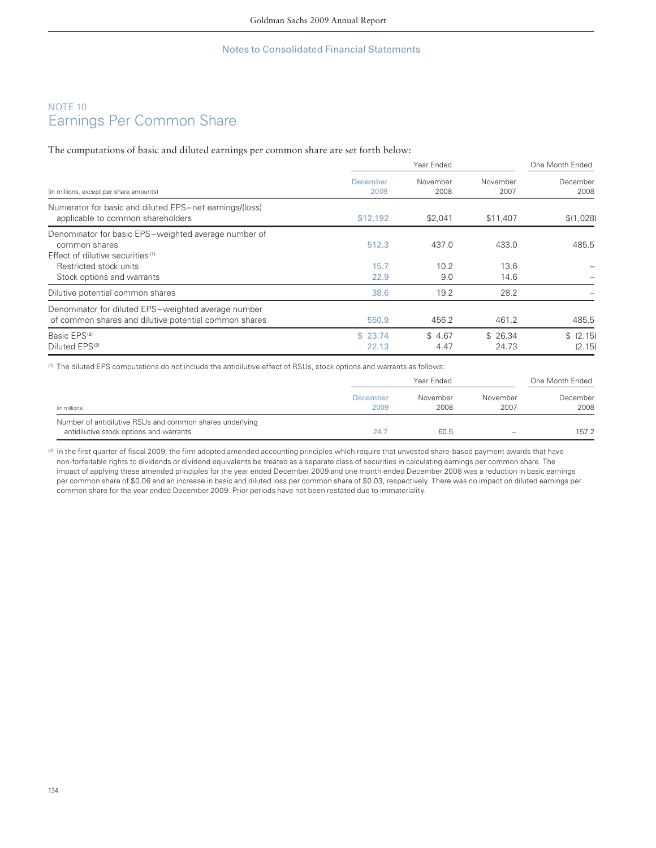# NOTE 10 Earnings Per Common Share

The computations of basic and diluted earnings per common share are set forth below:

|                  | One Month Ended  |                    |                  |
|------------------|------------------|--------------------|------------------|
| December<br>2009 | November<br>2008 | November<br>2007   | December<br>2008 |
| \$12,192         | \$2,041          | \$11,407           | \$(1,028)        |
| 512.3            | 437.0            | 433.0              | 485.5            |
|                  |                  |                    |                  |
|                  |                  |                    |                  |
| 22.9             | 9.0              | 14.6               |                  |
| 38.6             | 19.2             | 28.2               |                  |
| 550.9            | 456.2            | 461.2              | 485.5            |
| \$23.74          | \$4.67           | \$26.34            | \$ (2.15)        |
| 22.13            | 4.47             | 24.73              | (2.15)           |
|                  | 15.7             | Year Ended<br>10.2 | 13.6             |

(1) The diluted EPS computations do not include the antidilutive effect of RSUs, stock options and warrants as follows:

|                                                                                                     | Year Ended       |                  |                  | One Month Ended  |  |
|-----------------------------------------------------------------------------------------------------|------------------|------------------|------------------|------------------|--|
| (in millions)                                                                                       | December<br>2009 | November<br>2008 | November<br>2007 | December<br>2008 |  |
| Number of antidilutive RSUs and common shares underlying<br>antidilutive stock options and warrants | 24.7             | 60.5             | $\sim$           | 157.2            |  |

(2) In the first quarter of fiscal 2009, the firm adopted amended accounting principles which require that unvested share-based payment awards that have non-forfeitable rights to dividends or dividend equivalents be treated as a separate class of securities in calculating earnings per common share. The impact of applying these amended principles for the year ended December 2009 and one month ended December 2008 was a reduction in basic earnings per common share of \$0.06 and an increase in basic and diluted loss per common share of \$0.03, respectively. There was no impact on diluted earnings per common share for the year ended December 2009. Prior periods have not been restated due to immateriality.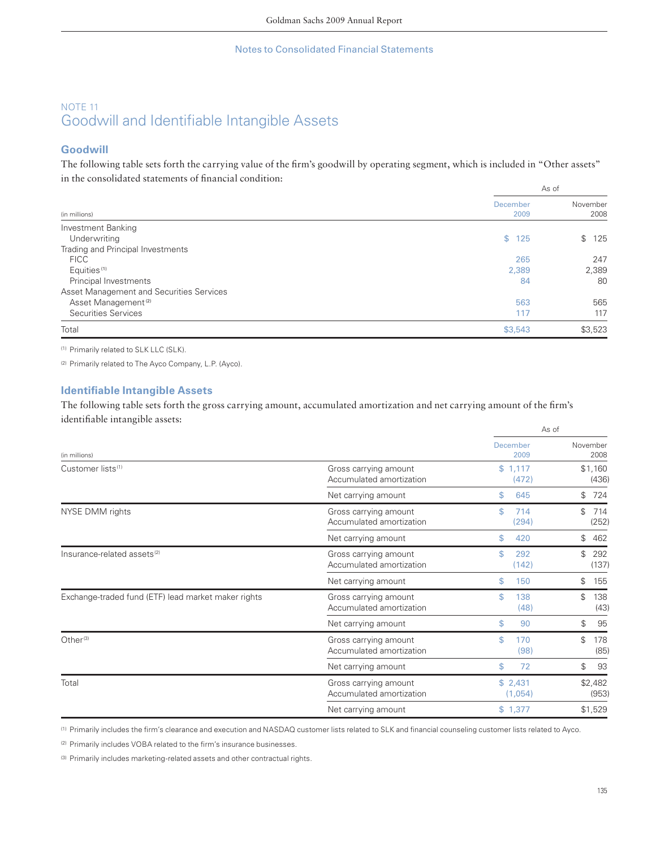# NOTE 11 Goodwill and Identifiable Intangible Assets

## **Goodwill**

The following table sets forth the carrying value of the firm's goodwill by operating segment, which is included in "Other assets" in the consolidated statements of financial condition:

|                                          | As of            |                  |  |
|------------------------------------------|------------------|------------------|--|
| (in millions)                            | December<br>2009 | November<br>2008 |  |
| Investment Banking                       |                  |                  |  |
| Underwriting                             | \$125            | 125<br>\$        |  |
| Trading and Principal Investments        |                  |                  |  |
| <b>FICC</b>                              | 265              | 247              |  |
| Equities <sup>(1)</sup>                  | 2,389            | 2,389            |  |
| Principal Investments                    | 84               | 80               |  |
| Asset Management and Securities Services |                  |                  |  |
| Asset Management <sup>(2)</sup>          | 563              | 565              |  |
| Securities Services                      | 117              | 117              |  |
| Total                                    | \$3,543          | \$3,523          |  |

(1) Primarily related to SLK LLC (SLK).

(2) Primarily related to The Ayco Company, L.P. (Ayco).

## **Identifiable Intangible Assets**

The following table sets forth the gross carrying amount, accumulated amortization and net carrying amount of the firm's identifiable intangible assets:

|                                                     |                                                   | As of              |                               |  |
|-----------------------------------------------------|---------------------------------------------------|--------------------|-------------------------------|--|
| (in millions)                                       |                                                   | December<br>2009   | November<br>2008              |  |
| Customer lists <sup>(1)</sup>                       | Gross carrying amount<br>Accumulated amortization | \$1,117<br>(472)   | \$1,160<br>(436)              |  |
|                                                     | Net carrying amount                               | \$<br>645          | 724<br>\$                     |  |
| NYSE DMM rights                                     | Gross carrying amount<br>Accumulated amortization | \$<br>714<br>(294) | $\mathcal{L}$<br>714<br>(252) |  |
|                                                     | Net carrying amount                               | \$<br>420          | \$<br>462                     |  |
| Insurance-related assets <sup>(2)</sup>             | Gross carrying amount<br>Accumulated amortization | \$<br>292<br>(142) | \$<br>292<br>(137)            |  |
|                                                     | Net carrying amount                               | \$<br>150          | \$<br>155                     |  |
| Exchange-traded fund (ETF) lead market maker rights | Gross carrying amount<br>Accumulated amortization | \$<br>138<br>(48)  | \$<br>138<br>(43)             |  |
|                                                     | Net carrying amount                               | \$<br>90           | \$<br>95                      |  |
| Other $(3)$                                         | Gross carrying amount<br>Accumulated amortization | \$<br>170<br>(98)  | \$<br>178<br>(85)             |  |
|                                                     | Net carrying amount                               | \$<br>72           | \$<br>93                      |  |
| Total                                               | Gross carrying amount<br>Accumulated amortization | \$2,431<br>(1,054) | \$2,482<br>(953)              |  |
|                                                     | Net carrying amount                               | \$1,377            | \$1,529                       |  |

(1) Primarily includes the firm's clearance and execution and NASDAQ customer lists related to SLK and financial counseling customer lists related to Ayco.

<sup>(2)</sup> Primarily includes VOBA related to the firm's insurance businesses.

(3) Primarily includes marketing-related assets and other contractual rights.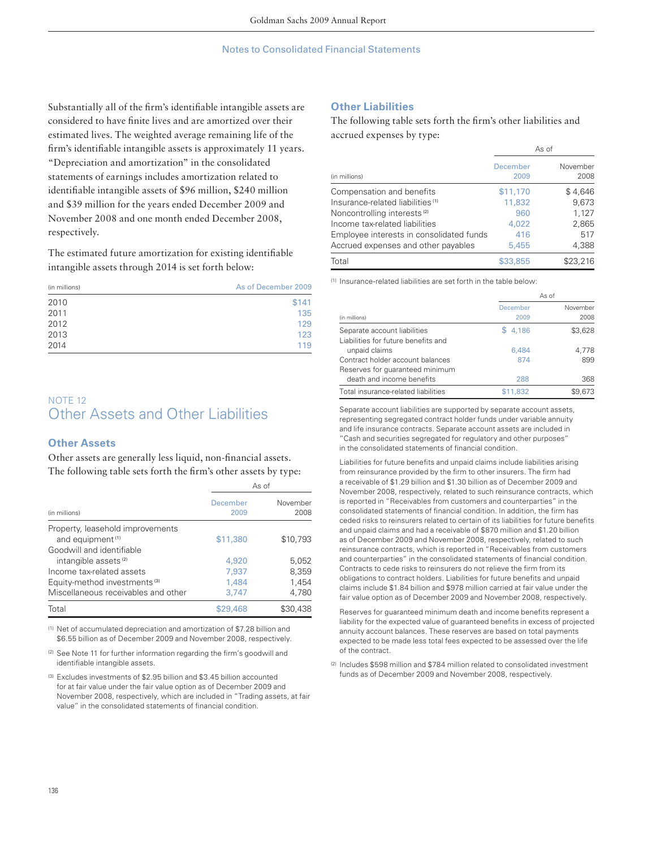Substantially all of the firm's identifiable intangible assets are considered to have finite lives and are amortized over their estimated lives. The weighted average remaining life of the firm's identifiable intangible assets is approximately 11 years. "Depreciation and amortization" in the consolidated statements of earnings includes amortization related to identifiable intangible assets of \$96 million, \$240 million and \$39 million for the years ended December 2009 and November 2008 and one month ended December 2008, respectively.

The estimated future amortization for existing identifiable intangible assets through 2014 is set forth below:

| (in millions) | As of December 2009 |
|---------------|---------------------|
| 2010          | \$141               |
| 2011          | 135                 |
| 2012          | 129                 |
| 2013          | 123                 |
| 2014          | 119                 |

# NOTE 12 Other Assets and Other Liabilities

#### **Other Assets**

Other assets are generally less liquid, non-financial assets. The following table sets forth the firm's other assets by type:

|                                          | As of            |                  |
|------------------------------------------|------------------|------------------|
| (in millions)                            | December<br>2009 | November<br>2008 |
| Property, leasehold improvements         |                  |                  |
| and equipment <sup>(1)</sup>             | \$11,380         | \$10,793         |
| Goodwill and identifiable                |                  |                  |
| intangible assets <sup>(2)</sup>         | 4,920            | 5,052            |
| Income tax-related assets                | 7,937            | 8,359            |
| Equity-method investments <sup>(3)</sup> | 1,484            | 1,454            |
| Miscellaneous receivables and other      | 3.747            | 4.780            |
| Total                                    | \$29.468         | \$30,438         |

(1) Net of accumulated depreciation and amortization of \$7.28 billion and \$6.55 billion as of December 2009 and November 2008, respectively.

- (2) See Note 11 for further information regarding the firm's goodwill and identifiable intangible assets.
- (3) Excludes investments of \$2.95 billion and \$3.45 billion accounted for at fair value under the fair value option as of December 2009 and November 2008, respectively, which are included in "Trading assets, at fair value" in the consolidated statements of financial condition.

## **Other Liabilities**

The following table sets forth the firm's other liabilities and accrued expenses by type:

|                                              |                  | As of            |
|----------------------------------------------|------------------|------------------|
| (in millions)                                | December<br>2009 | November<br>2008 |
| Compensation and benefits                    | \$11,170         | \$4,646          |
| Insurance-related liabilities <sup>(1)</sup> | 11,832           | 9,673            |
| Noncontrolling interests <sup>(2)</sup>      | 960              | 1,127            |
| Income tax-related liabilities               | 4.022            | 2,865            |
| Employee interests in consolidated funds     | 416              | 517              |
| Accrued expenses and other payables          | 5,455            | 4,388            |
| Total                                        | \$33,855         | \$23,216         |

(1) Insurance-related liabilities are set forth in the table below:

|                                     | As of      |          |  |
|-------------------------------------|------------|----------|--|
|                                     | December   | November |  |
| (in millions)                       | 2009       | 2008     |  |
| Separate account liabilities        | 4.186<br>S | \$3,628  |  |
| Liabilities for future benefits and |            |          |  |
| unpaid claims                       | 6.484      | 4.778    |  |
| Contract holder account balances    | 874        | 899      |  |
| Reserves for guaranteed minimum     |            |          |  |
| death and income benefits           | 288        | 368      |  |
| Total insurance-related liabilities | \$11.832   | \$9,673  |  |

Separate account liabilities are supported by separate account assets, representing segregated contract holder funds under variable annuity and life insurance contracts. Separate account assets are included in "Cash and securities segregated for regulatory and other purposes" in the consolidated statements of financial condition.

Liabilities for future benefits and unpaid claims include liabilities arising from reinsurance provided by the firm to other insurers. The firm had a receivable of \$1.29 billion and \$1.30 billion as of December 2009 and November 2008, respectively, related to such reinsurance contracts, which is reported in "Receivables from customers and counterparties" in the consolidated statements of financial condition. In addition, the firm has ceded risks to reinsurers related to certain of its liabilities for future benefits and unpaid claims and had a receivable of \$870 million and \$1.20 billion as of December 2009 and November 2008, respectively, related to such reinsurance contracts, which is reported in "Receivables from customers and counterparties" in the consolidated statements of financial condition. Contracts to cede risks to reinsurers do not relieve the firm from its obligations to contract holders. Liabilities for future benefits and unpaid claims include \$1.84 billion and \$978 million carried at fair value under the fair value option as of December 2009 and November 2008, respectively.

Reserves for guaranteed minimum death and income benefits represent a liability for the expected value of guaranteed benefits in excess of projected annuity account balances. These reserves are based on total payments expected to be made less total fees expected to be assessed over the life of the contract.

(2) Includes \$598 million and \$784 million related to consolidated investment funds as of December 2009 and November 2008, respectively.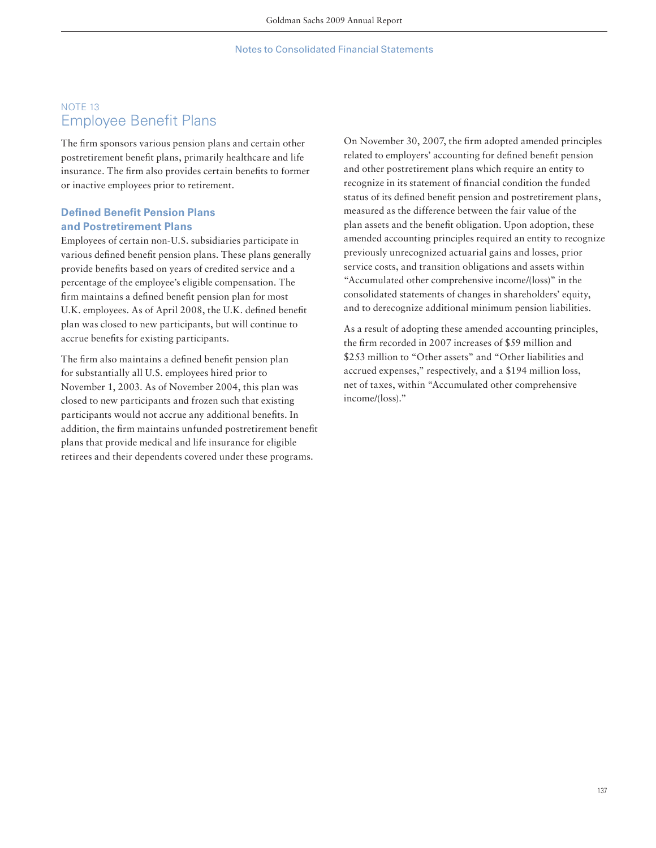# NOTE 13 **Employee Benefit Plans**

The firm sponsors various pension plans and certain other postretirement benefit plans, primarily healthcare and life insurance. The firm also provides certain benefits to former or inactive employees prior to retirement.

# **Defined Benefit Pension Plans and Postretirement Plans**

Employees of certain non-U.S. subsidiaries participate in various defined benefit pension plans. These plans generally provide benefits based on years of credited service and a percentage of the employee's eligible compensation. The firm maintains a defined benefit pension plan for most U.K. employees. As of April 2008, the U.K. defined benefit plan was closed to new participants, but will continue to accrue benefits for existing participants.

The firm also maintains a defined benefit pension plan for substantially all U.S. employees hired prior to November 1, 2003. As of November 2004, this plan was closed to new participants and frozen such that existing participants would not accrue any additional benefits. In addition, the firm maintains unfunded postretirement benefit plans that provide medical and life insurance for eligible retirees and their dependents covered under these programs.

On November 30, 2007, the firm adopted amended principles related to employers' accounting for defined benefit pension and other postretirement plans which require an entity to recognize in its statement of financial condition the funded status of its defined benefit pension and postretirement plans, measured as the difference between the fair value of the plan assets and the benefit obligation. Upon adoption, these amended accounting principles required an entity to recognize previously unrecognized actuarial gains and losses, prior service costs, and transition obligations and assets within "Accumulated other comprehensive income/(loss)" in the consolidated statements of changes in shareholders' equity, and to derecognize additional minimum pension liabilities.

As a result of adopting these amended accounting principles, the firm recorded in 2007 increases of \$59 million and \$253 million to "Other assets" and "Other liabilities and accrued expenses," respectively, and a \$194 million loss, net of taxes, within "Accumulated other comprehensive income/(loss)."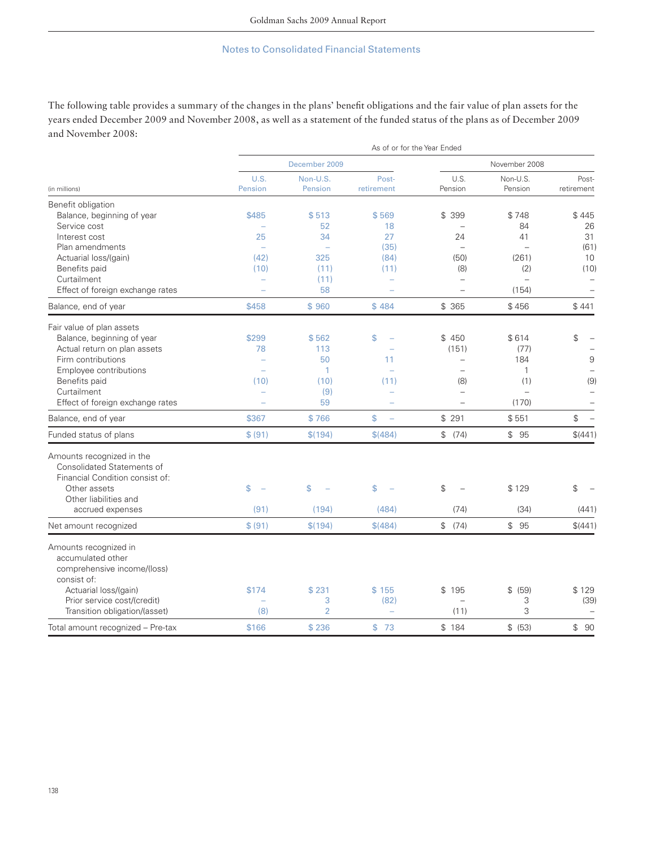The following table provides a summary of the changes in the plans' benefit obligations and the fair value of plan assets for the years ended December 2009 and November 2008, as well as a statement of the funded status of the plans as of December 2009 and November 2008:

|                                       | As of or for the Year Ended |                          |                                |                          |                          |                     |
|---------------------------------------|-----------------------------|--------------------------|--------------------------------|--------------------------|--------------------------|---------------------|
|                                       | December 2009               |                          |                                | November 2008            |                          |                     |
| (in millions)                         | U.S.<br>Pension             | Non-U.S.<br>Pension      | Post-<br>retirement            | U.S.<br>Pension          | Non-U.S.<br>Pension      | Post-<br>retirement |
| Benefit obligation                    |                             |                          |                                |                          |                          |                     |
| Balance, beginning of year            | \$485                       | \$513                    | \$569                          | \$ 399                   | \$748                    | \$445               |
| Service cost                          |                             | 52                       | 18                             |                          | 84                       | 26                  |
| Interest cost                         | 25                          | 34                       | 27                             | 24                       | 41                       | 31                  |
| Plan amendments                       | $\overline{\phantom{a}}$    | $\overline{\phantom{0}}$ | (35)                           |                          | $\overline{\phantom{0}}$ | (61)                |
| Actuarial loss/(gain)                 | (42)                        | 325                      | (84)                           | (50)                     | (261)                    | 10                  |
| Benefits paid                         | (10)                        | (11)                     | (11)                           | (8)                      | (2)                      | (10)                |
| Curtailment                           | $\overline{\phantom{0}}$    | (11)                     |                                | $\overline{\phantom{0}}$ | $\overline{\phantom{m}}$ |                     |
| Effect of foreign exchange rates      |                             | 58                       |                                |                          | (154)                    |                     |
| Balance, end of year                  | \$458                       | \$960                    | \$484                          | \$ 365                   | \$456                    | \$441               |
| Fair value of plan assets             |                             |                          |                                |                          |                          |                     |
| Balance, beginning of year            | \$299                       | \$562                    | \$                             | \$ 450                   | \$614                    | \$                  |
| Actual return on plan assets          | 78                          | 113                      |                                | (151)                    | (77)                     |                     |
| Firm contributions                    |                             | 50                       | 11                             | $\overline{\phantom{0}}$ | 184                      | 9                   |
| Employee contributions                | $\overline{\phantom{a}}$    | 1                        |                                |                          | $\mathbf{1}$             |                     |
| Benefits paid                         | (10)                        | (10)                     | (11)                           | (8)                      | (1)                      | (9)                 |
| Curtailment                           |                             | (9)                      |                                |                          | $\overline{\phantom{0}}$ |                     |
| Effect of foreign exchange rates      |                             | 59                       |                                | $\overline{\phantom{0}}$ | (170)                    |                     |
| Balance, end of year                  | \$367                       | \$766                    | \$<br>$\overline{\phantom{0}}$ | \$291                    | \$551                    | \$                  |
| Funded status of plans                | \$ (91)                     | \$(194)                  | \$(484)                        | \$ (74)                  | \$95                     | \$(441)             |
| Amounts recognized in the             |                             |                          |                                |                          |                          |                     |
| Consolidated Statements of            |                             |                          |                                |                          |                          |                     |
| Financial Condition consist of:       |                             |                          |                                |                          |                          |                     |
| Other assets<br>Other liabilities and | \$<br>÷                     | \$                       | \$                             | \$                       | \$129                    | \$                  |
| accrued expenses                      | (91)                        | (194)                    | (484)                          | (74)                     | (34)                     | (441)               |
|                                       | \$ (91)                     |                          | \$(484)                        | \$ (74)                  | \$95                     | \$(441)             |
| Net amount recognized                 |                             | \$(194)                  |                                |                          |                          |                     |
| Amounts recognized in                 |                             |                          |                                |                          |                          |                     |
| accumulated other                     |                             |                          |                                |                          |                          |                     |
| comprehensive income/(loss)           |                             |                          |                                |                          |                          |                     |
| consist of:                           |                             |                          |                                |                          |                          |                     |
| Actuarial loss/(gain)                 | \$174                       | \$231                    | \$155                          | \$195                    | \$ (59)                  | \$129               |
| Prior service cost/(credit)           |                             | 3<br>$\overline{2}$      | (82)                           |                          | 3<br>3                   | (39)                |
| Transition obligation/(asset)         | (8)                         |                          | $\equiv$                       | (11)                     |                          |                     |
| Total amount recognized - Pre-tax     | \$166                       | \$236                    | \$73                           | \$184                    | \$ (53)                  | \$90                |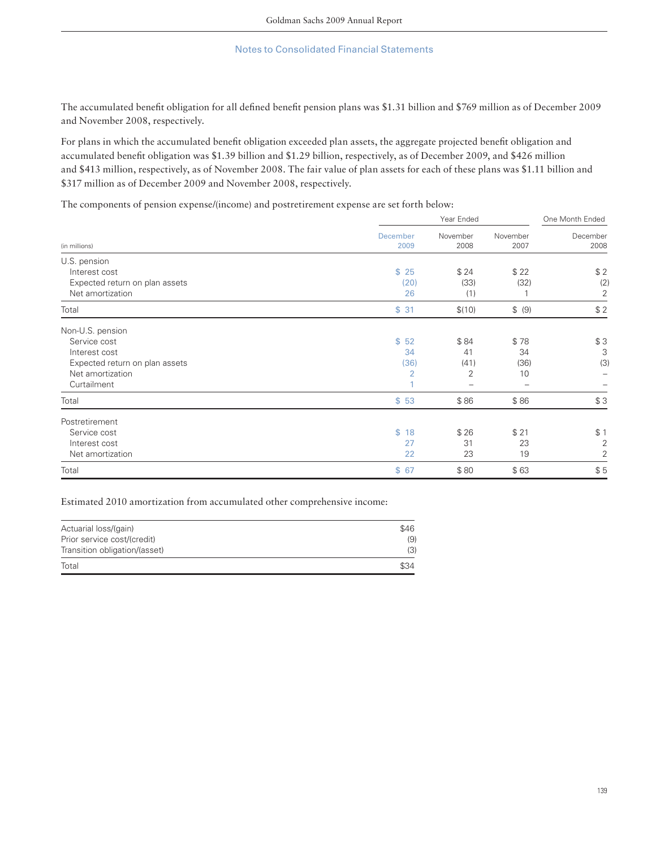The accumulated benefit obligation for all defined benefit pension plans was \$1.31 billion and \$769 million as of December 2009 and November 2008, respectively.

For plans in which the accumulated benefit obligation exceeded plan assets, the aggregate projected benefit obligation and accumulated benefit obligation was \$1.39 billion and \$1.29 billion, respectively, as of December 2009, and \$426 million and \$413 million, respectively, as of November 2008. The fair value of plan assets for each of these plans was \$1.11 billion and \$317 million as of December 2009 and November 2008, respectively.

The components of pension expense/(income) and postretirement expense are set forth below:

| (in millions)                  | Year Ended       |                  |                  | One Month Ended  |  |
|--------------------------------|------------------|------------------|------------------|------------------|--|
|                                | December<br>2009 | November<br>2008 | November<br>2007 | December<br>2008 |  |
| U.S. pension                   |                  |                  |                  |                  |  |
| Interest cost                  | \$25             | \$24             | \$22             | \$2              |  |
| Expected return on plan assets | (20)             | (33)             | (32)             | (2)              |  |
| Net amortization               | 26               | (1)              |                  | 2                |  |
| Total                          | \$31             | \$(10)           | \$ (9)           | \$2              |  |
| Non-U.S. pension               |                  |                  |                  |                  |  |
| Service cost                   | \$52             | \$84             | \$78             | \$3              |  |
| Interest cost                  | 34               | 41               | 34               | 3                |  |
| Expected return on plan assets | (36)             | (41)             | (36)             | (3)              |  |
| Net amortization               | $\overline{2}$   | 2                | 10               |                  |  |
| Curtailment                    |                  |                  | -                |                  |  |
| Total                          | \$53             | \$86             | \$86             | \$3              |  |
| Postretirement                 |                  |                  |                  |                  |  |
| Service cost                   | \$18             | \$26             | \$21             | \$1              |  |
| Interest cost                  | 27               | 31               | 23               | $\overline{2}$   |  |
| Net amortization               | 22               | 23               | 19               | 2                |  |
| Total                          | \$67             | \$80             | \$63             | \$5              |  |

Estimated 2010 amortization from accumulated other comprehensive income:

| Actuarial loss/(gain)         | \$46 |
|-------------------------------|------|
| Prior service cost/(credit)   | (9)  |
| Transition obligation/(asset) | (3)  |
| Total                         | \$34 |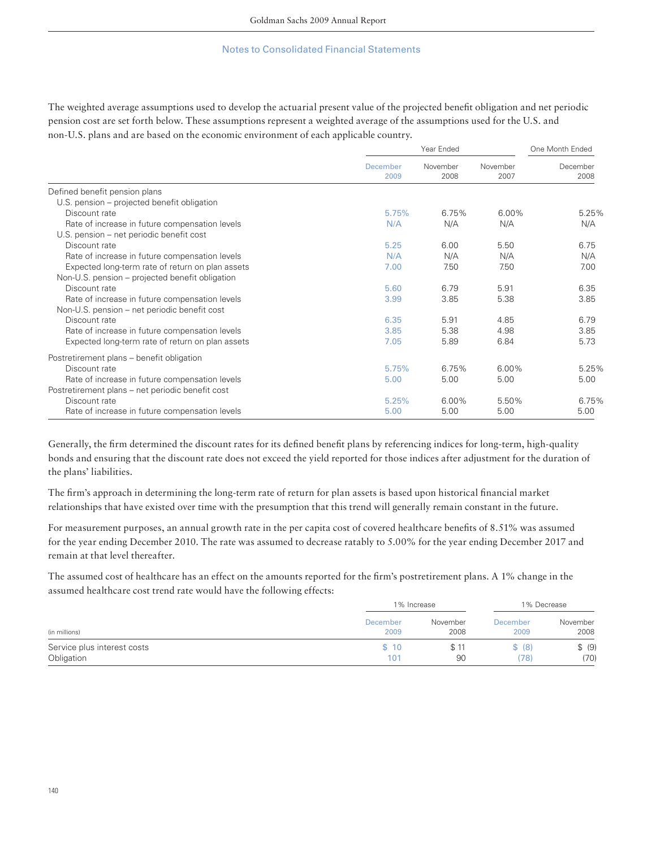The weighted average assumptions used to develop the actuarial present value of the projected benefit obligation and net periodic pension cost are set forth below. These assumptions represent a weighted average of the assumptions used for the U.S. and non-U.S. plans and are based on the economic environment of each applicable country.

|                                                  | Year Ended       |                  |                  | One Month Ended  |  |
|--------------------------------------------------|------------------|------------------|------------------|------------------|--|
|                                                  | December<br>2009 | November<br>2008 | November<br>2007 | December<br>2008 |  |
| Defined benefit pension plans                    |                  |                  |                  |                  |  |
| U.S. pension – projected benefit obligation      |                  |                  |                  |                  |  |
| Discount rate                                    | 5.75%            | 6.75%            | 6.00%            | 5.25%            |  |
| Rate of increase in future compensation levels   | N/A              | N/A              | N/A              | N/A              |  |
| U.S. pension – net periodic benefit cost         |                  |                  |                  |                  |  |
| Discount rate                                    | 5.25             | 6.00             | 5.50             | 6.75             |  |
| Rate of increase in future compensation levels   | N/A              | N/A              | N/A              | N/A              |  |
| Expected long-term rate of return on plan assets | 7.00             | 7.50             | 7.50             | 7.00             |  |
| Non-U.S. pension – projected benefit obligation  |                  |                  |                  |                  |  |
| Discount rate                                    | 5.60             | 6.79             | 5.91             | 6.35             |  |
| Rate of increase in future compensation levels   | 3.99             | 3.85             | 5.38             | 3.85             |  |
| Non-U.S. pension – net periodic benefit cost     |                  |                  |                  |                  |  |
| Discount rate                                    | 6.35             | 5.91             | 4.85             | 6.79             |  |
| Rate of increase in future compensation levels   | 3.85             | 5.38             | 4.98             | 3.85             |  |
| Expected long-term rate of return on plan assets | 7.05             | 5.89             | 6.84             | 5.73             |  |
| Postretirement plans - benefit obligation        |                  |                  |                  |                  |  |
| Discount rate                                    | 5.75%            | 6.75%            | 6.00%            | 5.25%            |  |
| Rate of increase in future compensation levels   | 5.00             | 5.00             | 5.00             | 5.00             |  |
| Postretirement plans – net periodic benefit cost |                  |                  |                  |                  |  |
| Discount rate                                    | 5.25%            | 6.00%            | 5.50%            | 6.75%            |  |
| Rate of increase in future compensation levels   | 5.00             | 5.00             | 5.00             | 5.00             |  |

Generally, the firm determined the discount rates for its defined benefit plans by referencing indices for long-term, high-quality bonds and ensuring that the discount rate does not exceed the yield reported for those indices after adjustment for the duration of the plans' liabilities.

The firm's approach in determining the long-term rate of return for plan assets is based upon historical financial market relationships that have existed over time with the presumption that this trend will generally remain constant in the future.

For measurement purposes, an annual growth rate in the per capita cost of covered healthcare benefits of 8.51% was assumed for the year ending December 2010. The rate was assumed to decrease ratably to 5.00% for the year ending December 2017 and remain at that level thereafter.

The assumed cost of healthcare has an effect on the amounts reported for the firm's postretirement plans. A 1% change in the assumed healthcare cost trend rate would have the following effects:

|                             |          | 1% Increase |                 | 1% Decrease |  |
|-----------------------------|----------|-------------|-----------------|-------------|--|
| (in millions)               | December | November    | <b>December</b> | November    |  |
|                             | 2009     | 2008        | 2009            | 2008        |  |
| Service plus interest costs | \$10     | \$11        | \$ (8)          | \$ (9)      |  |
| Obligation                  | 101      | 90          | (78)            | (70)        |  |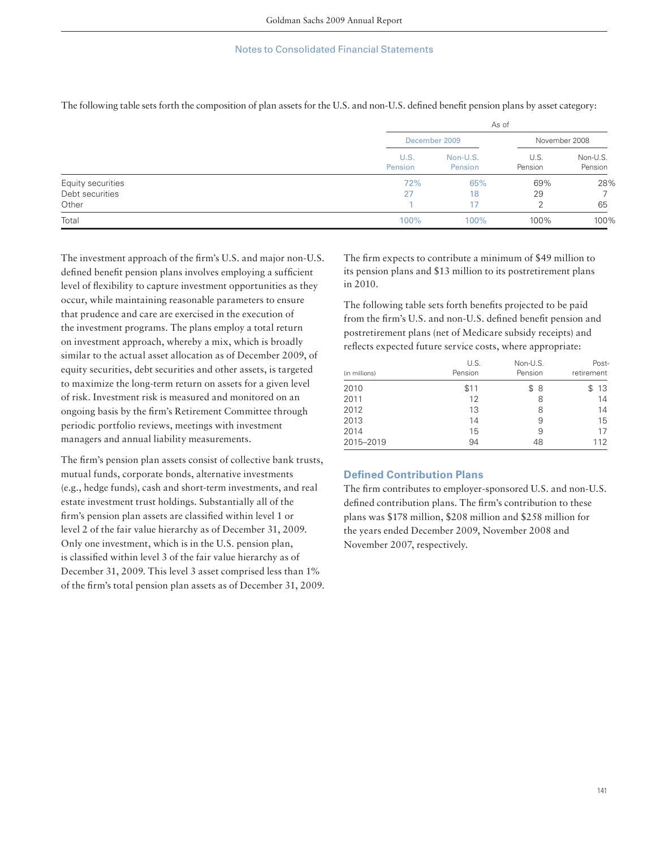|                   |                 | As of               |                 |                     |  |  |
|-------------------|-----------------|---------------------|-----------------|---------------------|--|--|
|                   |                 | December 2009       |                 | November 2008       |  |  |
|                   | U.S.<br>Pension | Non-U.S.<br>Pension | U.S.<br>Pension | Non-U.S.<br>Pension |  |  |
| Equity securities | 72%             | 65%                 | 69%             | 28%                 |  |  |
| Debt securities   | 27              | 18                  | 29              |                     |  |  |
| Other             |                 |                     | ◠               | 65                  |  |  |
| Total             | 100%            | 100%                | 100%            | 100%                |  |  |

The following table sets forth the composition of plan assets for the U.S. and non-U.S. defined benefit pension plans by asset category:

The investment approach of the firm's U.S. and major non-U.S. defined benefit pension plans involves employing a sufficient level of flexibility to capture investment opportunities as they occur, while maintaining reasonable parameters to ensure that prudence and care are exercised in the execution of the investment programs. The plans employ a total return on investment approach, whereby a mix, which is broadly similar to the actual asset allocation as of December 2009, of equity securities, debt securities and other assets, is targeted to maximize the long-term return on assets for a given level of risk. Investment risk is measured and monitored on an ongoing basis by the firm's Retirement Committee through periodic portfolio reviews, meetings with investment managers and annual liability measurements.

The firm's pension plan assets consist of collective bank trusts, mutual funds, corporate bonds, alternative investments (e.g., hedge funds), cash and short-term investments, and real estate investment trust holdings. Substantially all of the firm's pension plan assets are classified within level 1 or level 2 of the fair value hierarchy as of December 31, 2009. Only one investment, which is in the U.S. pension plan, is classified within level 3 of the fair value hierarchy as of December 31, 2009. This level 3 asset comprised less than 1% of the firm's total pension plan assets as of December 31, 2009. The firm expects to contribute a minimum of \$49 million to its pension plans and \$13 million to its postretirement plans in 2010.

The following table sets forth benefits projected to be paid from the firm's U.S. and non-U.S. defined benefit pension and postretirement plans (net of Medicare subsidy receipts) and reflects expected future service costs, where appropriate:

| (in millions) | U.S.<br>Pension | Non-U.S.<br>Pension | Post-<br>retirement |
|---------------|-----------------|---------------------|---------------------|
|               |                 |                     |                     |
| 2010          | \$11<br>12      | \$8                 | -13<br>S            |
| 2011<br>2012  | 13              | 8<br>8              | 14<br>14            |
| 2013          | 14              | 9                   | 15                  |
| 2014          | 15              | 9                   | 17                  |
| 2015-2019     | 94              | 48                  | 112                 |

## **Defined Contribution Plans**

The firm contributes to employer-sponsored U.S. and non-U.S. defined contribution plans. The firm's contribution to these plans was \$178 million, \$208 million and \$258 million for the years ended December 2009, November 2008 and November 2007, respectively.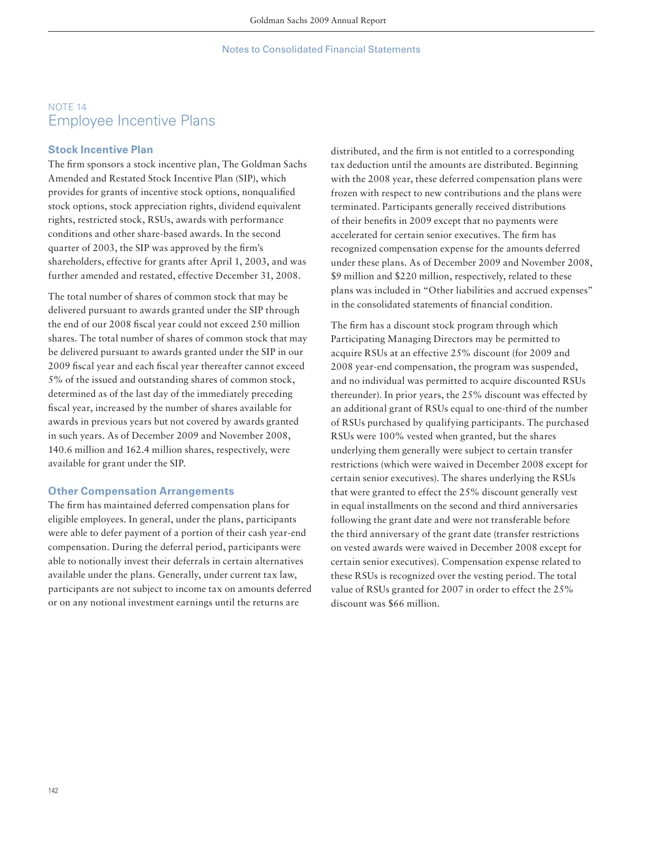# NOTE 14 Employee Incentive Plans

## **Stock Incentive Plan**

The firm sponsors a stock incentive plan, The Goldman Sachs Amended and Restated Stock Incentive Plan (SIP), which provides for grants of incentive stock options, nonqualified stock options, stock appreciation rights, dividend equivalent rights, restricted stock, RSUs, awards with performance conditions and other share-based awards. In the second quarter of 2003, the SIP was approved by the firm's shareholders, effective for grants after April 1, 2003, and was further amended and restated, effective December 31, 2008.

The total number of shares of common stock that may be delivered pursuant to awards granted under the SIP through the end of our 2008 fiscal year could not exceed 250 million shares. The total number of shares of common stock that may be delivered pursuant to awards granted under the SIP in our 2009 fiscal year and each fiscal year thereafter cannot exceed 5% of the issued and outstanding shares of common stock, determined as of the last day of the immediately preceding fiscal year, increased by the number of shares available for awards in previous years but not covered by awards granted in such years. As of December 2009 and November 2008, 140.6 million and 162.4 million shares, respectively, were available for grant under the SIP.

### **Other Compensation Arrangements**

The firm has maintained deferred compensation plans for eligible employees. In general, under the plans, participants were able to defer payment of a portion of their cash year-end compensation. During the deferral period, participants were able to notionally invest their deferrals in certain alternatives available under the plans. Generally, under current tax law, participants are not subject to income tax on amounts deferred or on any notional investment earnings until the returns are

distributed, and the firm is not entitled to a corresponding tax deduction until the amounts are distributed. Beginning with the 2008 year, these deferred compensation plans were frozen with respect to new contributions and the plans were terminated. Participants generally received distributions of their benefits in 2009 except that no payments were accelerated for certain senior executives. The firm has recognized compensation expense for the amounts deferred under these plans. As of December 2009 and November 2008, \$9 million and \$220 million, respectively, related to these plans was included in "Other liabilities and accrued expenses" in the consolidated statements of financial condition.

The firm has a discount stock program through which Participating Managing Directors may be permitted to acquire RSUs at an effective 25% discount (for 2009 and 2008 year-end compensation, the program was suspended, and no individual was permitted to acquire discounted RSUs thereunder). In prior years, the 25% discount was effected by an additional grant of RSUs equal to one-third of the number of RSUs purchased by qualifying participants. The purchased RSUs were 100% vested when granted, but the shares underlying them generally were subject to certain transfer restrictions (which were waived in December 2008 except for certain senior executives). The shares underlying the RSUs that were granted to effect the 25% discount generally vest in equal installments on the second and third anniversaries following the grant date and were not transferable before the third anniversary of the grant date (transfer restrictions on vested awards were waived in December 2008 except for certain senior executives). Compensation expense related to these RSUs is recognized over the vesting period. The total value of RSUs granted for 2007 in order to effect the 25% discount was \$66 million.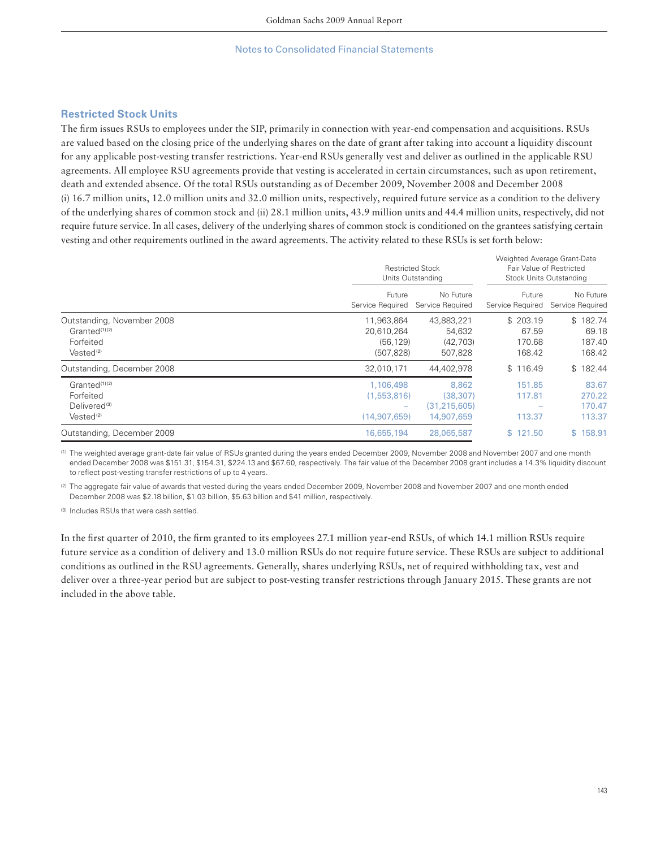## **Restricted Stock Units**

The firm issues RSUs to employees under the SIP, primarily in connection with year-end compensation and acquisitions. RSUs are valued based on the closing price of the underlying shares on the date of grant after taking into account a liquidity discount for any applicable post-vesting transfer restrictions. Year-end RSUs generally vest and deliver as outlined in the applicable RSU agreements. All employee RSU agreements provide that vesting is accelerated in certain circumstances, such as upon retirement, death and extended absence. Of the total RSUs outstanding as of December 2009, November 2008 and December 2008 (i) 16.7 million units, 12.0 million units and 32.0 million units, respectively, required future service as a condition to the delivery of the underlying shares of common stock and (ii) 28.1 million units, 43.9 million units and 44.4 million units, respectively, did not require future service. In all cases, delivery of the underlying shares of common stock is conditioned on the grantees satisfying certain vesting and other requirements outlined in the award agreements. The activity related to these RSUs is set forth below:

|                                                                                               |                                                     | <b>Restricted Stock</b><br>Units Outstanding       |                                       | Weighted Average Grant-Date<br>Fair Value of Restricted<br>Stock Units Outstanding |
|-----------------------------------------------------------------------------------------------|-----------------------------------------------------|----------------------------------------------------|---------------------------------------|------------------------------------------------------------------------------------|
|                                                                                               | Future<br>Service Required                          | No Future<br>Service Required                      | Future<br>Service Required            | No Future<br>Service Required                                                      |
| Outstanding, November 2008<br>Granted <sup>(1)(2)</sup><br>Forfeited<br>Vested <sup>(2)</sup> | 11,963,864<br>20,610,264<br>(56, 129)<br>(507, 828) | 43,883,221<br>54,632<br>(42, 703)<br>507,828       | \$203.19<br>67.59<br>170.68<br>168.42 | \$182.74<br>69.18<br>187.40<br>168.42                                              |
| Outstanding, December 2008                                                                    | 32,010,171                                          | 44,402,978                                         | \$116.49                              | \$182.44                                                                           |
| Granted <sup>(1)(2)</sup><br>Forfeited<br>Delivered <sup>(3)</sup><br>Vested <sup>(2)</sup>   | 1,106,498<br>(1,553,816)<br>(14,907,659)            | 8,862<br>(38, 307)<br>(31, 215, 605)<br>14,907,659 | 151.85<br>117.81<br>113.37            | 83.67<br>270.22<br>170.47<br>113.37                                                |
| Outstanding, December 2009                                                                    | 16,655,194                                          | 28,065,587                                         | \$121.50                              | \$158.91                                                                           |

(1) The weighted average grant-date fair value of RSUs granted during the years ended December 2009, November 2008 and November 2007 and one month ended December 2008 was \$151.31, \$154.31, \$224.13 and \$67.60, respectively. The fair value of the December 2008 grant includes a 14.3% liquidity discount to reflect post-vesting transfer restrictions of up to 4 years.

(2) The aggregate fair value of awards that vested during the years ended December 2009, November 2008 and November 2007 and one month ended December 2008 was \$2.18 billion, \$1.03 billion, \$5.63 billion and \$41 million, respectively.

(3) Includes RSUs that were cash settled.

In the first quarter of 2010, the firm granted to its employees 27.1 million year-end RSUs, of which 14.1 million RSUs require future service as a condition of delivery and 13.0 million RSUs do not require future service. These RSUs are subject to additional conditions as outlined in the RSU agreements. Generally, shares underlying RSUs, net of required withholding tax, vest and deliver over a three-year period but are subject to post-vesting transfer restrictions through January 2015. These grants are not included in the above table.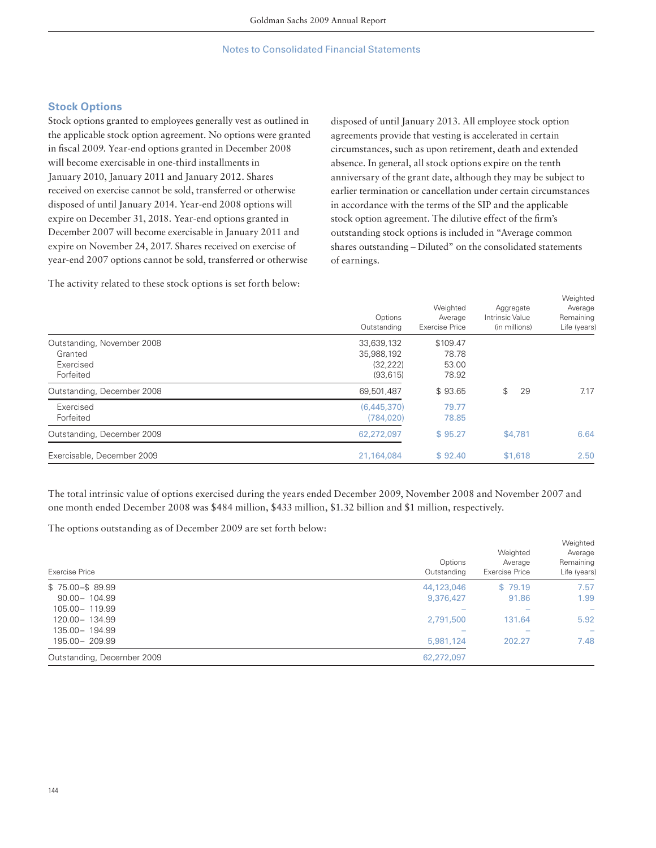# **Stock Options**

Stock options granted to employees generally vest as outlined in the applicable stock option agreement. No options were granted in fiscal 2009. Year-end options granted in December 2008 will become exercisable in one-third installments in January 2010, January 2011 and January 2012. Shares received on exercise cannot be sold, transferred or otherwise disposed of until January 2014. Year-end 2008 options will expire on December 31, 2018. Year-end options granted in December 2007 will become exercisable in January 2011 and expire on November 24, 2017. Shares received on exercise of year-end 2007 options cannot be sold, transferred or otherwise

The activity related to these stock options is set forth below:

disposed of until January 2013. All employee stock option agreements provide that vesting is accelerated in certain circumstances, such as upon retirement, death and extended absence. In general, all stock options expire on the tenth anniversary of the grant date, although they may be subject to earlier termination or cancellation under certain circumstances in accordance with the terms of the SIP and the applicable stock option agreement. The dilutive effect of the firm's outstanding stock options is included in "Average common shares outstanding – Diluted" on the consolidated statements of earnings.

|                                                                 | Options<br>Outstanding                             | Weighted<br>Average<br><b>Exercise Price</b> | Aggregate<br>Intrinsic Value<br>(in millions) | Weighted<br>Average<br>Remaining<br>Life (years) |
|-----------------------------------------------------------------|----------------------------------------------------|----------------------------------------------|-----------------------------------------------|--------------------------------------------------|
| Outstanding, November 2008<br>Granted<br>Exercised<br>Forfeited | 33,639,132<br>35,988,192<br>(32, 222)<br>(93, 615) | \$109.47<br>78.78<br>53.00<br>78.92          |                                               |                                                  |
| Outstanding, December 2008                                      | 69,501,487                                         | \$93.65                                      | \$<br>29                                      | 7.17                                             |
| Exercised<br>Forfeited                                          | (6,445,370)<br>(784, 020)                          | 79.77<br>78.85                               |                                               |                                                  |
| Outstanding, December 2009                                      | 62,272,097                                         | \$95.27                                      | \$4,781                                       | 6.64                                             |
| Exercisable, December 2009                                      | 21,164,084                                         | \$92,40                                      | \$1,618                                       | 2.50                                             |

The total intrinsic value of options exercised during the years ended December 2009, November 2008 and November 2007 and one month ended December 2008 was \$484 million, \$433 million, \$1.32 billion and \$1 million, respectively.

The options outstanding as of December 2009 are set forth below:

| Exercise Price             | Options<br>Outstanding | Weighted<br>Average<br>Exercise Price | Weighted<br>Average<br>Remaining<br>Life (years) |
|----------------------------|------------------------|---------------------------------------|--------------------------------------------------|
| $$75.00 - $89.99$          | 44,123,046             | \$79.19                               | 7.57                                             |
| $90.00 - 104.99$           | 9,376,427              | 91.86                                 | 1.99                                             |
| $105.00 - 119.99$          |                        |                                       | $\overline{\phantom{a}}$                         |
| 120.00 - 134.99            | 2,791,500              | 131.64                                | 5.92                                             |
| 135.00 - 194.99            |                        |                                       |                                                  |
| 195.00 - 209.99            | 5,981,124              | 202.27                                | 7.48                                             |
| Outstanding, December 2009 | 62,272,097             |                                       |                                                  |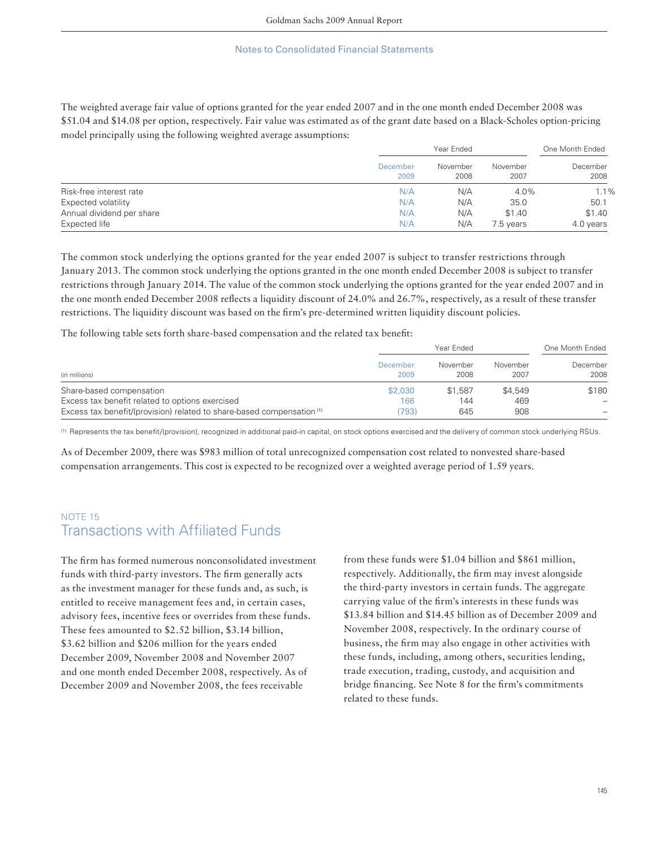The weighted average fair value of options granted for the year ended 2007 and in the one month ended December 2008 was \$51.04 and \$14.08 per option, respectively. Fair value was estimated as of the grant date based on a Black-Scholes option-pricing model principally using the following weighted average assumptions:

|                           |                  | Year Ended       |                  |                  |
|---------------------------|------------------|------------------|------------------|------------------|
|                           | December<br>2009 | November<br>2008 | November<br>2007 | December<br>2008 |
| Risk-free interest rate   | N/A              | N/A              | 4.0%             | 1.1%             |
| Expected volatility       | N/A              | N/A              | 35.0             | 50.1             |
| Annual dividend per share | N/A              | N/A              | \$1.40           | \$1.40           |
| Expected life             | N/A              | N/A              | 7.5 years        | 4.0 years        |

The common stock underlying the options granted for the year ended 2007 is subject to transfer restrictions through January 2013. The common stock underlying the options granted in the one month ended December 2008 is subject to transfer restrictions through January 2014. The value of the common stock underlying the options granted for the year ended 2007 and in the one month ended December 2008 reflects a liquidity discount of 24.0% and 26.7%, respectively, as a result of these transfer restrictions. The liquidity discount was based on the firm's pre-determined written liquidity discount policies.

The following table sets forth share-based compensation and the related tax benefit:

|                                                                                   | Year Ended       |                  |                  | One Month Ended                 |  |
|-----------------------------------------------------------------------------------|------------------|------------------|------------------|---------------------------------|--|
| (in millions)                                                                     | December<br>2009 | November<br>2008 | November<br>2007 | December<br>2008                |  |
| Share-based compensation                                                          | \$2,030          | \$1,587          | \$4,549          | \$180                           |  |
| Excess tax benefit related to options exercised                                   | 166              | 144              | 469              | $\hspace{0.1mm}-\hspace{0.1mm}$ |  |
| Excess tax benefit/(provision) related to share-based compensation <sup>(1)</sup> | (793)            | 645              | 908              |                                 |  |

(1) Represents the tax benefi t/(provision), recognized in additional paid-in capital, on stock options exercised and the delivery of common stock underlying RSUs.

As of December 2009, there was \$983 million of total unrecognized compensation cost related to nonvested share-based compensation arrangements. This cost is expected to be recognized over a weighted average period of 1.59 years.

# NOTE 15 **Transactions with Affiliated Funds**

The firm has formed numerous nonconsolidated investment funds with third-party investors. The firm generally acts as the investment manager for these funds and, as such, is entitled to receive management fees and, in certain cases, advisory fees, incentive fees or overrides from these funds. These fees amounted to \$2.52 billion, \$3.14 billion, \$3.62 billion and \$206 million for the years ended December 2009, November 2008 and November 2007 and one month ended December 2008, respectively. As of December 2009 and November 2008, the fees receivable

from these funds were \$1.04 billion and \$861 million, respectively. Additionally, the firm may invest alongside the third-party investors in certain funds. The aggregate carrying value of the firm's interests in these funds was \$13.84 billion and \$14.45 billion as of December 2009 and November 2008, respectively. In the ordinary course of business, the firm may also engage in other activities with these funds, including, among others, securities lending, trade execution, trading, custody, and acquisition and bridge financing. See Note 8 for the firm's commitments related to these funds.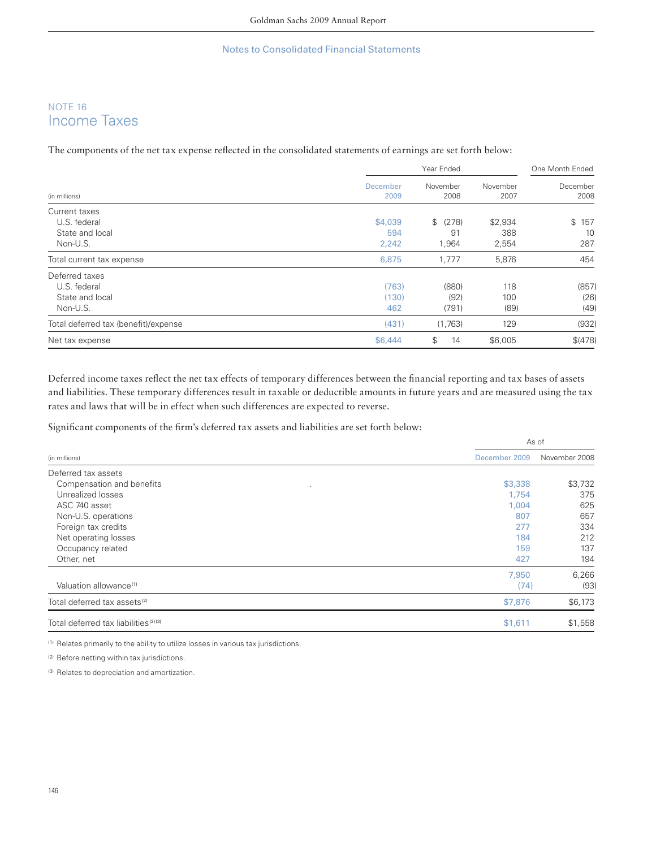# NOTE 16 Income Taxes

The components of the net tax expense reflected in the consolidated statements of earnings are set forth below:

| (in millions)                                                 |                       | One Month Ended        |                    |                       |
|---------------------------------------------------------------|-----------------------|------------------------|--------------------|-----------------------|
|                                                               | December<br>2009      | November<br>2008       | November<br>2007   | December<br>2008      |
| Current taxes<br>U.S. federal                                 | \$4,039               | \$ (278)               | \$2,934            | $\mathbb{S}$<br>157   |
| State and local<br>Non-U.S.                                   | 594<br>2,242          | 91<br>1,964            | 388<br>2,554       | 10<br>287             |
| Total current tax expense                                     | 6,875                 | 1,777                  | 5,876              | 454                   |
| Deferred taxes<br>U.S. federal<br>State and local<br>Non-U.S. | (763)<br>(130)<br>462 | (880)<br>(92)<br>(791) | 118<br>100<br>(89) | (857)<br>(26)<br>(49) |
| Total deferred tax (benefit)/expense                          | (431)                 | (1,763)                | 129                | (932)                 |
| Net tax expense                                               | \$6,444               | \$<br>14               | \$6,005            | \$(478)               |

Deferred income taxes reflect the net tax effects of temporary differences between the financial reporting and tax bases of assets and liabilities. These temporary differences result in taxable or deductible amounts in future years and are measured using the tax rates and laws that will be in effect when such differences are expected to reverse.

Significant components of the firm's deferred tax assets and liabilities are set forth below:

|                                                             | As of         |  |  |
|-------------------------------------------------------------|---------------|--|--|
| December 2009<br>(in millions)                              | November 2008 |  |  |
| Deferred tax assets                                         |               |  |  |
| Compensation and benefits<br>\$3,338<br>$\cdot$             | \$3,732       |  |  |
| Unrealized losses<br>1,754                                  | 375           |  |  |
| ASC 740 asset<br>1,004                                      | 625           |  |  |
| Non-U.S. operations<br>807                                  | 657           |  |  |
| Foreign tax credits<br>277                                  | 334           |  |  |
| Net operating losses<br>184                                 | 212           |  |  |
| Occupancy related<br>159                                    | 137           |  |  |
| Other, net<br>427                                           | 194           |  |  |
| 7,950                                                       | 6,266         |  |  |
| Valuation allowance <sup>(1)</sup><br>(74)                  | (93)          |  |  |
| \$7,876<br>Total deferred tax assets <sup>(2)</sup>         | \$6,173       |  |  |
| Total deferred tax liabilities <sup>(2)(3)</sup><br>\$1,611 | \$1,558       |  |  |

(1) Relates primarily to the ability to utilize losses in various tax jurisdictions.

(2) Before netting within tax jurisdictions.

(3) Relates to depreciation and amortization.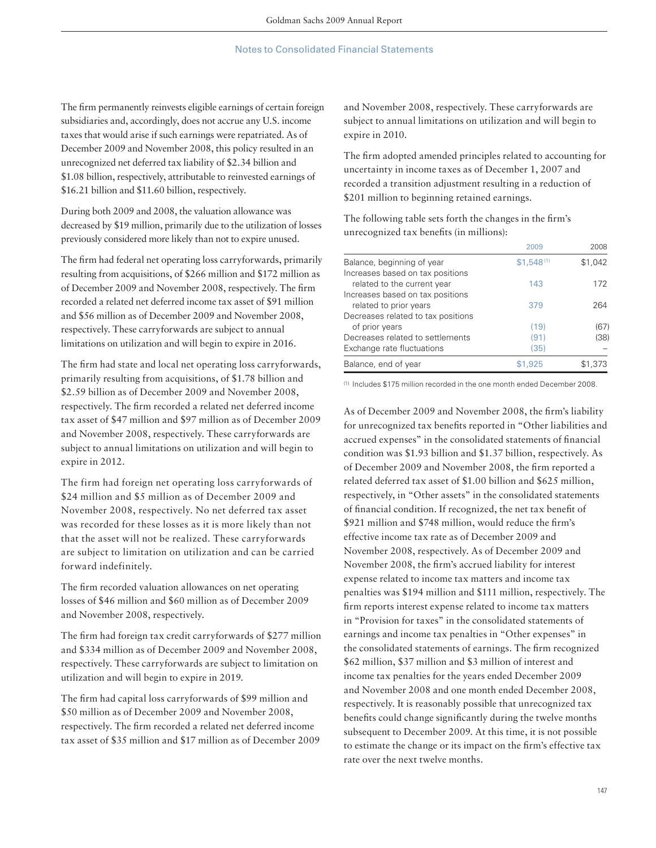The firm permanently reinvests eligible earnings of certain foreign subsidiaries and, accordingly, does not accrue any U.S. income taxes that would arise if such earnings were repatriated. As of December 2009 and November 2008, this policy resulted in an unrecognized net deferred tax liability of \$2.34 billion and \$1.08 billion, respectively, attributable to reinvested earnings of \$16.21 billion and \$11.60 billion, respectively.

During both 2009 and 2008, the valuation allowance was decreased by \$19 million, primarily due to the utilization of losses previously considered more likely than not to expire unused.

The firm had federal net operating loss carryforwards, primarily resulting from acquisitions, of \$266 million and \$172 million as of December 2009 and November 2008, respectively. The firm recorded a related net deferred income tax asset of \$91 million and \$56 million as of December 2009 and November 2008, respectively. These carryforwards are subject to annual limitations on utilization and will begin to expire in 2016.

The firm had state and local net operating loss carryforwards, primarily resulting from acquisitions, of \$1.78 billion and \$2.59 billion as of December 2009 and November 2008, respectively. The firm recorded a related net deferred income tax asset of \$47 million and \$97 million as of December 2009 and November 2008, respectively. These carryforwards are subject to annual limitations on utilization and will begin to expire in 2012.

The firm had foreign net operating loss carryforwards of \$24 million and \$5 million as of December 2009 and November 2008, respectively. No net deferred tax asset was recorded for these losses as it is more likely than not that the asset will not be realized. These carryforwards are subject to limitation on utilization and can be carried forward indefinitely.

The firm recorded valuation allowances on net operating losses of \$46 million and \$60 million as of December 2009 and November 2008, respectively.

The firm had foreign tax credit carryforwards of \$277 million and \$334 million as of December 2009 and November 2008, respectively. These carryforwards are subject to limitation on utilization and will begin to expire in 2019.

The firm had capital loss carryforwards of \$99 million and \$50 million as of December 2009 and November 2008, respectively. The firm recorded a related net deferred income tax asset of \$35 million and \$17 million as of December 2009 and November 2008, respectively. These carryforwards are subject to annual limitations on utilization and will begin to expire in 2010.

The firm adopted amended principles related to accounting for uncertainty in income taxes as of December 1, 2007 and recorded a transition adjustment resulting in a reduction of \$201 million to beginning retained earnings.

The following table sets forth the changes in the firm's unrecognized tax benefits (in millions):

|                                    | 2009           | 2008    |
|------------------------------------|----------------|---------|
| Balance, beginning of year         | $$1,548^{(1)}$ | \$1,042 |
| Increases based on tax positions   |                |         |
| related to the current year        | 143            | 172     |
| Increases based on tax positions   |                |         |
| related to prior years             | 379            | 264     |
| Decreases related to tax positions |                |         |
| of prior years                     | (19)           | (67)    |
| Decreases related to settlements   | (91)           | (38)    |
| Exchange rate fluctuations         | (35)           |         |
| Balance, end of year               | \$1,925        | \$1,373 |

(1) Includes \$175 million recorded in the one month ended December 2008.

As of December 2009 and November 2008, the firm's liability for unrecognized tax benefits reported in "Other liabilities and accrued expenses" in the consolidated statements of financial condition was \$1.93 billion and \$1.37 billion, respectively. As of December 2009 and November 2008, the firm reported a related deferred tax asset of \$1.00 billion and \$625 million, respectively, in "Other assets" in the consolidated statements of financial condition. If recognized, the net tax benefit of \$921 million and \$748 million, would reduce the firm's effective income tax rate as of December 2009 and November 2008, respectively. As of December 2009 and November 2008, the firm's accrued liability for interest expense related to income tax matters and income tax penalties was \$194 million and \$111 million, respectively. The firm reports interest expense related to income tax matters in "Provision for taxes" in the consolidated statements of earnings and income tax penalties in "Other expenses" in the consolidated statements of earnings. The firm recognized \$62 million, \$37 million and \$3 million of interest and income tax penalties for the years ended December 2009 and November 2008 and one month ended December 2008, respectively. It is reasonably possible that unrecognized tax benefits could change significantly during the twelve months subsequent to December 2009. At this time, it is not possible to estimate the change or its impact on the firm's effective tax rate over the next twelve months.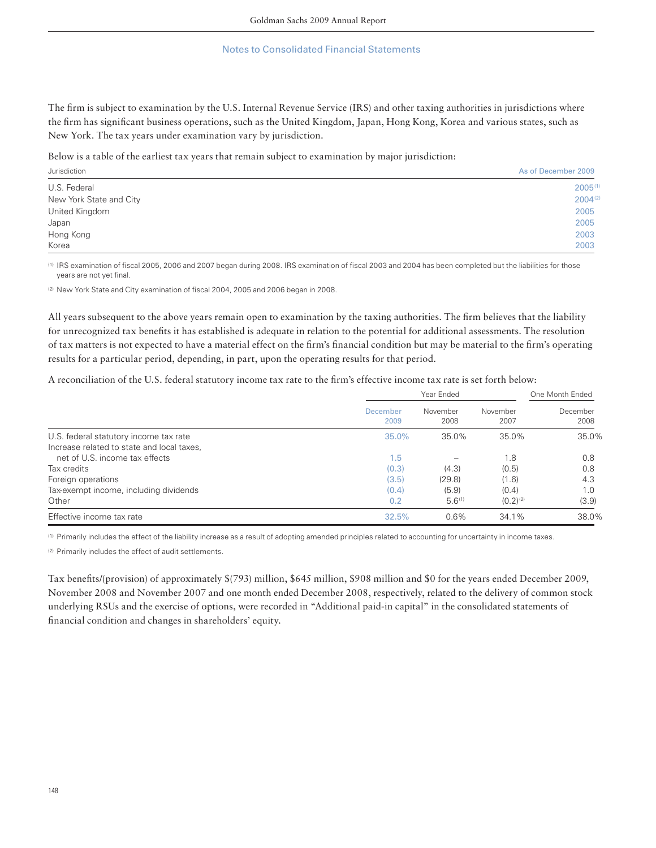The firm is subject to examination by the U.S. Internal Revenue Service (IRS) and other taxing authorities in jurisdictions where the firm has significant business operations, such as the United Kingdom, Japan, Hong Kong, Korea and various states, such as New York. The tax years under examination vary by jurisdiction.

Below is a table of the earliest tax years that remain subject to examination by major jurisdiction:

| Jurisdiction            | As of December 2009 |
|-------------------------|---------------------|
| U.S. Federal            | 2005(1              |
| New York State and City | $2004^{(2)}$        |
| United Kingdom          | 2005                |
| Japan                   | 2005                |
| Hong Kong               | 2003                |
| Korea                   | 2003                |

(1) IRS examination of fiscal 2005, 2006 and 2007 began during 2008. IRS examination of fiscal 2003 and 2004 has been completed but the liabilities for those years are not yet final.

<sup>(2)</sup> New York State and City examination of fiscal 2004, 2005 and 2006 began in 2008.

All years subsequent to the above years remain open to examination by the taxing authorities. The firm believes that the liability for unrecognized tax benefits it has established is adequate in relation to the potential for additional assessments. The resolution of tax matters is not expected to have a material effect on the firm's financial condition but may be material to the firm's operating results for a particular period, depending, in part, upon the operating results for that period.

A reconciliation of the U.S. federal statutory income tax rate to the firm's effective income tax rate is set forth below:

|                                            |                  | One Month Ended  |                  |                  |
|--------------------------------------------|------------------|------------------|------------------|------------------|
|                                            | December<br>2009 | November<br>2008 | November<br>2007 | December<br>2008 |
| U.S. federal statutory income tax rate     | 35.0%            | 35.0%            | 35.0%            | 35.0%            |
| Increase related to state and local taxes. |                  |                  |                  |                  |
| net of U.S. income tax effects             | 1.5              |                  | 1.8              | 0.8              |
| Tax credits                                | (0.3)            | (4.3)            | (0.5)            | 0.8              |
| Foreign operations                         | (3.5)            | (29.8)           | (1.6)            | 4.3              |
| Tax-exempt income, including dividends     | (0.4)            | (5.9)            | (0.4)            | 1.0              |
| Other                                      | 0.2              | $5.6^{(1)}$      | $(0.2)^{(2)}$    | (3.9)            |
| Effective income tax rate                  | 32.5%            | 0.6%             | 34.1%            | 38.0%            |

(1) Primarily includes the effect of the liability increase as a result of adopting amended principles related to accounting for uncertainty in income taxes.

(2) Primarily includes the effect of audit settlements.

Tax benefits/(provision) of approximately \$(793) million, \$645 million, \$908 million and \$0 for the years ended December 2009, November 2008 and November 2007 and one month ended December 2008, respectively, related to the delivery of common stock underlying RSUs and the exercise of options, were recorded in "Additional paid-in capital" in the consolidated statements of financial condition and changes in shareholders' equity.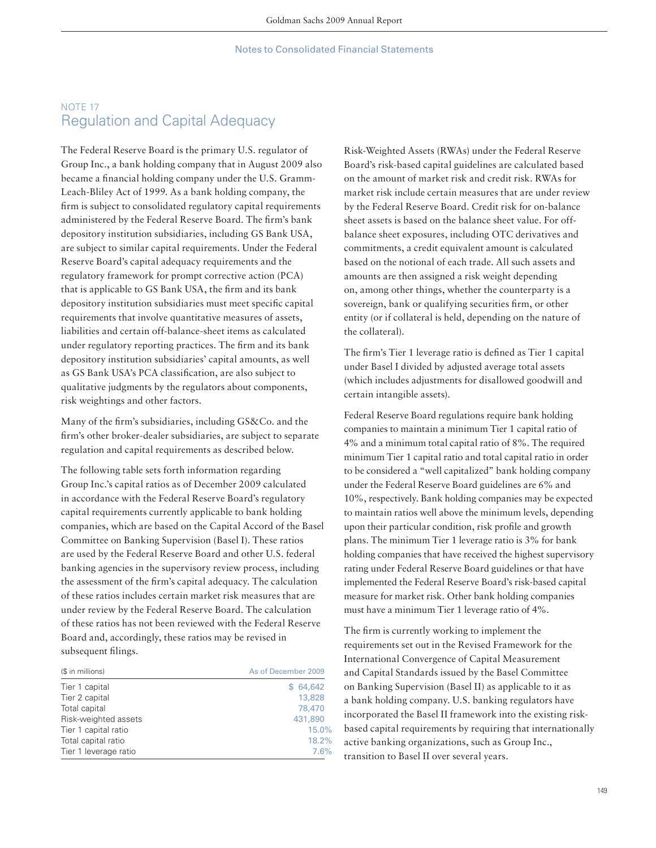# NOTE 17 Regulation and Capital Adequacy

The Federal Reserve Board is the primary U.S. regulator of Group Inc., a bank holding company that in August 2009 also became a financial holding company under the U.S. Gramm-Leach-Bliley Act of 1999. As a bank holding company, the firm is subject to consolidated regulatory capital requirements administered by the Federal Reserve Board. The firm's bank depository institution subsidiaries, including GS Bank USA, are subject to similar capital requirements. Under the Federal Reserve Board's capital adequacy requirements and the regulatory framework for prompt corrective action (PCA) that is applicable to GS Bank USA, the firm and its bank depository institution subsidiaries must meet specific capital requirements that involve quantitative measures of assets, liabilities and certain off-balance-sheet items as calculated under regulatory reporting practices. The firm and its bank depository institution subsidiaries' capital amounts, as well as GS Bank USA's PCA classification, are also subject to qualitative judgments by the regulators about components, risk weightings and other factors.

Many of the firm's subsidiaries, including GS&Co. and the firm's other broker-dealer subsidiaries, are subject to separate regulation and capital requirements as described below.

The following table sets forth information regarding Group Inc.'s capital ratios as of December 2009 calculated in accordance with the Federal Reserve Board's regulatory capital requirements currently applicable to bank holding companies, which are based on the Capital Accord of the Basel Committee on Banking Supervision (Basel I). These ratios are used by the Federal Reserve Board and other U.S. federal banking agencies in the supervisory review process, including the assessment of the firm's capital adequacy. The calculation of these ratios includes certain market risk measures that are under review by the Federal Reserve Board. The calculation of these ratios has not been reviewed with the Federal Reserve Board and, accordingly, these ratios may be revised in subsequent filings.

| (\$ in millions)<br>As of December 2009 |          |  |
|-----------------------------------------|----------|--|
| Tier 1 capital                          | \$64,642 |  |
| Tier 2 capital                          | 13,828   |  |
| Total capital                           | 78,470   |  |
| Risk-weighted assets                    | 431,890  |  |
| Tier 1 capital ratio                    | 15.0%    |  |
| Total capital ratio                     | 18.2%    |  |
| Tier 1 leverage ratio                   | 7.6%     |  |

Risk-Weighted Assets (RWAs) under the Federal Reserve Board's risk-based capital guidelines are calculated based on the amount of market risk and credit risk. RWAs for market risk include certain measures that are under review by the Federal Reserve Board. Credit risk for on-balance sheet assets is based on the balance sheet value. For offbalance sheet exposures, including OTC derivatives and commitments, a credit equivalent amount is calculated based on the notional of each trade. All such assets and amounts are then assigned a risk weight depending on, among other things, whether the counterparty is a sovereign, bank or qualifying securities firm, or other entity (or if collateral is held, depending on the nature of the collateral).

The firm's Tier 1 leverage ratio is defined as Tier 1 capital under Basel I divided by adjusted average total assets (which includes adjustments for disallowed goodwill and certain intangible assets).

Federal Reserve Board regulations require bank holding companies to maintain a minimum Tier 1 capital ratio of 4% and a minimum total capital ratio of 8%. The required minimum Tier 1 capital ratio and total capital ratio in order to be considered a "well capitalized" bank holding company under the Federal Reserve Board guidelines are 6% and 10%, respectively. Bank holding companies may be expected to maintain ratios well above the minimum levels, depending upon their particular condition, risk profile and growth plans. The minimum Tier 1 leverage ratio is 3% for bank holding companies that have received the highest supervisory rating under Federal Reserve Board guidelines or that have implemented the Federal Reserve Board's risk-based capital measure for market risk. Other bank holding companies must have a minimum Tier 1 leverage ratio of 4%.

The firm is currently working to implement the requirements set out in the Revised Framework for the International Convergence of Capital Measurement and Capital Standards issued by the Basel Committee on Banking Supervision (Basel II) as applicable to it as a bank holding company. U.S. banking regulators have incorporated the Basel II framework into the existing riskbased capital requirements by requiring that internationally active banking organizations, such as Group Inc., transition to Basel II over several years.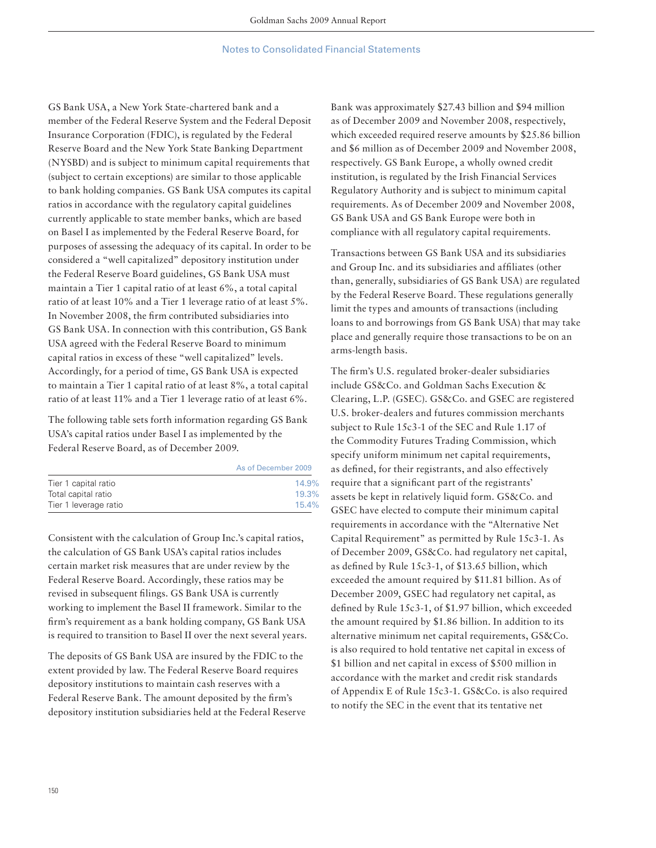GS Bank USA, a New York State-chartered bank and a member of the Federal Reserve System and the Federal Deposit Insurance Corporation (FDIC), is regulated by the Federal Reserve Board and the New York State Banking Department (NYSBD) and is subject to minimum capital requirements that (subject to certain exceptions) are similar to those applicable to bank holding companies. GS Bank USA computes its capital ratios in accordance with the regulatory capital guidelines currently applicable to state member banks, which are based on Basel I as implemented by the Federal Reserve Board, for purposes of assessing the adequacy of its capital. In order to be considered a "well capitalized" depository institution under the Federal Reserve Board guidelines, GS Bank USA must maintain a Tier 1 capital ratio of at least 6%, a total capital ratio of at least 10% and a Tier 1 leverage ratio of at least 5%. In November 2008, the firm contributed subsidiaries into GS Bank USA. In connection with this contribution, GS Bank USA agreed with the Federal Reserve Board to minimum capital ratios in excess of these "well capitalized" levels. Accordingly, for a period of time, GS Bank USA is expected to maintain a Tier 1 capital ratio of at least 8%, a total capital ratio of at least 11% and a Tier 1 leverage ratio of at least 6%.

The following table sets forth information regarding GS Bank USA's capital ratios under Basel I as implemented by the Federal Reserve Board, as of December 2009.

|                       | As of December 2009 |
|-----------------------|---------------------|
| Tier 1 capital ratio  | 14.9%               |
| Total capital ratio   | 19.3%               |
| Tier 1 leverage ratio | 15.4%               |

Consistent with the calculation of Group Inc.'s capital ratios, the calculation of GS Bank USA's capital ratios includes certain market risk measures that are under review by the Federal Reserve Board. Accordingly, these ratios may be revised in subsequent filings. GS Bank USA is currently working to implement the Basel II framework. Similar to the firm's requirement as a bank holding company, GS Bank USA is required to transition to Basel II over the next several years.

The deposits of GS Bank USA are insured by the FDIC to the extent provided by law. The Federal Reserve Board requires depository institutions to maintain cash reserves with a Federal Reserve Bank. The amount deposited by the firm's depository institution subsidiaries held at the Federal Reserve Bank was approximately \$27.43 billion and \$94 million as of December 2009 and November 2008, respectively, which exceeded required reserve amounts by \$25.86 billion and \$6 million as of December 2009 and November 2008, respectively. GS Bank Europe, a wholly owned credit institution, is regulated by the Irish Financial Services Regulatory Authority and is subject to minimum capital requirements. As of December 2009 and November 2008, GS Bank USA and GS Bank Europe were both in compliance with all regulatory capital requirements.

Transactions between GS Bank USA and its subsidiaries and Group Inc. and its subsidiaries and affiliates (other than, generally, subsidiaries of GS Bank USA) are regulated by the Federal Reserve Board. These regulations generally limit the types and amounts of transactions (including loans to and borrowings from GS Bank USA) that may take place and generally require those transactions to be on an arms-length basis.

The firm's U.S. regulated broker-dealer subsidiaries include GS&Co. and Goldman Sachs Execution & Clearing, L.P. (GSEC). GS&Co. and GSEC are registered U.S. broker-dealers and futures commission merchants subject to Rule 15c3-1 of the SEC and Rule 1.17 of the Commodity Futures Trading Commission, which specify uniform minimum net capital requirements, as defined, for their registrants, and also effectively require that a significant part of the registrants' assets be kept in relatively liquid form. GS&Co. and GSEC have elected to compute their minimum capital requirements in accordance with the "Alternative Net Capital Requirement" as permitted by Rule 15c3-1. As of December 2009, GS&Co. had regulatory net capital, as defined by Rule 15c3-1, of \$13.65 billion, which exceeded the amount required by \$11.81 billion. As of December 2009, GSEC had regulatory net capital, as defined by Rule 15c3-1, of \$1.97 billion, which exceeded the amount required by \$1.86 billion. In addition to its alternative minimum net capital requirements, GS&Co. is also required to hold tentative net capital in excess of \$1 billion and net capital in excess of \$500 million in accordance with the market and credit risk standards of Appendix E of Rule 15c3-1. GS&Co. is also required to notify the SEC in the event that its tentative net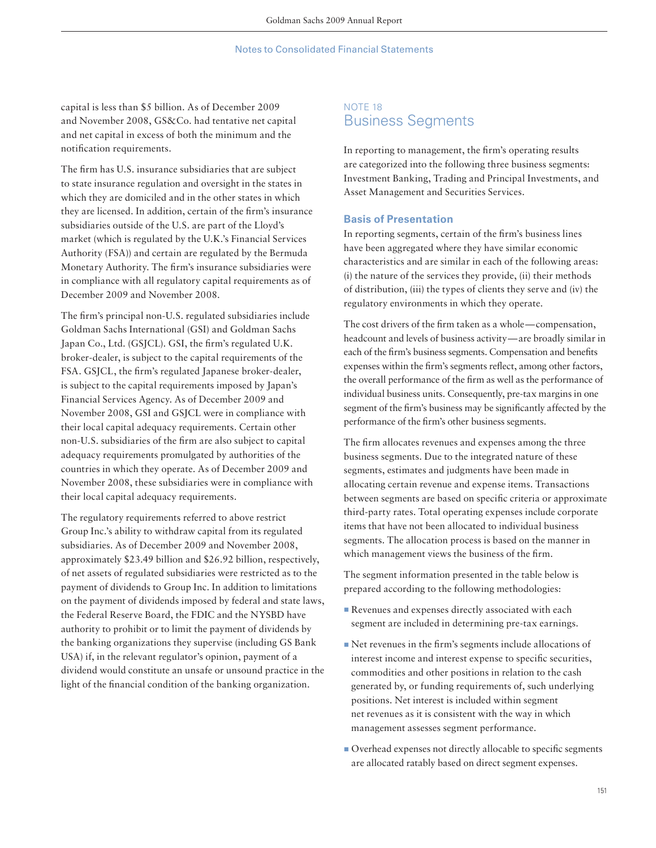capital is less than \$5 billion. As of December 2009 and November 2008, GS&Co. had tentative net capital and net capital in excess of both the minimum and the notification requirements.

The firm has U.S. insurance subsidiaries that are subject to state insurance regulation and oversight in the states in which they are domiciled and in the other states in which they are licensed. In addition, certain of the firm's insurance subsidiaries outside of the U.S. are part of the Lloyd's market (which is regulated by the U.K.'s Financial Services Authority (FSA)) and certain are regulated by the Bermuda Monetary Authority. The firm's insurance subsidiaries were in compliance with all regulatory capital requirements as of December 2009 and November 2008.

The firm's principal non-U.S. regulated subsidiaries include Goldman Sachs International (GSI) and Goldman Sachs Japan Co., Ltd. (GSJCL). GSI, the firm's regulated U.K. broker-dealer, is subject to the capital requirements of the FSA. GSJCL, the firm's regulated Japanese broker-dealer, is subject to the capital requirements imposed by Japan's Financial Services Agency. As of December 2009 and November 2008, GSI and GSJCL were in compliance with their local capital adequacy requirements. Certain other non-U.S. subsidiaries of the firm are also subject to capital adequacy requirements promulgated by authorities of the countries in which they operate. As of December 2009 and November 2008, these subsidiaries were in compliance with their local capital adequacy requirements.

The regulatory requirements referred to above restrict Group Inc.'s ability to withdraw capital from its regulated subsidiaries. As of December 2009 and November 2008, approximately \$23.49 billion and \$26.92 billion, respectively, of net assets of regulated subsidiaries were restricted as to the payment of dividends to Group Inc. In addition to limitations on the payment of dividends imposed by federal and state laws, the Federal Reserve Board, the FDIC and the NYSBD have authority to prohibit or to limit the payment of dividends by the banking organizations they supervise (including GS Bank USA) if, in the relevant regulator's opinion, payment of a dividend would constitute an unsafe or unsound practice in the light of the financial condition of the banking organization.

# NOTE 18 Business Segments

In reporting to management, the firm's operating results are categorized into the following three business segments: Investment Banking, Trading and Principal Investments, and Asset Management and Securities Services.

### **Basis of Presentation**

In reporting segments, certain of the firm's business lines have been aggregated where they have similar economic characteristics and are similar in each of the following areas: (i) the nature of the services they provide, (ii) their methods of distribution, (iii) the types of clients they serve and (iv) the regulatory environments in which they operate.

The cost drivers of the firm taken as a whole — compensation, headcount and levels of business activity — are broadly similar in each of the firm's business segments. Compensation and benefits expenses within the firm's segments reflect, among other factors, the overall performance of the firm as well as the performance of individual business units. Consequently, pre-tax margins in one segment of the firm's business may be significantly affected by the performance of the firm's other business segments.

The firm allocates revenues and expenses among the three business segments. Due to the integrated nature of these segments, estimates and judgments have been made in allocating certain revenue and expense items. Transactions between segments are based on specific criteria or approximate third-party rates. Total operating expenses include corporate items that have not been allocated to individual business segments. The allocation process is based on the manner in which management views the business of the firm.

The segment information presented in the table below is prepared according to the following methodologies:

- Revenues and expenses directly associated with each segment are included in determining pre-tax earnings.
- Net revenues in the firm's segments include allocations of interest income and interest expense to specific securities, commodities and other positions in relation to the cash generated by, or funding requirements of, such underlying positions. Net interest is included within segment net revenues as it is consistent with the way in which management assesses segment performance.
- **Overhead expenses not directly allocable to specific segments** are allocated ratably based on direct segment expenses.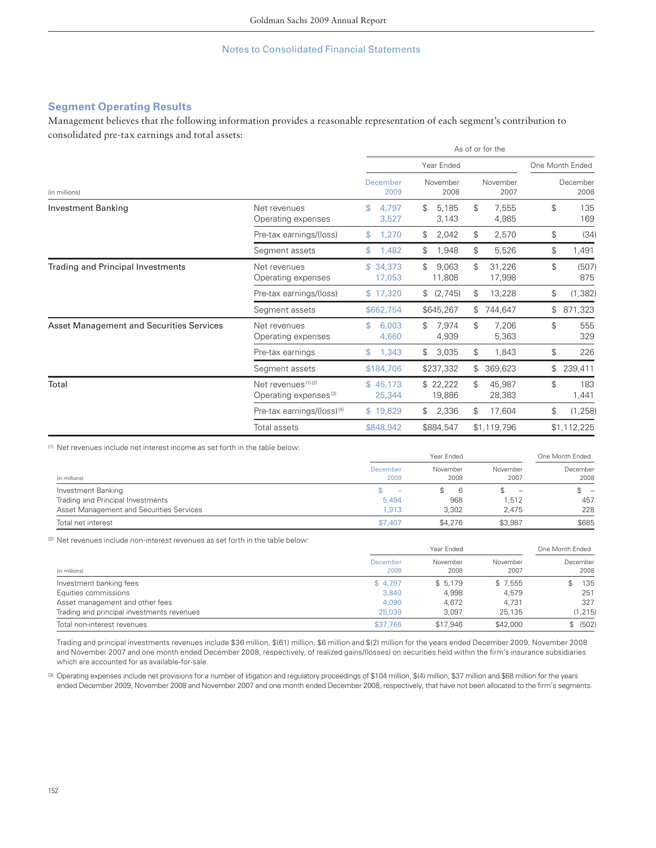# **Segment Operating Results**

Management believes that the following information provides a reasonable representation of each segment's contribution to consolidated pre-tax earnings and total assets:

|                                                 |                                                                     | As of or for the     |                       |                        |                    |  |
|-------------------------------------------------|---------------------------------------------------------------------|----------------------|-----------------------|------------------------|--------------------|--|
|                                                 |                                                                     |                      | Year Ended            |                        | One Month Ended    |  |
| (in millions)                                   |                                                                     | December<br>2009     | November<br>2008      | November<br>2007       | December<br>2008   |  |
| <b>Investment Banking</b>                       | Net revenues<br>Operating expenses                                  | \$<br>4.797<br>3,527 | \$<br>5.185<br>3,143  | \$<br>7,555<br>4,985   | \$<br>135<br>169   |  |
|                                                 | Pre-tax earnings/(loss)                                             | \$<br>1,270          | 2,042<br>\$           | 2,570<br>\$            | \$<br>(34)         |  |
|                                                 | Segment assets                                                      | \$<br>1,482          | \$<br>1,948           | \$<br>5,526            | \$<br>1,491        |  |
| <b>Trading and Principal Investments</b>        | Net revenues<br>Operating expenses                                  | \$34.373<br>17,053   | \$<br>9,063<br>11,808 | \$<br>31,226<br>17,998 | \$<br>(507)<br>875 |  |
|                                                 | Pre-tax earnings/(loss)                                             | \$17,320             | (2,745)<br>\$         | \$<br>13,228           | \$<br>(1, 382)     |  |
|                                                 | Segment assets                                                      | \$662,754            | \$645,267             | 744,647<br>\$          | 871,323<br>\$      |  |
| <b>Asset Management and Securities Services</b> | Net revenues<br>Operating expenses                                  | \$<br>6,003<br>4,660 | 7.974<br>\$<br>4,939  | \$<br>7.206<br>5,363   | \$<br>555<br>329   |  |
|                                                 | Pre-tax earnings                                                    | \$<br>1,343          | 3,035<br>\$           | \$<br>1,843            | \$<br>226          |  |
|                                                 | Segment assets                                                      | \$184,706            | \$237,332             | 369,623<br>\$          | \$<br>239,411      |  |
| Total                                           | Net revenues <sup>(1)(2)</sup><br>Operating expenses <sup>(3)</sup> | \$45.173<br>25,344   | \$22,222<br>19,886    | \$<br>45,987<br>28,383 | \$<br>183<br>1,441 |  |
|                                                 | Pre-tax earnings/(loss) <sup>(4)</sup>                              | \$19.829             | 2,336<br>\$           | \$<br>17,604           | \$<br>(1, 258)     |  |
|                                                 | Total assets                                                        | \$848,942            | \$884,547             | \$1,119,796            | \$1,112,225        |  |

(1) Net revenues include net interest income as set forth in the table below:

|                                          |                          | Year Ended       |                                                                           |                                 |
|------------------------------------------|--------------------------|------------------|---------------------------------------------------------------------------|---------------------------------|
| (in millions)                            | December<br>2009         | November<br>2008 | November<br>2007                                                          | December<br>2008                |
| Investment Banking                       | $\overline{\phantom{a}}$ | <sub>6</sub>     | $\hspace{1.0cm} \rule{1.5cm}{0.15cm} \hspace{1.0cm} \rule{1.5cm}{0.15cm}$ | $\hspace{0.1mm}-\hspace{0.1mm}$ |
| Trading and Principal Investments        | 5.494                    | 968              | .512                                                                      | 457                             |
| Asset Management and Securities Services | 1.913                    | 3.302            | 2.475                                                                     | 228                             |
| Total net interest                       | \$7,407                  | \$4,276          | \$3,987                                                                   | \$685                           |

(2) Net revenues include non-interest revenues as set forth in the table below:

|                                            |                  | Year Ended       |                  |                  |  |
|--------------------------------------------|------------------|------------------|------------------|------------------|--|
| (in millions)                              | December<br>2009 | November<br>2008 | November<br>2007 | December<br>2008 |  |
| Investment banking fees                    | \$4.797          | \$5.179          | \$7.555          | 135              |  |
| Equities commissions                       | 3.840            | 4.998            | 4,579            | 251              |  |
| Asset management and other fees            | 4.090            | 4.672            | 4.731            | 327              |  |
| Trading and principal investments revenues | 25,039           | 3.097            | 25,135           | (1, 215)         |  |
| Total non-interest revenues                | \$37,766         | \$17,946         | \$42,000         | (502)            |  |

Trading and principal investments revenues include \$36 million, \$(61) million, \$6 million and \$(2) million for the years ended December 2009, November 2008 and November 2007 and one month ended December 2008, respectively, of realized gains/(losses) on securities held within the firm's insurance subsidiaries which are accounted for as available-for-sale.

(3) Operating expenses include net provisions for a number of litigation and regulatory proceedings of \$104 million, \$(4) million, \$37 million and \$68 million for the years ended December 2009, November 2008 and November 2007 and one month ended December 2008, respectively, that have not been allocated to the firm's segments.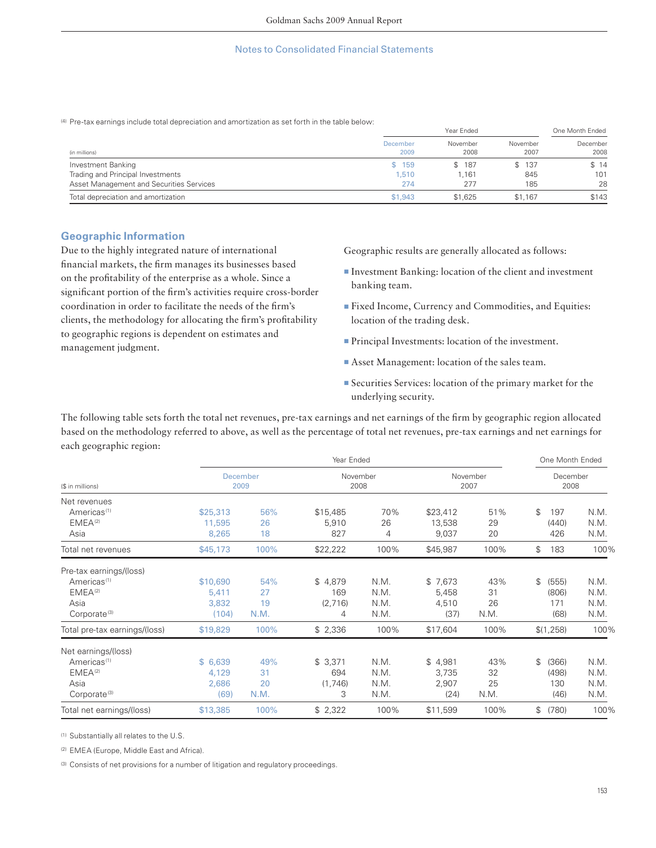(4) Pre-tax earnings include total depreciation and amortization as set forth in the table below:

|                                          |                  | One Month Ended  |                  |                  |
|------------------------------------------|------------------|------------------|------------------|------------------|
| (in millions)                            | December<br>2009 | November<br>2008 | November<br>2007 | December<br>2008 |
| Investment Banking                       | \$159            | \$187            | \$137            | \$14             |
| Trading and Principal Investments        | 1.510            | .161             | 845              | 101              |
| Asset Management and Securities Services | 274              | 277              | 185              | 28               |
| Total depreciation and amortization      | \$1,943          | \$1,625          | \$1,167          | \$143            |

## **Geographic Information**

Due to the highly integrated nature of international financial markets, the firm manages its businesses based on the profitability of the enterprise as a whole. Since a significant portion of the firm's activities require cross-border coordination in order to facilitate the needs of the firm's clients, the methodology for allocating the firm's profitability to geographic regions is dependent on estimates and management judgment.

Geographic results are generally allocated as follows:

- Investment Banking: location of the client and investment banking team.
- ▪Fixed Income, Currency and Commodities, and Equities: location of the trading desk.
- **Principal Investments: location of the investment.**
- Asset Management: location of the sales team.
- ▪Securities Services: location of the primary market for the underlying security.

The following table sets forth the total net revenues, pre-tax earnings and net earnings of the firm by geographic region allocated based on the methodology referred to above, as well as the percentage of total net revenues, pre-tax earnings and net earnings for each geographic region:

|                                         |          |                         | Year Ended |                  |          |                  | One Month Ended  |      |
|-----------------------------------------|----------|-------------------------|------------|------------------|----------|------------------|------------------|------|
| (\$ in millions)                        |          | <b>December</b><br>2009 |            | November<br>2008 |          | November<br>2007 | December<br>2008 |      |
| Net revenues<br>Americas <sup>(1)</sup> | \$25,313 | 56%                     | \$15,485   | 70%              | \$23,412 | 51%              | \$<br>197        | N.M. |
| EMEA <sup>(2)</sup>                     | 11,595   | 26                      | 5,910      | 26               | 13,538   | 29               | (440)            | N.M. |
| Asia                                    | 8,265    | 18                      | 827        | 4                | 9,037    | 20               | 426              | N.M. |
| Total net revenues                      | \$45,173 | 100%                    | \$22,222   | 100%             | \$45,987 | 100%             | \$<br>183        | 100% |
| Pre-tax earnings/(loss)                 |          |                         |            |                  |          |                  |                  |      |
| Americas <sup>(1)</sup>                 | \$10,690 | 54%                     | \$4,879    | N.M.             | \$7,673  | 43%              | \$<br>(555)      | N.M. |
| EMEA <sup>(2)</sup>                     | 5,411    | 27                      | 169        | N.M.             | 5,458    | 31               | (806)            | N.M. |
| Asia                                    | 3,832    | 19                      | (2,716)    | N.M.             | 4,510    | 26               | 171              | N.M. |
| Corporate <sup>(3)</sup>                | (104)    | N.M.                    | 4          | N.M.             | (37)     | N.M.             | (68)             | N.M. |
| Total pre-tax earnings/(loss)           | \$19,829 | 100%                    | \$2,336    | 100%             | \$17,604 | 100%             | \$(1,258)        | 100% |
| Net earnings/(loss)                     |          |                         |            |                  |          |                  |                  |      |
| Americas <sup>(1)</sup>                 | \$6,639  | 49%                     | \$3,371    | N.M.             | \$4,981  | 43%              | \$<br>(366)      | N.M. |
| EMEA <sup>(2)</sup>                     | 4,129    | 31                      | 694        | N.M.             | 3,735    | 32               | (498)            | N.M. |
| Asia                                    | 2,686    | 20                      | (1,746)    | N.M.             | 2,907    | 25               | 130              | N.M. |
| Corporate <sup>(3)</sup>                | (69)     | N.M.                    | 3          | N.M.             | (24)     | N.M.             | (46)             | N.M. |
| Total net earnings/(loss)               | \$13,385 | 100%                    | \$2,322    | 100%             | \$11,599 | 100%             | \$<br>(780)      | 100% |

(1) Substantially all relates to the U.S.

(2) EMEA (Europe, Middle East and Africa).

(3) Consists of net provisions for a number of litigation and regulatory proceedings.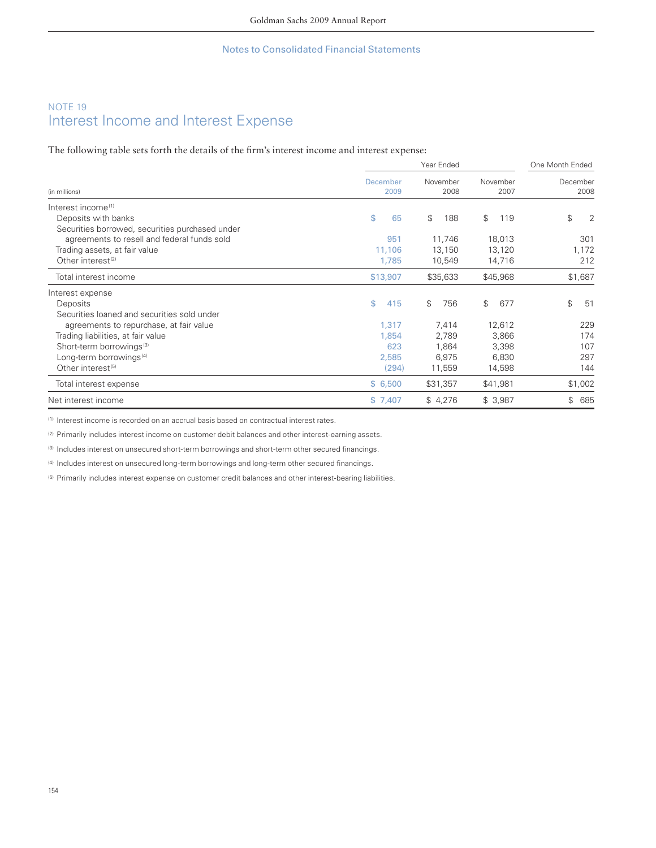# NOTE 19 Interest Income and Interest Expense

The following table sets forth the details of the firm's interest income and interest expense:

|                                                 |                  | One Month Ended  |                  |                  |
|-------------------------------------------------|------------------|------------------|------------------|------------------|
| (in millions)                                   | December<br>2009 | November<br>2008 | November<br>2007 | December<br>2008 |
| Interest income <sup>(1)</sup>                  |                  |                  |                  |                  |
| Deposits with banks                             | \$<br>65         | \$<br>188        | \$<br>119        | \$<br>2          |
| Securities borrowed, securities purchased under |                  |                  |                  |                  |
| agreements to resell and federal funds sold     | 951              | 11,746           | 18,013           | 301              |
| Trading assets, at fair value                   | 11,106           | 13,150           | 13,120           | 1,172            |
| Other interest <sup>(2)</sup>                   | 1,785            | 10,549           | 14,716           | 212              |
| Total interest income                           | \$13,907         | \$35,633         | \$45,968         | \$1,687          |
| Interest expense                                |                  |                  |                  |                  |
| Deposits                                        | \$<br>415        | \$<br>756        | \$<br>677        | \$<br>51         |
| Securities loaned and securities sold under     |                  |                  |                  |                  |
| agreements to repurchase, at fair value         | 1,317            | 7,414            | 12,612           | 229              |
| Trading liabilities, at fair value              | 1,854            | 2,789            | 3,866            | 174              |
| Short-term borrowings <sup>(3)</sup>            | 623              | 1,864            | 3,398            | 107              |
| Long-term borrowings <sup>(4)</sup>             | 2,585            | 6,975            | 6,830            | 297              |
| Other interest <sup>(5)</sup>                   | (294)            | 11,559           | 14,598           | 144              |
| Total interest expense                          | \$6,500          | \$31,357         | \$41,981         | \$1,002          |
| Net interest income                             | \$7,407          | \$4,276          | \$3,987          | \$<br>685        |

(1) Interest income is recorded on an accrual basis based on contractual interest rates.

(2) Primarily includes interest income on customer debit balances and other interest-earning assets.

(3) Includes interest on unsecured short-term borrowings and short-term other secured financings.

(4) Includes interest on unsecured long-term borrowings and long-term other secured financings.

(5) Primarily includes interest expense on customer credit balances and other interest-bearing liabilities.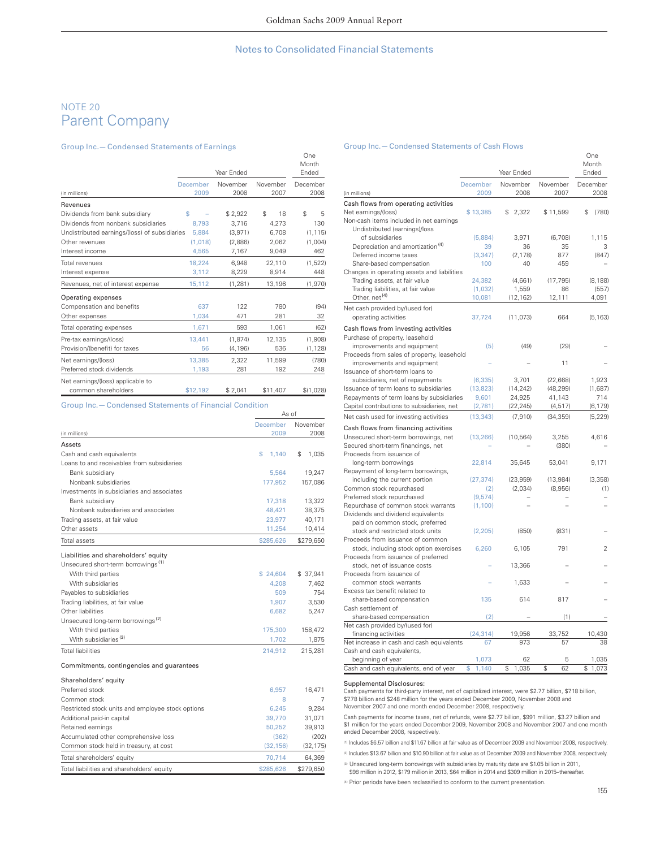# NOTE 20 Parent Company

#### Group Inc.— Condensed Statements of Earnings

|                                               |          | Year Ended |          | One<br>Month<br>Ended |
|-----------------------------------------------|----------|------------|----------|-----------------------|
|                                               | December | November   | November | December              |
| (in millions)                                 | 2009     | 2008       | 2007     | 2008                  |
| Revenues                                      |          |            |          |                       |
| Dividends from bank subsidiary                | \$       | \$2,922    | 18<br>\$ | \$<br>5               |
| Dividends from nonbank subsidiaries           | 8.793    | 3.716      | 4,273    | 130                   |
| Undistributed earnings/(loss) of subsidiaries | 5.884    | (3,971)    | 6,708    | (1, 115)              |
| Other revenues                                | (1.018)  | (2.886)    | 2.062    | (1,004)               |
| Interest income                               | 4.565    | 7,167      | 9,049    | 462                   |
| Total revenues                                | 18,224   | 6,948      | 22,110   | (1,522)               |
| Interest expense                              | 3.112    | 8,229      | 8,914    | 448                   |
| Revenues, net of interest expense             | 15,112   | (1, 281)   | 13,196   | (1,970)               |
| Operating expenses                            |          |            |          |                       |
| Compensation and benefits                     | 637      | 122        | 780      | (94)                  |
| Other expenses                                | 1,034    | 471        | 281      | 32                    |
| Total operating expenses                      | 1,671    | 593        | 1,061    | (62)                  |
| Pre-tax earnings/(loss)                       | 13.441   | (1.874)    | 12,135   | (1,908)               |
| Provision/(benefit) for taxes                 | 56       | (4, 196)   | 536      | (1, 128)              |
| Net earnings/(loss)                           | 13.385   | 2.322      | 11.599   | (780)                 |
| Preferred stock dividends                     | 1,193    | 281        | 192      | 248                   |
| Net earnings/(loss) applicable to             |          |            |          |                       |
| common shareholders                           | \$12,192 | \$2,041    | \$11,407 | \$(1,028)             |

#### Group Inc.— Condensed Statements of Financial Condition

| December<br>2009 | November    |
|------------------|-------------|
|                  |             |
|                  | 2008        |
|                  |             |
| 1.140            | \$<br>1.035 |
|                  |             |
| 5.564            | 19,247      |
| 177.952          | 157.086     |
|                  |             |
| 17,318           | 13.322      |
| 48.421           | 38.375      |
| 23.977           | 40.171      |
| 11.254           | 10,414      |
| \$285,626        | \$279.650   |
|                  |             |

#### Liabilities and shareholders' equity

| Unsecured short-term borrowings <sup>(1)</sup> |          |          |
|------------------------------------------------|----------|----------|
| With third parties                             | \$24.604 | \$37.941 |
| With subsidiaries                              | 4.208    | 7.462    |
| Payables to subsidiaries                       | 509      | 754      |
| Trading liabilities, at fair value             | 1.907    | 3,530    |
| Other liabilities                              | 6.682    | 5.247    |
| Unsecured long-term borrowings <sup>(2)</sup>  |          |          |
| With third parties                             | 175,300  | 158,472  |
| With subsidiaries <sup>(3)</sup>               | 1,702    | 1,875    |
| <b>Total liabilities</b>                       | 214.912  | 215.281  |
|                                                |          |          |

#### Commitments, contingencies and guarantees

| Shareholders' equity                              |           |           |
|---------------------------------------------------|-----------|-----------|
| Preferred stock                                   | 6.957     | 16.471    |
| Common stock                                      | 8         |           |
| Restricted stock units and employee stock options | 6.245     | 9.284     |
| Additional paid-in capital                        | 39.770    | 31.071    |
| Retained earnings                                 | 50.252    | 39.913    |
| Accumulated other comprehensive loss              | (362)     | (202)     |
| Common stock held in treasury, at cost            | (32.156)  | (32, 175) |
| Total shareholders' equity                        | 70.714    | 64.369    |
| Total liabilities and shareholders' equity        | \$285.626 | \$279.650 |

#### Group Inc.— Condensed Statements of Cash Flows

|                                              |                  | Year Ended       |                  | One<br>Month<br>Ended |
|----------------------------------------------|------------------|------------------|------------------|-----------------------|
| (in millions)                                | December<br>2009 | November<br>2008 | November<br>2007 | December<br>2008      |
| Cash flows from operating activities         |                  |                  |                  |                       |
| Net earnings/(loss)                          | \$13,385         | \$<br>2,322      | \$11,599         | \$<br>(780)           |
| Non-cash items included in net earnings      |                  |                  |                  |                       |
| Undistributed (earnings)/loss                |                  |                  |                  |                       |
| of subsidiaries                              | (5,884)          | 3,971            | (6,708)          | 1,115                 |
| Depreciation and amortization <sup>(4)</sup> | 39               | 36               | 35               | 3                     |
| Deferred income taxes                        | (3, 347)         | (2, 178)         | 877              | (847)                 |
| Share-based compensation                     | 100              | 40               | 459              |                       |
| Changes in operating assets and liabilities  |                  |                  |                  |                       |
| Trading assets, at fair value                | 24,382           | (4,661)          | (17, 795)        | (8, 188)              |
| Trading liabilities, at fair value           | (1,032)          | 1,559            | 86               | (557)                 |
| Other, net <sup>(4)</sup>                    | 10,081           | (12, 162)        | 12,111           | 4,091                 |
| Net cash provided by/(used for)              |                  |                  |                  |                       |
| operating activities                         | 37,724           | (11, 073)        | 664              | (5, 163)              |
| Cash flows from investing activities         |                  |                  |                  |                       |
| Purchase of property, leasehold              |                  |                  |                  |                       |
| improvements and equipment                   | (5)              | (49)             | (29)             |                       |
| Proceeds from sales of property, leasehold   |                  |                  |                  |                       |
| improvements and equipment                   |                  |                  | 11               |                       |
| Issuance of short-term loans to              |                  |                  |                  |                       |
| subsidiaries, net of repayments              | (6, 335)         | 3,701            | (22, 668)        | 1,923                 |
| Issuance of term loans to subsidiaries       | (13, 823)        | (14, 242)        | (48, 299)        | (1,687)               |
| Repayments of term loans by subsidiaries     | 9,601            | 24,925           | 41,143           | 714                   |
| Capital contributions to subsidiaries, net   | (2,781)          | (22, 245)        | (4, 517)         | (6, 179)              |
| Net cash used for investing activities       | (13, 343)        | (7.910)          | (34, 359)        | (5, 229)              |
| Cash flows from financing activities         |                  |                  |                  |                       |
| Unsecured short-term borrowings, net         | (13, 266)        | (10, 564)        | 3,255            | 4.616                 |
| Secured short-term financings, net           |                  |                  | (380)            |                       |
| Proceeds from issuance of                    |                  |                  |                  |                       |
| long-term borrowings                         | 22,814           | 35,645           | 53,041           | 9,171                 |
| Repayment of long-term borrowings,           |                  |                  |                  |                       |
| including the current portion                | (27, 374)        | (23, 959)        | (13, 984)        | (3, 358)              |
| Common stock repurchased                     | (2)              | (2,034)          | (8,956)          | (1)                   |
| Preferred stock repurchased                  | (9,574)          |                  |                  |                       |
| Repurchase of common stock warrants          | (1,100)          |                  |                  |                       |
| Dividends and dividend equivalents           |                  |                  |                  |                       |
| paid on common stock, preferred              |                  |                  |                  |                       |
| stock and restricted stock units             | (2, 205)         | (850)            | (831)            |                       |
| Proceeds from issuance of common             |                  |                  |                  |                       |
| stock, including stock option exercises      | 6,260            | 6,105            | 791              | $\mathfrak{p}$        |
| Proceeds from issuance of preferred          |                  |                  |                  |                       |
| stock, net of issuance costs                 |                  | 13,366           |                  |                       |
| Proceeds from issuance of                    |                  |                  |                  |                       |
| common stock warrants                        |                  | 1,633            |                  |                       |
| Excess tax benefit related to                |                  |                  |                  |                       |
| share-based compensation                     | 135              | 614              | 817              |                       |
| Cash settlement of                           |                  |                  |                  |                       |
| share-based compensation                     | (2)              |                  | (1)              |                       |
| Net cash provided by/(used for)              |                  |                  |                  |                       |
| financing activities                         | (24, 314)        | 19,956           | 33,752           | 10,430                |
| Net increase in cash and cash equivalents    | 67               | 973              | 57               | 38                    |
| Cash and cash equivalents,                   |                  |                  |                  |                       |
| beginning of year                            | 1,073<br>\$      | 62<br>\$         | 5<br>\$<br>62    | 1,035                 |
| Cash and cash equivalents, end of year       | 1,140            | 1,035            |                  | \$<br>1,073           |

#### Supplemental Disclosures:

Cash payments for third-party interest, net of capitalized interest, were \$2.77 billion, \$7.18 billion, \$7.78 billion and \$248 million for the years ended December 2009, November 2008 and November 2007 and one month ended December 2008, respectively.

Cash payments for income taxes, net of refunds, were \$2.77 billion, \$991 million, \$3.27 billion and<br>\$1 million for the years ended December 2009, November 2008 and November 2007 and one month<br>ended December 2008, respectiv

(1) Includes \$6.57 billion and \$11.67 billion at fair value as of December 2009 and November 2008, respectively.

(2) Includes \$13.67 billion and \$10.90 billion at fair value as of December 2009 and November 2008, respectively.

<sup>(3)</sup> Unsecured long-term borrowings with subsidiaries by maturity date are \$1.05 billion in 2011, \$98 million in 2012, \$179 million in 2013, \$64 million in 2014 and \$309 million in 2015–thereafter.

(4) Prior periods have been reclassified to conform to the current presentation.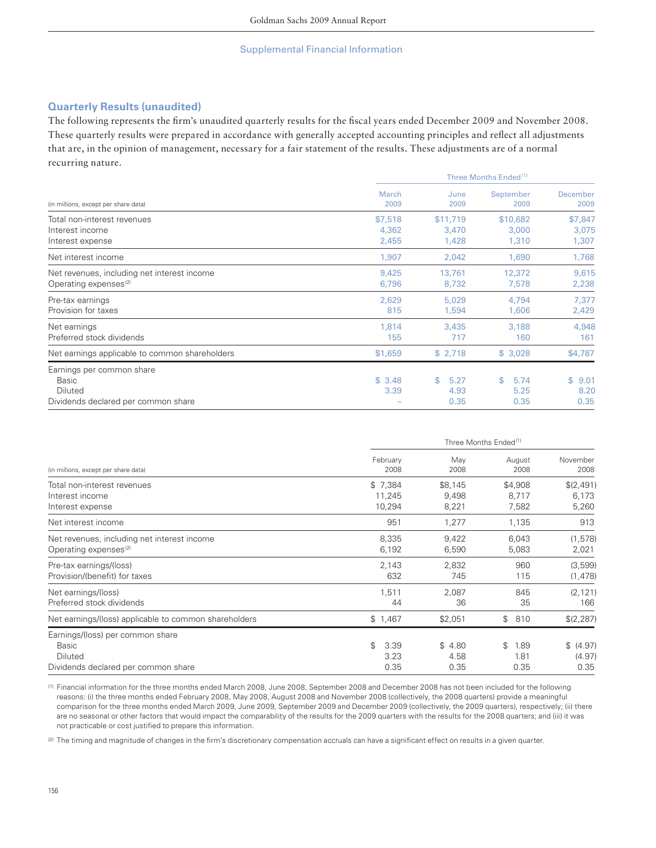# **Quarterly Results (unaudited)**

The following represents the firm's unaudited quarterly results for the fiscal years ended December 2009 and November 2008. These quarterly results were prepared in accordance with generally accepted accounting principles and reflect all adjustments that are, in the opinion of management, necessary for a fair statement of the results. These adjustments are of a normal recurring nature.

|                                                | Three Months Ended <sup>(1)</sup> |              |                   |                  |  |  |  |  |
|------------------------------------------------|-----------------------------------|--------------|-------------------|------------------|--|--|--|--|
| (in millions, except per share data)           | <b>March</b><br>2009              | June<br>2009 | September<br>2009 | December<br>2009 |  |  |  |  |
| Total non-interest revenues                    | \$7,518                           | \$11,719     | \$10,682          | \$7,847          |  |  |  |  |
| Interest income                                | 4,362                             | 3,470        | 3,000             | 3,075            |  |  |  |  |
| Interest expense                               | 2,455                             | 1,428        | 1,310             | 1,307            |  |  |  |  |
| Net interest income                            | 1,907                             | 2,042        | 1,690             | 1,768            |  |  |  |  |
| Net revenues, including net interest income    | 9,425                             | 13,761       | 12,372            | 9,615            |  |  |  |  |
| Operating expenses <sup>(2)</sup>              | 6,796                             | 8,732        | 7,578             | 2,238            |  |  |  |  |
| Pre-tax earnings                               | 2,629                             | 5,029        | 4,794             | 7,377            |  |  |  |  |
| Provision for taxes                            | 815                               | 1,594        | 1,606             | 2,429            |  |  |  |  |
| Net earnings                                   | 1,814                             | 3,435        | 3,188             | 4,948            |  |  |  |  |
| Preferred stock dividends                      | 155                               | 717          | 160               | 161              |  |  |  |  |
| Net earnings applicable to common shareholders | \$1,659                           | \$2,718      | \$3,028           | \$4,787          |  |  |  |  |
| Earnings per common share                      |                                   |              |                   |                  |  |  |  |  |
| <b>Basic</b>                                   | \$3.48                            | \$<br>5.27   | 5.74<br>\$        | \$<br>9.01       |  |  |  |  |
| Diluted                                        | 3.39                              | 4.93         | 5.25              | 8.20             |  |  |  |  |
| Dividends declared per common share            |                                   | 0.35         | 0.35              | 0.35             |  |  |  |  |

|                                                       | Three Months Ended <sup>(1)</sup> |             |                    |                  |  |  |  |  |  |
|-------------------------------------------------------|-----------------------------------|-------------|--------------------|------------------|--|--|--|--|--|
| (in millions, except per share data)                  | February<br>2008                  | May<br>2008 | August<br>2008     | November<br>2008 |  |  |  |  |  |
| Total non-interest revenues                           | \$7,384                           | \$8,145     | \$4,908            | \$(2,491)        |  |  |  |  |  |
| Interest income                                       | 11.245                            | 9,498       | 8,717              | 6,173            |  |  |  |  |  |
| Interest expense                                      | 10,294                            | 8,221       | 7,582              | 5,260            |  |  |  |  |  |
| Net interest income                                   | 951                               | 1,277       | 1,135              | 913              |  |  |  |  |  |
| Net revenues, including net interest income           | 8,335                             | 9,422       | 6,043              | (1, 578)         |  |  |  |  |  |
| Operating expenses <sup>(2)</sup>                     | 6,192                             | 6,590       | 5,083              | 2,021            |  |  |  |  |  |
| Pre-tax earnings/(loss)                               | 2,143                             | 2,832       | 960                | (3,599)          |  |  |  |  |  |
| Provision/(benefit) for taxes                         | 632                               | 745         | 115                | (1, 478)         |  |  |  |  |  |
| Net earnings/(loss)                                   | 1,511                             | 2,087       | 845                | (2, 121)         |  |  |  |  |  |
| Preferred stock dividends                             | 44                                | 36          | 35                 | 166              |  |  |  |  |  |
| Net earnings/(loss) applicable to common shareholders | \$1,467                           | \$2,051     | $\mathbb S$<br>810 | \$(2,287)        |  |  |  |  |  |
| Earnings/(loss) per common share                      |                                   |             |                    |                  |  |  |  |  |  |
| Basic                                                 | 3.39<br>\$                        | \$4.80      | \$<br>1.89         | \$ (4.97)        |  |  |  |  |  |
| Diluted                                               | 3.23                              | 4.58        | 1.81               | (4.97)           |  |  |  |  |  |
| Dividends declared per common share                   | 0.35                              | 0.35        | 0.35               | 0.35             |  |  |  |  |  |

(1) Financial information for the three months ended March 2008, June 2008, September 2008 and December 2008 has not been included for the following reasons: (i) the three months ended February 2008, May 2008, August 2008 and November 2008 (collectively, the 2008 quarters) provide a meaningful comparison for the three months ended March 2009, June 2009, September 2009 and December 2009 (collectively, the 2009 quarters), respectively; (ii) there are no seasonal or other factors that would impact the comparability of the results for the 2009 quarters with the results for the 2008 quarters; and (iii) it was not practicable or cost justified to prepare this information.

(2) The timing and magnitude of changes in the firm's discretionary compensation accruals can have a significant effect on results in a given quarter.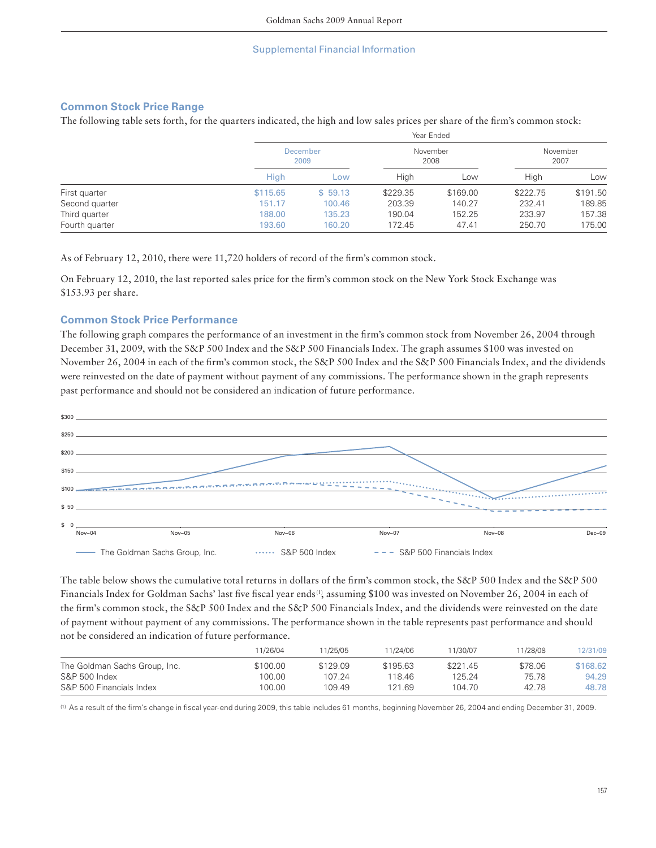# **Common Stock Price Range**

The following table sets forth, for the quarters indicated, the high and low sales prices per share of the firm's common stock:

|                |             |                         |          | icai Liiucu |                  |          |  |
|----------------|-------------|-------------------------|----------|-------------|------------------|----------|--|
|                |             | <b>December</b><br>2009 |          |             | November<br>2007 |          |  |
|                | <b>High</b> | ∟ow                     | High     | Low         | High             | Low      |  |
| First quarter  | \$115.65    | \$59.13                 | \$229.35 | \$169.00    | \$222.75         | \$191.50 |  |
| Second quarter | 151.17      | 100.46                  | 203.39   | 140.27      | 232.41           | 189.85   |  |
| Third quarter  | 188.00      | 135.23                  | 190.04   | 152.25      | 233.97           | 157.38   |  |
| Fourth quarter | 193.60      | 160.20                  | 172.45   | 47.41       | 250.70           | 175.00   |  |

Year Ended

As of February 12, 2010, there were 11,720 holders of record of the firm's common stock.

On February 12, 2010, the last reported sales price for the firm's common stock on the New York Stock Exchange was \$153.93 per share.

## **Common Stock Price Performance**

The following graph compares the performance of an investment in the firm's common stock from November 26, 2004 through December 31, 2009, with the S&P 500 Index and the S&P 500 Financials Index. The graph assumes \$100 was invested on November 26, 2004 in each of the firm's common stock, the S&P 500 Index and the S&P 500 Financials Index, and the dividends were reinvested on the date of payment without payment of any commissions. The performance shown in the graph represents past performance and should not be considered an indication of future performance.



The table below shows the cumulative total returns in dollars of the firm's common stock, the S&P 500 Index and the S&P 500 Financials Index for Goldman Sachs' last five fiscal year ends<sup>(1)</sup>, assuming \$100 was invested on November 26, 2004 in each of the firm's common stock, the S&P 500 Index and the S&P 500 Financials Index, and the dividends were reinvested on the date of payment without payment of any commissions. The performance shown in the table represents past performance and should not be considered an indication of future performance.

|                               | 11/26/04 | 11/25/05 | 11/24/06 | 11/30/07 | 1/28/08 | 12/31/09 |
|-------------------------------|----------|----------|----------|----------|---------|----------|
| The Goldman Sachs Group, Inc. | \$100.00 | \$129.09 | \$195.63 | \$221.45 | \$78.06 | \$168.62 |
| S&P 500 Index                 | 100.00   | 107.24   | 118.46   | 125.24   | 75.78   | 94.29    |
| S&P 500 Financials Index      | 100.00   | 109.49   | 121.69   | 104 70   | 42 78   | 48.78    |

(1) As a result of the firm's change in fiscal year-end during 2009, this table includes 61 months, beginning November 26, 2004 and ending December 31, 2009.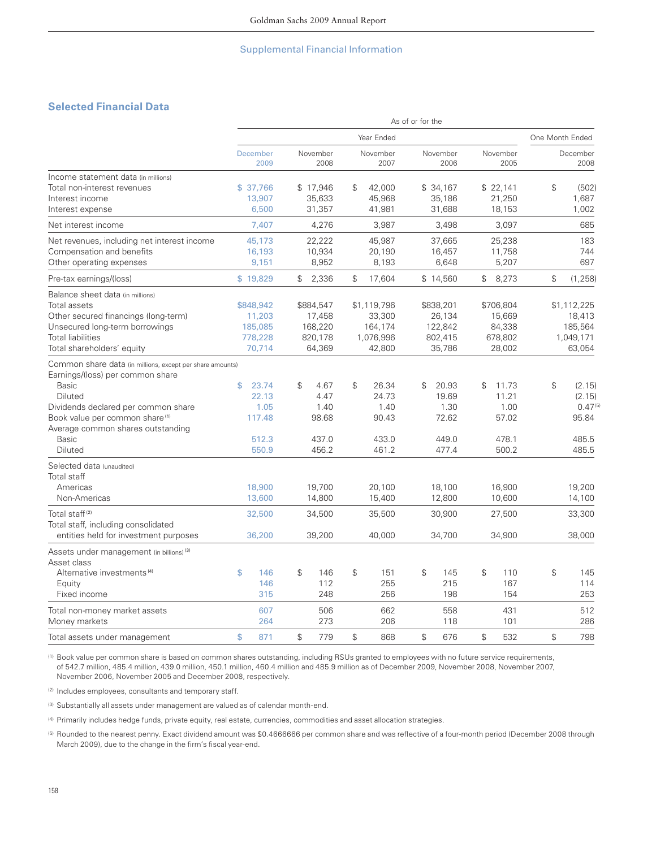# **Selected Financial Data**

|                                                                                                                                                                                                                                                                        |                      |                                                    |             |                                                     |               |                                                         | As of or for the |                                                     |               |                                                    |               |                                                             |
|------------------------------------------------------------------------------------------------------------------------------------------------------------------------------------------------------------------------------------------------------------------------|----------------------|----------------------------------------------------|-------------|-----------------------------------------------------|---------------|---------------------------------------------------------|------------------|-----------------------------------------------------|---------------|----------------------------------------------------|---------------|-------------------------------------------------------------|
|                                                                                                                                                                                                                                                                        |                      |                                                    |             |                                                     |               | Year Ended                                              |                  |                                                     |               |                                                    |               | One Month Ended                                             |
|                                                                                                                                                                                                                                                                        | December             | 2009                                               |             | November<br>2008                                    |               | November<br>2007                                        |                  | November<br>2006                                    |               | November<br>2005                                   |               | December<br>2008                                            |
| Income statement data (in millions)<br>Total non-interest revenues<br>Interest income<br>Interest expense                                                                                                                                                              | \$37,766             | 13,907<br>6,500                                    |             | \$17,946<br>35,633<br>31,357                        | \$            | 42,000<br>45,968<br>41,981                              |                  | \$34,167<br>35,186<br>31,688                        |               | \$22,141<br>21,250<br>18,153                       | $\mathbb{S}$  | (502)<br>1,687<br>1,002                                     |
| Net interest income                                                                                                                                                                                                                                                    |                      | 7,407                                              |             | 4,276                                               |               | 3,987                                                   |                  | 3,498                                               |               | 3,097                                              |               | 685                                                         |
| Net revenues, including net interest income<br>Compensation and benefits<br>Other operating expenses                                                                                                                                                                   |                      | 45,173<br>16,193<br>9,151                          |             | 22,222<br>10,934<br>8,952                           |               | 45,987<br>20,190<br>8,193                               |                  | 37,665<br>16,457<br>6,648                           |               | 25,238<br>11,758<br>5,207                          |               | 183<br>744<br>697                                           |
| Pre-tax earnings/(loss)                                                                                                                                                                                                                                                | \$19,829             |                                                    | $\mathbb S$ | 2,336                                               | $\mathcal{L}$ | 17,604                                                  |                  | \$14,560                                            | $\mathbb S$   | 8,273                                              | ${\mathbb S}$ | (1, 258)                                                    |
| Balance sheet data (in millions)<br><b>Total assets</b><br>Other secured financings (long-term)<br>Unsecured long-term borrowings<br><b>Total liabilities</b><br>Total shareholders' equity                                                                            | \$848,942<br>778,228 | 11,203<br>185,085<br>70,714                        |             | \$884,547<br>17,458<br>168,220<br>820,178<br>64,369 |               | \$1,119,796<br>33,300<br>164,174<br>1,076,996<br>42,800 |                  | \$838,201<br>26,134<br>122,842<br>802,415<br>35,786 |               | \$706,804<br>15,669<br>84,338<br>678,802<br>28,002 |               | \$1,112,225<br>18,413<br>185,564<br>1,049,171<br>63,054     |
| Common share data (in millions, except per share amounts)<br>Earnings/(loss) per common share<br><b>Basic</b><br>Diluted<br>Dividends declared per common share<br>Book value per common share <sup>(1)</sup><br>Average common shares outstanding<br>Basic<br>Diluted | \$                   | 23.74<br>22.13<br>1.05<br>117.48<br>512.3<br>550.9 | \$          | 4.67<br>4.47<br>1.40<br>98.68<br>437.0<br>456.2     | \$            | 26.34<br>24.73<br>1.40<br>90.43<br>433.0<br>461.2       | $\mathfrak{P}$   | 20.93<br>19.69<br>1.30<br>72.62<br>449.0<br>477.4   | $\mathcal{L}$ | 11.73<br>11.21<br>1.00<br>57.02<br>478.1<br>500.2  | $\mathcal{S}$ | (2.15)<br>(2.15)<br>$0.47^{(5)}$<br>95.84<br>485.5<br>485.5 |
| Selected data (unaudited)<br>Total staff<br>Americas<br>Non-Americas<br>Total staff <sup>(2)</sup><br>Total staff, including consolidated<br>entities held for investment purposes                                                                                     |                      | 18,900<br>13,600<br>32,500<br>36,200               |             | 19,700<br>14,800<br>34,500<br>39,200                |               | 20,100<br>15,400<br>35,500<br>40,000                    |                  | 18,100<br>12,800<br>30,900<br>34,700                |               | 16,900<br>10,600<br>27,500<br>34,900               |               | 19,200<br>14,100<br>33,300<br>38,000                        |
| Assets under management (in billions) <sup>(3)</sup><br>Asset class<br>Alternative investments <sup>(4)</sup>                                                                                                                                                          | \$                   | 146                                                | \$          | 146                                                 | $\mathbb{S}$  | 151                                                     | $\mathcal{L}$    | 145                                                 | \$            | 110                                                | $\mathbb{S}$  | 145                                                         |
| Equity<br>Fixed income                                                                                                                                                                                                                                                 |                      | 146<br>315                                         |             | 112<br>248                                          |               | 255<br>256                                              |                  | 215<br>198                                          |               | 167<br>154                                         |               | 114<br>253                                                  |
| Total non-money market assets<br>Money markets                                                                                                                                                                                                                         |                      | 607<br>264                                         |             | 506<br>273                                          |               | 662<br>206                                              |                  | 558<br>118                                          |               | 431<br>101                                         |               | 512<br>286                                                  |
| Total assets under management                                                                                                                                                                                                                                          | \$                   | 871                                                | \$          | 779                                                 | $\mathbb{S}$  | 868                                                     | \$               | 676                                                 | \$            | 532                                                | $\mathbb{S}$  | 798                                                         |

(1) Book value per common share is based on common shares outstanding, including RSUs granted to employees with no future service requirements, of 542.7 million, 485.4 million, 439.0 million, 450.1 million, 460.4 million and 485.9 million as of December 2009, November 2008, November 2007, November 2006, November 2005 and December 2008, respectively.

(2) Includes employees, consultants and temporary staff.

(3) Substantially all assets under management are valued as of calendar month-end.

(4) Primarily includes hedge funds, private equity, real estate, currencies, commodities and asset allocation strategies.

<sup>(5)</sup> Rounded to the nearest penny. Exact dividend amount was \$0.4666666 per common share and was reflective of a four-month period (December 2008 through March 2009), due to the change in the firm's fiscal year-end.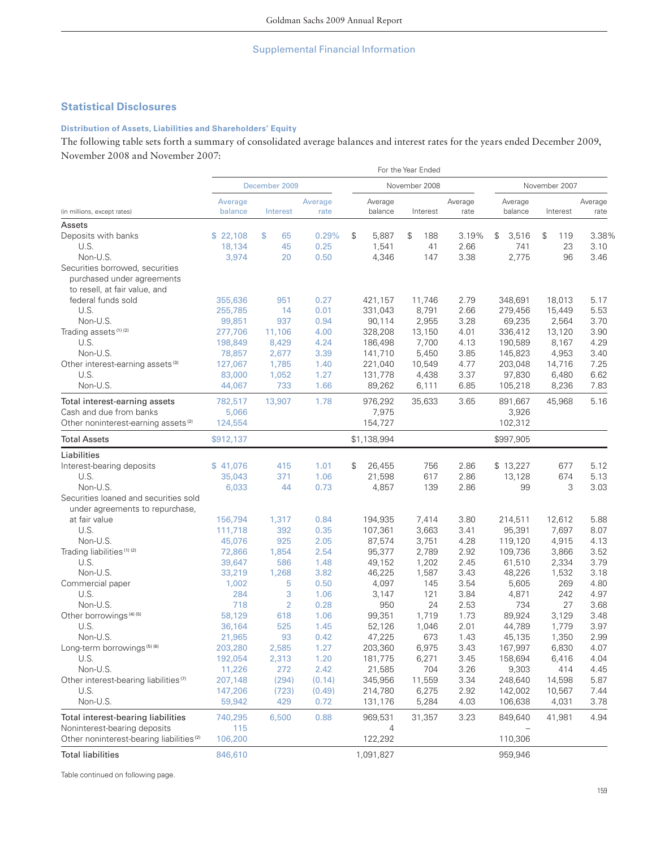# **Statistical Disclosures**

## **Distribution of Assets, Liabilities and Shareholders' Equity**

The following table sets forth a summary of consolidated average balances and interest rates for the years ended December 2009, November 2008 and November 2007:

|                                                                                                |                    |                |                 |                    | For the Year Ended |                 |                    |                      |                 |
|------------------------------------------------------------------------------------------------|--------------------|----------------|-----------------|--------------------|--------------------|-----------------|--------------------|----------------------|-----------------|
|                                                                                                |                    | December 2009  |                 | November 2008      | November 2007      |                 |                    |                      |                 |
| (in millions, except rates)                                                                    | Average<br>balance | Interest       | Average<br>rate | Average<br>balance | Interest           | Average<br>rate | Average<br>balance | Interest             | Average<br>rate |
| Assets                                                                                         |                    |                |                 |                    |                    |                 |                    |                      |                 |
| Deposits with banks                                                                            | \$22,108           | \$<br>65       | 0.29%           | \$<br>5,887        | \$<br>188          | 3.19%           | \$<br>3,516        | $\mathcal{L}$<br>119 | 3.38%           |
| U.S.                                                                                           | 18,134             | 45             | 0.25            | 1,541              | 41                 | 2.66            | 741                | 23                   | 3.10            |
| Non-U.S.                                                                                       | 3,974              | 20             | 0.50            | 4,346              | 147                | 3.38            | 2,775              | 96                   | 3.46            |
| Securities borrowed, securities<br>purchased under agreements<br>to resell, at fair value, and |                    |                |                 |                    |                    |                 |                    |                      |                 |
| federal funds sold                                                                             |                    |                |                 |                    |                    |                 |                    |                      |                 |
| U.S.                                                                                           | 355,636            | 951            | 0.27<br>0.01    | 421,157            | 11,746             | 2.79            | 348,691            | 18,013               | 5.17            |
|                                                                                                | 255,785            | 14             |                 | 331,043            | 8,791              | 2.66            | 279,456            | 15,449               | 5.53            |
| Non-U.S.                                                                                       | 99,851             | 937            | 0.94            | 90,114             | 2,955              | 3.28            | 69,235             | 2,564                | 3.70            |
| Trading assets <sup>(1)(2)</sup>                                                               | 277,706            | 11,106         | 4.00            | 328,208            | 13,150             | 4.01            | 336,412            | 13,120               | 3.90            |
| U.S.                                                                                           | 198,849            | 8,429          | 4.24            | 186,498            | 7,700              | 4.13            | 190,589            | 8,167                | 4.29            |
| Non-U.S.                                                                                       | 78,857             | 2,677          | 3.39            | 141,710            | 5,450              | 3.85            | 145,823            | 4,953                | 3.40            |
| Other interest-earning assets <sup>(3)</sup>                                                   | 127,067            | 1,785          | 1.40            | 221,040            | 10,549             | 4.77            | 203,048            | 14,716               | 7.25            |
| U.S.                                                                                           | 83,000             | 1,052          | 1.27            | 131,778            | 4,438              | 3.37            | 97,830             | 6,480                | 6.62            |
| Non-U.S.                                                                                       | 44,067             | 733            | 1.66            | 89,262             | 6,111              | 6.85            | 105,218            | 8,236                | 7.83            |
| Total interest-earning assets                                                                  | 782,517            | 13,907         | 1.78            | 976,292            | 35,633             | 3.65            | 891,667            | 45,968               | 5.16            |
| Cash and due from banks                                                                        | 5,066              |                |                 | 7,975              |                    |                 | 3,926              |                      |                 |
| Other noninterest-earning assets <sup>(2)</sup>                                                | 124,554            |                |                 | 154,727            |                    |                 | 102,312            |                      |                 |
| <b>Total Assets</b>                                                                            | \$912,137          |                |                 | \$1,138,994        |                    |                 | \$997,905          |                      |                 |
| Liabilities                                                                                    |                    |                |                 |                    |                    |                 |                    |                      |                 |
| Interest-bearing deposits                                                                      | \$41,076           | 415            | 1.01            | \$<br>26,455       | 756                | 2.86            | \$13,227           | 677                  | 5.12            |
| U.S.                                                                                           | 35,043             | 371            | 1.06            | 21,598             | 617                | 2.86            | 13,128             | 674                  | 5.13            |
| Non-U.S.                                                                                       | 6,033              | 44             | 0.73            | 4,857              | 139                | 2.86            | 99                 | 3                    | 3.03            |
| Securities loaned and securities sold                                                          |                    |                |                 |                    |                    |                 |                    |                      |                 |
| under agreements to repurchase,                                                                |                    |                |                 |                    |                    |                 |                    |                      |                 |
| at fair value                                                                                  | 156,794            | 1,317          | 0.84            | 194,935            | 7,414              | 3.80            | 214,511            | 12,612               | 5.88            |
| U.S.                                                                                           | 111,718            | 392            | 0.35            | 107,361            | 3,663              | 3.41            | 95,391             | 7,697                | 8.07            |
| Non-U.S.                                                                                       | 45,076             | 925            | 2.05            | 87,574             | 3,751              | 4.28            | 119,120            | 4,915                | 4.13            |
| Trading liabilities <sup>(1)(2)</sup>                                                          | 72,866             | 1,854          | 2.54            | 95,377             | 2,789              | 2.92            | 109,736            | 3,866                | 3.52            |
| U.S.                                                                                           | 39,647             | 586            | 1.48            | 49,152             | 1,202              | 2.45            | 61,510             | 2,334                | 3.79            |
| Non-U.S.                                                                                       | 33,219             | 1,268          | 3.82            | 46,225             | 1,587              | 3.43            | 48,226             | 1,532                | 3.18            |
| Commercial paper                                                                               | 1,002              | 5              | 0.50            | 4,097              | 145                | 3.54            | 5,605              | 269                  | 4.80            |
| U.S.                                                                                           | 284                | 3              | 1.06            | 3,147              | 121                | 3.84            | 4,871              | 242                  | 4.97            |
| Non-U.S.                                                                                       | 718                | $\overline{2}$ | 0.28            | 950                | 24                 | 2.53            | 734                | 27                   | 3.68            |
| Other borrowings <sup>(4)(5)</sup>                                                             | 58,129             | 618            | 1.06            | 99,351             | 1,719              | 1.73            | 89,924             | 3,129                | 3.48            |
| U.S.                                                                                           | 36,164             | 525            | 1.45            | 52,126             | 1,046              | 2.01            | 44,789             | 1,779                | 3.97            |
| Non-U.S.                                                                                       | 21,965             | 93             | 0.42            | 47,225             | 673                | 1.43            | 45,135             | 1,350                | 2.99            |
| Long-term borrowings (5) (6)                                                                   | 203,280            | 2,585          | 1.27            | 203,360            | 6,975              | 3.43            | 167,997            | 6,830                | 4.07            |
| U.S.                                                                                           | 192,054            | 2,313          | 1.20            | 181,775            | 6,271              | 3.45            | 158,694            | 6,416                | 4.04            |
| Non-U.S.                                                                                       | 11,226             | 272            | 2.42            | 21,585             | 704                | 3.26            | 9,303              | 414                  | 4.45            |
| Other interest-bearing liabilities <sup>(7)</sup>                                              | 207,148            | (294)          | (0.14)          | 345,956            | 11,559             | 3.34            | 248,640            | 14,598               | 5.87            |
| U.S.                                                                                           | 147,206            | (723)          | (0.49)          | 214,780            | 6,275              | 2.92            | 142,002            | 10,567               | 7.44            |
| Non-U.S.                                                                                       | 59,942             | 429            | 0.72            | 131,176            | 5,284              | 4.03            | 106,638            | 4,031                | 3.78            |
|                                                                                                |                    |                |                 |                    |                    |                 |                    |                      |                 |
| Total interest-bearing liabilities                                                             | 740,295            | 6,500          | 0.88            | 969,531            | 31,357             | 3.23            | 849,640            | 41,981               | 4.94            |
| Noninterest-bearing deposits                                                                   | 115                |                |                 | 4                  |                    |                 |                    |                      |                 |
| Other noninterest-bearing liabilities <sup>(2)</sup>                                           | 106,200            |                |                 | 122,292            |                    |                 | 110,306            |                      |                 |
| <b>Total liabilities</b>                                                                       | 846,610            |                |                 | 1,091,827          |                    |                 | 959,946            |                      |                 |

Table continued on following page.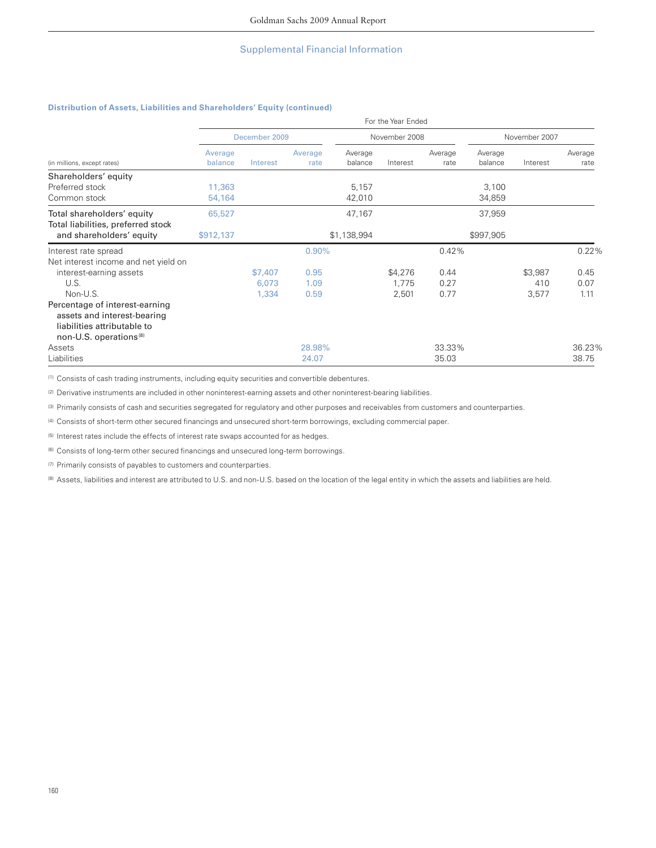### **Distribution of Assets, Liabilities and Shareholders' Equity (continued)**

|                                                                |                    | For the Year Ended |                 |                    |               |                 |                    |               |                 |  |  |  |  |
|----------------------------------------------------------------|--------------------|--------------------|-----------------|--------------------|---------------|-----------------|--------------------|---------------|-----------------|--|--|--|--|
|                                                                |                    | December 2009      |                 |                    | November 2008 |                 |                    | November 2007 |                 |  |  |  |  |
| (in millions, except rates)                                    | Average<br>balance | Interest           | Average<br>rate | Average<br>balance | Interest      | Average<br>rate | Average<br>balance | Interest      | Average<br>rate |  |  |  |  |
| Shareholders' equity                                           |                    |                    |                 |                    |               |                 |                    |               |                 |  |  |  |  |
| Preferred stock                                                | 11,363             |                    |                 | 5,157              |               |                 | 3,100              |               |                 |  |  |  |  |
| Common stock                                                   | 54,164             |                    |                 | 42,010             |               |                 | 34,859             |               |                 |  |  |  |  |
| Total shareholders' equity                                     | 65,527             |                    |                 | 47,167             |               |                 | 37,959             |               |                 |  |  |  |  |
| Total liabilities, preferred stock<br>and shareholders' equity | \$912,137          |                    |                 | \$1,138,994        |               |                 | \$997,905          |               |                 |  |  |  |  |
| Interest rate spread                                           |                    |                    | 0.90%           |                    |               | 0.42%           |                    |               | 0.22%           |  |  |  |  |
| Net interest income and net yield on                           |                    |                    |                 |                    |               |                 |                    |               |                 |  |  |  |  |
| interest-earning assets                                        |                    | \$7,407            | 0.95            |                    | \$4,276       | 0.44            |                    | \$3,987       | 0.45            |  |  |  |  |
| U.S.                                                           |                    | 6,073              | 1.09            |                    | 1,775         | 0.27            |                    | 410           | 0.07            |  |  |  |  |
| Non-U.S.                                                       |                    | 1,334              | 0.59            |                    | 2,501         | 0.77            |                    | 3,577         | 1.11            |  |  |  |  |
| Percentage of interest-earning                                 |                    |                    |                 |                    |               |                 |                    |               |                 |  |  |  |  |
| assets and interest-bearing                                    |                    |                    |                 |                    |               |                 |                    |               |                 |  |  |  |  |
| liabilities attributable to                                    |                    |                    |                 |                    |               |                 |                    |               |                 |  |  |  |  |
| non-U.S. operations <sup>(8)</sup>                             |                    |                    |                 |                    |               |                 |                    |               |                 |  |  |  |  |
| Assets                                                         |                    |                    | 28.98%          |                    |               | 33.33%          |                    |               | 36.23%          |  |  |  |  |
| Liabilities                                                    |                    |                    | 24.07           |                    |               | 35.03           |                    |               | 38.75           |  |  |  |  |

(1) Consists of cash trading instruments, including equity securities and convertible debentures.

(2) Derivative instruments are included in other noninterest-earning assets and other noninterest-bearing liabilities.

(3) Primarily consists of cash and securities segregated for regulatory and other purposes and receivables from customers and counterparties.

(4) Consists of short-term other secured financings and unsecured short-term borrowings, excluding commercial paper.

(5) Interest rates include the effects of interest rate swaps accounted for as hedges.

 $(6)$  Consists of long-term other secured financings and unsecured long-term borrowings.

(7) Primarily consists of payables to customers and counterparties.

(8) Assets, liabilities and interest are attributed to U.S. and non-U.S. based on the location of the legal entity in which the assets and liabilities are held.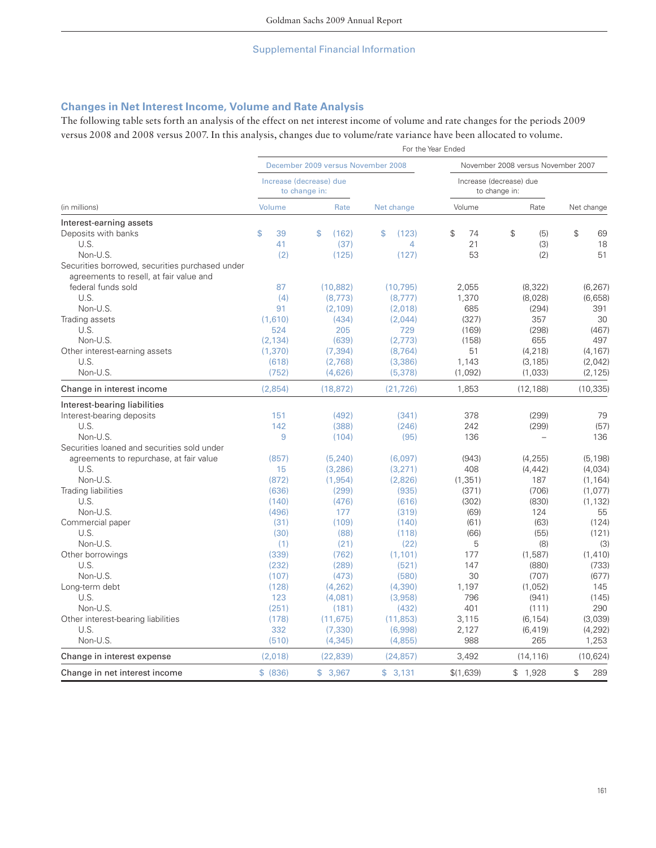# **Changes in Net Interest Income, Volume and Rate Analysis**

The following table sets forth an analysis of the effect on net interest income of volume and rate changes for the periods 2009 versus 2008 and 2008 versus 2007. In this analysis, changes due to volume/rate variance have been allocated to volume.

|                                                 | For the Year Ended |                                          |                |                                          |                      |            |  |  |
|-------------------------------------------------|--------------------|------------------------------------------|----------------|------------------------------------------|----------------------|------------|--|--|
|                                                 |                    | December 2009 versus November 2008       |                | November 2008 versus November 2007       |                      |            |  |  |
|                                                 |                    | Increase (decrease) due<br>to change in: |                | Increase (decrease) due<br>to change in: |                      |            |  |  |
| (in millions)                                   | Volume             | Rate                                     | Net change     | Volume                                   | Rate                 | Net change |  |  |
| Interest-earning assets                         |                    |                                          |                |                                          |                      |            |  |  |
| Deposits with banks                             | \$<br>39           | (162)<br>\$                              | \$<br>(123)    | \$<br>74                                 | $\mathcal{L}$<br>(5) | \$<br>69   |  |  |
| U.S.                                            | 41                 | (37)                                     | $\overline{4}$ | 21                                       | (3)                  | 18         |  |  |
| Non-U.S.                                        | (2)                | (125)                                    | (127)          | 53                                       | (2)                  | 51         |  |  |
| Securities borrowed, securities purchased under |                    |                                          |                |                                          |                      |            |  |  |
| agreements to resell, at fair value and         |                    |                                          |                |                                          |                      |            |  |  |
| federal funds sold                              | 87                 | (10, 882)                                | (10, 795)      | 2,055                                    | (8, 322)             | (6, 267)   |  |  |
| U.S.                                            | (4)                | (8, 773)                                 | (8, 777)       | 1,370                                    | (8,028)              | (6,658)    |  |  |
| Non-U.S.                                        | 91                 | (2, 109)                                 | (2,018)        | 685                                      | (294)                | 391        |  |  |
| Trading assets                                  | (1.610)            | (434)                                    | (2,044)        | (327)                                    | 357                  | 30         |  |  |
| U.S.                                            | 524                | 205                                      | 729            | (169)                                    | (298)                | (467)      |  |  |
| Non-U.S.                                        | (2, 134)           | (639)                                    | (2,773)        | (158)                                    | 655                  | 497        |  |  |
| Other interest-earning assets                   | (1,370)            | (7, 394)                                 | (8, 764)       | 51                                       | (4, 218)             | (4, 167)   |  |  |
| U.S.                                            | (618)              | (2,768)                                  | (3,386)        | 1,143                                    | (3, 185)             | (2,042)    |  |  |
| Non-U.S.                                        | (752)              | (4,626)                                  | (5, 378)       | (1,092)                                  | (1,033)              | (2, 125)   |  |  |
| Change in interest income                       | (2,854)            | (18, 872)                                | (21, 726)      | 1,853                                    | (12, 188)            | (10, 335)  |  |  |
| Interest-bearing liabilities                    |                    |                                          |                |                                          |                      |            |  |  |
| Interest-bearing deposits                       | 151                | (492)                                    | (341)          | 378                                      | (299)                | 79         |  |  |
| U.S.                                            | 142                | (388)                                    | (246)          | 242                                      | (299)                | (57)       |  |  |
| Non-U.S.                                        | 9                  | (104)                                    | (95)           | 136                                      |                      | 136        |  |  |
| Securities loaned and securities sold under     |                    |                                          |                |                                          |                      |            |  |  |
| agreements to repurchase, at fair value         | (857)              | (5, 240)                                 | (6,097)        | (943)                                    | (4, 255)             | (5, 198)   |  |  |
| U.S.                                            | 15                 | (3, 286)                                 | (3, 271)       | 408                                      | (4, 442)             | (4,034)    |  |  |
| Non-U.S.                                        | (872)              | (1, 954)                                 | (2,826)        | (1, 351)                                 | 187                  | (1, 164)   |  |  |
| Trading liabilities                             | (636)              | (299)                                    | (935)          | (371)                                    | (706)                | (1,077)    |  |  |
| U.S.                                            | (140)              | (476)                                    | (616)          | (302)                                    | (830)                | (1, 132)   |  |  |
| Non-U.S.                                        | (496)              | 177                                      | (319)          | (69)                                     | 124                  | 55         |  |  |
| Commercial paper                                | (31)               | (109)                                    | (140)          | (61)                                     | (63)                 | (124)      |  |  |
| U.S.                                            | (30)               | (88)                                     | (118)          | (66)                                     | (55)                 | (121)      |  |  |
| Non-U.S.                                        | (1)                | (21)                                     | (22)           | 5                                        | (8)                  | (3)        |  |  |
| Other borrowings                                | (339)              | (762)                                    | (1, 101)       | 177                                      | (1, 587)             | (1, 410)   |  |  |
| U.S.                                            | (232)              | (289)                                    | (521)          | 147                                      | (880)                | (733)      |  |  |
| Non-U.S.                                        | (107)              | (473)                                    | (580)          | 30                                       | (707)                | (677)      |  |  |
| Long-term debt                                  | (128)              | (4, 262)                                 | (4,390)        | 1,197                                    | (1,052)              | 145        |  |  |
| U.S.                                            | 123                | (4,081)                                  | (3,958)        | 796                                      | (941)                | (145)      |  |  |
| Non-U.S.                                        | (251)              | (181)                                    | (432)          | 401                                      | (111)                | 290        |  |  |
| Other interest-bearing liabilities              | (178)              | (11, 675)                                | (11, 853)      | 3,115                                    | (6, 154)             | (3,039)    |  |  |
| U.S.                                            | 332                | (7, 330)                                 | (6,998)        | 2,127                                    | (6, 419)             | (4, 292)   |  |  |
| Non-U.S.                                        | (510)              | (4, 345)                                 | (4,855)        | 988                                      | 265                  | 1,253      |  |  |
| Change in interest expense                      | (2,018)            | (22, 839)                                | (24, 857)      | 3,492                                    | (14, 116)            | (10, 624)  |  |  |
| Change in net interest income                   | \$ (836)           | \$3,967                                  | \$3,131        | \$(1,639)                                | \$1,928              | \$<br>289  |  |  |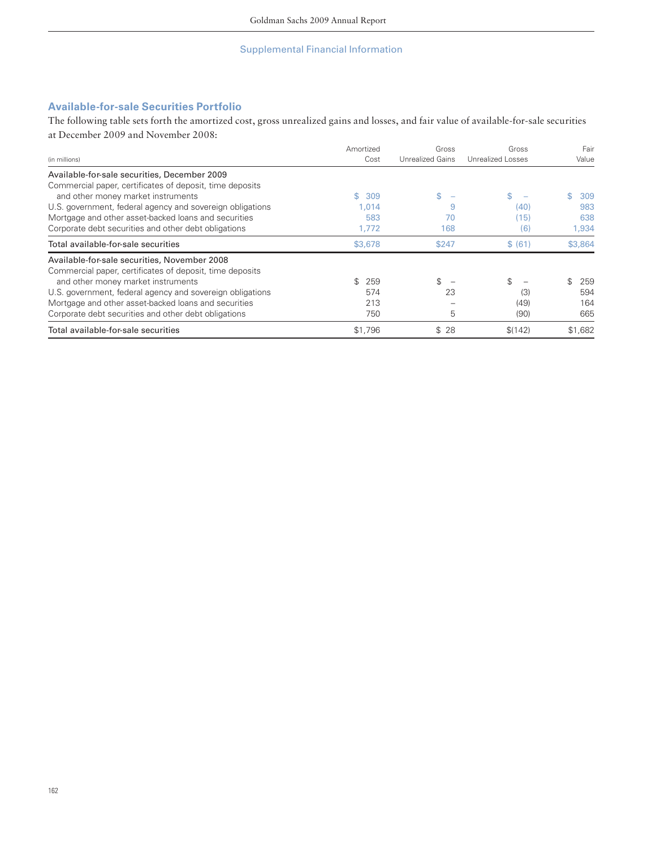# **Available-for-sale Securities Portfolio**

The following table sets forth the amortized cost, gross unrealized gains and losses, and fair value of available-for-sale securities at December 2009 and November 2008:

| (in millions)                                             | Amortized<br>Cost | Gross<br><b>Unrealized Gains</b> | Gross<br>Unrealized Losses | Fair<br>Value |
|-----------------------------------------------------------|-------------------|----------------------------------|----------------------------|---------------|
| Available-for-sale securities, December 2009              |                   |                                  |                            |               |
| Commercial paper, certificates of deposit, time deposits  |                   |                                  |                            |               |
| and other money market instruments                        | S.<br>309         | \$                               | \$.                        | \$<br>309     |
| U.S. government, federal agency and sovereign obligations | 1.014             | 9                                | (40)                       | 983           |
| Mortgage and other asset-backed loans and securities      | 583               | 70                               | (15)                       | 638           |
| Corporate debt securities and other debt obligations      | 1,772             | 168                              | (6)                        | 1,934         |
| Total available-for-sale securities                       | \$3,678           | \$247                            | \$ (61)                    | \$3,864       |
| Available-for-sale securities, November 2008              |                   |                                  |                            |               |
| Commercial paper, certificates of deposit, time deposits  |                   |                                  |                            |               |
| and other money market instruments                        | \$.<br>259        | \$                               | \$                         | \$.<br>259    |
| U.S. government, federal agency and sovereign obligations | 574               | 23                               | (3)                        | 594           |
| Mortgage and other asset-backed loans and securities      | 213               |                                  | (49)                       | 164           |
| Corporate debt securities and other debt obligations      | 750               | 5                                | (90)                       | 665           |
| Total available-for-sale securities                       | \$1,796           | \$28                             | \$(142)                    | \$1,682       |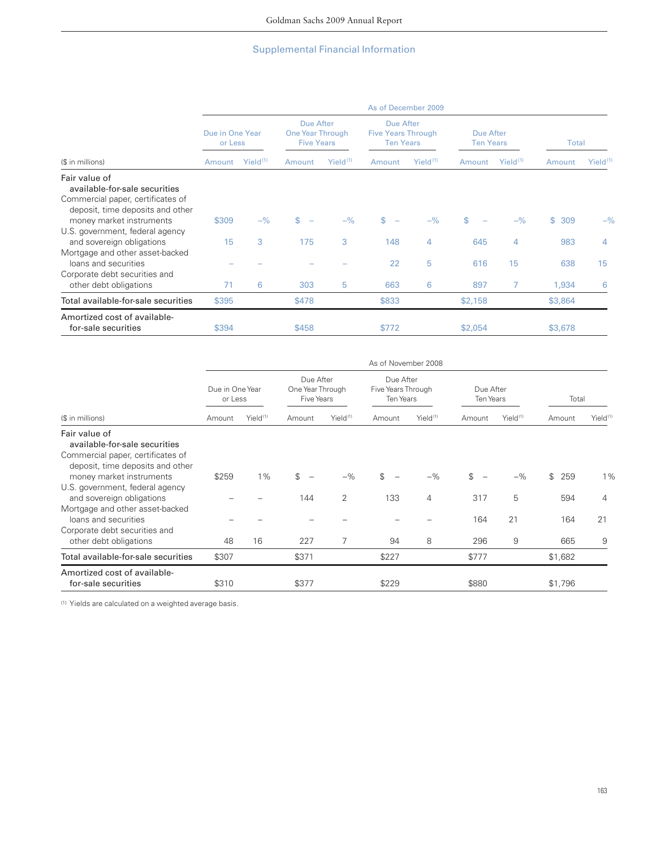|                                                                                                                                                     | As of December 2009        |               |                                                    |               |                                                            |               |                                |               |              |               |
|-----------------------------------------------------------------------------------------------------------------------------------------------------|----------------------------|---------------|----------------------------------------------------|---------------|------------------------------------------------------------|---------------|--------------------------------|---------------|--------------|---------------|
|                                                                                                                                                     | Due in One Year<br>or Less |               | Due After<br>One Year Through<br><b>Five Years</b> |               | Due After<br><b>Five Years Through</b><br><b>Ten Years</b> |               | Due After<br><b>Ten Years</b>  |               | Total        |               |
| (\$ in millions)                                                                                                                                    | Amount                     | $Yield^{(1)}$ | Amount                                             | $Yield^{(1)}$ | Amount                                                     | $Yield^{(1)}$ | Amount                         | $Yield^{(1)}$ | Amount       | $Yield^{(1)}$ |
| Fair value of<br>available-for-sale securities<br>Commercial paper, certificates of<br>deposit, time deposits and other<br>money market instruments | \$309                      | $-$ %         | \$<br>$\overline{\phantom{a}}$                     | $-$ %         | \$<br>$\sim$                                               | $-$ %         | \$<br>$\overline{\phantom{a}}$ | $-$ %         | \$309        | $-$ %         |
| U.S. government, federal agency<br>and sovereign obligations                                                                                        | 15                         | 3             | 175                                                | 3             | 148                                                        | 4             | 645                            | 4             | 983          | 4             |
| Mortgage and other asset-backed<br>loans and securities<br>Corporate debt securities and<br>other debt obligations                                  | 71                         | 6             | 303                                                | 5             | 22<br>663                                                  | 5<br>6        | 616<br>897                     | 15<br>7       | 638<br>1,934 | 15<br>6       |
| Total available-for-sale securities                                                                                                                 | \$395                      |               | \$478                                              |               | \$833                                                      |               | \$2,158                        |               | \$3,864      |               |
| Amortized cost of available-<br>for-sale securities                                                                                                 | \$394                      |               | \$458                                              |               | \$772                                                      |               | \$2,054                        |               | \$3,678      |               |

|                                                                                                                                                                                                                                                                                                                                           | As of November 2008        |                      |                                             |                      |                                              |                      |                         |                       |                                |                      |
|-------------------------------------------------------------------------------------------------------------------------------------------------------------------------------------------------------------------------------------------------------------------------------------------------------------------------------------------|----------------------------|----------------------|---------------------------------------------|----------------------|----------------------------------------------|----------------------|-------------------------|-----------------------|--------------------------------|----------------------|
|                                                                                                                                                                                                                                                                                                                                           | Due in One Year<br>or Less |                      | Due After<br>One Year Through<br>Five Years |                      | Due After<br>Five Years Through<br>Ten Years |                      | Due After<br>Ten Years  |                       | Total                          |                      |
| (\$ in millions)                                                                                                                                                                                                                                                                                                                          | Amount                     | Yield <sup>(1)</sup> | Amount                                      | Yield <sup>(1)</sup> | Amount                                       | Yield <sup>(1)</sup> | Amount                  | Yield <sup>(1)</sup>  | Amount                         | Yield <sup>(1)</sup> |
| Fair value of<br>available-for-sale securities<br>Commercial paper, certificates of<br>deposit, time deposits and other<br>money market instruments<br>U.S. government, federal agency<br>and sovereign obligations<br>Mortgage and other asset-backed<br>loans and securities<br>Corporate debt securities and<br>other debt obligations | \$259<br>48                | $1\%$<br>16          | \$<br>144<br>227                            | $-$ %<br>2<br>7      | \$<br>133<br>94                              | $-$ %<br>4<br>8      | \$<br>317<br>164<br>296 | $-$ %<br>5<br>21<br>9 | \$<br>259<br>594<br>164<br>665 | 1%<br>4<br>21<br>9   |
| Total available-for-sale securities                                                                                                                                                                                                                                                                                                       | \$307                      |                      | \$371                                       |                      | \$227                                        |                      | \$777                   |                       | \$1,682                        |                      |
| Amortized cost of available-<br>for-sale securities                                                                                                                                                                                                                                                                                       | \$310                      |                      | \$377                                       |                      | \$229                                        |                      | \$880                   |                       | \$1,796                        |                      |

(1) Yields are calculated on a weighted average basis.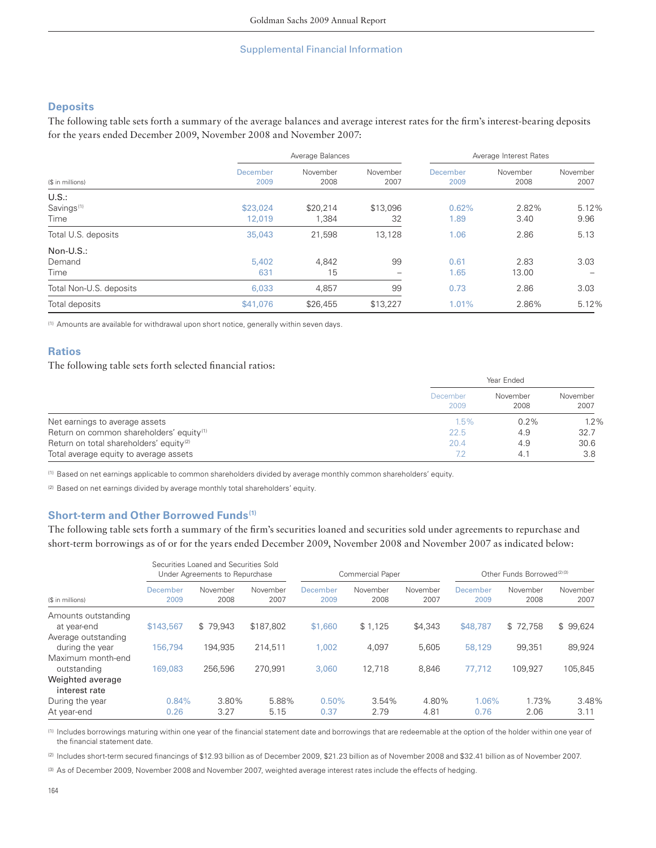## **Deposits**

The following table sets forth a summary of the average balances and average interest rates for the firm's interest-bearing deposits for the years ended December 2009, November 2008 and November 2007:

|                                         |                    | Average Balances  |                  | Average Interest Rates |                  |                  |  |
|-----------------------------------------|--------------------|-------------------|------------------|------------------------|------------------|------------------|--|
| (\$ in millions)                        | December<br>2009   | November<br>2008  | November<br>2007 | December<br>2009       | November<br>2008 | November<br>2007 |  |
| U.S.:<br>Savings <sup>(1)</sup><br>Time | \$23,024<br>12,019 | \$20,214<br>1,384 | \$13,096<br>32   | 0.62%<br>1.89          | 2.82%<br>3.40    | 5.12%<br>9.96    |  |
| Total U.S. deposits                     | 35,043             | 21,598            | 13,128           | 1.06                   | 2.86             | 5.13             |  |
| Non-U.S.:<br>Demand<br>Time             | 5,402<br>631       | 4,842<br>15       | 99               | 0.61<br>1.65           | 2.83<br>13.00    | 3.03             |  |
| Total Non-U.S. deposits                 | 6,033              | 4,857             | 99               | 0.73                   | 2.86             | 3.03             |  |
| Total deposits                          | \$41,076           | \$26,455          | \$13,227         | 1.01%                  | 2.86%            | 5.12%            |  |

(1) Amounts are available for withdrawal upon short notice, generally within seven days.

# **Ratios**

The following table sets forth selected financial ratios:

|                                                      |                  | Year Ended       |                  |  |  |  |
|------------------------------------------------------|------------------|------------------|------------------|--|--|--|
|                                                      | December<br>2009 | November<br>2008 | November<br>2007 |  |  |  |
| Net earnings to average assets                       | $1.5\%$          | $0.2\%$          | 1.2%             |  |  |  |
| Return on common shareholders' equity <sup>(1)</sup> | 22.5             | 4.9              | 32.7             |  |  |  |
| Return on total shareholders' equity <sup>(2)</sup>  | 20.4             | 4.9              | 30.6             |  |  |  |
| Total average equity to average assets               |                  | 4.1              | 3.8              |  |  |  |

(1) Based on net earnings applicable to common shareholders divided by average monthly common shareholders' equity.

(2) Based on net earnings divided by average monthly total shareholders' equity.

## **Short-term and Other Borrowed Funds (1)**

The following table sets forth a summary of the firm's securities loaned and securities sold under agreements to repurchase and short-term borrowings as of or for the years ended December 2009, November 2008 and November 2007 as indicated below:

|                                        | Securities Loaned and Securities Sold<br>Under Agreements to Repurchase |                  |                  | Commercial Paper |                  |                  | Other Funds Borrowed <sup>(2)(3)</sup> |                  |                  |
|----------------------------------------|-------------------------------------------------------------------------|------------------|------------------|------------------|------------------|------------------|----------------------------------------|------------------|------------------|
| (\$ in millions)                       | December<br>2009                                                        | November<br>2008 | November<br>2007 | December<br>2009 | November<br>2008 | November<br>2007 | December<br>2009                       | November<br>2008 | November<br>2007 |
| Amounts outstanding<br>at year-end     | \$143,567                                                               | \$79.943         | \$187,802        | \$1,660          | \$1,125          | \$4,343          | \$48,787                               | \$72.758         | \$99,624         |
| Average outstanding<br>during the year | 156,794                                                                 | 194.935          | 214.511          | 1.002            | 4,097            | 5,605            | 58,129                                 | 99.351           | 89,924           |
| Maximum month-end<br>outstanding       | 169,083                                                                 | 256,596          | 270.991          | 3,060            | 12.718           | 8,846            | 77.712                                 | 109.927          | 105.845          |
| Weighted average<br>interest rate      |                                                                         |                  |                  |                  |                  |                  |                                        |                  |                  |
| During the year<br>At year-end         | 0.84%<br>0.26                                                           | 3.80%<br>3.27    | 5.88%<br>5.15    | 0.50%<br>0.37    | 3.54%<br>2.79    | 4.80%<br>4.81    | 1.06%<br>0.76                          | 1.73%<br>2.06    | 3.48%<br>3.11    |

(1) Includes borrowings maturing within one year of the financial statement date and borrowings that are redeemable at the option of the holder within one year of the financial statement date.

(2) Includes short-term secured financings of \$12.93 billion as of December 2009, \$21.23 billion as of November 2008 and \$32.41 billion as of November 2007.

(3) As of December 2009, November 2008 and November 2007, weighted average interest rates include the effects of hedging.